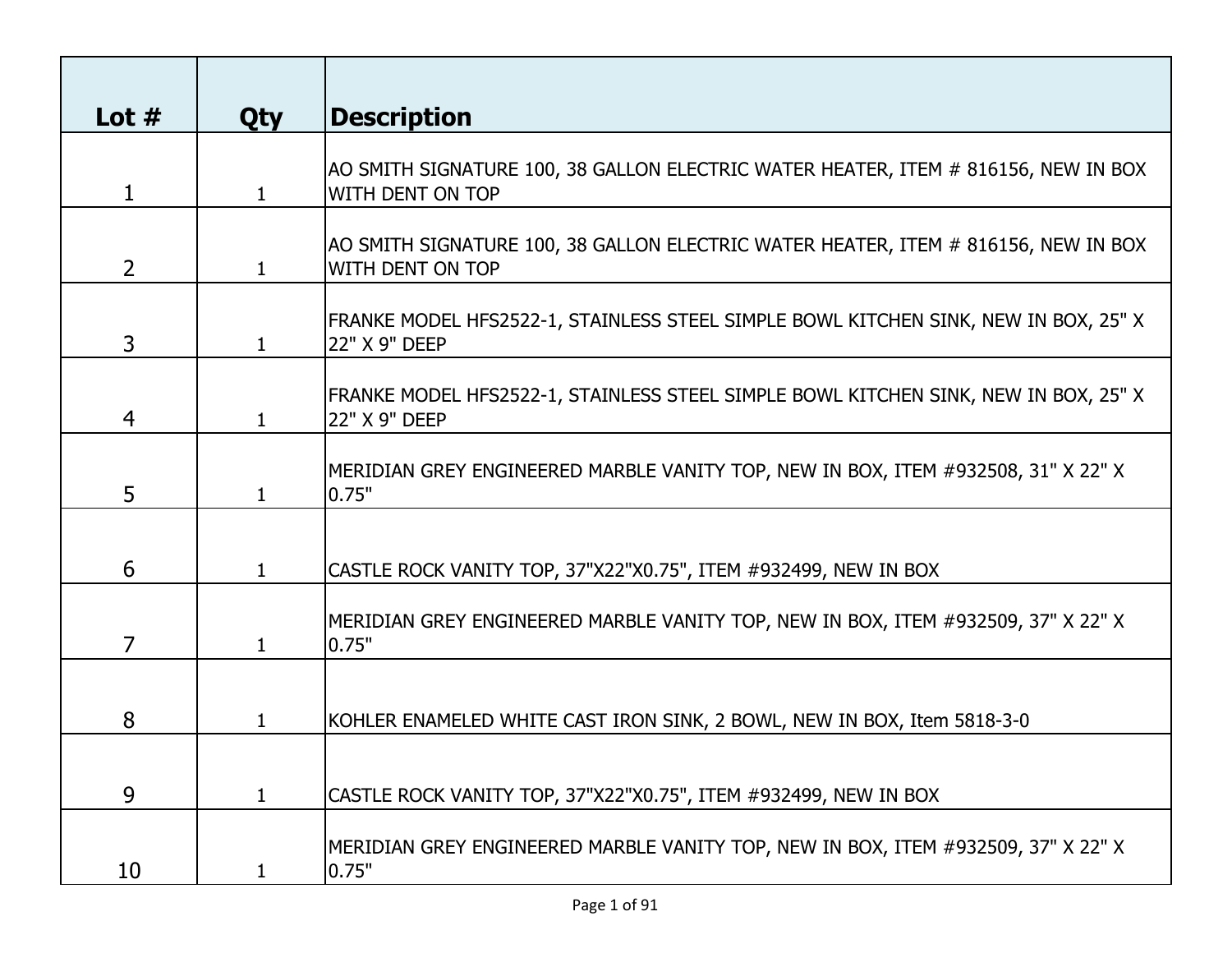| Lot $#$        | <b>Qty</b>   | <b>Description</b>                                                                                            |
|----------------|--------------|---------------------------------------------------------------------------------------------------------------|
| $\mathbf{1}$   | $\mathbf{1}$ | AO SMITH SIGNATURE 100, 38 GALLON ELECTRIC WATER HEATER, ITEM # 816156, NEW IN BOX<br><b>WITH DENT ON TOP</b> |
| $\overline{2}$ | $\mathbf{1}$ | AO SMITH SIGNATURE 100, 38 GALLON ELECTRIC WATER HEATER, ITEM # 816156, NEW IN BOX<br><b>WITH DENT ON TOP</b> |
| 3              | $\mathbf{1}$ | FRANKE MODEL HFS2522-1, STAINLESS STEEL SIMPLE BOWL KITCHEN SINK, NEW IN BOX, 25" X<br>22" X 9" DEEP          |
| 4              | $\mathbf{1}$ | FRANKE MODEL HFS2522-1, STAINLESS STEEL SIMPLE BOWL KITCHEN SINK, NEW IN BOX, 25" X<br>22" X 9" DEEP          |
| 5              |              | MERIDIAN GREY ENGINEERED MARBLE VANITY TOP, NEW IN BOX, ITEM #932508, 31" X 22" X<br>0.75"                    |
| 6              | 1            | CASTLE ROCK VANITY TOP, 37"X22"X0.75", ITEM #932499, NEW IN BOX                                               |
| $\overline{7}$ |              | MERIDIAN GREY ENGINEERED MARBLE VANITY TOP, NEW IN BOX, ITEM #932509, 37" X 22" X<br>0.75"                    |
| 8              | 1.           | KOHLER ENAMELED WHITE CAST IRON SINK, 2 BOWL, NEW IN BOX, Item 5818-3-0                                       |
| 9              | 1            | CASTLE ROCK VANITY TOP, 37"X22"X0.75", ITEM #932499, NEW IN BOX                                               |
| 10             | 1            | MERIDIAN GREY ENGINEERED MARBLE VANITY TOP, NEW IN BOX, ITEM #932509, 37" X 22" X<br>0.75"                    |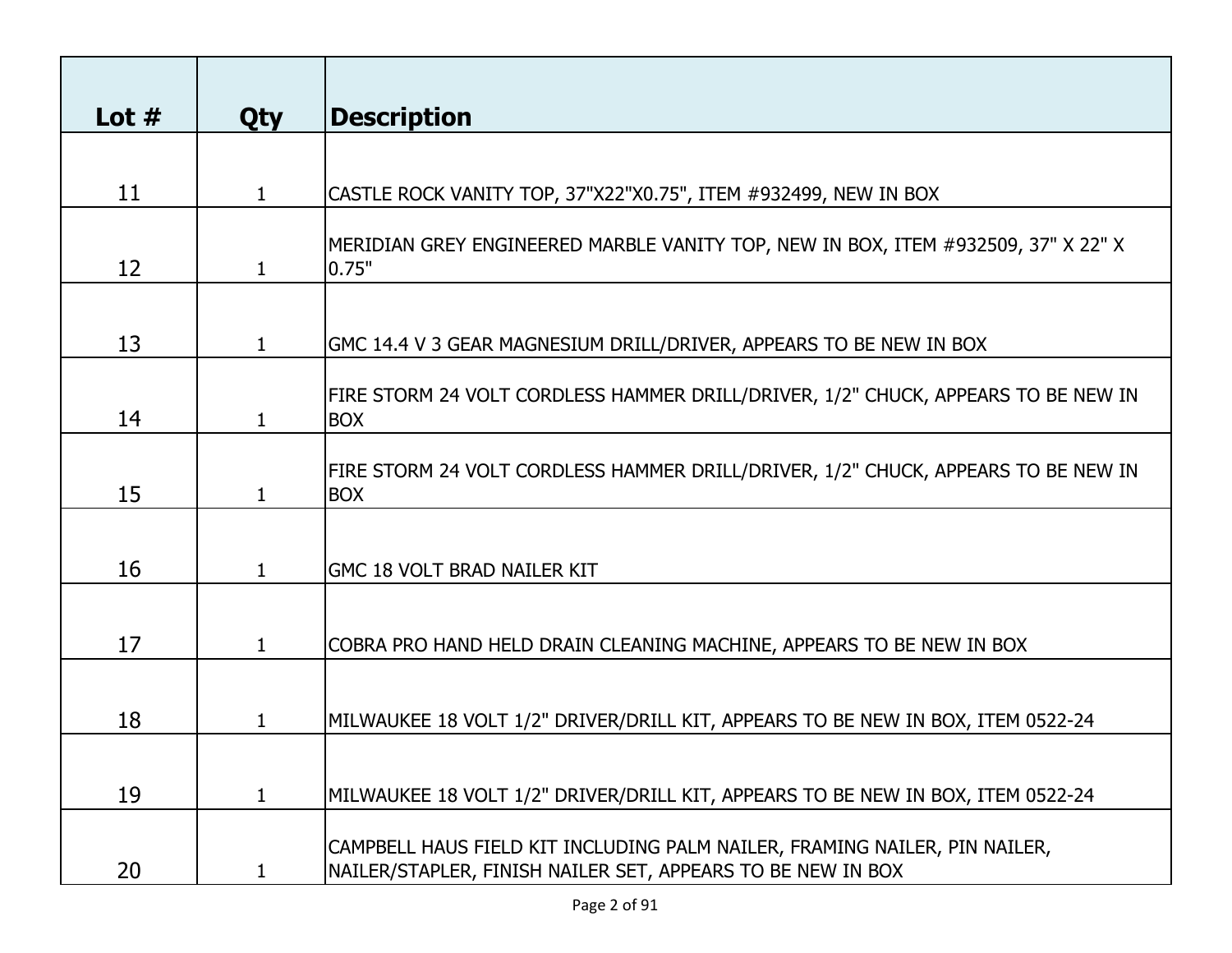| Lot $#$ | <b>Qty</b>   | <b>Description</b>                                                                                                                        |
|---------|--------------|-------------------------------------------------------------------------------------------------------------------------------------------|
|         |              |                                                                                                                                           |
| 11      | $\mathbf{1}$ | CASTLE ROCK VANITY TOP, 37"X22"X0.75", ITEM #932499, NEW IN BOX                                                                           |
| 12      | $\mathbf{1}$ | MERIDIAN GREY ENGINEERED MARBLE VANITY TOP, NEW IN BOX, ITEM #932509, 37" X 22" X<br>0.75"                                                |
| 13      | $\mathbf{1}$ | GMC 14.4 V 3 GEAR MAGNESIUM DRILL/DRIVER, APPEARS TO BE NEW IN BOX                                                                        |
| 14      | 1            | FIRE STORM 24 VOLT CORDLESS HAMMER DRILL/DRIVER, 1/2" CHUCK, APPEARS TO BE NEW IN<br><b>BOX</b>                                           |
| 15      | 1            | FIRE STORM 24 VOLT CORDLESS HAMMER DRILL/DRIVER, 1/2" CHUCK, APPEARS TO BE NEW IN<br><b>BOX</b>                                           |
| 16      | 1            | <b>GMC 18 VOLT BRAD NAILER KIT</b>                                                                                                        |
| 17      | 1            | COBRA PRO HAND HELD DRAIN CLEANING MACHINE, APPEARS TO BE NEW IN BOX                                                                      |
| 18      | 1            | MILWAUKEE 18 VOLT 1/2" DRIVER/DRILL KIT, APPEARS TO BE NEW IN BOX, ITEM 0522-24                                                           |
| 19      | 1            | MILWAUKEE 18 VOLT 1/2" DRIVER/DRILL KIT, APPEARS TO BE NEW IN BOX, ITEM 0522-24                                                           |
| 20      |              | CAMPBELL HAUS FIELD KIT INCLUDING PALM NAILER, FRAMING NAILER, PIN NAILER,<br>NAILER/STAPLER, FINISH NAILER SET, APPEARS TO BE NEW IN BOX |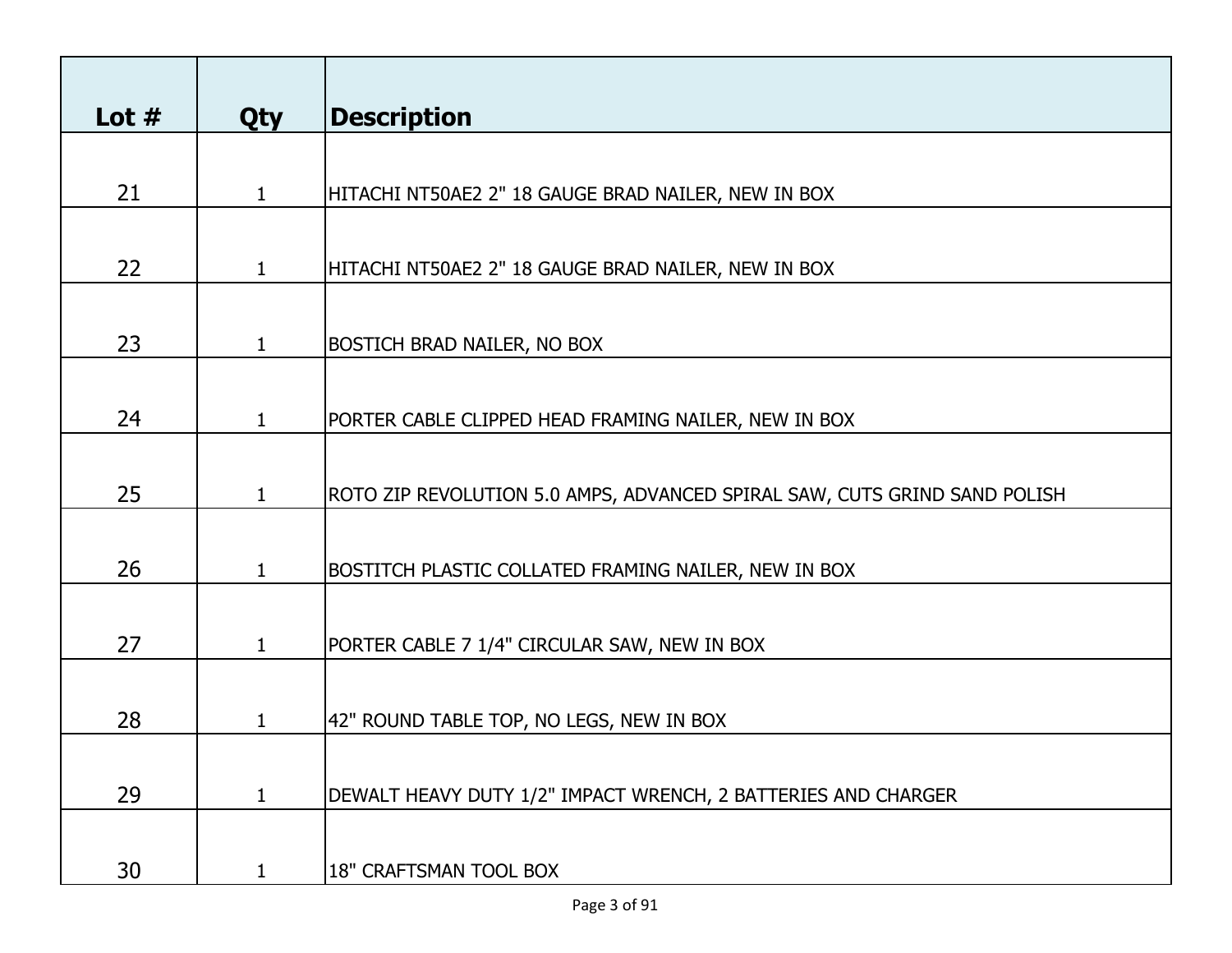| Lot $#$ | <b>Qty</b>   | <b>Description</b>                                                        |
|---------|--------------|---------------------------------------------------------------------------|
|         |              |                                                                           |
| 21      | $\mathbf{1}$ | HITACHI NT50AE2 2" 18 GAUGE BRAD NAILER, NEW IN BOX                       |
|         |              |                                                                           |
| 22      | $\mathbf{1}$ | HITACHI NT50AE2 2" 18 GAUGE BRAD NAILER, NEW IN BOX                       |
|         |              |                                                                           |
| 23      | $\mathbf{1}$ | <b>BOSTICH BRAD NAILER, NO BOX</b>                                        |
|         |              |                                                                           |
| 24      | 1            | PORTER CABLE CLIPPED HEAD FRAMING NAILER, NEW IN BOX                      |
|         |              |                                                                           |
| 25      | $\mathbf{1}$ | ROTO ZIP REVOLUTION 5.0 AMPS, ADVANCED SPIRAL SAW, CUTS GRIND SAND POLISH |
|         |              |                                                                           |
| 26      | 1            | BOSTITCH PLASTIC COLLATED FRAMING NAILER, NEW IN BOX                      |
|         |              |                                                                           |
| 27      | $\mathbf{1}$ | PORTER CABLE 7 1/4" CIRCULAR SAW, NEW IN BOX                              |
|         |              |                                                                           |
| 28      | 1            | 42" ROUND TABLE TOP, NO LEGS, NEW IN BOX                                  |
|         |              |                                                                           |
| 29      | $\mathbf{1}$ | DEWALT HEAVY DUTY 1/2" IMPACT WRENCH, 2 BATTERIES AND CHARGER             |
|         |              |                                                                           |
| 30      |              | 18" CRAFTSMAN TOOL BOX                                                    |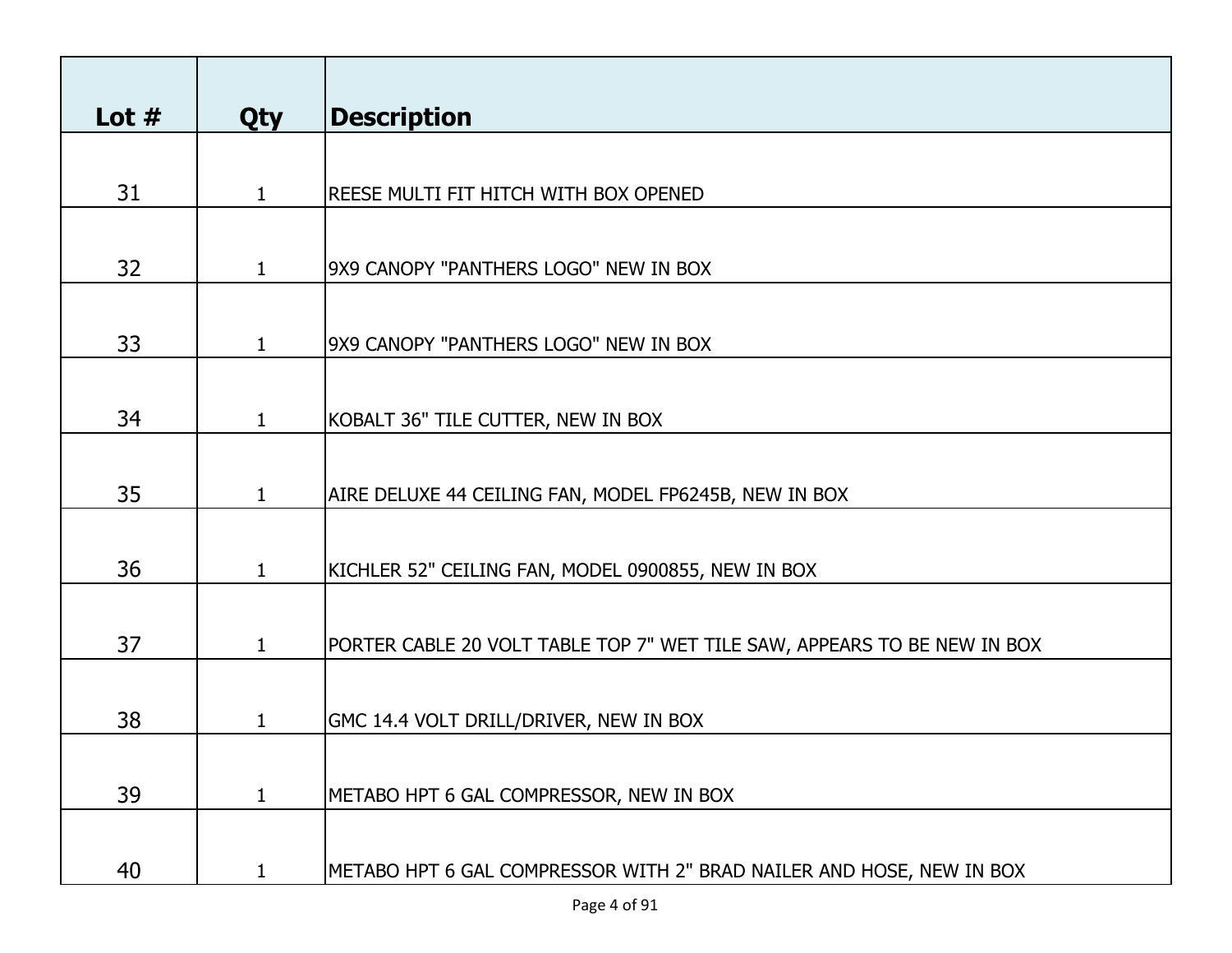| Lot $#$ | <b>Qty</b>   | <b>Description</b>                                                       |
|---------|--------------|--------------------------------------------------------------------------|
|         |              |                                                                          |
| 31      | $\mathbf{1}$ | REESE MULTI FIT HITCH WITH BOX OPENED                                    |
|         |              |                                                                          |
| 32      | $\mathbf{1}$ | 9X9 CANOPY "PANTHERS LOGO" NEW IN BOX                                    |
|         |              |                                                                          |
| 33      | $\mathbf{1}$ | 9X9 CANOPY "PANTHERS LOGO" NEW IN BOX                                    |
|         |              |                                                                          |
| 34      |              | KOBALT 36" TILE CUTTER, NEW IN BOX                                       |
|         |              |                                                                          |
| 35      | 1            | AIRE DELUXE 44 CEILING FAN, MODEL FP6245B, NEW IN BOX                    |
|         |              |                                                                          |
| 36      | 1            | KICHLER 52" CEILING FAN, MODEL 0900855, NEW IN BOX                       |
| 37      | 1            | PORTER CABLE 20 VOLT TABLE TOP 7" WET TILE SAW, APPEARS TO BE NEW IN BOX |
|         |              |                                                                          |
| 38      | 1            | GMC 14.4 VOLT DRILL/DRIVER, NEW IN BOX                                   |
|         |              |                                                                          |
| 39      | $\mathbf{1}$ | METABO HPT 6 GAL COMPRESSOR, NEW IN BOX                                  |
|         |              |                                                                          |
| 40      | 1            | METABO HPT 6 GAL COMPRESSOR WITH 2" BRAD NAILER AND HOSE, NEW IN BOX     |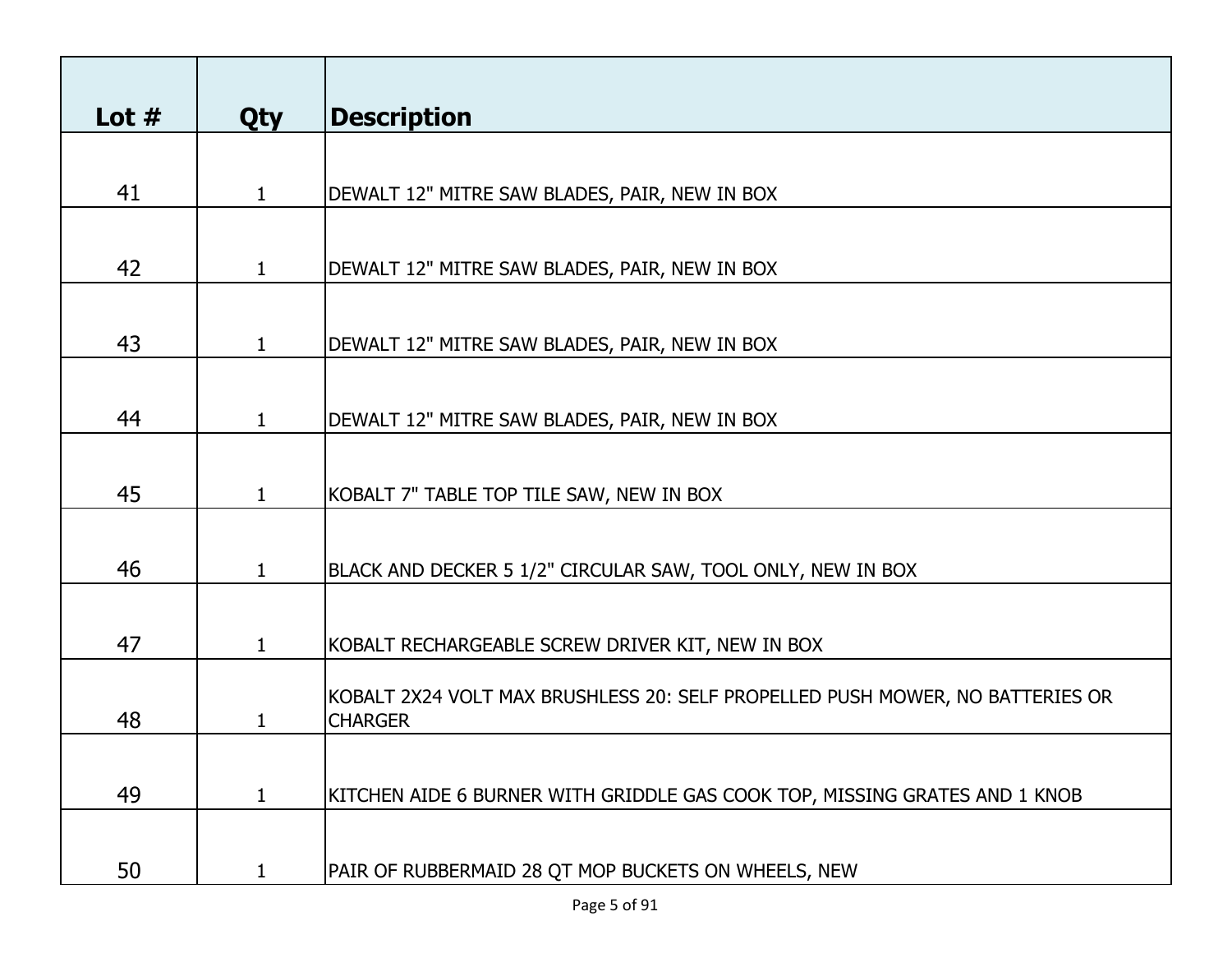| Lot $#$ | <b>Qty</b>   | <b>Description</b>                                                                              |
|---------|--------------|-------------------------------------------------------------------------------------------------|
|         |              |                                                                                                 |
| 41      | 1            | DEWALT 12" MITRE SAW BLADES, PAIR, NEW IN BOX                                                   |
|         |              |                                                                                                 |
| 42      | 1            | DEWALT 12" MITRE SAW BLADES, PAIR, NEW IN BOX                                                   |
|         |              |                                                                                                 |
| 43      | $\mathbf{1}$ | DEWALT 12" MITRE SAW BLADES, PAIR, NEW IN BOX                                                   |
|         |              |                                                                                                 |
| 44      | $\mathbf{1}$ | DEWALT 12" MITRE SAW BLADES, PAIR, NEW IN BOX                                                   |
|         |              |                                                                                                 |
| 45      | $\mathbf{1}$ | KOBALT 7" TABLE TOP TILE SAW, NEW IN BOX                                                        |
|         |              |                                                                                                 |
| 46      | $\mathbf{1}$ | BLACK AND DECKER 5 1/2" CIRCULAR SAW, TOOL ONLY, NEW IN BOX                                     |
|         |              |                                                                                                 |
| 47      | 1            | KOBALT RECHARGEABLE SCREW DRIVER KIT, NEW IN BOX                                                |
| 48      |              | KOBALT 2X24 VOLT MAX BRUSHLESS 20: SELF PROPELLED PUSH MOWER, NO BATTERIES OR<br><b>CHARGER</b> |
|         |              |                                                                                                 |
| 49      | 1            | KITCHEN AIDE 6 BURNER WITH GRIDDLE GAS COOK TOP, MISSING GRATES AND 1 KNOB                      |
|         |              |                                                                                                 |
| 50      |              | PAIR OF RUBBERMAID 28 QT MOP BUCKETS ON WHEELS, NEW                                             |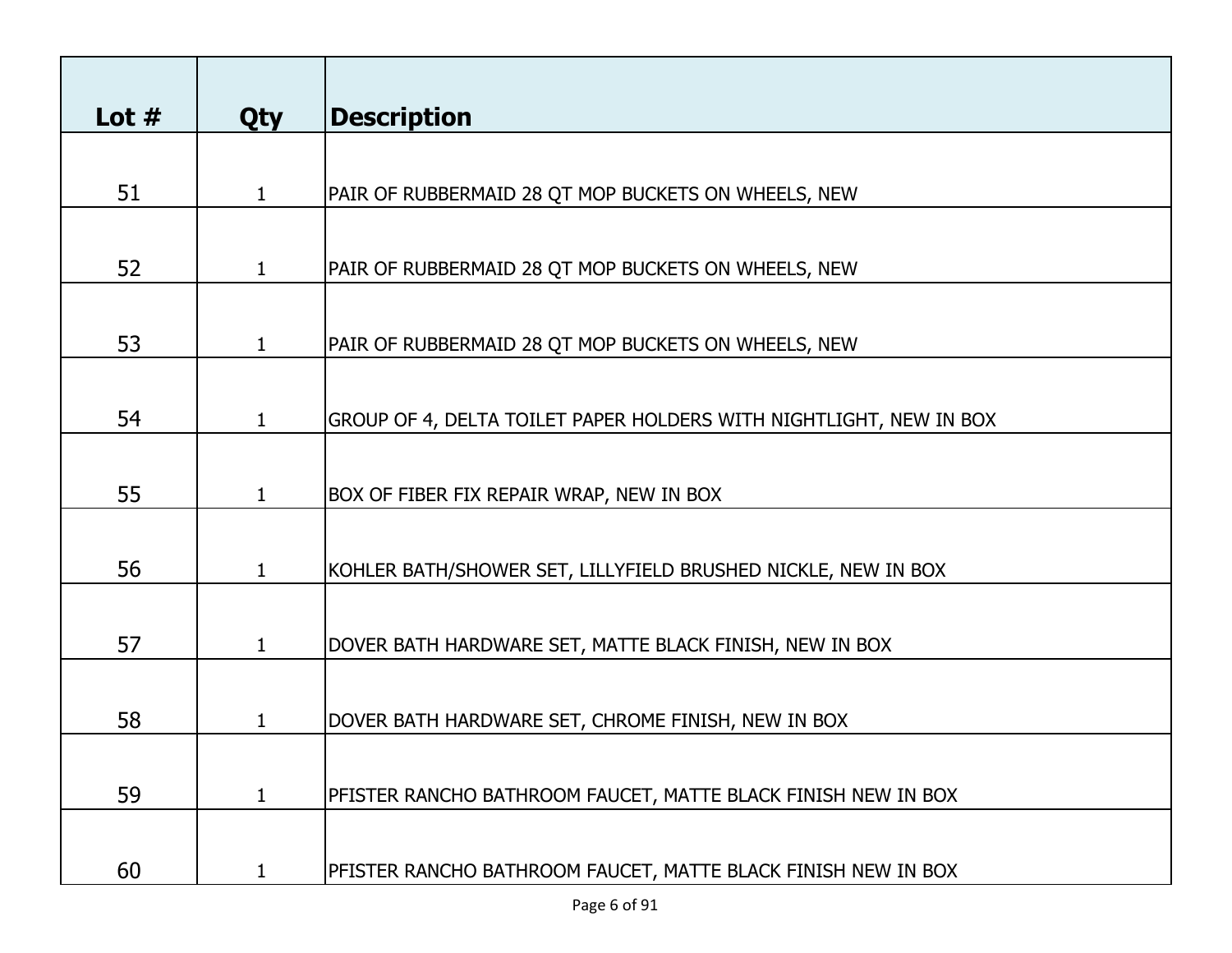| Lot $#$ | <b>Qty</b>   | <b>Description</b>                                                 |
|---------|--------------|--------------------------------------------------------------------|
|         |              |                                                                    |
| 51      | 1            | PAIR OF RUBBERMAID 28 QT MOP BUCKETS ON WHEELS, NEW                |
|         |              |                                                                    |
| 52      | 1            | PAIR OF RUBBERMAID 28 QT MOP BUCKETS ON WHEELS, NEW                |
|         |              |                                                                    |
| 53      | 1            | PAIR OF RUBBERMAID 28 QT MOP BUCKETS ON WHEELS, NEW                |
|         |              |                                                                    |
| 54      | 1            | GROUP OF 4, DELTA TOILET PAPER HOLDERS WITH NIGHTLIGHT, NEW IN BOX |
|         |              |                                                                    |
| 55      | 1            | BOX OF FIBER FIX REPAIR WRAP, NEW IN BOX                           |
|         |              |                                                                    |
| 56      | 1            | KOHLER BATH/SHOWER SET, LILLYFIELD BRUSHED NICKLE, NEW IN BOX      |
|         |              |                                                                    |
| 57      | $\mathbf{1}$ | DOVER BATH HARDWARE SET, MATTE BLACK FINISH, NEW IN BOX            |
|         |              |                                                                    |
| 58      | 1            | DOVER BATH HARDWARE SET, CHROME FINISH, NEW IN BOX                 |
|         |              |                                                                    |
| 59      | $\mathbf{1}$ | PFISTER RANCHO BATHROOM FAUCET, MATTE BLACK FINISH NEW IN BOX      |
|         |              |                                                                    |
| 60      |              | PFISTER RANCHO BATHROOM FAUCET, MATTE BLACK FINISH NEW IN BOX      |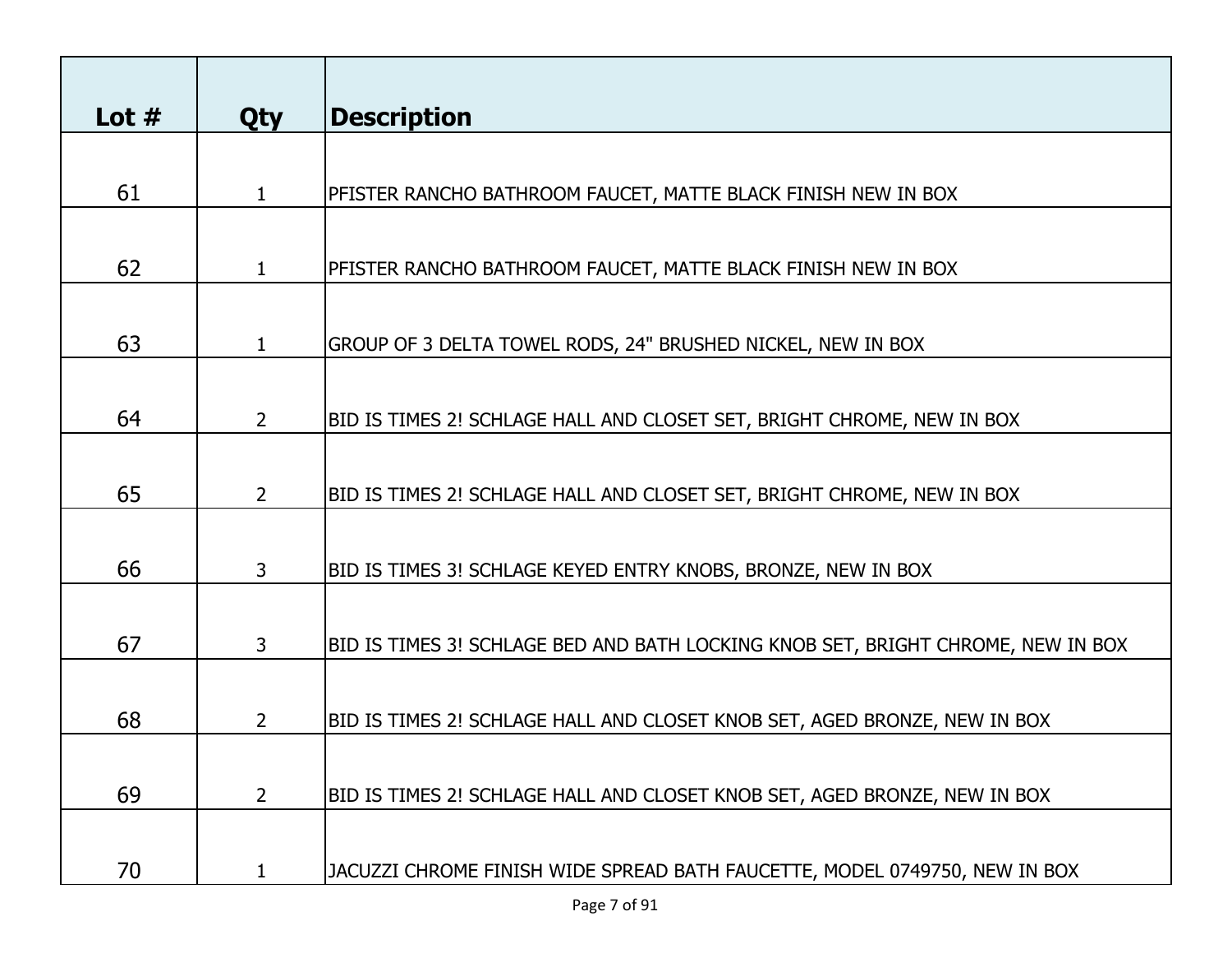| Lot $#$ | <b>Qty</b>   | <b>Description</b>                                                               |
|---------|--------------|----------------------------------------------------------------------------------|
|         |              |                                                                                  |
| 61      | $\mathbf 1$  | PFISTER RANCHO BATHROOM FAUCET, MATTE BLACK FINISH NEW IN BOX                    |
|         |              |                                                                                  |
| 62      | 1            | PFISTER RANCHO BATHROOM FAUCET, MATTE BLACK FINISH NEW IN BOX                    |
|         |              |                                                                                  |
| 63      | 1            | GROUP OF 3 DELTA TOWEL RODS, 24" BRUSHED NICKEL, NEW IN BOX                      |
|         |              |                                                                                  |
| 64      | $2^{\circ}$  | BID IS TIMES 2! SCHLAGE HALL AND CLOSET SET, BRIGHT CHROME, NEW IN BOX           |
|         |              |                                                                                  |
| 65      | $2^{\circ}$  | BID IS TIMES 2! SCHLAGE HALL AND CLOSET SET, BRIGHT CHROME, NEW IN BOX           |
|         |              |                                                                                  |
| 66      | 3            | BID IS TIMES 3! SCHLAGE KEYED ENTRY KNOBS, BRONZE, NEW IN BOX                    |
|         |              |                                                                                  |
| 67      | 3            | BID IS TIMES 3! SCHLAGE BED AND BATH LOCKING KNOB SET, BRIGHT CHROME, NEW IN BOX |
|         |              |                                                                                  |
| 68      | $\mathbf{2}$ | BID IS TIMES 2! SCHLAGE HALL AND CLOSET KNOB SET, AGED BRONZE, NEW IN BOX        |
|         |              |                                                                                  |
| 69      | $2^{\circ}$  | BID IS TIMES 2! SCHLAGE HALL AND CLOSET KNOB SET, AGED BRONZE, NEW IN BOX        |
|         |              |                                                                                  |
| 70      |              | JACUZZI CHROME FINISH WIDE SPREAD BATH FAUCETTE, MODEL 0749750, NEW IN BOX       |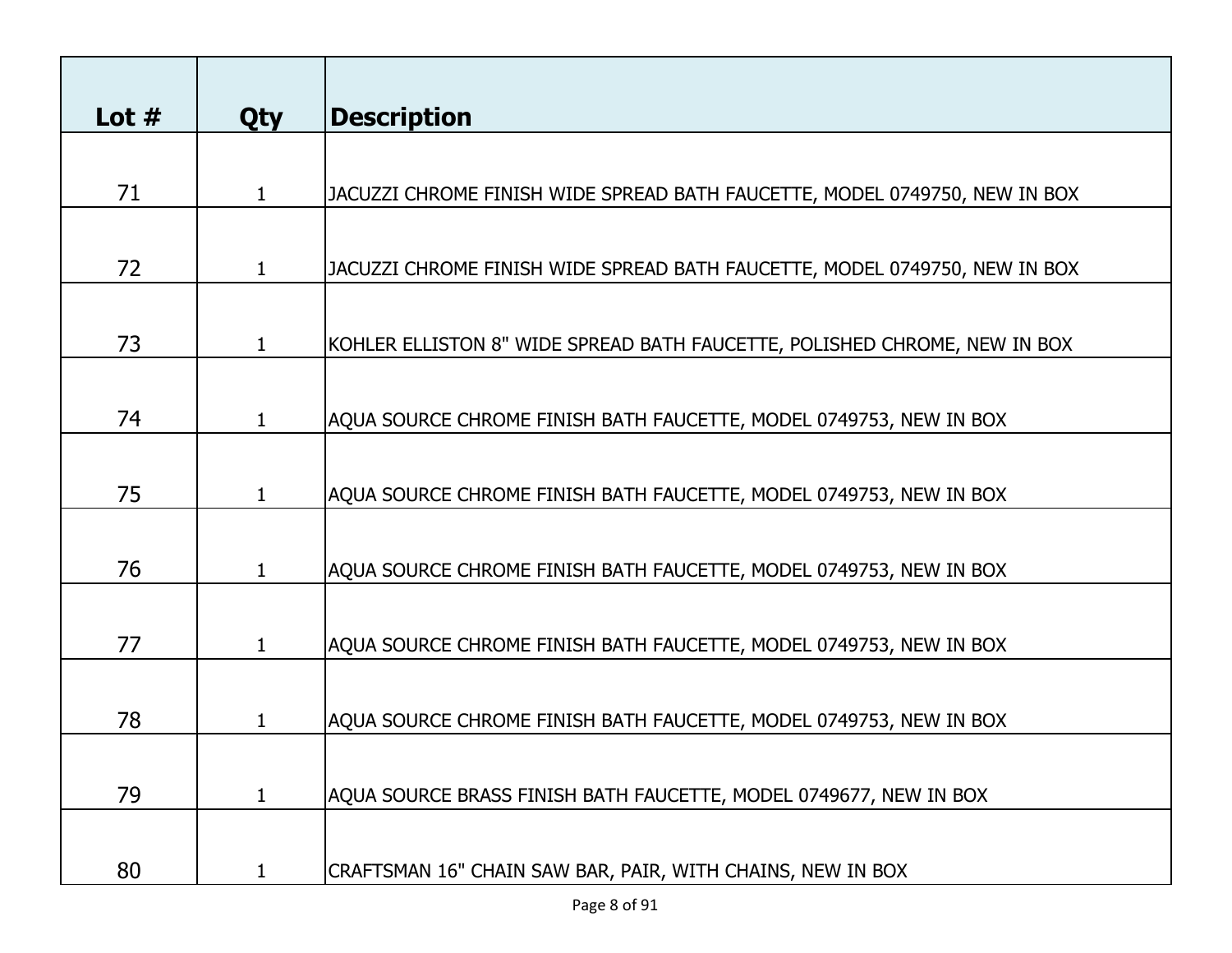| Lot $#$ |              |                                                                            |
|---------|--------------|----------------------------------------------------------------------------|
|         | <b>Qty</b>   | <b>Description</b>                                                         |
| 71      | $\mathbf{1}$ | JACUZZI CHROME FINISH WIDE SPREAD BATH FAUCETTE, MODEL 0749750, NEW IN BOX |
|         |              |                                                                            |
| 72      | 1            | JACUZZI CHROME FINISH WIDE SPREAD BATH FAUCETTE, MODEL 0749750, NEW IN BOX |
|         |              |                                                                            |
| 73      | 1            | KOHLER ELLISTON 8" WIDE SPREAD BATH FAUCETTE, POLISHED CHROME, NEW IN BOX  |
|         |              |                                                                            |
| 74      | 1            | AQUA SOURCE CHROME FINISH BATH FAUCETTE, MODEL 0749753, NEW IN BOX         |
|         |              |                                                                            |
| 75      | 1            | AQUA SOURCE CHROME FINISH BATH FAUCETTE, MODEL 0749753, NEW IN BOX         |
|         |              |                                                                            |
| 76      | 1            | AQUA SOURCE CHROME FINISH BATH FAUCETTE, MODEL 0749753, NEW IN BOX         |
|         |              |                                                                            |
| 77      | $\mathbf 1$  | AQUA SOURCE CHROME FINISH BATH FAUCETTE, MODEL 0749753, NEW IN BOX         |
|         |              |                                                                            |
| 78      | 1            | AQUA SOURCE CHROME FINISH BATH FAUCETTE, MODEL 0749753, NEW IN BOX         |
|         |              |                                                                            |
| 79      | $\mathbf{1}$ | AQUA SOURCE BRASS FINISH BATH FAUCETTE, MODEL 0749677, NEW IN BOX          |
|         |              |                                                                            |
| 80      |              | CRAFTSMAN 16" CHAIN SAW BAR, PAIR, WITH CHAINS, NEW IN BOX                 |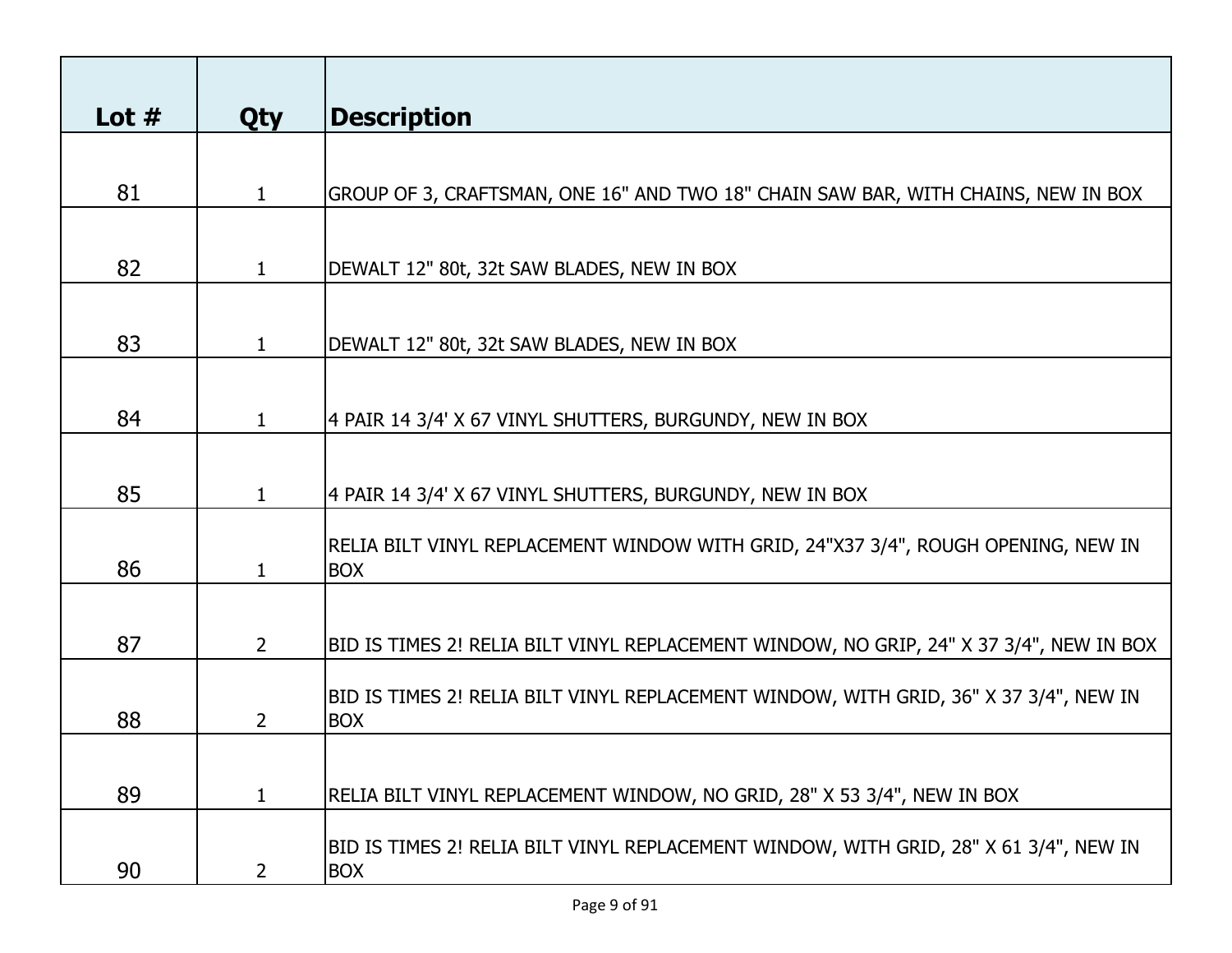| Lot $#$ | <b>Qty</b>     | Description                                                                             |
|---------|----------------|-----------------------------------------------------------------------------------------|
|         |                |                                                                                         |
| 81      | $\mathbf{1}$   | GROUP OF 3, CRAFTSMAN, ONE 16" AND TWO 18" CHAIN SAW BAR, WITH CHAINS, NEW IN BOX       |
|         |                |                                                                                         |
|         |                |                                                                                         |
| 82      | $\mathbf{1}$   | DEWALT 12" 80t, 32t SAW BLADES, NEW IN BOX                                              |
|         |                |                                                                                         |
| 83      | $\mathbf{1}$   | DEWALT 12" 80t, 32t SAW BLADES, NEW IN BOX                                              |
|         |                |                                                                                         |
| 84      | 1              | 4 PAIR 14 3/4' X 67 VINYL SHUTTERS, BURGUNDY, NEW IN BOX                                |
|         |                |                                                                                         |
|         |                |                                                                                         |
| 85      | 1              | 4 PAIR 14 3/4' X 67 VINYL SHUTTERS, BURGUNDY, NEW IN BOX                                |
|         |                | RELIA BILT VINYL REPLACEMENT WINDOW WITH GRID, 24"X37 3/4", ROUGH OPENING, NEW IN       |
| 86      | 1.             | <b>BOX</b>                                                                              |
|         |                |                                                                                         |
|         |                |                                                                                         |
| 87      | $\overline{2}$ | BID IS TIMES 2! RELIA BILT VINYL REPLACEMENT WINDOW, NO GRIP, 24" X 37 3/4", NEW IN BOX |
|         |                | BID IS TIMES 2! RELIA BILT VINYL REPLACEMENT WINDOW, WITH GRID, 36" X 37 3/4", NEW IN   |
| 88      | 2              | <b>BOX</b>                                                                              |
|         |                |                                                                                         |
| 89      | $\mathbf{1}$   | RELIA BILT VINYL REPLACEMENT WINDOW, NO GRID, 28" X 53 3/4", NEW IN BOX                 |
|         |                |                                                                                         |
|         |                | BID IS TIMES 2! RELIA BILT VINYL REPLACEMENT WINDOW, WITH GRID, 28" X 61 3/4", NEW IN   |
| 90      | 2              | <b>BOX</b>                                                                              |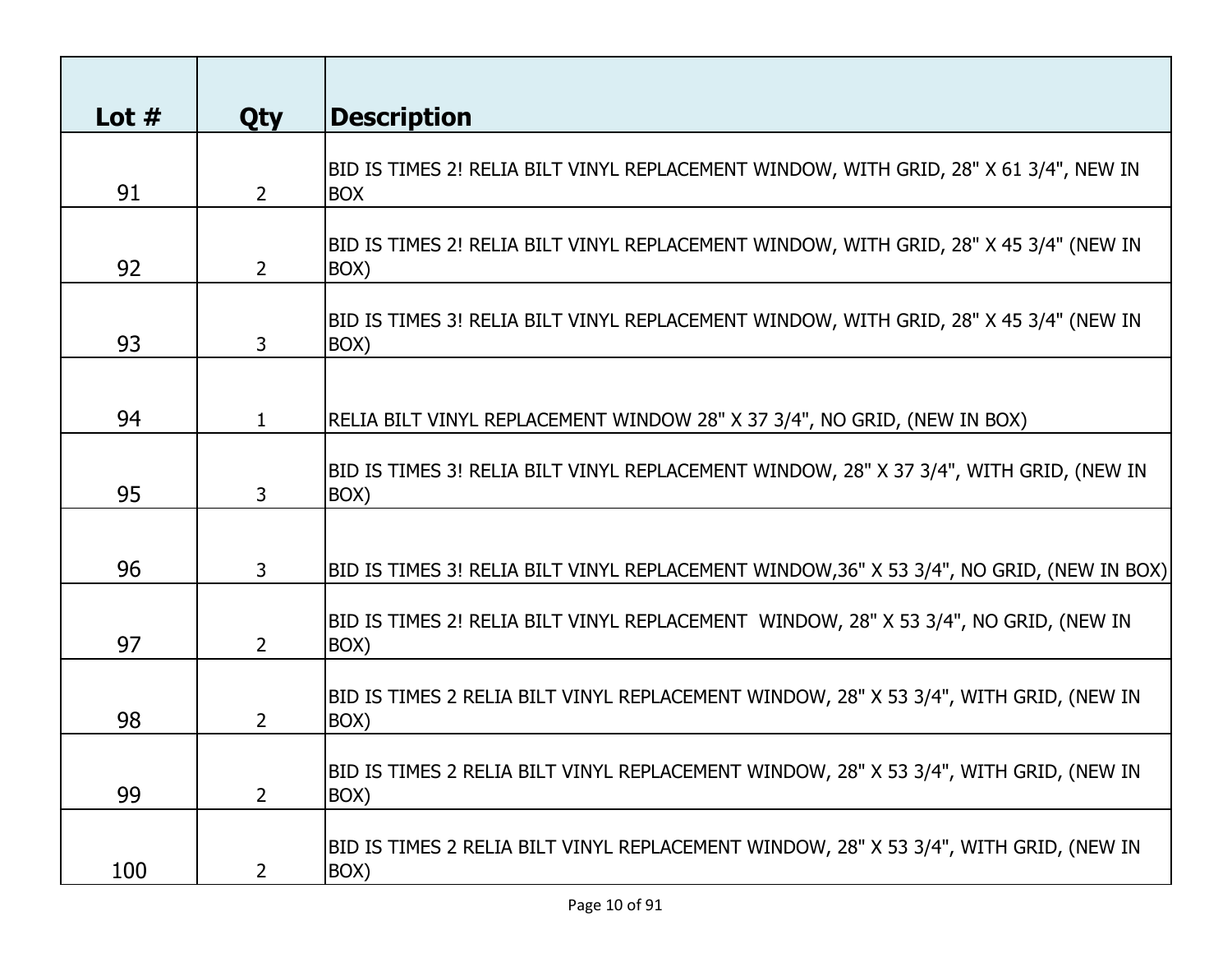| Lot $#$ | <b>Qty</b>     | <b>Description</b>                                                                                  |
|---------|----------------|-----------------------------------------------------------------------------------------------------|
| 91      | $\overline{2}$ | BID IS TIMES 2! RELIA BILT VINYL REPLACEMENT WINDOW, WITH GRID, 28" X 61 3/4", NEW IN<br><b>BOX</b> |
| 92      | $\overline{2}$ | BID IS TIMES 2! RELIA BILT VINYL REPLACEMENT WINDOW, WITH GRID, 28" X 45 3/4" (NEW IN<br>BOX)       |
| 93      | 3              | BID IS TIMES 3! RELIA BILT VINYL REPLACEMENT WINDOW, WITH GRID, 28" X 45 3/4" (NEW IN<br>BOX)       |
| 94      | $\mathbf{1}$   | RELIA BILT VINYL REPLACEMENT WINDOW 28" X 37 3/4", NO GRID, (NEW IN BOX)                            |
| 95      | 3              | BID IS TIMES 3! RELIA BILT VINYL REPLACEMENT WINDOW, 28" X 37 3/4", WITH GRID, (NEW IN<br>BOX)      |
| 96      | 3              | BID IS TIMES 3! RELIA BILT VINYL REPLACEMENT WINDOW,36" X 53 3/4", NO GRID, (NEW IN BOX)            |
| 97      | $\overline{2}$ | BID IS TIMES 2! RELIA BILT VINYL REPLACEMENT WINDOW, 28" X 53 3/4", NO GRID, (NEW IN<br>BOX)        |
| 98      | $\overline{2}$ | BID IS TIMES 2 RELIA BILT VINYL REPLACEMENT WINDOW, 28" X 53 3/4", WITH GRID, (NEW IN<br>BOX)       |
| 99      | $\mathbf{2}$   | BID IS TIMES 2 RELIA BILT VINYL REPLACEMENT WINDOW, 28" X 53 3/4", WITH GRID, (NEW IN<br>BOX)       |
| 100     | $2^{\circ}$    | BID IS TIMES 2 RELIA BILT VINYL REPLACEMENT WINDOW, 28" X 53 3/4", WITH GRID, (NEW IN<br>BOX)       |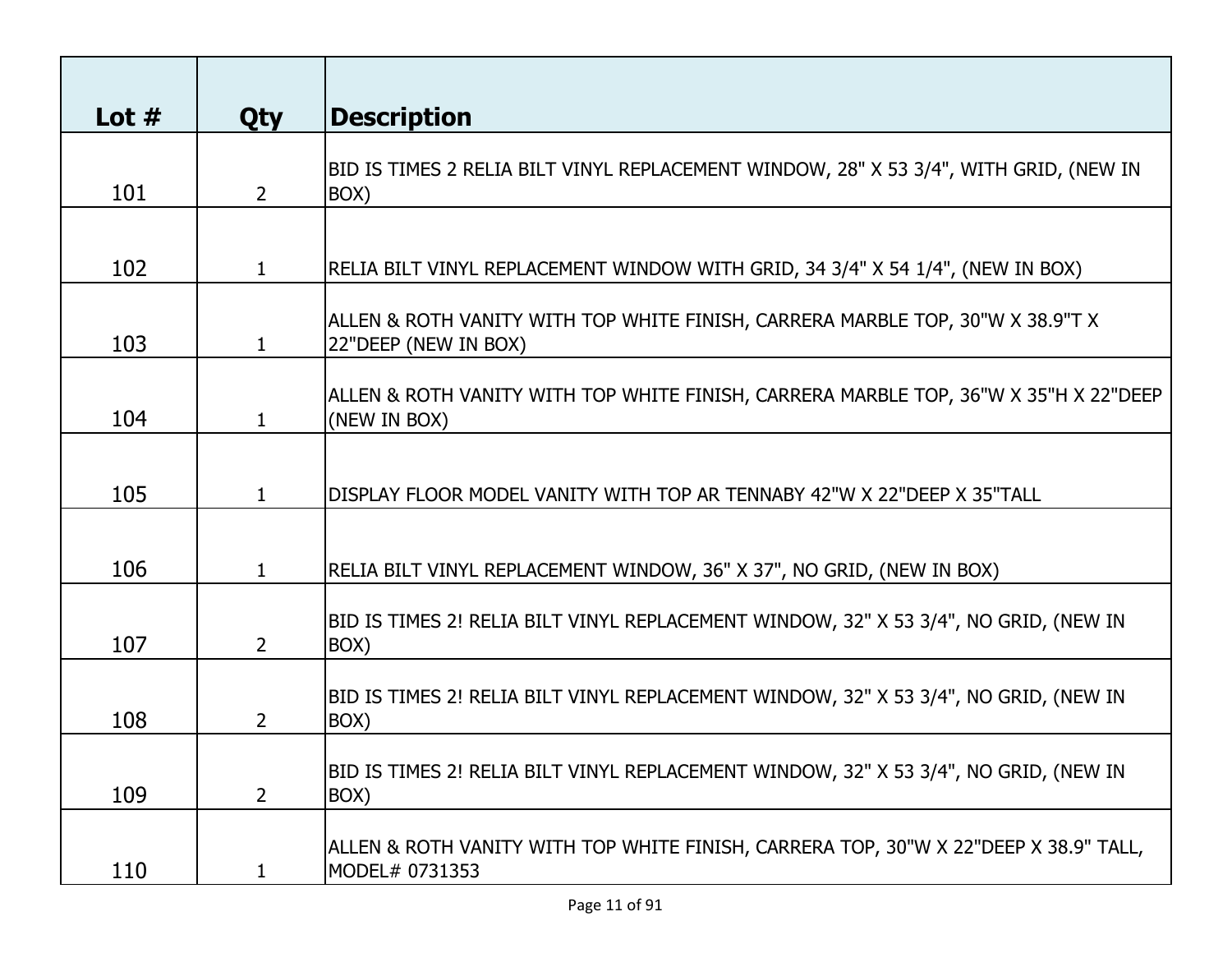| Lot $#$ | <b>Qty</b>     | <b>Description</b>                                                                                     |
|---------|----------------|--------------------------------------------------------------------------------------------------------|
| 101     | $\overline{2}$ | BID IS TIMES 2 RELIA BILT VINYL REPLACEMENT WINDOW, 28" X 53 3/4", WITH GRID, (NEW IN<br>BOX)          |
| 102     | $\mathbf{1}$   | RELIA BILT VINYL REPLACEMENT WINDOW WITH GRID, 34 3/4" X 54 1/4", (NEW IN BOX)                         |
| 103     | $\mathbf{1}$   | ALLEN & ROTH VANITY WITH TOP WHITE FINISH, CARRERA MARBLE TOP, 30"W X 38.9"T X<br>22"DEEP (NEW IN BOX) |
| 104     | 1              | ALLEN & ROTH VANITY WITH TOP WHITE FINISH, CARRERA MARBLE TOP, 36"W X 35"H X 22"DEEP<br>(NEW IN BOX)   |
| 105     | 1              | DISPLAY FLOOR MODEL VANITY WITH TOP AR TENNABY 42"W X 22"DEEP X 35"TALL                                |
| 106     |                | RELIA BILT VINYL REPLACEMENT WINDOW, 36" X 37", NO GRID, (NEW IN BOX)                                  |
| 107     | $\overline{2}$ | BID IS TIMES 2! RELIA BILT VINYL REPLACEMENT WINDOW, 32" X 53 3/4", NO GRID, (NEW IN<br>BOX)           |
| 108     | 2              | BID IS TIMES 2! RELIA BILT VINYL REPLACEMENT WINDOW, 32" X 53 3/4", NO GRID, (NEW IN<br>BOX)           |
| 109     | $\overline{2}$ | BID IS TIMES 2! RELIA BILT VINYL REPLACEMENT WINDOW, 32" X 53 3/4", NO GRID, (NEW IN<br>BOX)           |
| 110     | 1              | ALLEN & ROTH VANITY WITH TOP WHITE FINISH, CARRERA TOP, 30"W X 22"DEEP X 38.9" TALL,<br>MODEL# 0731353 |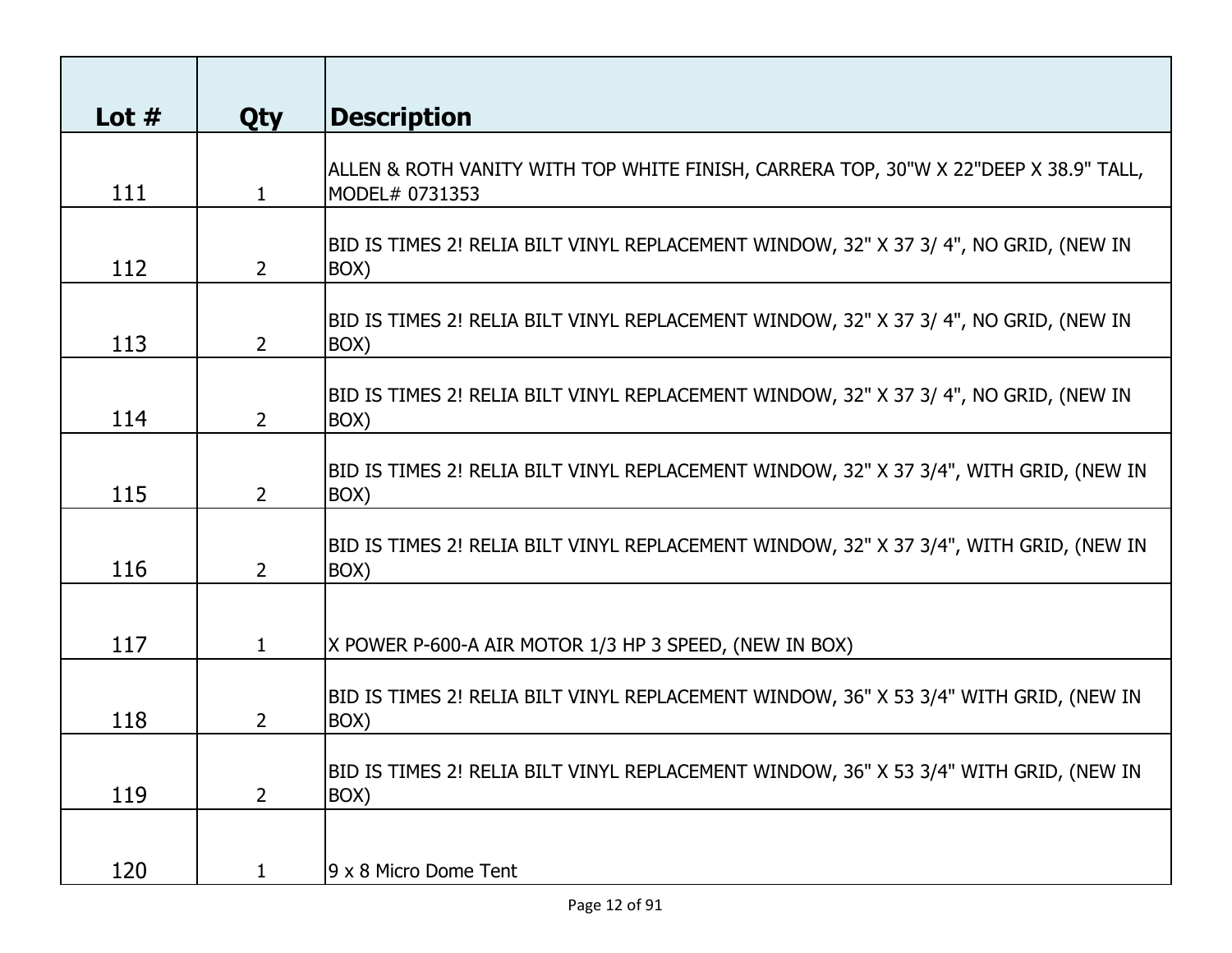| Lot $#$ | <b>Qty</b>                | <b>Description</b>                                                                                     |
|---------|---------------------------|--------------------------------------------------------------------------------------------------------|
| 111     | $\mathbf{1}$              | ALLEN & ROTH VANITY WITH TOP WHITE FINISH, CARRERA TOP, 30"W X 22"DEEP X 38.9" TALL,<br>MODEL# 0731353 |
| 112     | $\overline{2}$            | BID IS TIMES 2! RELIA BILT VINYL REPLACEMENT WINDOW, 32" X 37 3/ 4", NO GRID, (NEW IN<br>BOX)          |
| 113     | $\overline{2}$            | BID IS TIMES 2! RELIA BILT VINYL REPLACEMENT WINDOW, 32" X 37 3/ 4", NO GRID, (NEW IN<br>BOX)          |
| 114     | $\overline{2}$            | BID IS TIMES 2! RELIA BILT VINYL REPLACEMENT WINDOW, 32" X 37 3/ 4", NO GRID, (NEW IN<br>BOX)          |
| 115     | $\overline{2}$            | BID IS TIMES 2! RELIA BILT VINYL REPLACEMENT WINDOW, 32" X 37 3/4", WITH GRID, (NEW IN<br>BOX)         |
| 116     | $\mathsf{2}^{\mathsf{1}}$ | BID IS TIMES 2! RELIA BILT VINYL REPLACEMENT WINDOW, 32" X 37 3/4", WITH GRID, (NEW IN<br>BOX)         |
| 117     | 1                         | X POWER P-600-A AIR MOTOR 1/3 HP 3 SPEED, (NEW IN BOX)                                                 |
| 118     | 2                         | BID IS TIMES 2! RELIA BILT VINYL REPLACEMENT WINDOW, 36" X 53 3/4" WITH GRID, (NEW IN<br>BOX)          |
| 119     | $\overline{2}$            | BID IS TIMES 2! RELIA BILT VINYL REPLACEMENT WINDOW, 36" X 53 3/4" WITH GRID, (NEW IN<br>BOX)          |
| 120     | 1                         | 9 x 8 Micro Dome Tent                                                                                  |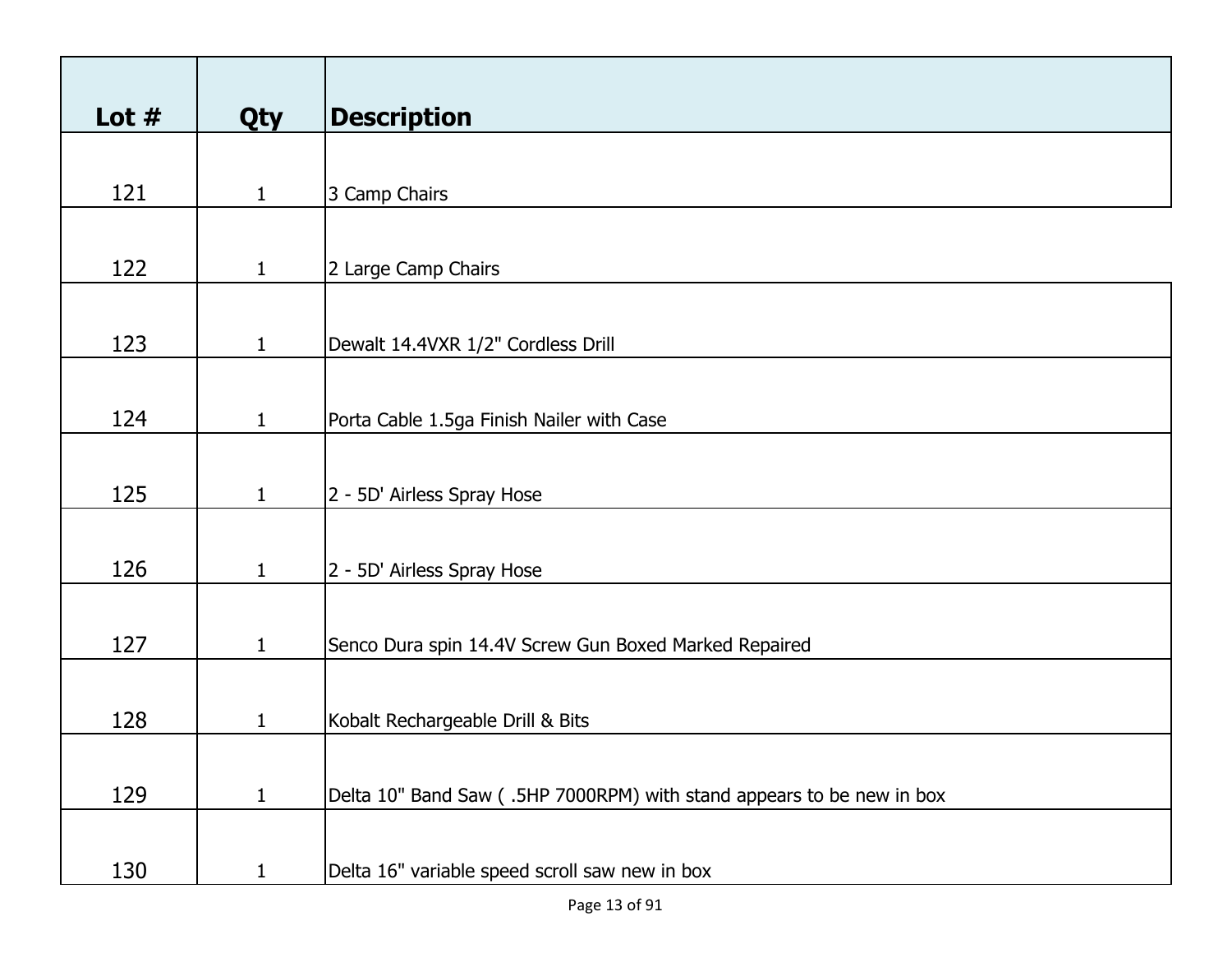| Lot $#$ | Qty          | <b>Description</b>                                                    |
|---------|--------------|-----------------------------------------------------------------------|
|         |              |                                                                       |
| 121     | $\mathbf{1}$ | 3 Camp Chairs                                                         |
|         |              |                                                                       |
| 122     | $\mathbf{1}$ | 2 Large Camp Chairs                                                   |
|         |              |                                                                       |
| 123     | $\mathbf{1}$ | Dewalt 14.4VXR 1/2" Cordless Drill                                    |
|         |              |                                                                       |
| 124     | $\mathbf{1}$ | Porta Cable 1.5ga Finish Nailer with Case                             |
|         |              |                                                                       |
| 125     | $\mathbf{1}$ | 2 - 5D' Airless Spray Hose                                            |
|         |              |                                                                       |
| 126     | $\mathbf{1}$ | 2 - 5D' Airless Spray Hose                                            |
|         |              |                                                                       |
| 127     | $\mathbf{1}$ | Senco Dura spin 14.4V Screw Gun Boxed Marked Repaired                 |
|         |              |                                                                       |
| 128     | $\mathbf{1}$ | Kobalt Rechargeable Drill & Bits                                      |
|         |              |                                                                       |
| 129     | $\mathbf{1}$ | Delta 10" Band Saw (.5HP 7000RPM) with stand appears to be new in box |
|         |              |                                                                       |
| 130     | $\mathbf{1}$ | Delta 16" variable speed scroll saw new in box                        |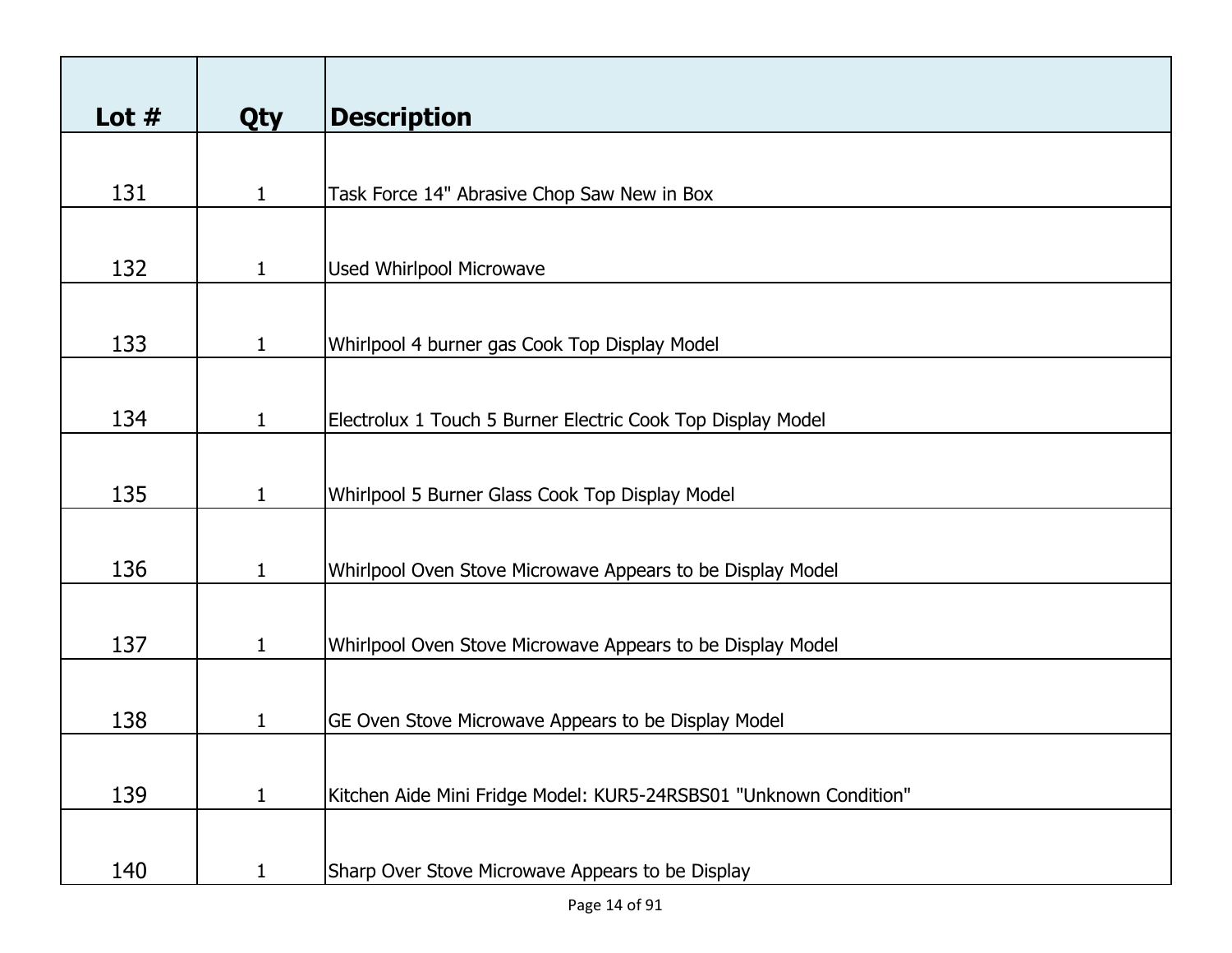| Lot $#$ | <b>Qty</b>   | <b>Description</b>                                                |
|---------|--------------|-------------------------------------------------------------------|
|         |              |                                                                   |
| 131     | $\mathbf{1}$ | Task Force 14" Abrasive Chop Saw New in Box                       |
|         |              |                                                                   |
| 132     | $\mathbf{1}$ | <b>Used Whirlpool Microwave</b>                                   |
|         |              |                                                                   |
| 133     | $\mathbf{1}$ | Whirlpool 4 burner gas Cook Top Display Model                     |
|         |              |                                                                   |
| 134     | $\mathbf{1}$ | Electrolux 1 Touch 5 Burner Electric Cook Top Display Model       |
|         |              |                                                                   |
| 135     | $\mathbf{1}$ | Whirlpool 5 Burner Glass Cook Top Display Model                   |
|         |              |                                                                   |
| 136     | $\mathbf{1}$ | Whirlpool Oven Stove Microwave Appears to be Display Model        |
|         |              |                                                                   |
| 137     | $\mathbf{1}$ | Whirlpool Oven Stove Microwave Appears to be Display Model        |
|         |              |                                                                   |
| 138     | $\mathbf{1}$ | GE Oven Stove Microwave Appears to be Display Model               |
|         |              |                                                                   |
| 139     | $\mathbf{1}$ | Kitchen Aide Mini Fridge Model: KUR5-24RSBS01 "Unknown Condition" |
| 140     | $\mathbf{1}$ | Sharp Over Stove Microwave Appears to be Display                  |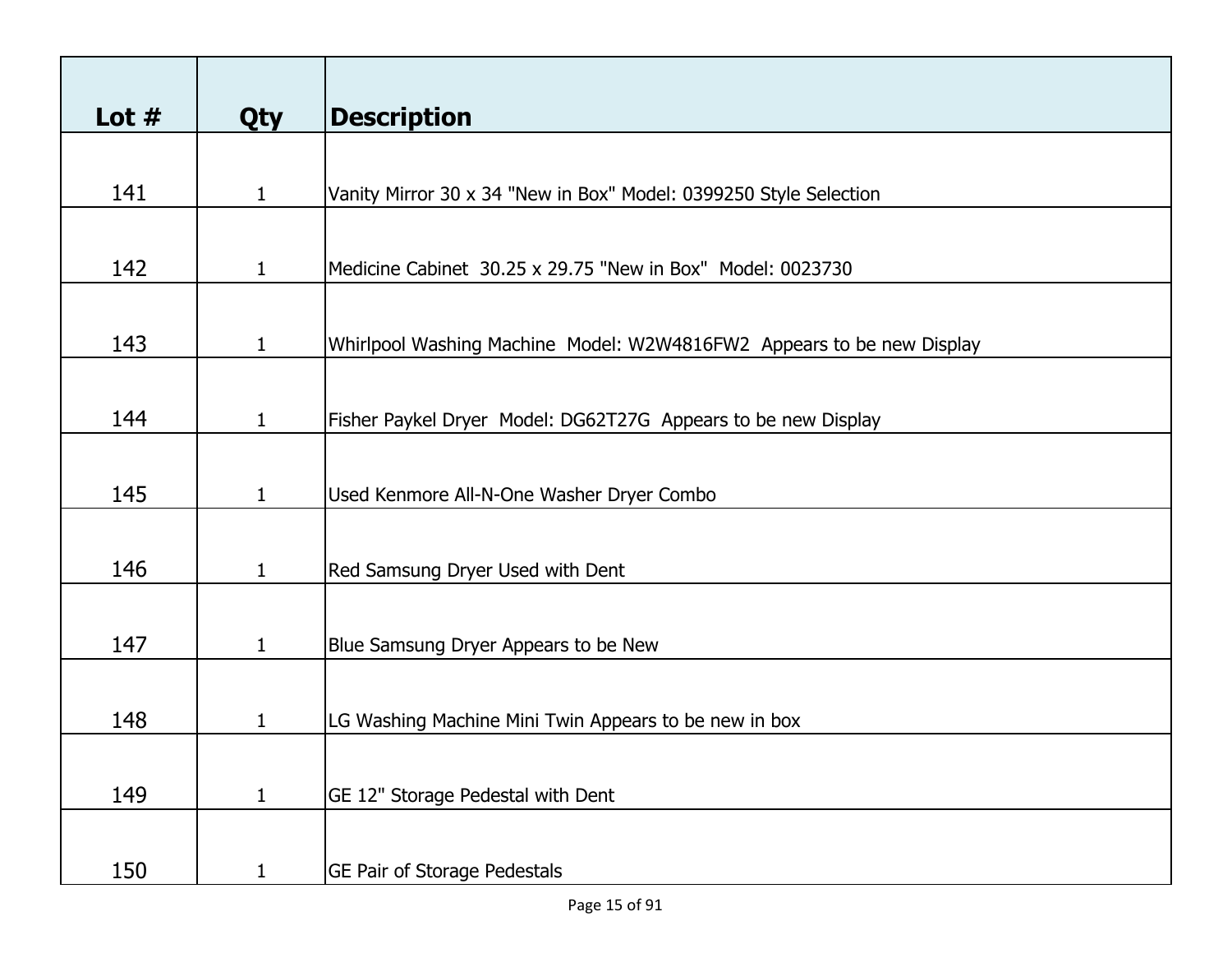| Lot $#$ | <b>Qty</b>   | <b>Description</b>                                                    |
|---------|--------------|-----------------------------------------------------------------------|
|         |              |                                                                       |
| 141     | 1            | Vanity Mirror 30 x 34 "New in Box" Model: 0399250 Style Selection     |
|         |              |                                                                       |
| 142     | $\mathbf{1}$ | Medicine Cabinet 30.25 x 29.75 "New in Box" Model: 0023730            |
|         |              |                                                                       |
| 143     | 1            | Whirlpool Washing Machine Model: W2W4816FW2 Appears to be new Display |
|         |              |                                                                       |
| 144     | $\mathbf{1}$ | Fisher Paykel Dryer Model: DG62T27G Appears to be new Display         |
|         |              |                                                                       |
| 145     | $\mathbf{1}$ | Used Kenmore All-N-One Washer Dryer Combo                             |
|         |              |                                                                       |
| 146     | $\mathbf{1}$ | Red Samsung Dryer Used with Dent                                      |
|         |              |                                                                       |
| 147     | $\mathbf{1}$ | Blue Samsung Dryer Appears to be New                                  |
|         |              |                                                                       |
| 148     | 1            | LG Washing Machine Mini Twin Appears to be new in box                 |
|         |              |                                                                       |
| 149     | 1            | GE 12" Storage Pedestal with Dent                                     |
|         |              |                                                                       |
| 150     | 1            | <b>GE Pair of Storage Pedestals</b>                                   |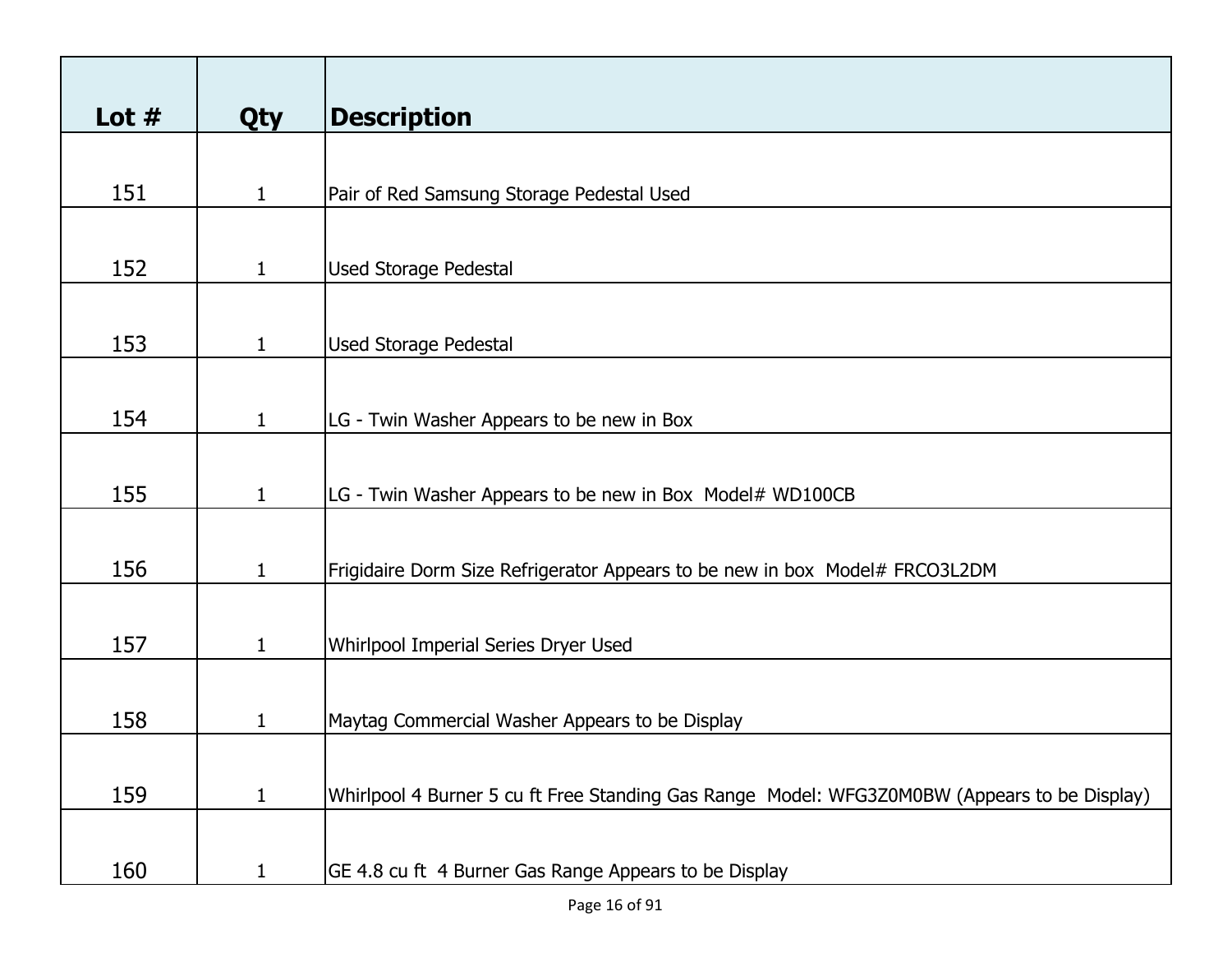| Lot $#$ | <b>Qty</b>   | <b>Description</b>                                                                           |
|---------|--------------|----------------------------------------------------------------------------------------------|
|         |              |                                                                                              |
| 151     | $\mathbf{1}$ | Pair of Red Samsung Storage Pedestal Used                                                    |
|         |              |                                                                                              |
| 152     | $\mathbf{1}$ | <b>Used Storage Pedestal</b>                                                                 |
|         |              |                                                                                              |
| 153     | $\mathbf{1}$ | <b>Used Storage Pedestal</b>                                                                 |
|         |              |                                                                                              |
| 154     | $\mathbf{1}$ | LG - Twin Washer Appears to be new in Box                                                    |
|         |              |                                                                                              |
| 155     | $\mathbf{1}$ | LG - Twin Washer Appears to be new in Box Model# WD100CB                                     |
|         |              |                                                                                              |
| 156     | $\mathbf{1}$ | Frigidaire Dorm Size Refrigerator Appears to be new in box Model# FRCO3L2DM                  |
|         |              |                                                                                              |
| 157     | $\mathbf{1}$ | Whirlpool Imperial Series Dryer Used                                                         |
|         |              |                                                                                              |
| 158     | 1            | Maytag Commercial Washer Appears to be Display                                               |
|         |              |                                                                                              |
| 159     | $\mathbf{1}$ | Whirlpool 4 Burner 5 cu ft Free Standing Gas Range Model: WFG3Z0M0BW (Appears to be Display) |
|         |              |                                                                                              |
| 160     | $\mathbf{1}$ | GE 4.8 cu ft 4 Burner Gas Range Appears to be Display                                        |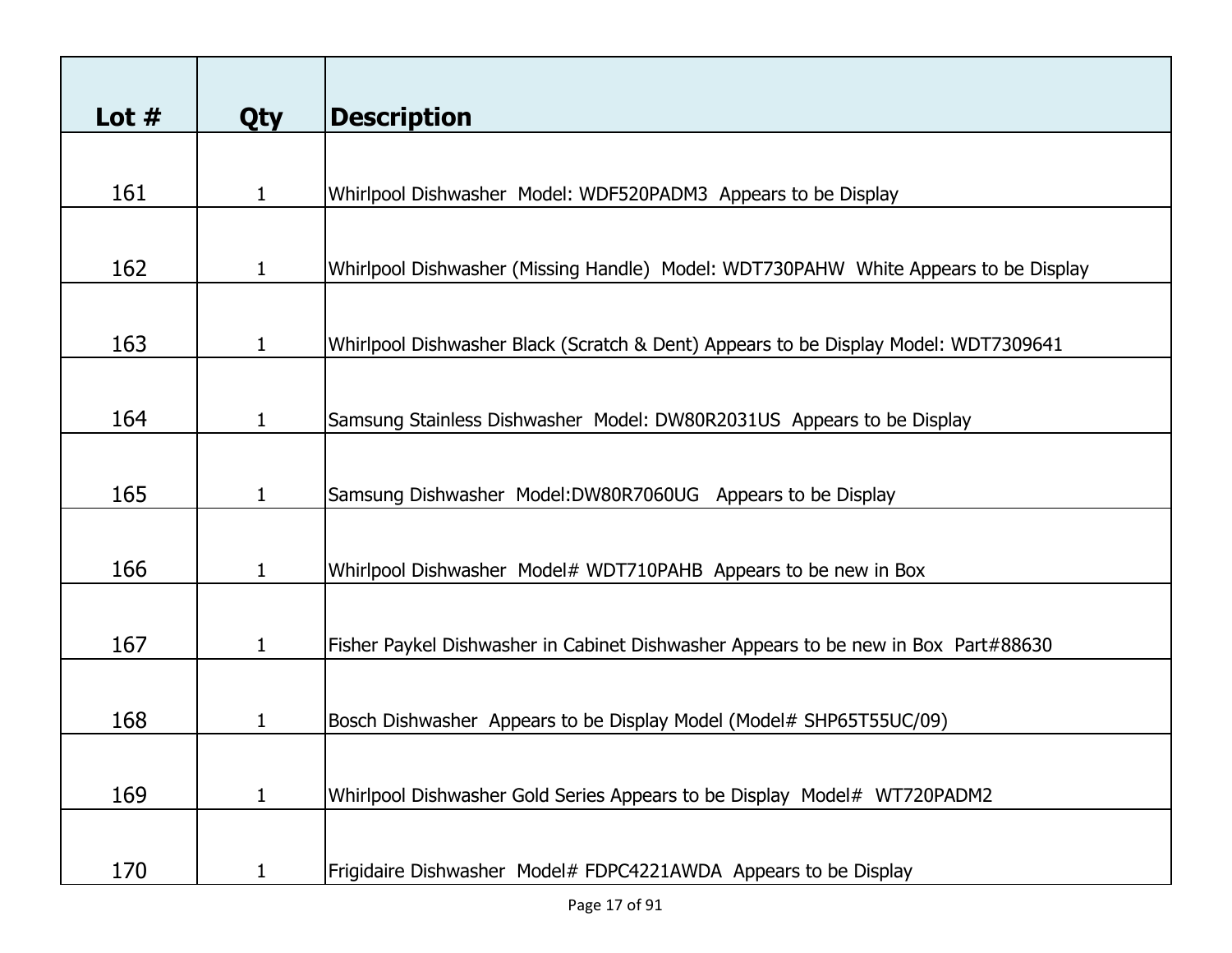| Lot $#$ | <b>Qty</b>   | <b>Description</b>                                                                  |
|---------|--------------|-------------------------------------------------------------------------------------|
|         |              |                                                                                     |
| 161     | $\mathbf 1$  | Whirlpool Dishwasher Model: WDF520PADM3 Appears to be Display                       |
|         |              |                                                                                     |
| 162     | $\mathbf 1$  | Whirlpool Dishwasher (Missing Handle) Model: WDT730PAHW White Appears to be Display |
|         |              |                                                                                     |
| 163     | $\mathbf{1}$ | Whirlpool Dishwasher Black (Scratch & Dent) Appears to be Display Model: WDT7309641 |
|         |              |                                                                                     |
| 164     | $\mathbf{1}$ | Samsung Stainless Dishwasher Model: DW80R2031US Appears to be Display               |
|         |              |                                                                                     |
| 165     | $\mathbf{1}$ | Samsung Dishwasher Model:DW80R7060UG Appears to be Display                          |
|         |              |                                                                                     |
| 166     | $\mathbf{1}$ | Whirlpool Dishwasher Model# WDT710PAHB Appears to be new in Box                     |
|         |              |                                                                                     |
| 167     | $\mathbf{1}$ | Fisher Paykel Dishwasher in Cabinet Dishwasher Appears to be new in Box Part#88630  |
|         |              |                                                                                     |
| 168     | 1            | Bosch Dishwasher Appears to be Display Model (Model# SHP65T55UC/09)                 |
|         |              |                                                                                     |
| 169     | $\mathbf{1}$ | Whirlpool Dishwasher Gold Series Appears to be Display Model# WT720PADM2            |
|         |              |                                                                                     |
| 170     | 1            | Frigidaire Dishwasher Model# FDPC4221AWDA Appears to be Display                     |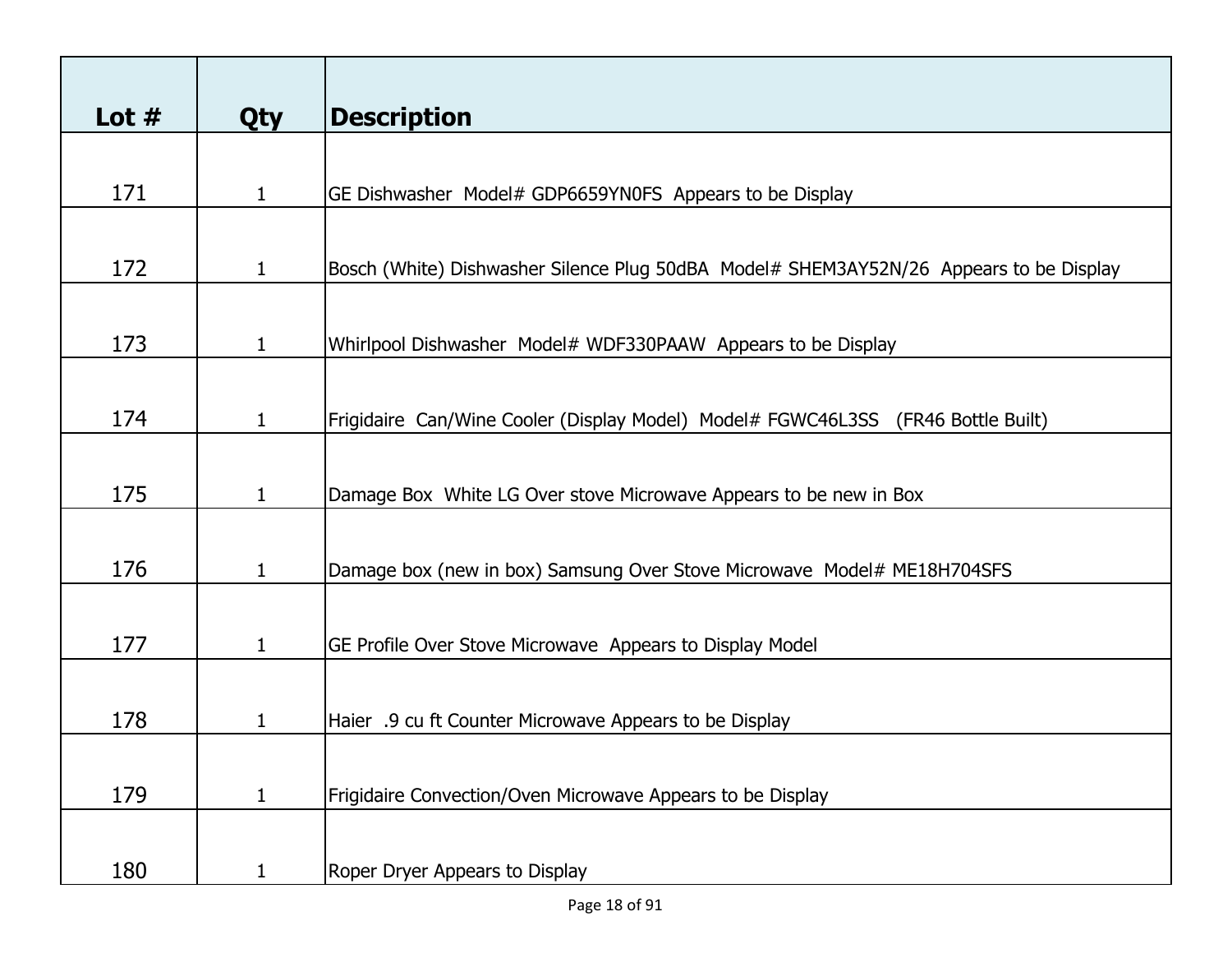| Lot $#$ | <b>Qty</b>   | <b>Description</b>                                                                     |
|---------|--------------|----------------------------------------------------------------------------------------|
|         |              |                                                                                        |
| 171     | $\mathbf{1}$ | GE Dishwasher Model# GDP6659YN0FS Appears to be Display                                |
|         |              |                                                                                        |
| 172     | $\mathbf{1}$ | Bosch (White) Dishwasher Silence Plug 50dBA Model# SHEM3AY52N/26 Appears to be Display |
|         |              |                                                                                        |
| 173     | $\mathbf{1}$ | Whirlpool Dishwasher Model# WDF330PAAW Appears to be Display                           |
|         |              |                                                                                        |
| 174     | $\mathbf 1$  | Frigidaire Can/Wine Cooler (Display Model) Model# FGWC46L3SS (FR46 Bottle Built)       |
|         |              |                                                                                        |
| 175     | $\mathbf{1}$ | Damage Box White LG Over stove Microwave Appears to be new in Box                      |
|         |              |                                                                                        |
| 176     |              |                                                                                        |
|         | $\mathbf{1}$ | Damage box (new in box) Samsung Over Stove Microwave Model# ME18H704SFS                |
|         |              |                                                                                        |
| 177     | $\mathbf{1}$ | GE Profile Over Stove Microwave Appears to Display Model                               |
|         |              |                                                                                        |
| 178     | $\mathbf 1$  | Haier .9 cu ft Counter Microwave Appears to be Display                                 |
|         |              |                                                                                        |
| 179     | $\mathbf{1}$ | Frigidaire Convection/Oven Microwave Appears to be Display                             |
|         |              |                                                                                        |
|         |              |                                                                                        |
| 180     | 1            | Roper Dryer Appears to Display                                                         |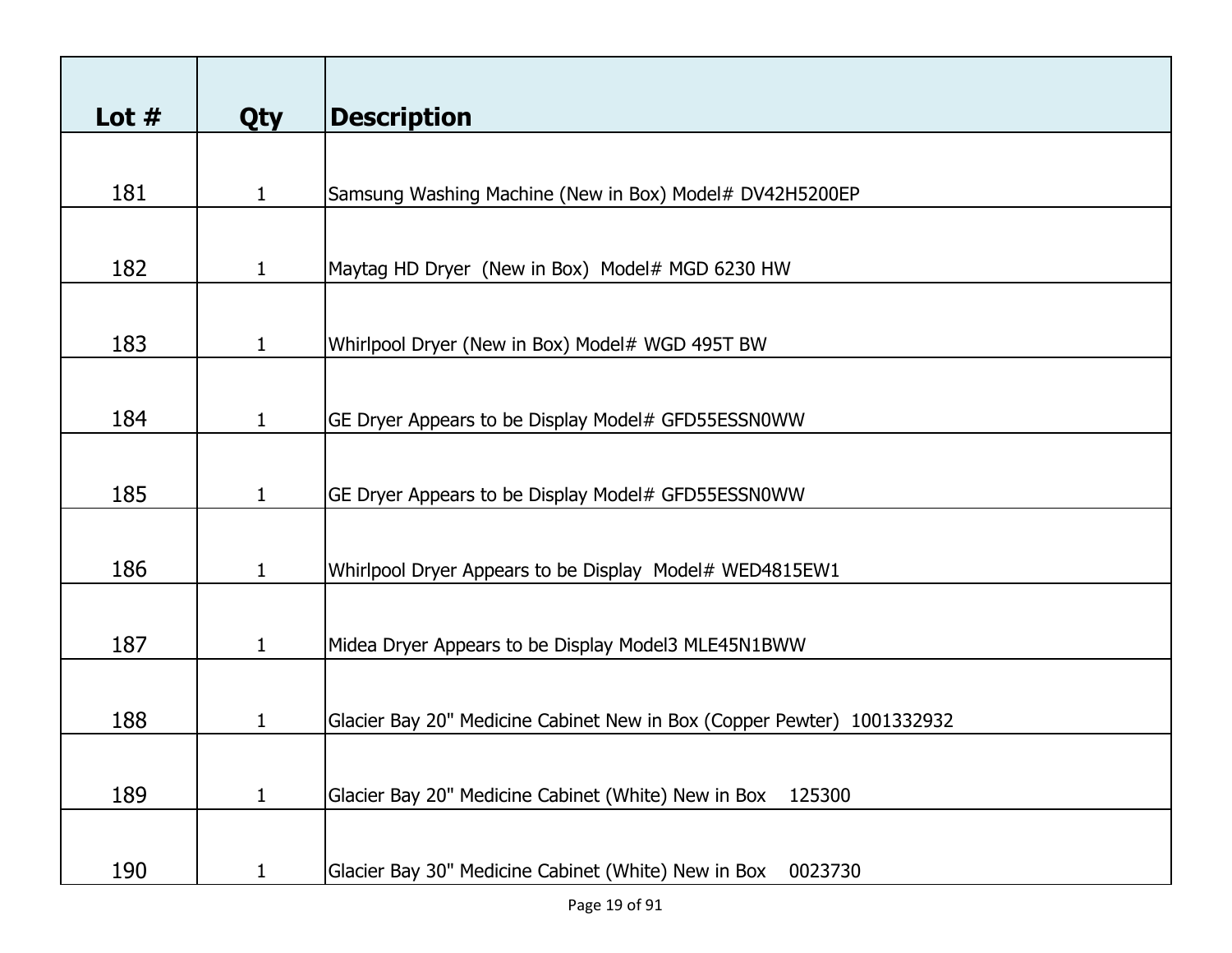| Lot $#$ | <b>Qty</b>   | <b>Description</b>                                                     |
|---------|--------------|------------------------------------------------------------------------|
|         |              |                                                                        |
| 181     | 1            | Samsung Washing Machine (New in Box) Model# DV42H5200EP                |
|         |              |                                                                        |
| 182     | 1            | Maytag HD Dryer (New in Box) Model# MGD 6230 HW                        |
|         |              |                                                                        |
| 183     | $\mathbf{1}$ | Whirlpool Dryer (New in Box) Model# WGD 495T BW                        |
|         |              |                                                                        |
| 184     | $\mathbf{1}$ | GE Dryer Appears to be Display Model# GFD55ESSN0WW                     |
|         |              |                                                                        |
| 185     | $\mathbf{1}$ | GE Dryer Appears to be Display Model# GFD55ESSN0WW                     |
|         |              |                                                                        |
| 186     | $\mathbf{1}$ | Whirlpool Dryer Appears to be Display Model# WED4815EW1                |
| 187     | $\mathbf{1}$ | Midea Dryer Appears to be Display Model3 MLE45N1BWW                    |
|         |              |                                                                        |
| 188     | 1            | Glacier Bay 20" Medicine Cabinet New in Box (Copper Pewter) 1001332932 |
|         |              |                                                                        |
| 189     | $\mathbf{1}$ | Glacier Bay 20" Medicine Cabinet (White) New in Box<br>125300          |
|         |              |                                                                        |
| 190     | $\mathbf{1}$ | Glacier Bay 30" Medicine Cabinet (White) New in Box<br>0023730         |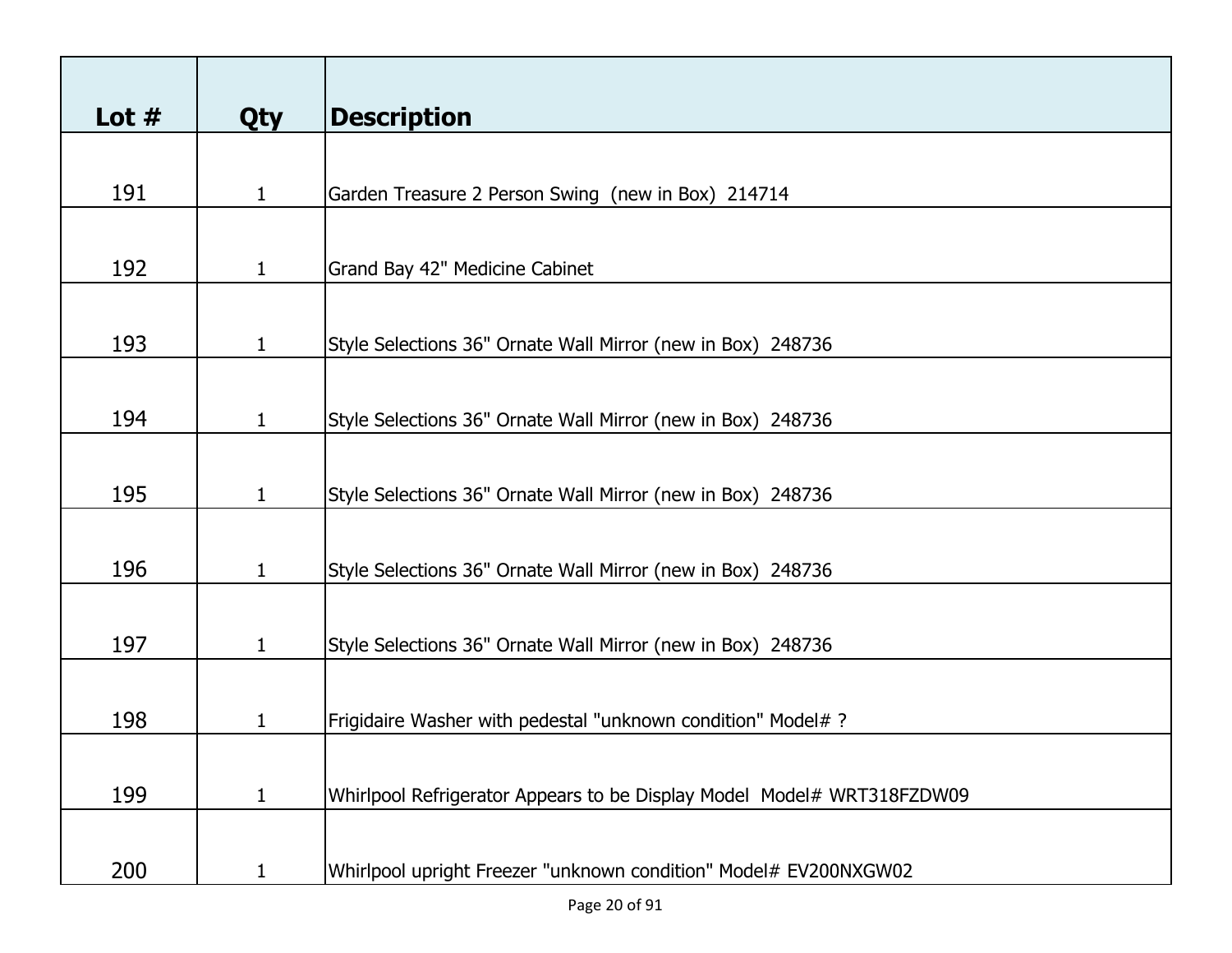| Lot $#$ | <b>Qty</b>   | <b>Description</b>                                                     |
|---------|--------------|------------------------------------------------------------------------|
|         |              |                                                                        |
| 191     | 1            | Garden Treasure 2 Person Swing (new in Box) 214714                     |
|         |              |                                                                        |
| 192     | $\mathbf{1}$ | Grand Bay 42" Medicine Cabinet                                         |
|         |              |                                                                        |
| 193     | $\mathbf{1}$ | Style Selections 36" Ornate Wall Mirror (new in Box) 248736            |
|         |              |                                                                        |
| 194     | $\mathbf{1}$ | Style Selections 36" Ornate Wall Mirror (new in Box) 248736            |
|         |              |                                                                        |
| 195     | $\mathbf{1}$ | Style Selections 36" Ornate Wall Mirror (new in Box) 248736            |
|         |              |                                                                        |
| 196     | $\mathbf{1}$ | Style Selections 36" Ornate Wall Mirror (new in Box) 248736            |
|         |              |                                                                        |
| 197     | $\mathbf{1}$ | Style Selections 36" Ornate Wall Mirror (new in Box) 248736            |
|         |              |                                                                        |
| 198     | 1            | Frigidaire Washer with pedestal "unknown condition" Model# ?           |
|         |              |                                                                        |
| 199     | 1            | Whirlpool Refrigerator Appears to be Display Model Model# WRT318FZDW09 |
|         |              |                                                                        |
| 200     | 1            | Whirlpool upright Freezer "unknown condition" Model# EV200NXGW02       |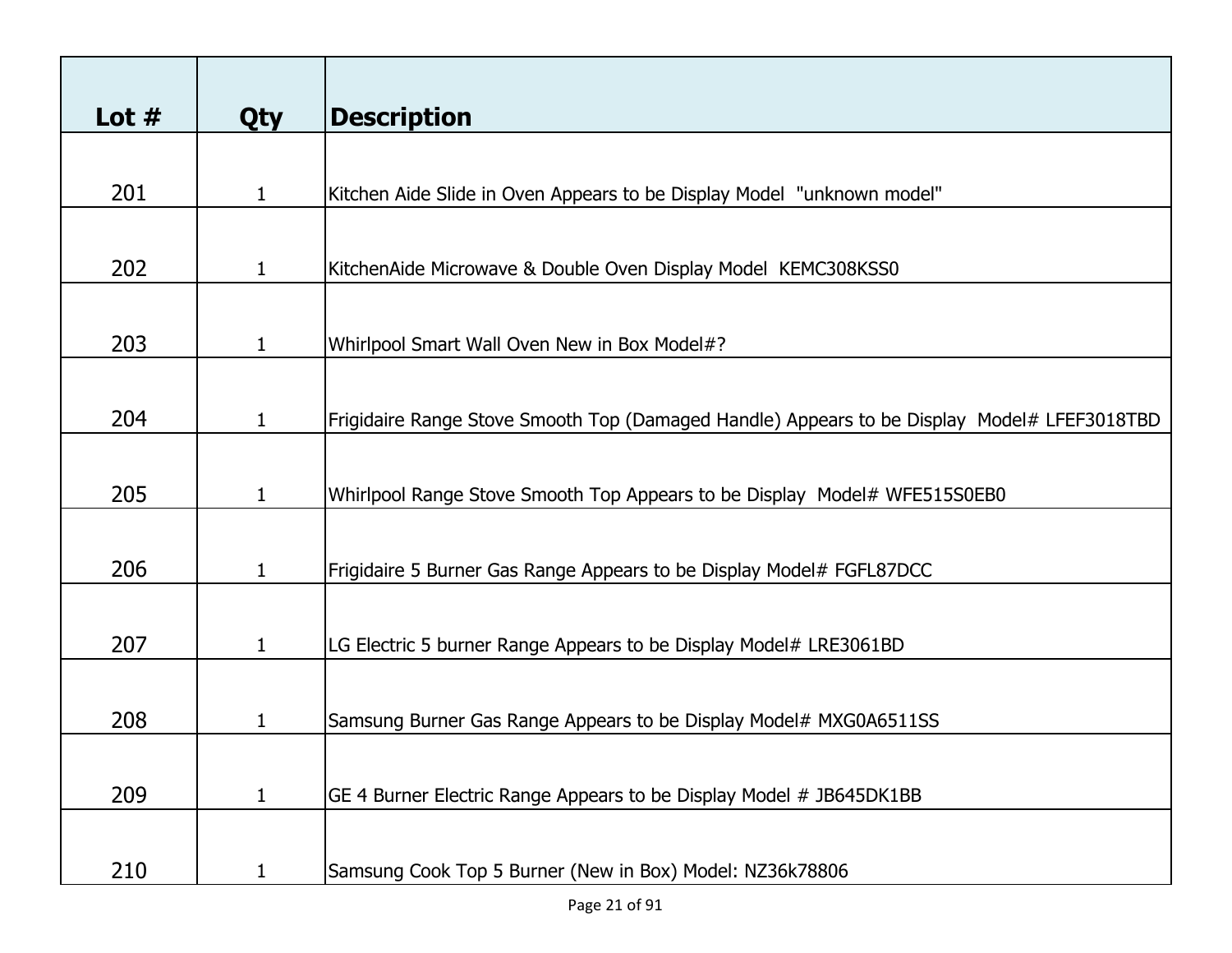| Lot $#$ | <b>Qty</b>   | <b>Description</b>                                                                          |
|---------|--------------|---------------------------------------------------------------------------------------------|
|         |              |                                                                                             |
| 201     | 1            | Kitchen Aide Slide in Oven Appears to be Display Model "unknown model"                      |
|         |              |                                                                                             |
| 202     | 1            | KitchenAide Microwave & Double Oven Display Model KEMC308KSS0                               |
|         |              |                                                                                             |
| 203     | $\mathbf 1$  | Whirlpool Smart Wall Oven New in Box Model#?                                                |
|         |              |                                                                                             |
| 204     | $\mathbf 1$  | Frigidaire Range Stove Smooth Top (Damaged Handle) Appears to be Display Model# LFEF3018TBD |
|         |              |                                                                                             |
| 205     | $\mathbf{1}$ | Whirlpool Range Stove Smooth Top Appears to be Display Model# WFE515S0EB0                   |
|         |              |                                                                                             |
| 206     | $\mathbf 1$  | Frigidaire 5 Burner Gas Range Appears to be Display Model# FGFL87DCC                        |
|         |              |                                                                                             |
| 207     | $\mathbf{1}$ | LG Electric 5 burner Range Appears to be Display Model# LRE3061BD                           |
|         |              |                                                                                             |
| 208     | 1            | Samsung Burner Gas Range Appears to be Display Model# MXG0A6511SS                           |
|         |              |                                                                                             |
| 209     | 1            | GE 4 Burner Electric Range Appears to be Display Model # JB645DK1BB                         |
|         |              |                                                                                             |
| 210     |              | Samsung Cook Top 5 Burner (New in Box) Model: NZ36k78806                                    |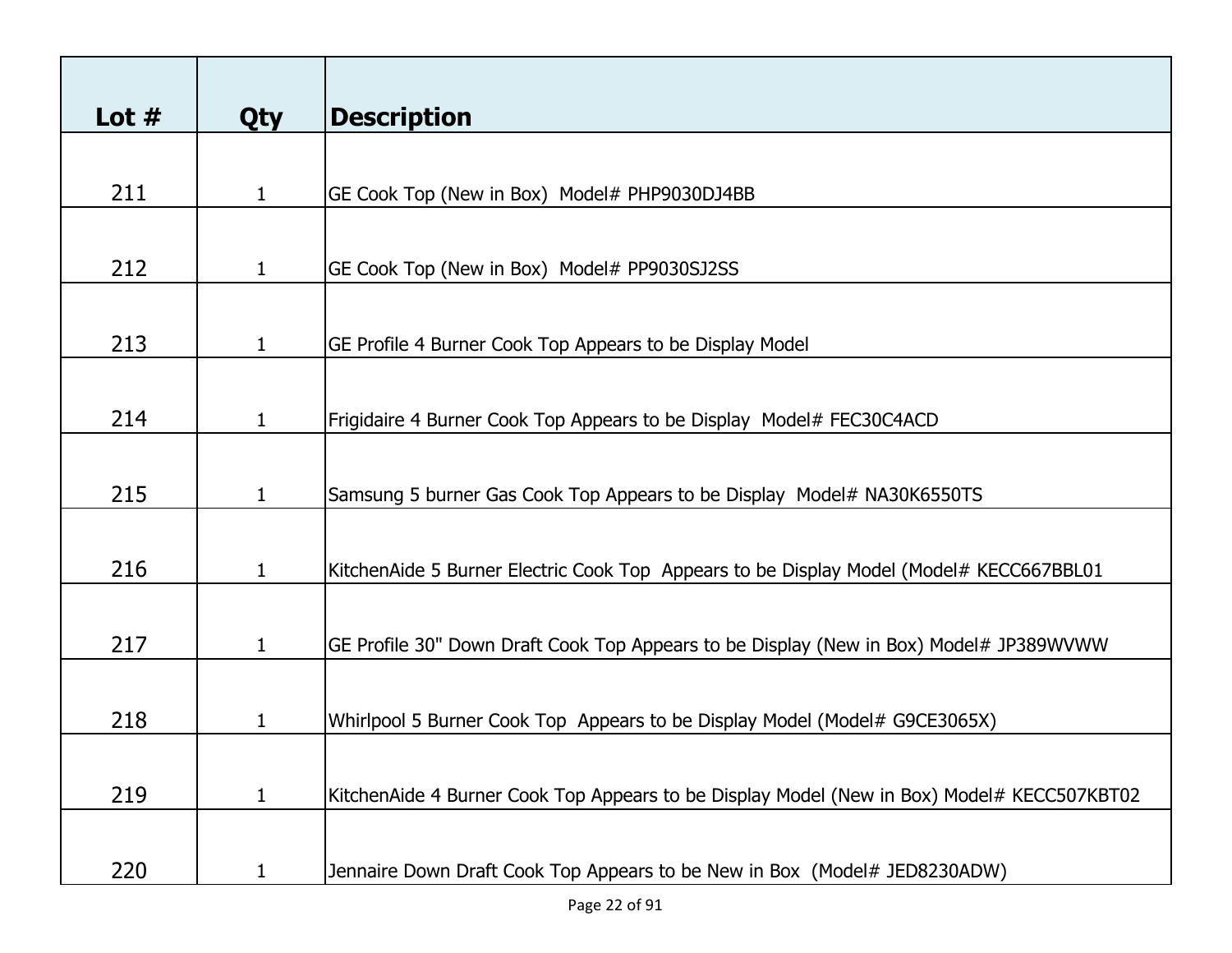| Lot $#$ | <b>Qty</b>   | <b>Description</b>                                                                         |
|---------|--------------|--------------------------------------------------------------------------------------------|
|         |              |                                                                                            |
| 211     | $\mathbf{1}$ | GE Cook Top (New in Box) Model# PHP9030DJ4BB                                               |
|         |              |                                                                                            |
| 212     | $\mathbf 1$  | GE Cook Top (New in Box) Model# PP9030SJ2SS                                                |
|         |              |                                                                                            |
| 213     | $\mathbf{1}$ | GE Profile 4 Burner Cook Top Appears to be Display Model                                   |
|         |              |                                                                                            |
| 214     | $\mathbf{1}$ | Frigidaire 4 Burner Cook Top Appears to be Display Model# FEC30C4ACD                       |
|         |              |                                                                                            |
| 215     | $\mathbf{1}$ | Samsung 5 burner Gas Cook Top Appears to be Display Model# NA30K6550TS                     |
|         |              |                                                                                            |
| 216     | $\mathbf{1}$ | KitchenAide 5 Burner Electric Cook Top Appears to be Display Model (Model# KECC667BBL01    |
|         |              |                                                                                            |
| 217     | $\mathbf{1}$ | GE Profile 30" Down Draft Cook Top Appears to be Display (New in Box) Model# JP389WVWW     |
|         |              |                                                                                            |
| 218     | 1            | Whirlpool 5 Burner Cook Top Appears to be Display Model (Model# G9CE3065X)                 |
|         |              |                                                                                            |
| 219     | 1            | KitchenAide 4 Burner Cook Top Appears to be Display Model (New in Box) Model# KECC507KBT02 |
| 220     | 1            | Jennaire Down Draft Cook Top Appears to be New in Box (Model# JED8230ADW)                  |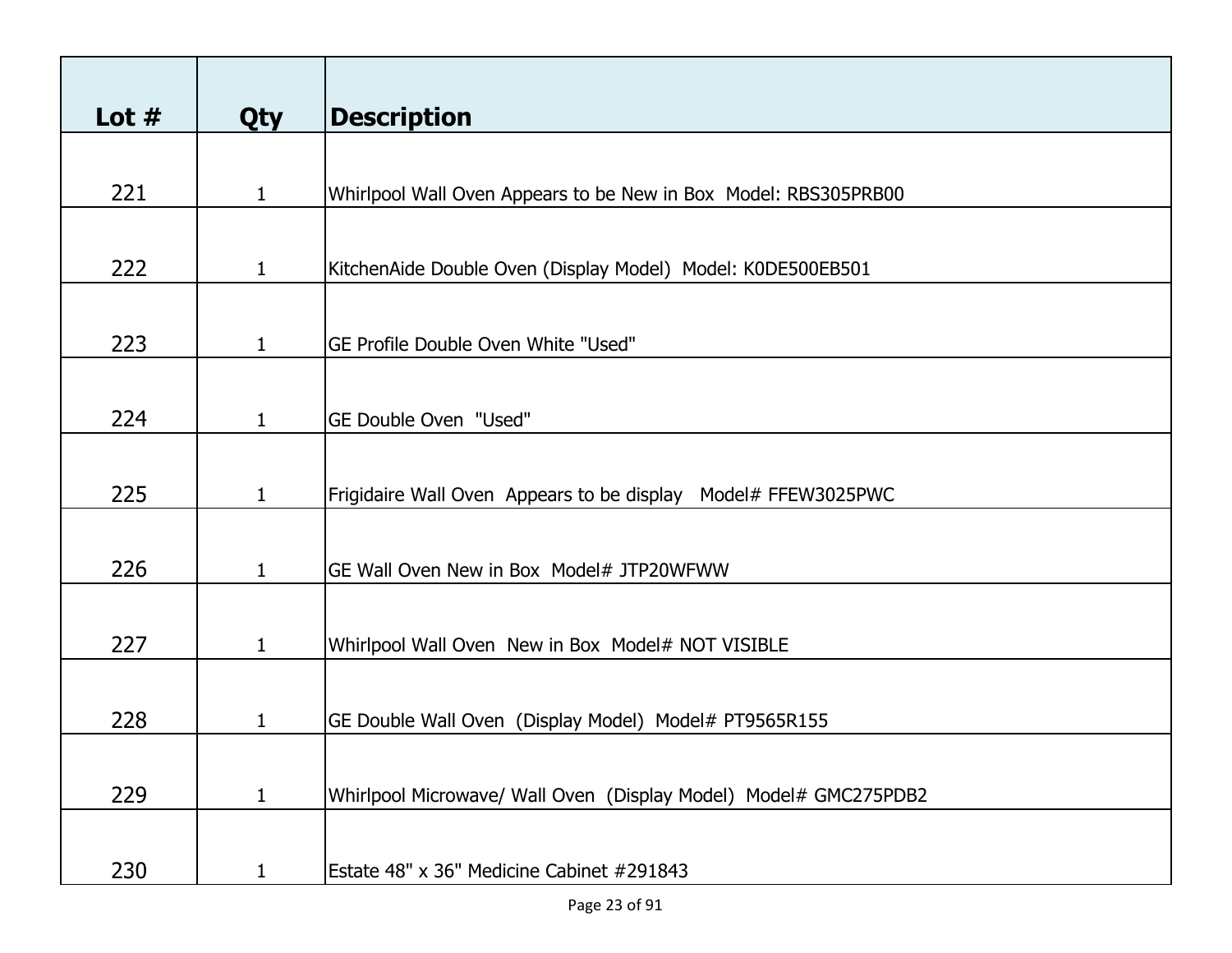| Lot $#$ | <b>Qty</b>   | <b>Description</b>                                               |
|---------|--------------|------------------------------------------------------------------|
| 221     | $\mathbf{1}$ | Whirlpool Wall Oven Appears to be New in Box Model: RBS305PRB00  |
| 222     | $\mathbf{1}$ | KitchenAide Double Oven (Display Model) Model: K0DE500EB501      |
| 223     | $\mathbf{1}$ | GE Profile Double Oven White "Used"                              |
|         |              |                                                                  |
| 224     | $\mathbf{1}$ | GE Double Oven "Used"                                            |
| 225     | $\mathbf{1}$ | Frigidaire Wall Oven Appears to be display Model# FFEW3025PWC    |
| 226     | $\mathbf{1}$ | GE Wall Oven New in Box Model# JTP20WFWW                         |
| 227     | $\mathbf{1}$ | Whirlpool Wall Oven New in Box Model# NOT VISIBLE                |
| 228     | 1            | GE Double Wall Oven (Display Model) Model# PT9565R155            |
| 229     | $\mathbf{1}$ | Whirlpool Microwave/ Wall Oven (Display Model) Model# GMC275PDB2 |
| 230     | $\mathbf{1}$ | Estate 48" x 36" Medicine Cabinet #291843                        |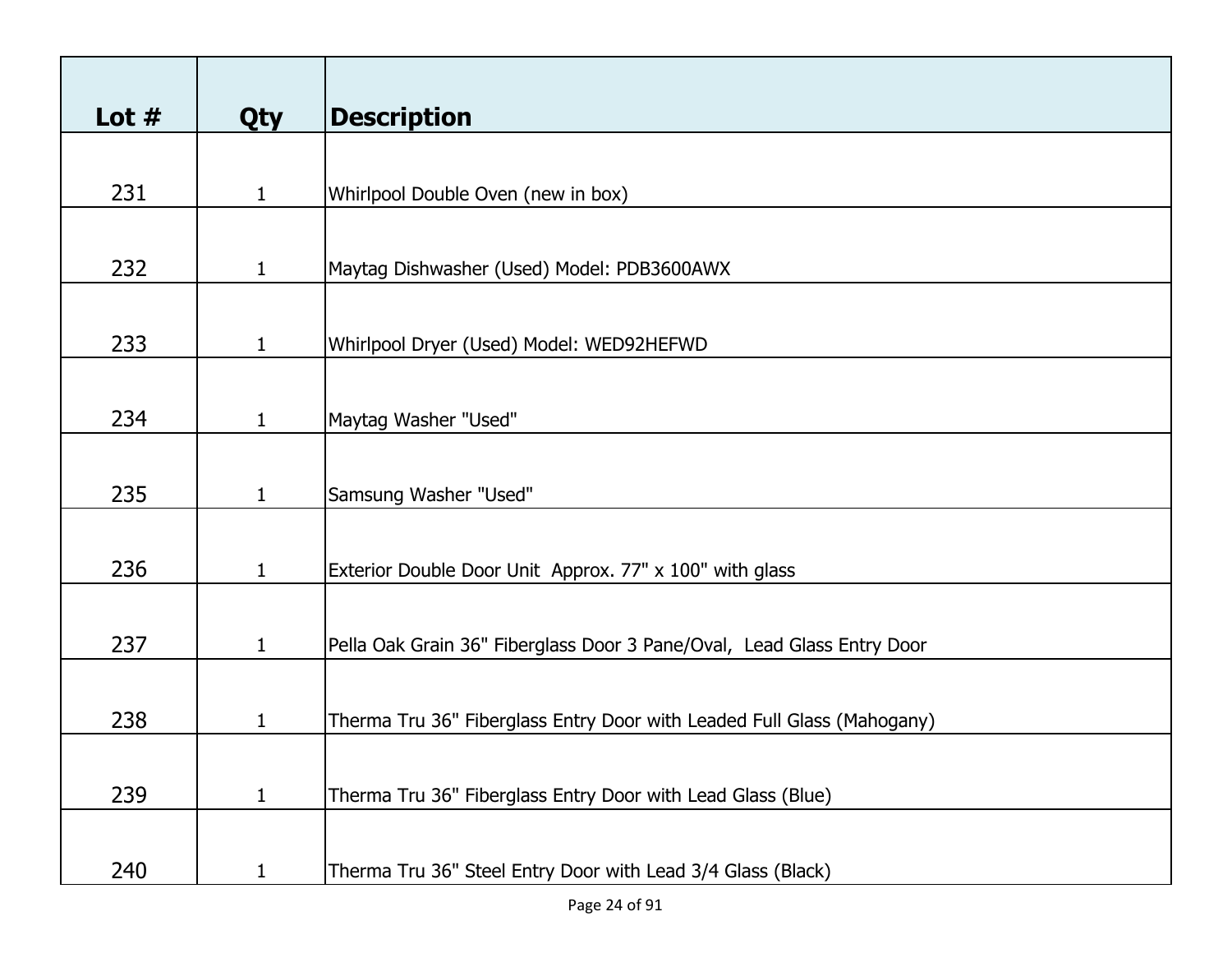| Lot $#$ | <b>Qty</b>   | <b>Description</b>                                                     |
|---------|--------------|------------------------------------------------------------------------|
|         |              |                                                                        |
| 231     | $\mathbf{1}$ | Whirlpool Double Oven (new in box)                                     |
|         |              |                                                                        |
| 232     | $\mathbf{1}$ | Maytag Dishwasher (Used) Model: PDB3600AWX                             |
|         |              |                                                                        |
| 233     | $\mathbf{1}$ | Whirlpool Dryer (Used) Model: WED92HEFWD                               |
|         |              |                                                                        |
| 234     | $\mathbf{1}$ | Maytag Washer "Used"                                                   |
|         |              |                                                                        |
| 235     | $\mathbf{1}$ | Samsung Washer "Used"                                                  |
|         |              |                                                                        |
| 236     | $\mathbf{1}$ | Exterior Double Door Unit Approx. 77" x 100" with glass                |
|         |              |                                                                        |
| 237     | 1            | Pella Oak Grain 36" Fiberglass Door 3 Pane/Oval, Lead Glass Entry Door |
|         |              |                                                                        |
| 238     | 1            | Therma Tru 36" Fiberglass Entry Door with Leaded Full Glass (Mahogany) |
| 239     | $\mathbf{1}$ | Therma Tru 36" Fiberglass Entry Door with Lead Glass (Blue)            |
|         |              |                                                                        |
| 240     | 1            | Therma Tru 36" Steel Entry Door with Lead 3/4 Glass (Black)            |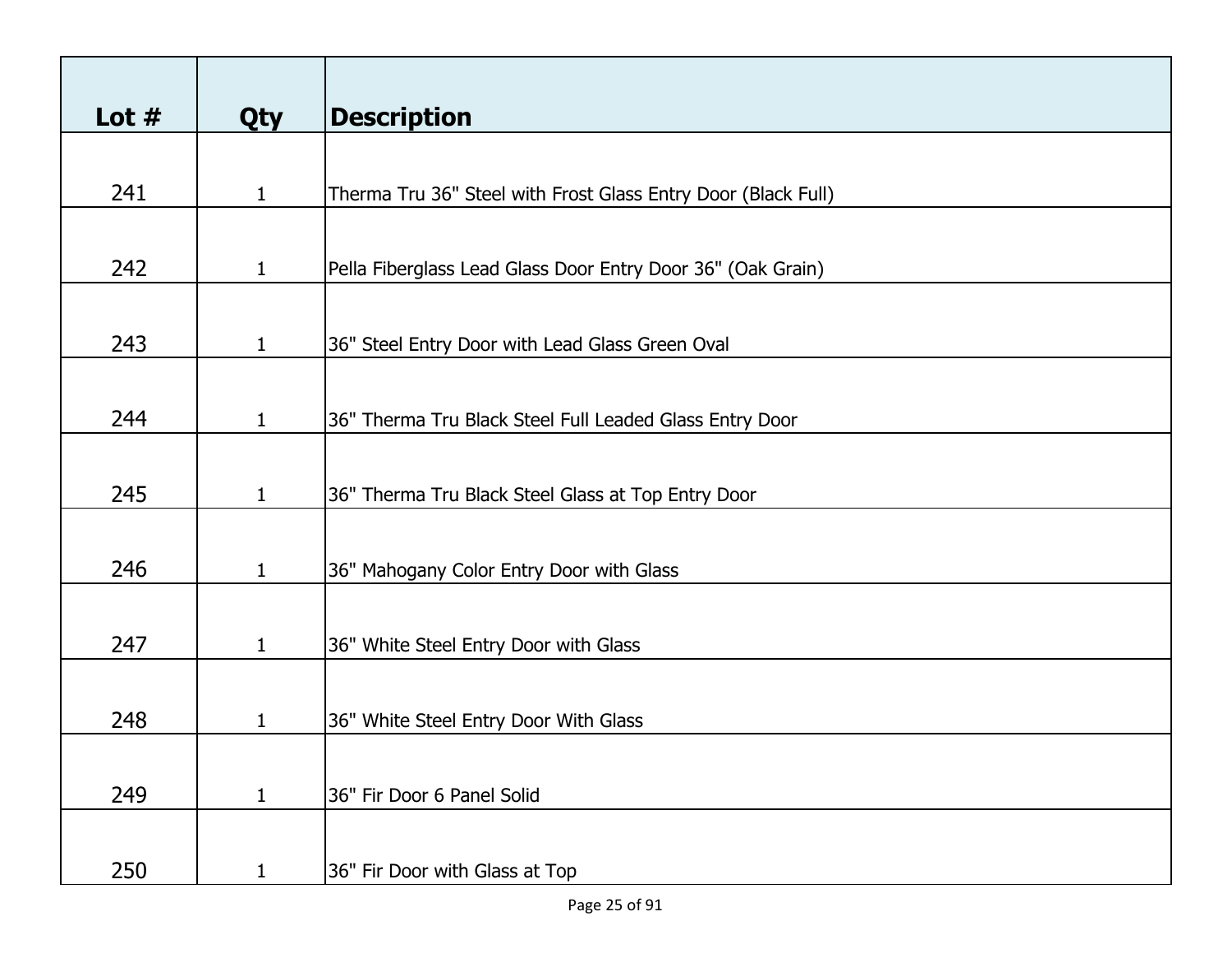| Lot $#$ | <b>Qty</b>   | <b>Description</b>                                            |
|---------|--------------|---------------------------------------------------------------|
|         |              |                                                               |
| 241     | $\mathbf{1}$ | Therma Tru 36" Steel with Frost Glass Entry Door (Black Full) |
|         |              |                                                               |
|         |              |                                                               |
| 242     | $\mathbf{1}$ | Pella Fiberglass Lead Glass Door Entry Door 36" (Oak Grain)   |
|         |              |                                                               |
| 243     | $\mathbf{1}$ | 36" Steel Entry Door with Lead Glass Green Oval               |
|         |              |                                                               |
| 244     | $\mathbf 1$  | 36" Therma Tru Black Steel Full Leaded Glass Entry Door       |
|         |              |                                                               |
|         |              |                                                               |
| 245     | $\mathbf{1}$ | 36" Therma Tru Black Steel Glass at Top Entry Door            |
|         |              |                                                               |
| 246     | $\mathbf{1}$ | 36" Mahogany Color Entry Door with Glass                      |
|         |              |                                                               |
|         |              |                                                               |
| 247     | $\mathbf{1}$ | 36" White Steel Entry Door with Glass                         |
|         |              |                                                               |
| 248     | 1            | 36" White Steel Entry Door With Glass                         |
|         |              |                                                               |
|         |              |                                                               |
| 249     | $\mathbf{1}$ | 36" Fir Door 6 Panel Solid                                    |
|         |              |                                                               |
| 250     | 1            | 36" Fir Door with Glass at Top                                |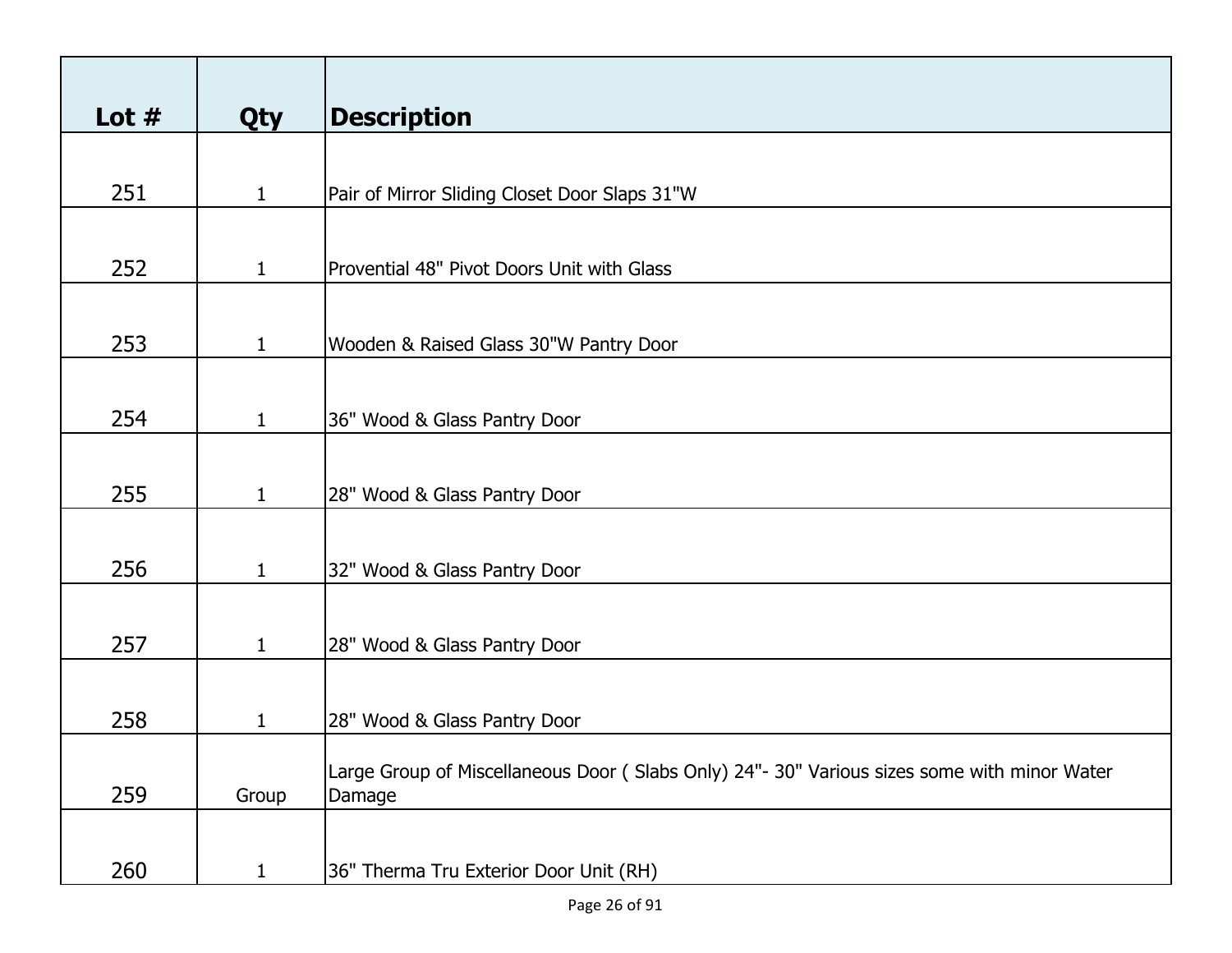| Lot $#$ | <b>Qty</b>   | <b>Description</b>                                                                          |
|---------|--------------|---------------------------------------------------------------------------------------------|
|         |              |                                                                                             |
| 251     | 1            | Pair of Mirror Sliding Closet Door Slaps 31"W                                               |
|         |              |                                                                                             |
|         |              |                                                                                             |
| 252     | $\mathbf{1}$ | Provential 48" Pivot Doors Unit with Glass                                                  |
|         |              |                                                                                             |
| 253     | $\mathbf{1}$ | Wooden & Raised Glass 30"W Pantry Door                                                      |
|         |              |                                                                                             |
|         |              |                                                                                             |
| 254     | $\mathbf{1}$ | 36" Wood & Glass Pantry Door                                                                |
|         |              |                                                                                             |
| 255     | $\mathbf{1}$ | 28" Wood & Glass Pantry Door                                                                |
|         |              |                                                                                             |
|         |              |                                                                                             |
| 256     | $\mathbf{1}$ | 32" Wood & Glass Pantry Door                                                                |
|         |              |                                                                                             |
| 257     | $\mathbf{1}$ | 28" Wood & Glass Pantry Door                                                                |
|         |              |                                                                                             |
| 258     |              |                                                                                             |
|         | 1            | 28" Wood & Glass Pantry Door                                                                |
|         |              | Large Group of Miscellaneous Door (Slabs Only) 24"- 30" Various sizes some with minor Water |
| 259     | Group        | Damage                                                                                      |
|         |              |                                                                                             |
| 260     | $\mathbf{1}$ | 36" Therma Tru Exterior Door Unit (RH)                                                      |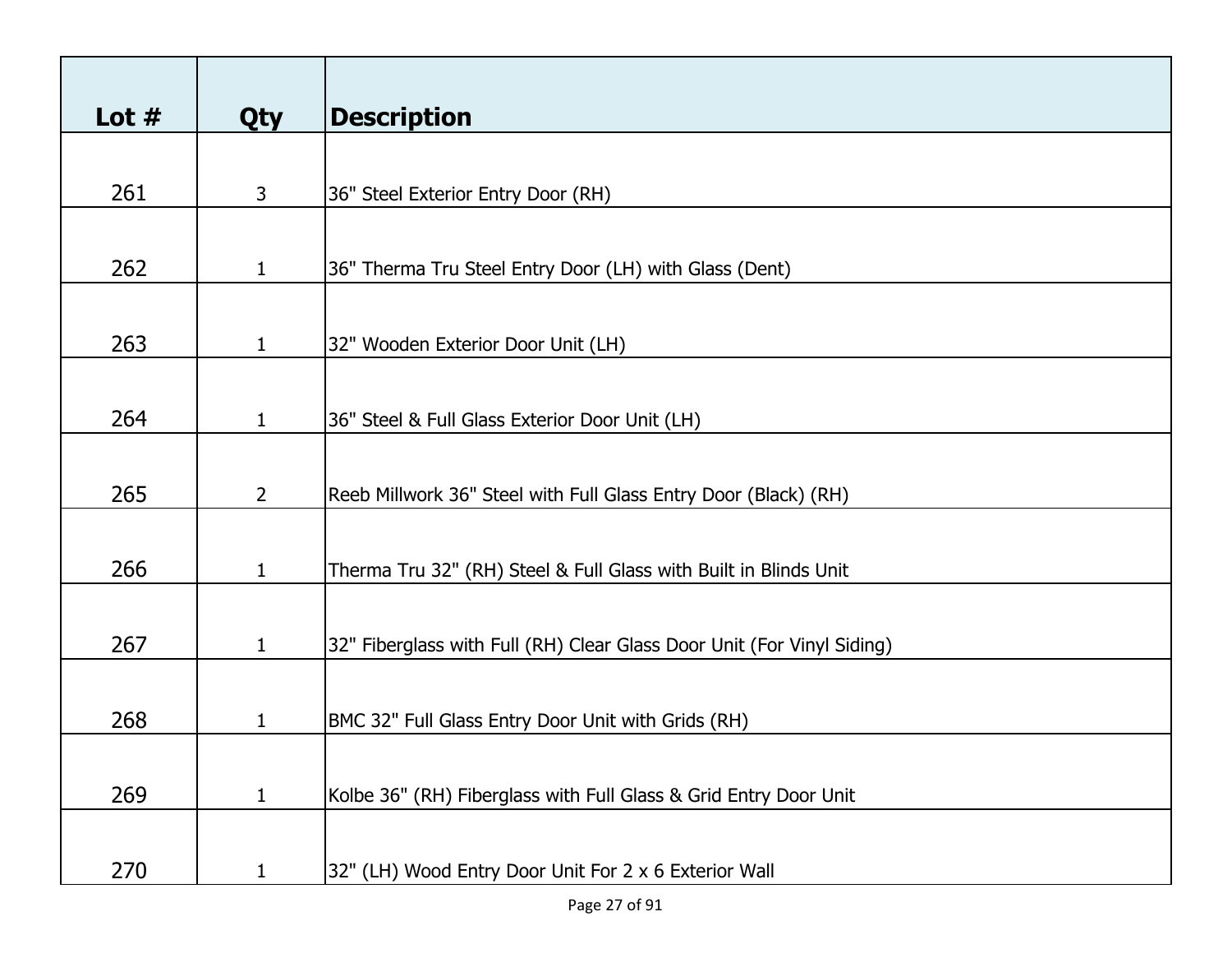| Lot $#$ | <b>Qty</b>   | <b>Description</b>                                                     |
|---------|--------------|------------------------------------------------------------------------|
|         |              |                                                                        |
| 261     | 3            | 36" Steel Exterior Entry Door (RH)                                     |
|         |              |                                                                        |
| 262     | $\mathbf{1}$ | 36" Therma Tru Steel Entry Door (LH) with Glass (Dent)                 |
|         |              |                                                                        |
| 263     | $\mathbf{1}$ | 32" Wooden Exterior Door Unit (LH)                                     |
|         |              |                                                                        |
| 264     | $\mathbf{1}$ | 36" Steel & Full Glass Exterior Door Unit (LH)                         |
|         |              |                                                                        |
| 265     | $2^{\circ}$  | Reeb Millwork 36" Steel with Full Glass Entry Door (Black) (RH)        |
|         |              |                                                                        |
| 266     | $\mathbf{1}$ | Therma Tru 32" (RH) Steel & Full Glass with Built in Blinds Unit       |
|         |              |                                                                        |
| 267     | $\mathbf{1}$ | 32" Fiberglass with Full (RH) Clear Glass Door Unit (For Vinyl Siding) |
|         |              |                                                                        |
| 268     | 1            | BMC 32" Full Glass Entry Door Unit with Grids (RH)                     |
|         |              |                                                                        |
| 269     | 1            | Kolbe 36" (RH) Fiberglass with Full Glass & Grid Entry Door Unit       |
|         |              |                                                                        |
| 270     | 1            | 32" (LH) Wood Entry Door Unit For 2 x 6 Exterior Wall                  |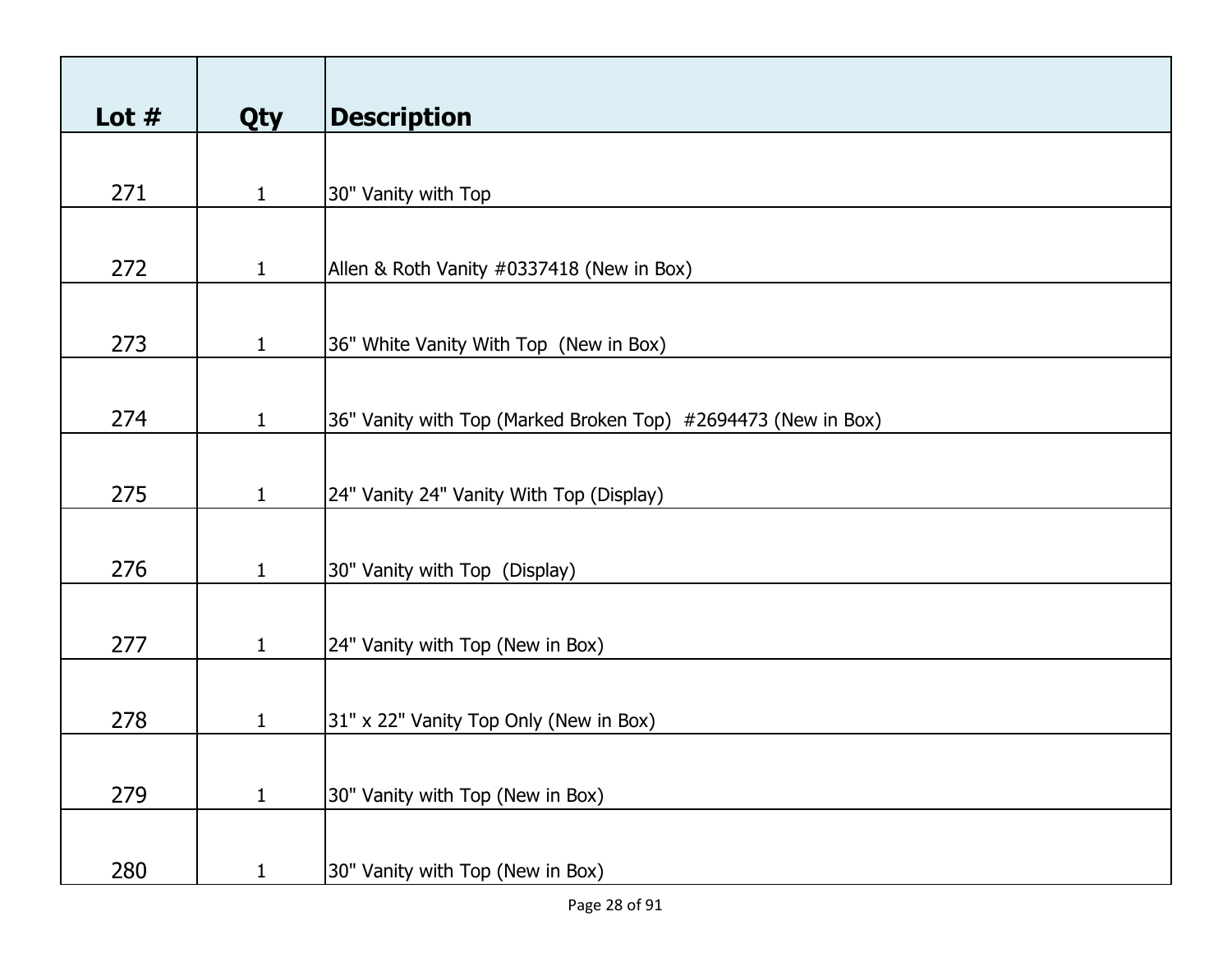| Lot $#$ | Qty          | <b>Description</b>                                            |
|---------|--------------|---------------------------------------------------------------|
|         |              |                                                               |
| 271     | $\mathbf{1}$ | 30" Vanity with Top                                           |
|         |              |                                                               |
| 272     | $\mathbf{1}$ | Allen & Roth Vanity #0337418 (New in Box)                     |
|         |              |                                                               |
| 273     | $\mathbf{1}$ | 36" White Vanity With Top (New in Box)                        |
|         |              |                                                               |
| 274     | $\mathbf{1}$ | 36" Vanity with Top (Marked Broken Top) #2694473 (New in Box) |
|         |              |                                                               |
| 275     | $\mathbf{1}$ | 24" Vanity 24" Vanity With Top (Display)                      |
|         |              |                                                               |
| 276     | $\mathbf{1}$ | 30" Vanity with Top (Display)                                 |
|         |              |                                                               |
| 277     | $\mathbf{1}$ | 24" Vanity with Top (New in Box)                              |
|         |              |                                                               |
| 278     | $\mathbf{1}$ | 31" x 22" Vanity Top Only (New in Box)                        |
| 279     |              |                                                               |
|         | $\mathbf{1}$ | 30" Vanity with Top (New in Box)                              |
| 280     | $\mathbf{1}$ | 30" Vanity with Top (New in Box)                              |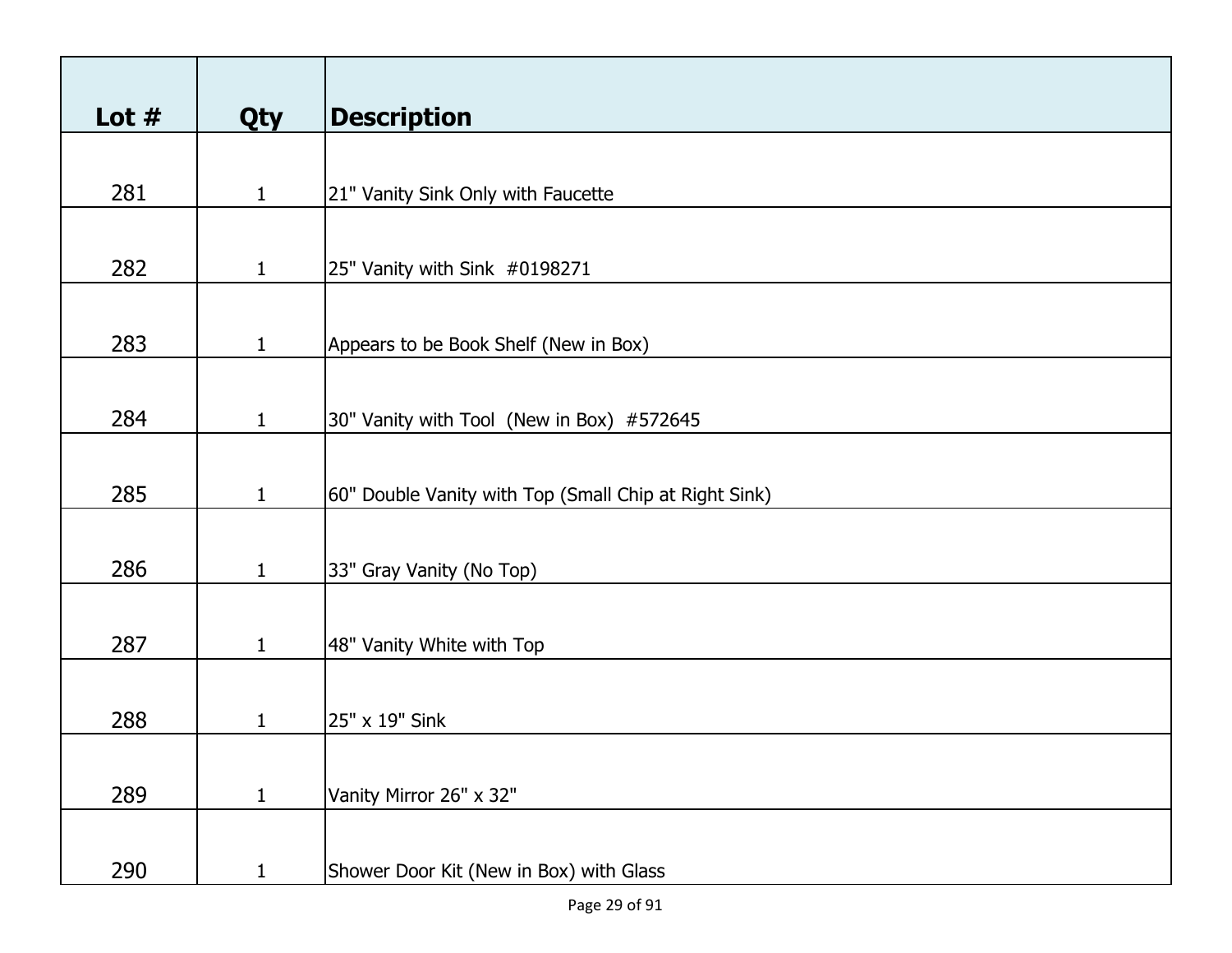| Lot $#$ | Qty          | <b>Description</b>                                    |
|---------|--------------|-------------------------------------------------------|
|         |              |                                                       |
| 281     | $\mathbf{1}$ | 21" Vanity Sink Only with Faucette                    |
|         |              |                                                       |
| 282     | $\mathbf{1}$ | 25" Vanity with Sink #0198271                         |
|         |              |                                                       |
| 283     | $\mathbf{1}$ | Appears to be Book Shelf (New in Box)                 |
|         |              |                                                       |
| 284     | $\mathbf{1}$ | 30" Vanity with Tool (New in Box) #572645             |
|         |              |                                                       |
| 285     | $\mathbf{1}$ | 60" Double Vanity with Top (Small Chip at Right Sink) |
|         |              |                                                       |
| 286     | $\mathbf{1}$ | 33" Gray Vanity (No Top)                              |
| 287     | $\mathbf{1}$ |                                                       |
|         |              | 48" Vanity White with Top                             |
| 288     | 1            | 25" x 19" Sink                                        |
|         |              |                                                       |
| 289     | $\mathbf{1}$ | Vanity Mirror 26" x 32"                               |
|         |              |                                                       |
| 290     | $\mathbf{1}$ | Shower Door Kit (New in Box) with Glass               |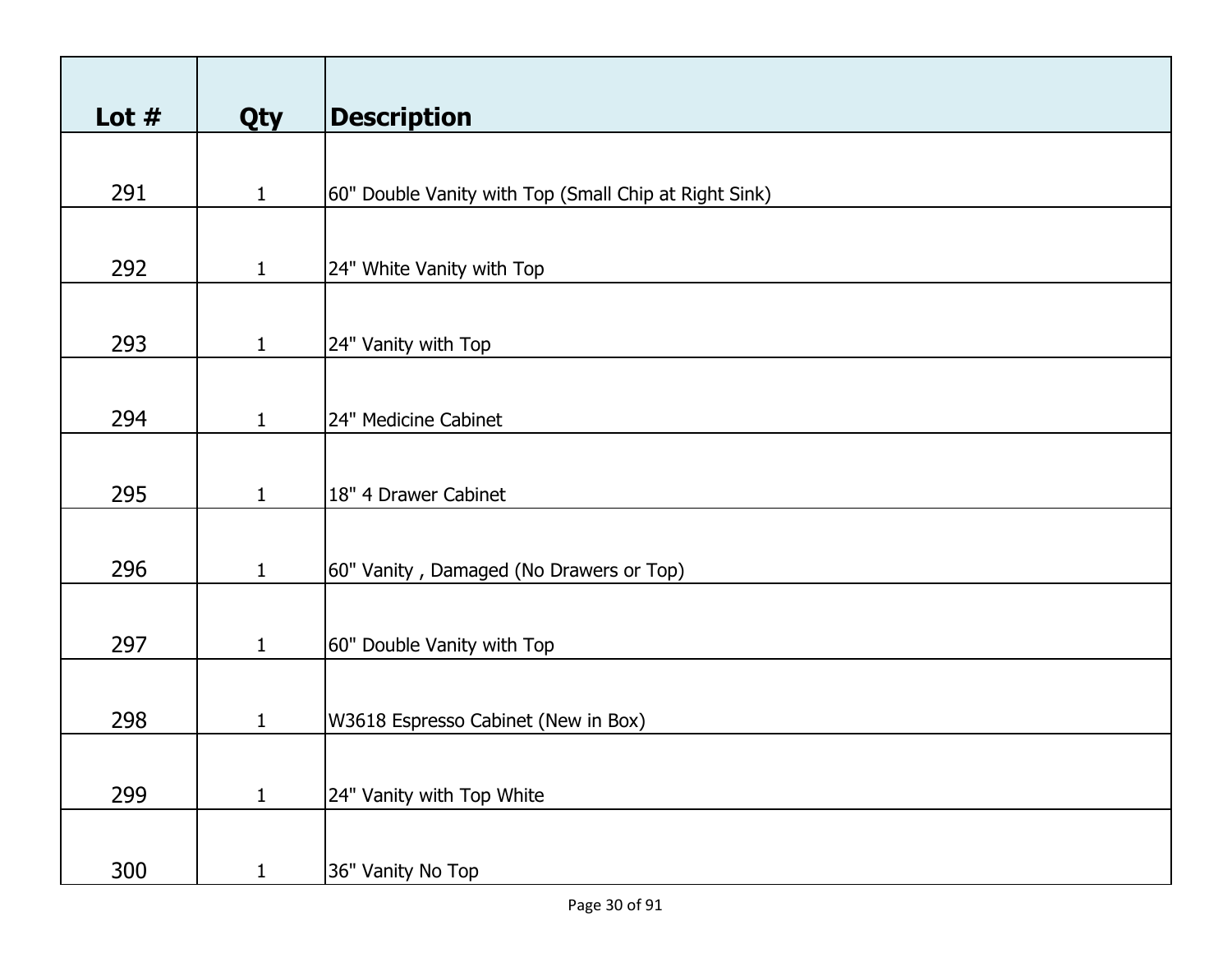| Lot $#$ | <b>Qty</b>   | <b>Description</b>                                    |
|---------|--------------|-------------------------------------------------------|
|         |              |                                                       |
| 291     | $\mathbf{1}$ | 60" Double Vanity with Top (Small Chip at Right Sink) |
|         |              |                                                       |
| 292     | $\mathbf{1}$ | 24" White Vanity with Top                             |
|         |              |                                                       |
| 293     | $\mathbf{1}$ | 24" Vanity with Top                                   |
|         |              |                                                       |
| 294     | $\mathbf{1}$ | 24" Medicine Cabinet                                  |
|         |              |                                                       |
| 295     | $\mathbf{1}$ | 18" 4 Drawer Cabinet                                  |
|         |              |                                                       |
| 296     | $\mathbf{1}$ | 60" Vanity, Damaged (No Drawers or Top)               |
|         |              |                                                       |
| 297     | $\mathbf{1}$ | 60" Double Vanity with Top                            |
|         |              |                                                       |
| 298     | $\mathbf{1}$ | W3618 Espresso Cabinet (New in Box)                   |
|         |              |                                                       |
| 299     | $\mathbf{1}$ | 24" Vanity with Top White                             |
|         |              |                                                       |
| 300     | $\mathbf{1}$ | 36" Vanity No Top                                     |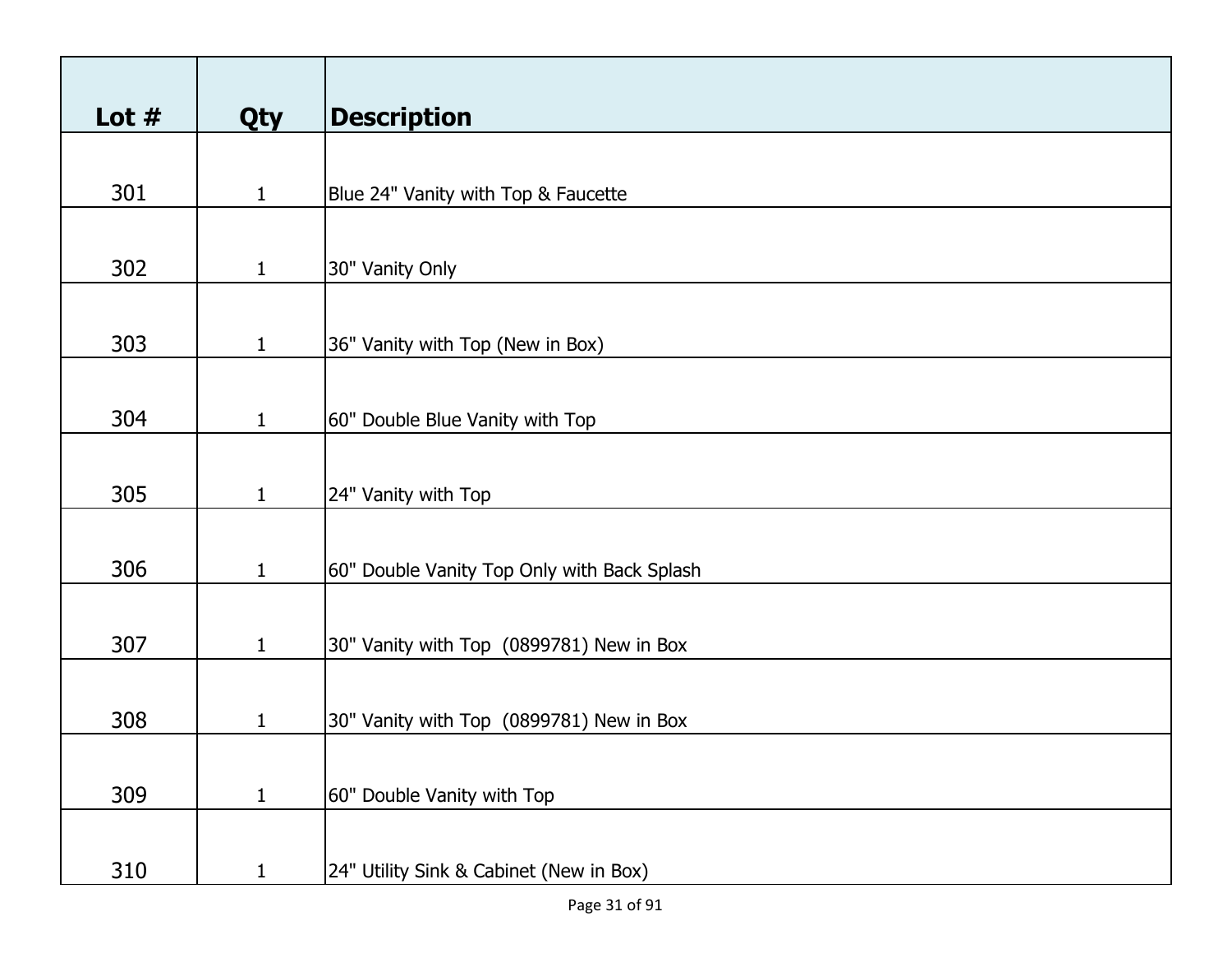| Lot $#$ | Qty          | <b>Description</b>                          |
|---------|--------------|---------------------------------------------|
|         |              |                                             |
| 301     | $\mathbf{1}$ | Blue 24" Vanity with Top & Faucette         |
|         |              |                                             |
| 302     | $\mathbf{1}$ | 30" Vanity Only                             |
|         |              |                                             |
| 303     | $\mathbf{1}$ | 36" Vanity with Top (New in Box)            |
|         |              |                                             |
| 304     | $\mathbf{1}$ | 60" Double Blue Vanity with Top             |
|         |              |                                             |
| 305     | $\mathbf{1}$ | 24" Vanity with Top                         |
|         |              |                                             |
| 306     | $\mathbf{1}$ | 60" Double Vanity Top Only with Back Splash |
|         |              |                                             |
| 307     | $\mathbf{1}$ | 30" Vanity with Top (0899781) New in Box    |
|         |              |                                             |
| 308     | $\mathbf{1}$ | 30" Vanity with Top (0899781) New in Box    |
|         |              |                                             |
| 309     | $\mathbf{1}$ | 60" Double Vanity with Top                  |
|         |              |                                             |
| 310     | $\mathbf{1}$ | 24" Utility Sink & Cabinet (New in Box)     |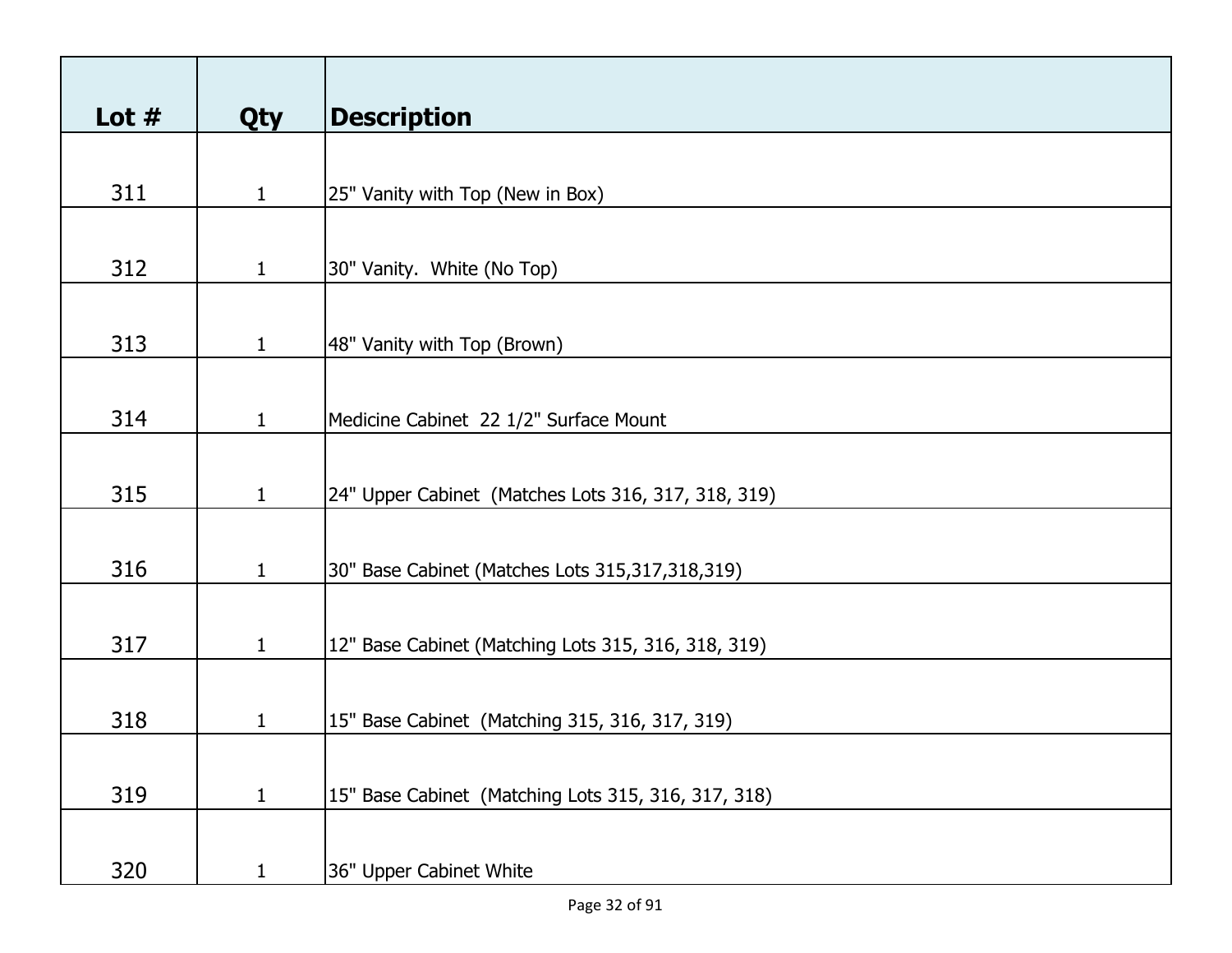| Lot $#$ |              | <b>Description</b>                                  |
|---------|--------------|-----------------------------------------------------|
|         | Qty          |                                                     |
| 311     | $\mathbf{1}$ | 25" Vanity with Top (New in Box)                    |
| 312     | $\mathbf{1}$ | 30" Vanity. White (No Top)                          |
|         |              |                                                     |
| 313     | $\mathbf{1}$ | 48" Vanity with Top (Brown)                         |
| 314     | $\mathbf{1}$ | Medicine Cabinet 22 1/2" Surface Mount              |
|         |              |                                                     |
| 315     | $\mathbf{1}$ | 24" Upper Cabinet (Matches Lots 316, 317, 318, 319) |
|         |              |                                                     |
| 316     | $\mathbf{1}$ | 30" Base Cabinet (Matches Lots 315,317,318,319)     |
| 317     | $\mathbf{1}$ | 12" Base Cabinet (Matching Lots 315, 316, 318, 319) |
|         |              |                                                     |
| 318     | $\mathbf{1}$ | 15" Base Cabinet (Matching 315, 316, 317, 319)      |
|         |              |                                                     |
| 319     | $\mathbf{1}$ | 15" Base Cabinet (Matching Lots 315, 316, 317, 318) |
|         |              |                                                     |
| 320     | $\mathbf{1}$ | 36" Upper Cabinet White                             |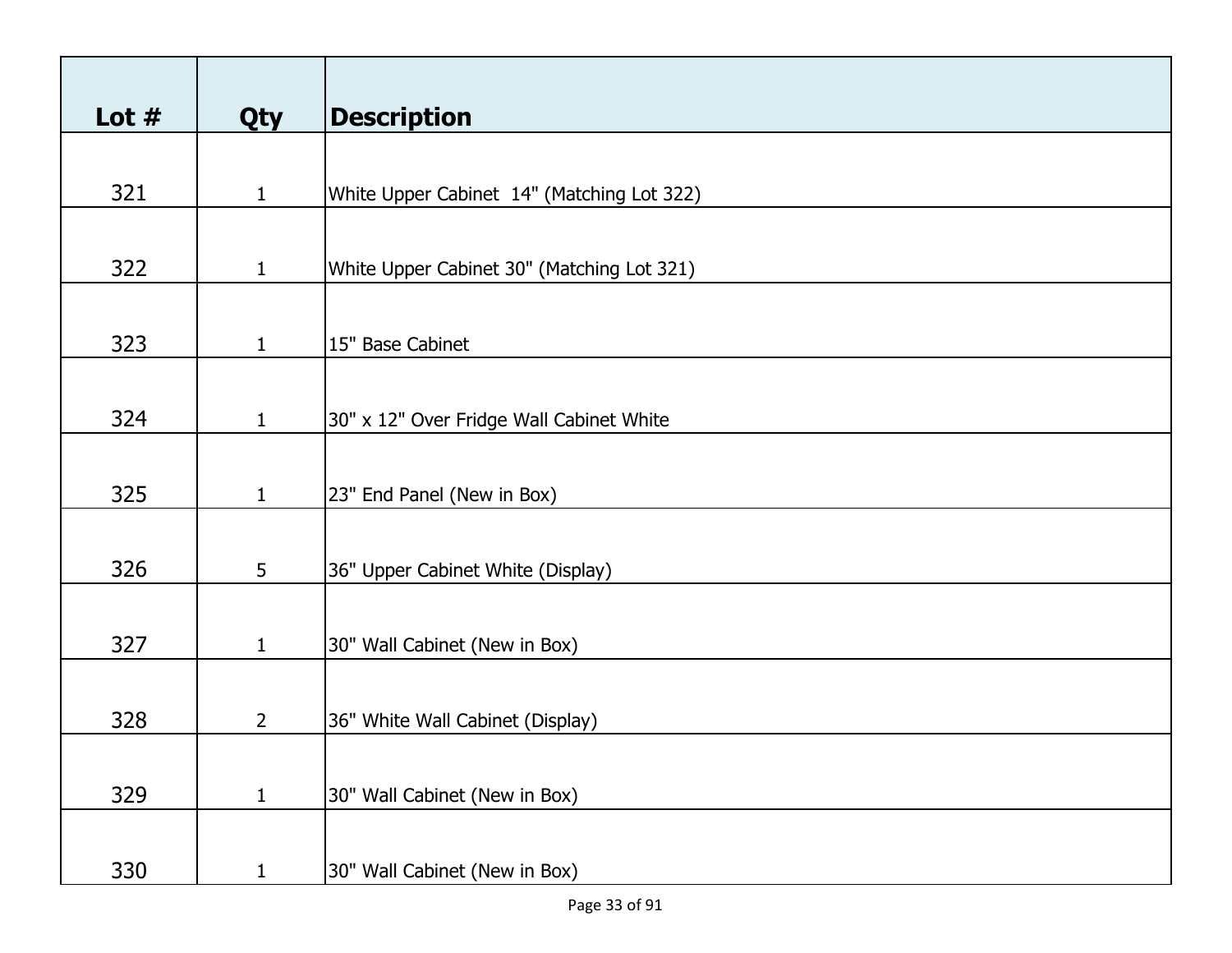| Lot $#$ | <b>Qty</b>     | <b>Description</b>                         |
|---------|----------------|--------------------------------------------|
|         |                |                                            |
| 321     | $\mathbf{1}$   | White Upper Cabinet 14" (Matching Lot 322) |
|         |                |                                            |
| 322     | $\mathbf{1}$   | White Upper Cabinet 30" (Matching Lot 321) |
|         |                |                                            |
| 323     | $\mathbf{1}$   | 15" Base Cabinet                           |
|         |                |                                            |
| 324     | $\mathbf{1}$   | 30" x 12" Over Fridge Wall Cabinet White   |
|         |                |                                            |
| 325     | $\mathbf{1}$   | 23" End Panel (New in Box)                 |
|         |                |                                            |
| 326     | 5              | 36" Upper Cabinet White (Display)          |
|         |                |                                            |
| 327     | $\mathbf{1}$   | 30" Wall Cabinet (New in Box)              |
|         |                |                                            |
| 328     | $\overline{2}$ | 36" White Wall Cabinet (Display)           |
|         |                |                                            |
| 329     | $\mathbf{1}$   | 30" Wall Cabinet (New in Box)              |
|         |                |                                            |
| 330     | $\mathbf{1}$   | 30" Wall Cabinet (New in Box)              |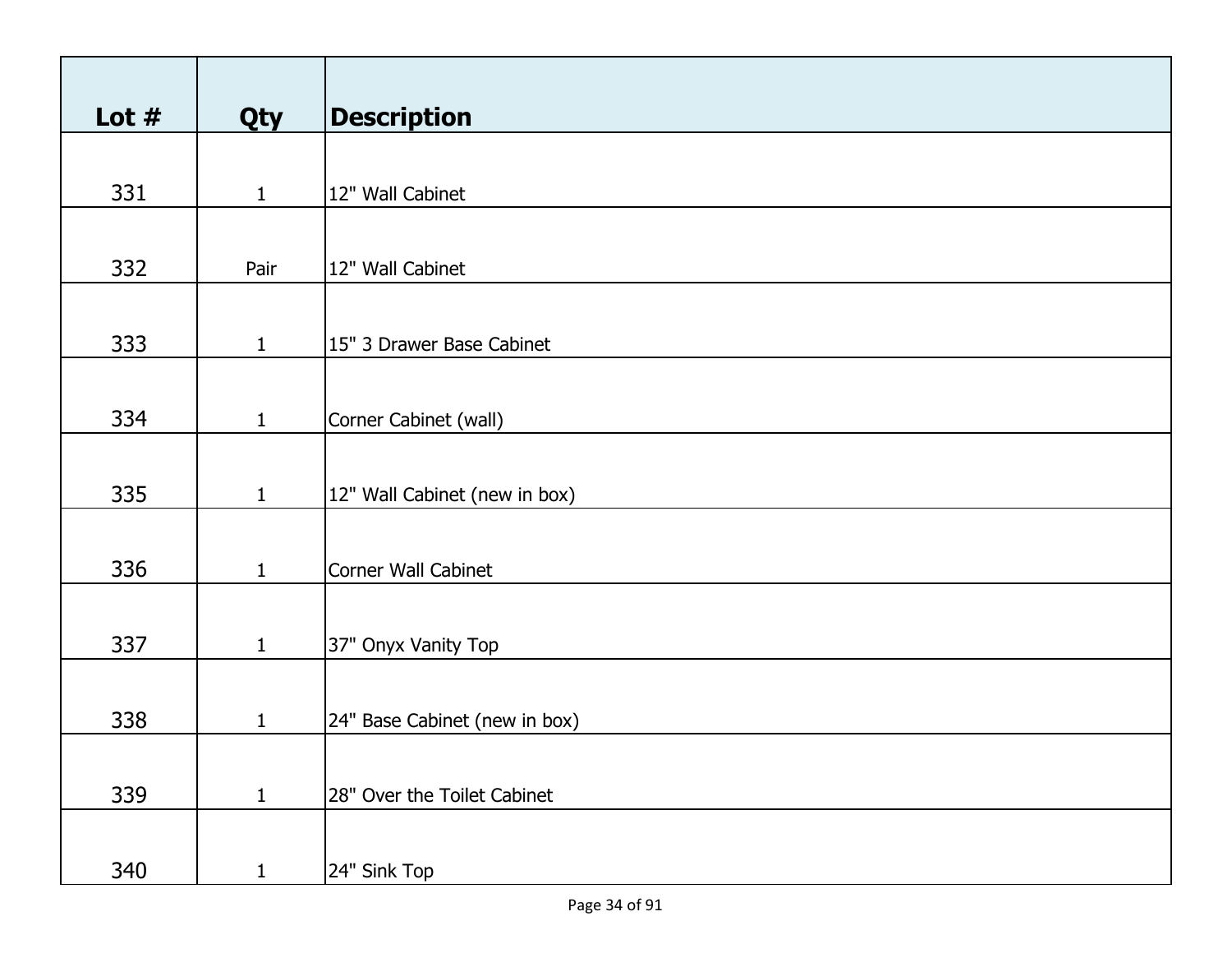| Lot $#$ | Qty          | <b>Description</b>            |
|---------|--------------|-------------------------------|
|         |              |                               |
| 331     | $\mathbf{1}$ | 12" Wall Cabinet              |
|         |              |                               |
| 332     | Pair         | 12" Wall Cabinet              |
|         |              |                               |
| 333     | $\mathbf{1}$ | 15" 3 Drawer Base Cabinet     |
|         |              |                               |
| 334     | $\mathbf{1}$ | Corner Cabinet (wall)         |
|         |              |                               |
|         |              |                               |
| 335     | $\mathbf{1}$ | 12" Wall Cabinet (new in box) |
|         |              |                               |
| 336     | $\mathbf{1}$ | Corner Wall Cabinet           |
|         |              |                               |
| 337     | $\mathbf{1}$ | 37" Onyx Vanity Top           |
|         |              |                               |
|         |              |                               |
| 338     | $\mathbf{1}$ | 24" Base Cabinet (new in box) |
|         |              |                               |
| 339     | $\mathbf{1}$ | 28" Over the Toilet Cabinet   |
|         |              |                               |
| 340     | $\mathbf{1}$ | 24" Sink Top                  |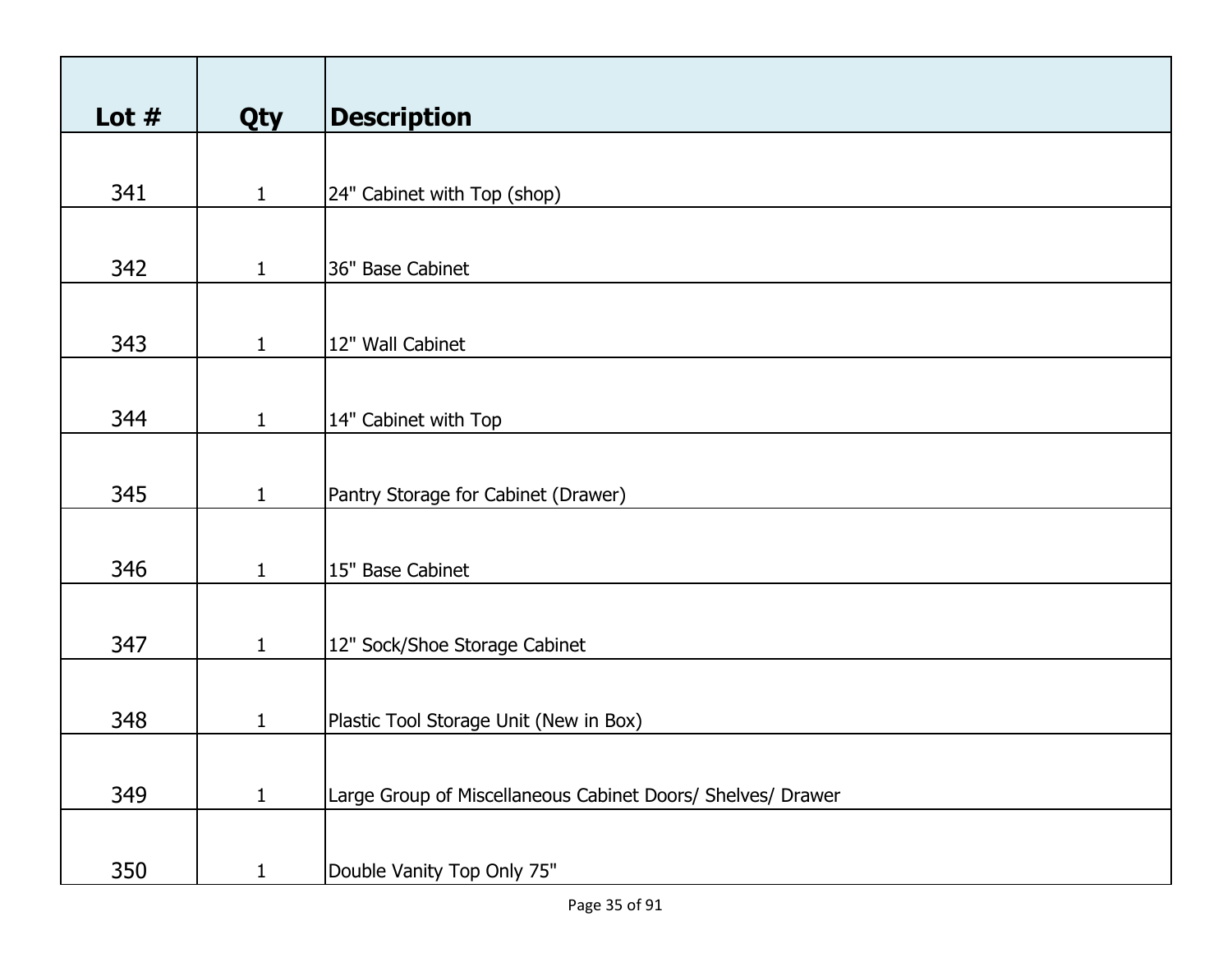| Lot $#$ |              | <b>Description</b>                                          |
|---------|--------------|-------------------------------------------------------------|
|         | <b>Qty</b>   |                                                             |
|         |              |                                                             |
| 341     | $\mathbf{1}$ | 24" Cabinet with Top (shop)                                 |
|         |              |                                                             |
| 342     | $\mathbf{1}$ | 36" Base Cabinet                                            |
|         |              |                                                             |
| 343     | $\mathbf{1}$ | 12" Wall Cabinet                                            |
|         |              |                                                             |
|         |              |                                                             |
| 344     | $\mathbf{1}$ | 14" Cabinet with Top                                        |
|         |              |                                                             |
| 345     | $\mathbf{1}$ | Pantry Storage for Cabinet (Drawer)                         |
|         |              |                                                             |
| 346     |              |                                                             |
|         | $\mathbf{1}$ | 15" Base Cabinet                                            |
|         |              |                                                             |
| 347     | $\mathbf{1}$ | 12" Sock/Shoe Storage Cabinet                               |
|         |              |                                                             |
| 348     | $\mathbf{1}$ | Plastic Tool Storage Unit (New in Box)                      |
|         |              |                                                             |
|         |              |                                                             |
| 349     | $\mathbf{1}$ | Large Group of Miscellaneous Cabinet Doors/ Shelves/ Drawer |
|         |              |                                                             |
| 350     | $\mathbf{1}$ | Double Vanity Top Only 75"                                  |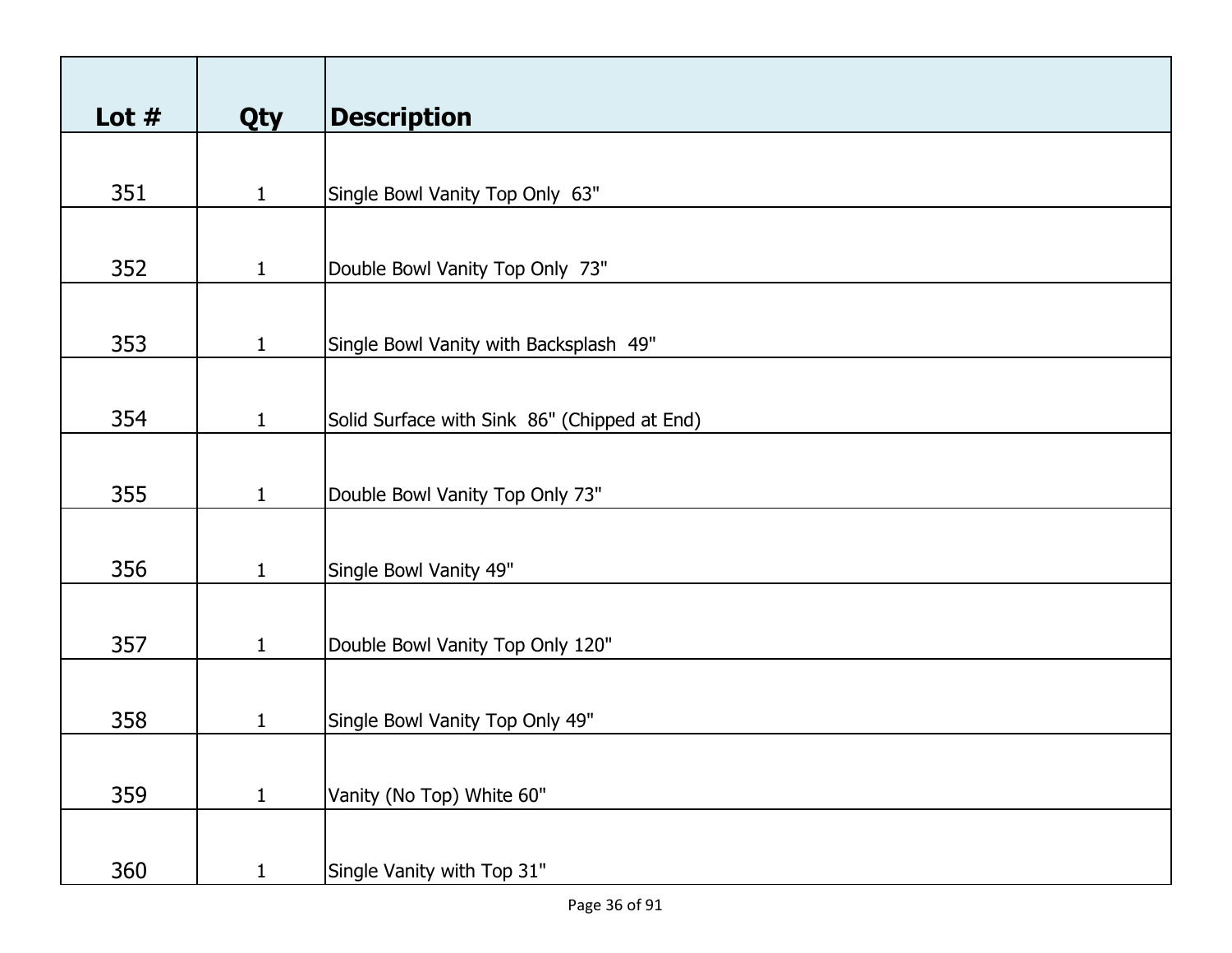| Lot $#$ | Qty          | <b>Description</b>                           |
|---------|--------------|----------------------------------------------|
|         |              |                                              |
| 351     | $\mathbf{1}$ | Single Bowl Vanity Top Only 63"              |
|         |              |                                              |
|         |              |                                              |
| 352     | $\mathbf{1}$ | Double Bowl Vanity Top Only 73"              |
|         |              |                                              |
| 353     | $\mathbf{1}$ | Single Bowl Vanity with Backsplash 49"       |
|         |              |                                              |
|         |              |                                              |
| 354     | $\mathbf{1}$ | Solid Surface with Sink 86" (Chipped at End) |
|         |              |                                              |
| 355     | $\mathbf{1}$ | Double Bowl Vanity Top Only 73"              |
|         |              |                                              |
| 356     | $\mathbf{1}$ |                                              |
|         |              | Single Bowl Vanity 49"                       |
|         |              |                                              |
| 357     | $\mathbf{1}$ | Double Bowl Vanity Top Only 120"             |
|         |              |                                              |
| 358     | $\mathbf{1}$ | Single Bowl Vanity Top Only 49"              |
|         |              |                                              |
|         |              |                                              |
| 359     | $\mathbf{1}$ | Vanity (No Top) White 60"                    |
|         |              |                                              |
| 360     | $\mathbf{1}$ | Single Vanity with Top 31"                   |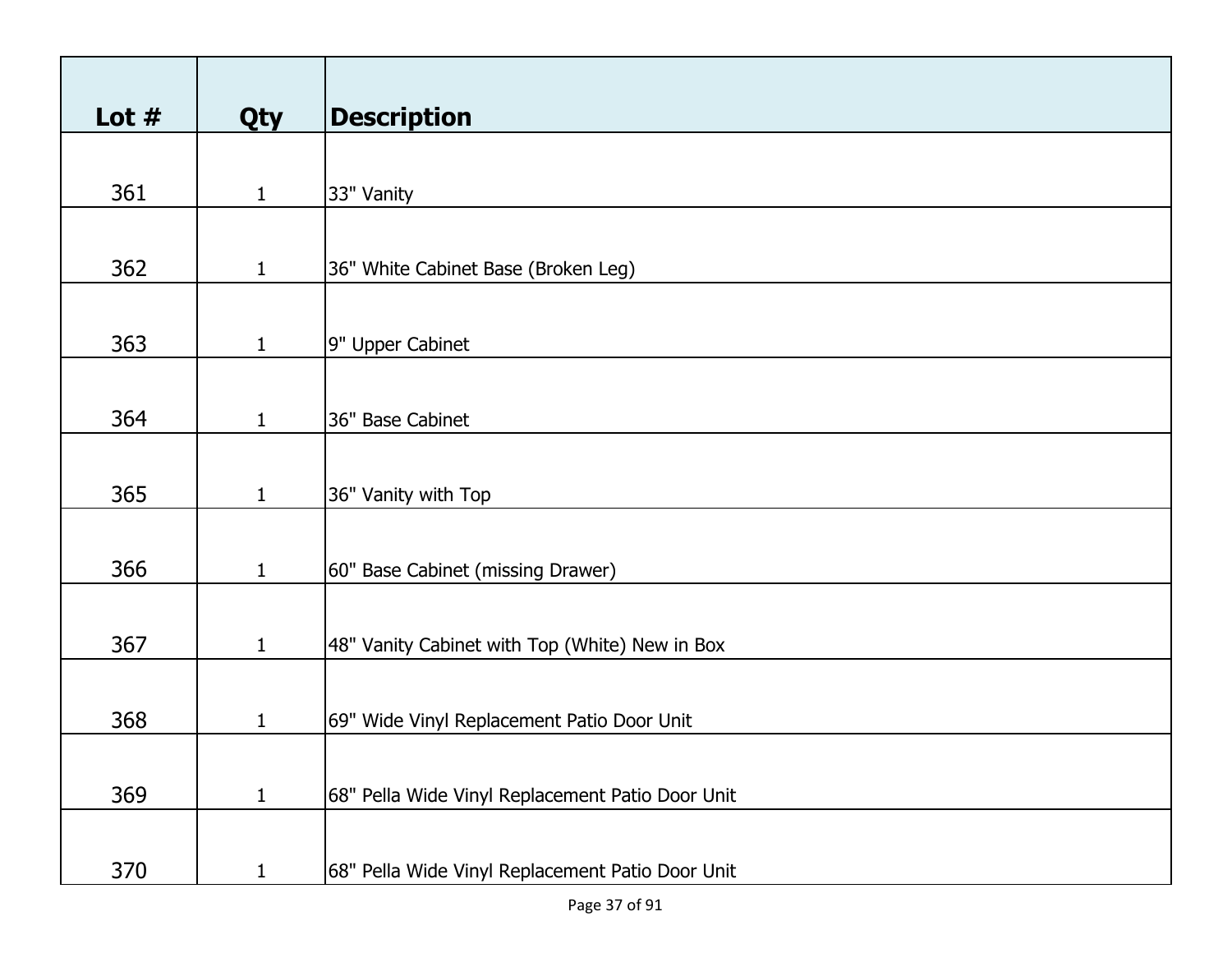| Lot $#$ | Qty          | <b>Description</b>                               |
|---------|--------------|--------------------------------------------------|
|         |              |                                                  |
| 361     | $\mathbf{1}$ | 33" Vanity                                       |
|         |              |                                                  |
| 362     | $\mathbf{1}$ | 36" White Cabinet Base (Broken Leg)              |
|         |              |                                                  |
| 363     | $\mathbf{1}$ | 9" Upper Cabinet                                 |
|         |              |                                                  |
| 364     | $\mathbf{1}$ | 36" Base Cabinet                                 |
|         |              |                                                  |
| 365     | $\mathbf{1}$ | 36" Vanity with Top                              |
|         |              |                                                  |
| 366     | $\mathbf{1}$ | 60" Base Cabinet (missing Drawer)                |
|         |              |                                                  |
| 367     | $\mathbf{1}$ | 48" Vanity Cabinet with Top (White) New in Box   |
|         |              |                                                  |
| 368     | $\mathbf{1}$ | 69" Wide Vinyl Replacement Patio Door Unit       |
|         |              |                                                  |
| 369     | $\mathbf{1}$ | 68" Pella Wide Vinyl Replacement Patio Door Unit |
|         |              |                                                  |
| 370     | $\mathbf{1}$ | 68" Pella Wide Vinyl Replacement Patio Door Unit |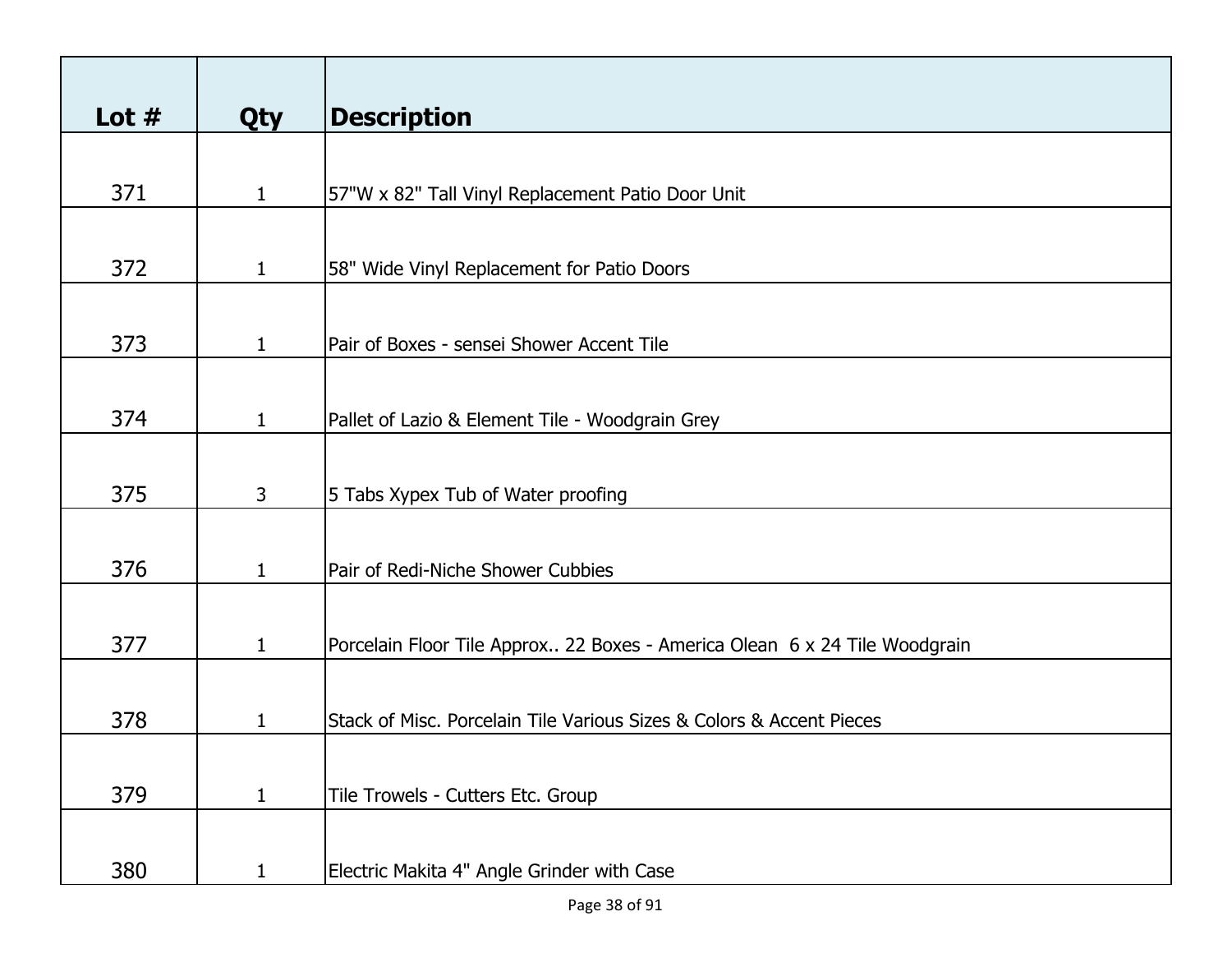| Lot $#$ | <b>Qty</b>     | <b>Description</b>                                                         |
|---------|----------------|----------------------------------------------------------------------------|
|         |                |                                                                            |
| 371     | $\mathbf{1}$   | 57"W x 82" Tall Vinyl Replacement Patio Door Unit                          |
|         |                |                                                                            |
| 372     | $\mathbf{1}$   | 58" Wide Vinyl Replacement for Patio Doors                                 |
|         |                |                                                                            |
| 373     | $\mathbf{1}$   | Pair of Boxes - sensei Shower Accent Tile                                  |
|         |                |                                                                            |
| 374     | $\mathbf{1}$   | Pallet of Lazio & Element Tile - Woodgrain Grey                            |
|         |                |                                                                            |
| 375     | 3 <sup>1</sup> | 5 Tabs Xypex Tub of Water proofing                                         |
|         |                |                                                                            |
| 376     | $\mathbf{1}$   | Pair of Redi-Niche Shower Cubbies                                          |
|         |                |                                                                            |
| 377     | $\mathbf{1}$   | Porcelain Floor Tile Approx 22 Boxes - America Olean 6 x 24 Tile Woodgrain |
|         |                |                                                                            |
| 378     | 1              | Stack of Misc. Porcelain Tile Various Sizes & Colors & Accent Pieces       |
|         |                |                                                                            |
| 379     | $\mathbf{1}$   | Tile Trowels - Cutters Etc. Group                                          |
|         |                |                                                                            |
| 380     | 1              | Electric Makita 4" Angle Grinder with Case                                 |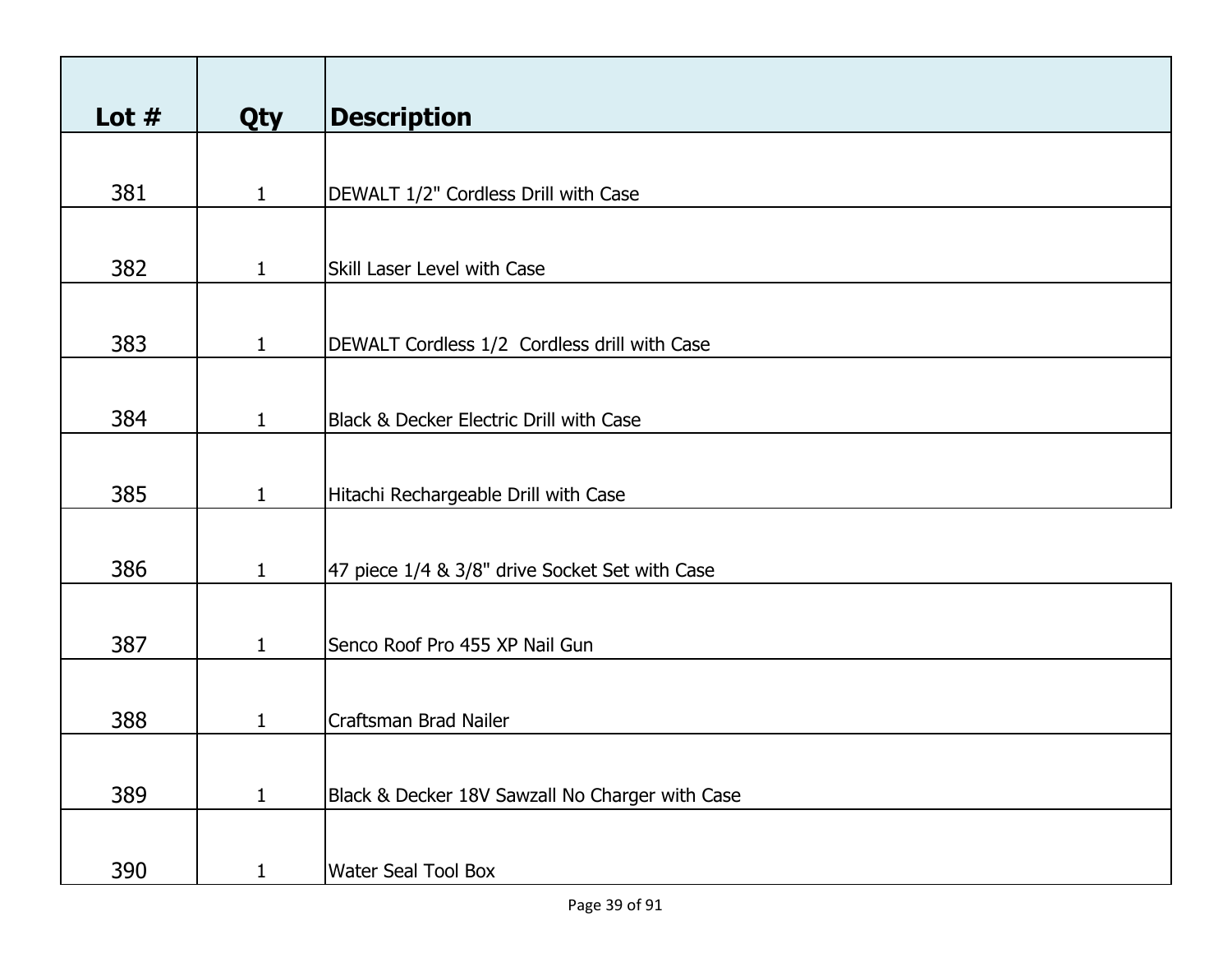| Lot $#$ |              | <b>Description</b>                              |
|---------|--------------|-------------------------------------------------|
|         | <b>Qty</b>   |                                                 |
|         |              |                                                 |
| 381     | $\mathbf{1}$ | DEWALT 1/2" Cordless Drill with Case            |
|         |              |                                                 |
| 382     | $\mathbf{1}$ | Skill Laser Level with Case                     |
|         |              |                                                 |
| 383     | $\mathbf{1}$ | DEWALT Cordless 1/2 Cordless drill with Case    |
|         |              |                                                 |
|         |              |                                                 |
| 384     | $\mathbf{1}$ | Black & Decker Electric Drill with Case         |
|         |              |                                                 |
| 385     | $\mathbf{1}$ | Hitachi Rechargeable Drill with Case            |
|         |              |                                                 |
| 386     | $\mathbf{1}$ | 47 piece 1/4 & 3/8" drive Socket Set with Case  |
|         |              |                                                 |
|         |              |                                                 |
| 387     | $\mathbf{1}$ | Senco Roof Pro 455 XP Nail Gun                  |
|         |              |                                                 |
| 388     | 1            | Craftsman Brad Nailer                           |
|         |              |                                                 |
| 389     | $\mathbf{1}$ | Black & Decker 18V Sawzall No Charger with Case |
|         |              |                                                 |
| 390     | $\mathbf{1}$ | <b>Water Seal Tool Box</b>                      |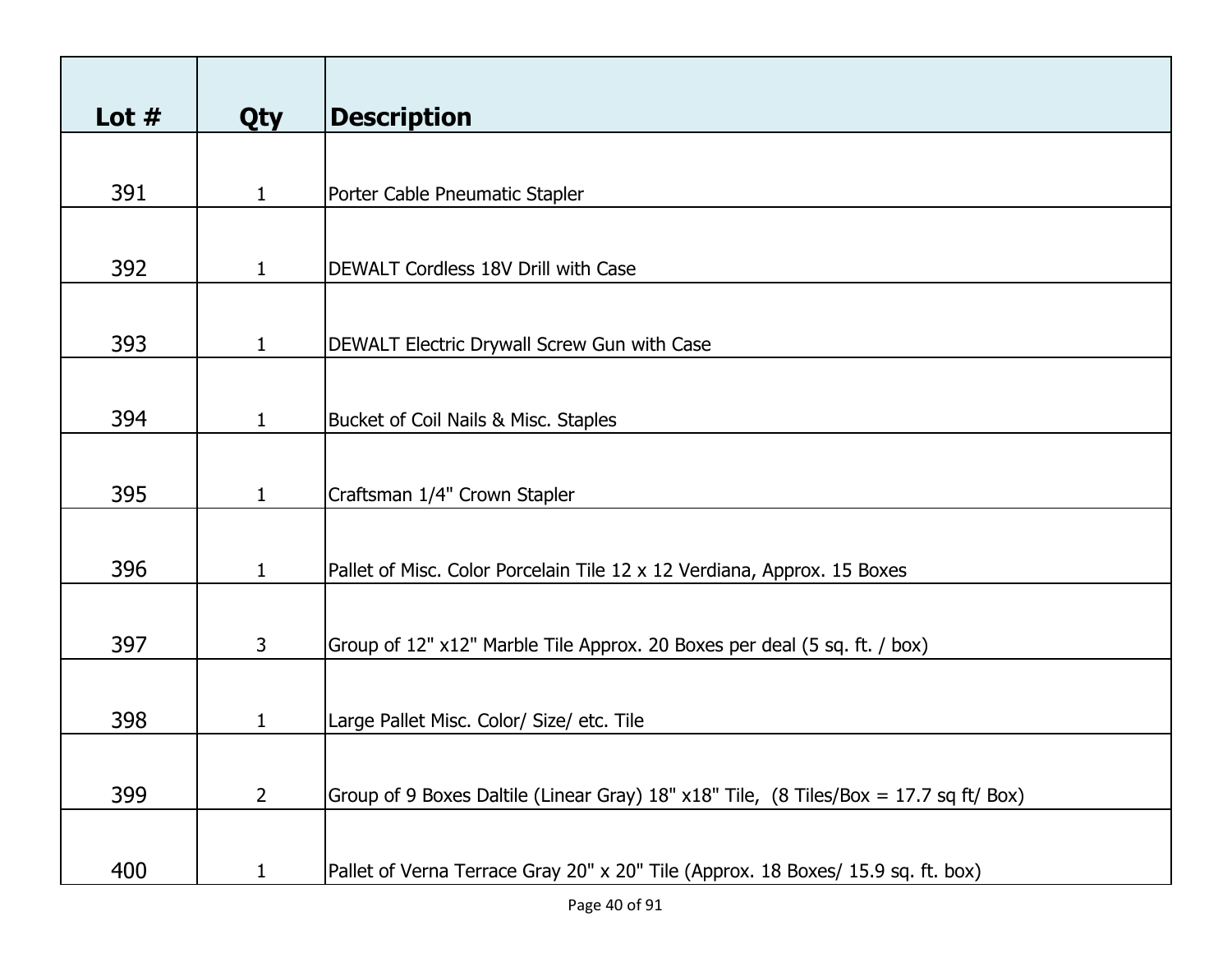| Lot $#$ | <b>Qty</b>   | <b>Description</b>                                                                    |
|---------|--------------|---------------------------------------------------------------------------------------|
|         |              |                                                                                       |
| 391     | $\mathbf{1}$ | Porter Cable Pneumatic Stapler                                                        |
|         |              |                                                                                       |
| 392     | $\mathbf{1}$ | DEWALT Cordless 18V Drill with Case                                                   |
|         |              |                                                                                       |
| 393     | $\mathbf{1}$ | DEWALT Electric Drywall Screw Gun with Case                                           |
|         |              |                                                                                       |
| 394     | $\mathbf{1}$ | Bucket of Coil Nails & Misc. Staples                                                  |
|         |              |                                                                                       |
| 395     | $\mathbf{1}$ | Craftsman 1/4" Crown Stapler                                                          |
|         |              |                                                                                       |
| 396     | $\mathbf{1}$ | Pallet of Misc. Color Porcelain Tile 12 x 12 Verdiana, Approx. 15 Boxes               |
|         |              |                                                                                       |
| 397     | $\mathbf{3}$ | Group of 12" x12" Marble Tile Approx. 20 Boxes per deal (5 sq. ft. / box)             |
|         |              |                                                                                       |
| 398     | 1            | Large Pallet Misc. Color/ Size/ etc. Tile                                             |
|         |              |                                                                                       |
| 399     | $2^{\circ}$  | Group of 9 Boxes Daltile (Linear Gray) 18" x18" Tile, (8 Tiles/Box = 17.7 sq ft/ Box) |
| 400     | $\mathbf{1}$ | Pallet of Verna Terrace Gray 20" x 20" Tile (Approx. 18 Boxes/ 15.9 sq. ft. box)      |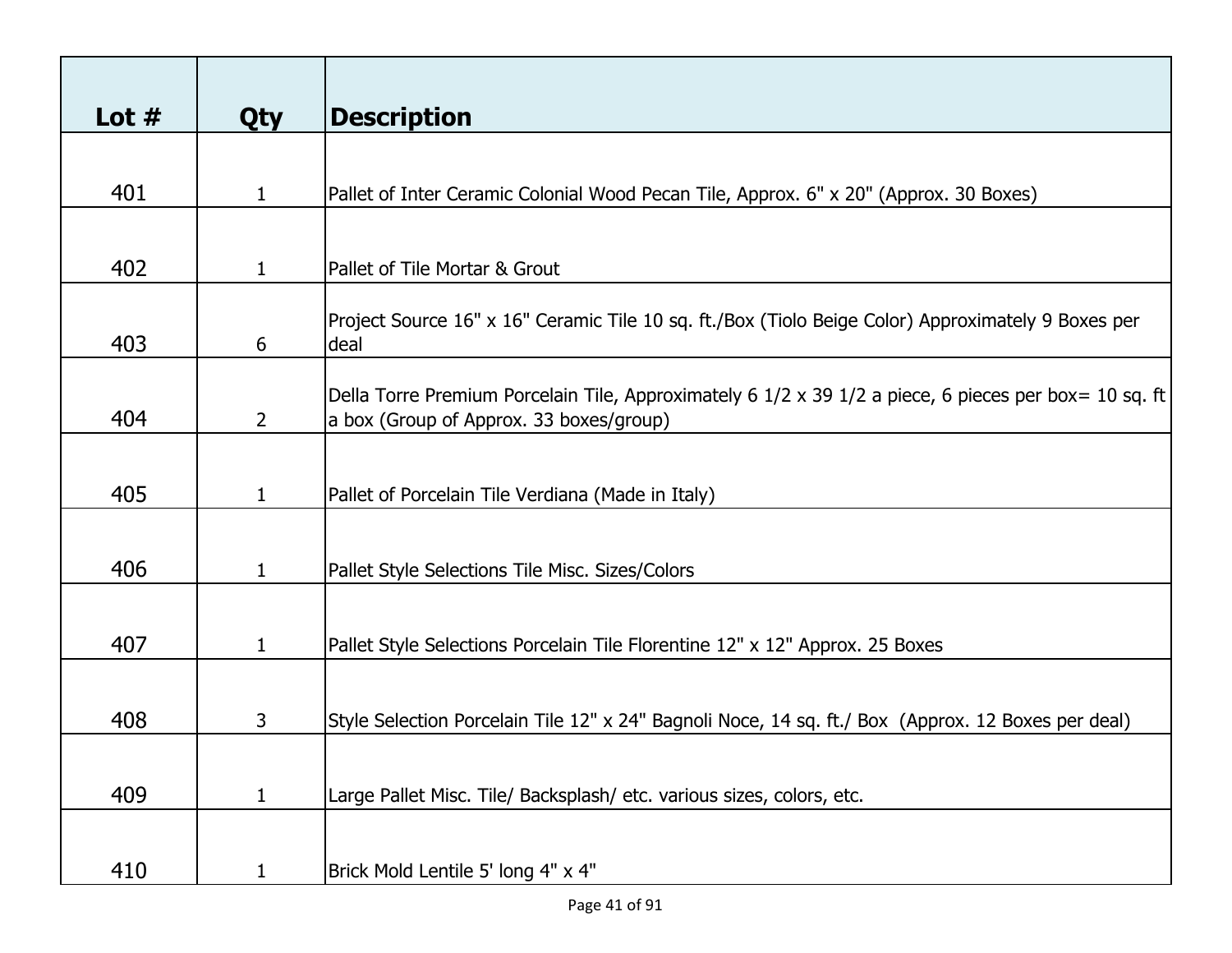| Lot $#$ | <b>Qty</b>     | <b>Description</b>                                                                                         |
|---------|----------------|------------------------------------------------------------------------------------------------------------|
|         |                |                                                                                                            |
| 401     | $\mathbf{1}$   | Pallet of Inter Ceramic Colonial Wood Pecan Tile, Approx. 6" x 20" (Approx. 30 Boxes)                      |
|         |                |                                                                                                            |
|         |                |                                                                                                            |
| 402     | $\mathbf 1$    | Pallet of Tile Mortar & Grout                                                                              |
|         |                |                                                                                                            |
| 403     | 6              | Project Source 16" x 16" Ceramic Tile 10 sq. ft./Box (Tiolo Beige Color) Approximately 9 Boxes per<br>deal |
|         |                |                                                                                                            |
|         |                | Della Torre Premium Porcelain Tile, Approximately 6 1/2 x 39 1/2 a piece, 6 pieces per box= 10 sq. ft      |
| 404     | $\overline{2}$ | a box (Group of Approx. 33 boxes/group)                                                                    |
|         |                |                                                                                                            |
| 405     | $\mathbf 1$    | Pallet of Porcelain Tile Verdiana (Made in Italy)                                                          |
|         |                |                                                                                                            |
|         |                |                                                                                                            |
| 406     | $\mathbf 1$    | Pallet Style Selections Tile Misc. Sizes/Colors                                                            |
|         |                |                                                                                                            |
| 407     | $\mathbf{1}$   | Pallet Style Selections Porcelain Tile Florentine 12" x 12" Approx. 25 Boxes                               |
|         |                |                                                                                                            |
|         |                |                                                                                                            |
| 408     | 3              | Style Selection Porcelain Tile 12" x 24" Bagnoli Noce, 14 sq. ft./ Box (Approx. 12 Boxes per deal)         |
|         |                |                                                                                                            |
| 409     | $\mathbf{1}$   | Large Pallet Misc. Tile/ Backsplash/ etc. various sizes, colors, etc.                                      |
|         |                |                                                                                                            |
|         |                |                                                                                                            |
| 410     | $\mathbf{1}$   | Brick Mold Lentile 5' long 4" x 4"                                                                         |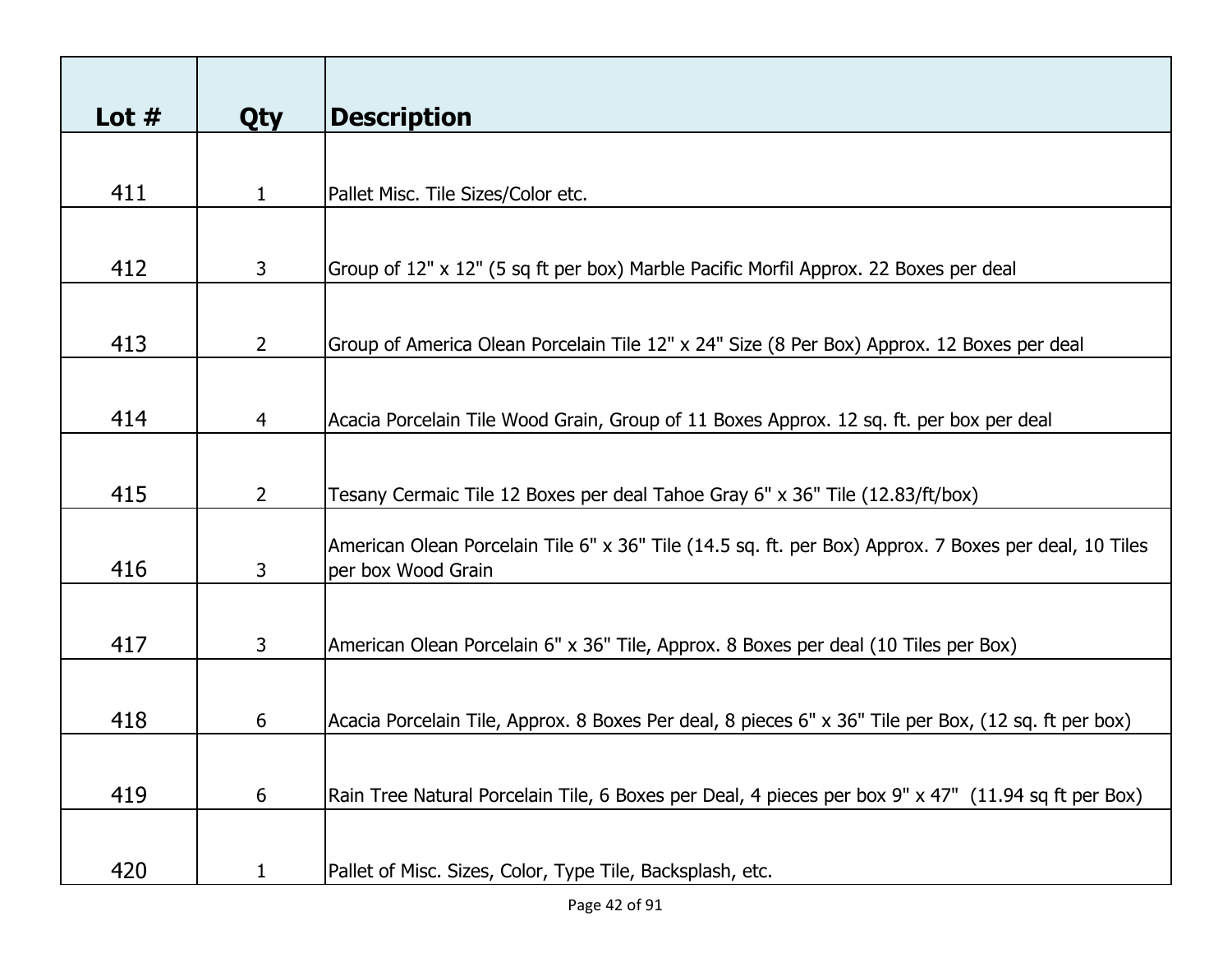| Lot $#$ |                | <b>Description</b>                                                                                                          |
|---------|----------------|-----------------------------------------------------------------------------------------------------------------------------|
|         | <b>Qty</b>     |                                                                                                                             |
|         |                |                                                                                                                             |
| 411     | $\mathbf{1}$   | Pallet Misc. Tile Sizes/Color etc.                                                                                          |
|         |                |                                                                                                                             |
| 412     | 3              | Group of 12" x 12" (5 sq ft per box) Marble Pacific Morfil Approx. 22 Boxes per deal                                        |
|         |                |                                                                                                                             |
| 413     | $\overline{2}$ | Group of America Olean Porcelain Tile 12" x 24" Size (8 Per Box) Approx. 12 Boxes per deal                                  |
|         |                |                                                                                                                             |
|         |                |                                                                                                                             |
| 414     | $\overline{4}$ | Acacia Porcelain Tile Wood Grain, Group of 11 Boxes Approx. 12 sq. ft. per box per deal                                     |
|         |                |                                                                                                                             |
| 415     | $2^{\circ}$    | Tesany Cermaic Tile 12 Boxes per deal Tahoe Gray 6" x 36" Tile (12.83/ft/box)                                               |
|         |                |                                                                                                                             |
| 416     | 3              | American Olean Porcelain Tile 6" x 36" Tile (14.5 sq. ft. per Box) Approx. 7 Boxes per deal, 10 Tiles<br>per box Wood Grain |
|         |                |                                                                                                                             |
|         |                |                                                                                                                             |
| 417     | 3              | American Olean Porcelain 6" x 36" Tile, Approx. 8 Boxes per deal (10 Tiles per Box)                                         |
|         |                |                                                                                                                             |
| 418     | 6              | Acacia Porcelain Tile, Approx. 8 Boxes Per deal, 8 pieces 6" x 36" Tile per Box, (12 sq. ft per box)                        |
|         |                |                                                                                                                             |
| 419     | 6              | Rain Tree Natural Porcelain Tile, 6 Boxes per Deal, 4 pieces per box 9" x 47" (11.94 sq ft per Box)                         |
|         |                |                                                                                                                             |
| 420     | 1              | Pallet of Misc. Sizes, Color, Type Tile, Backsplash, etc.                                                                   |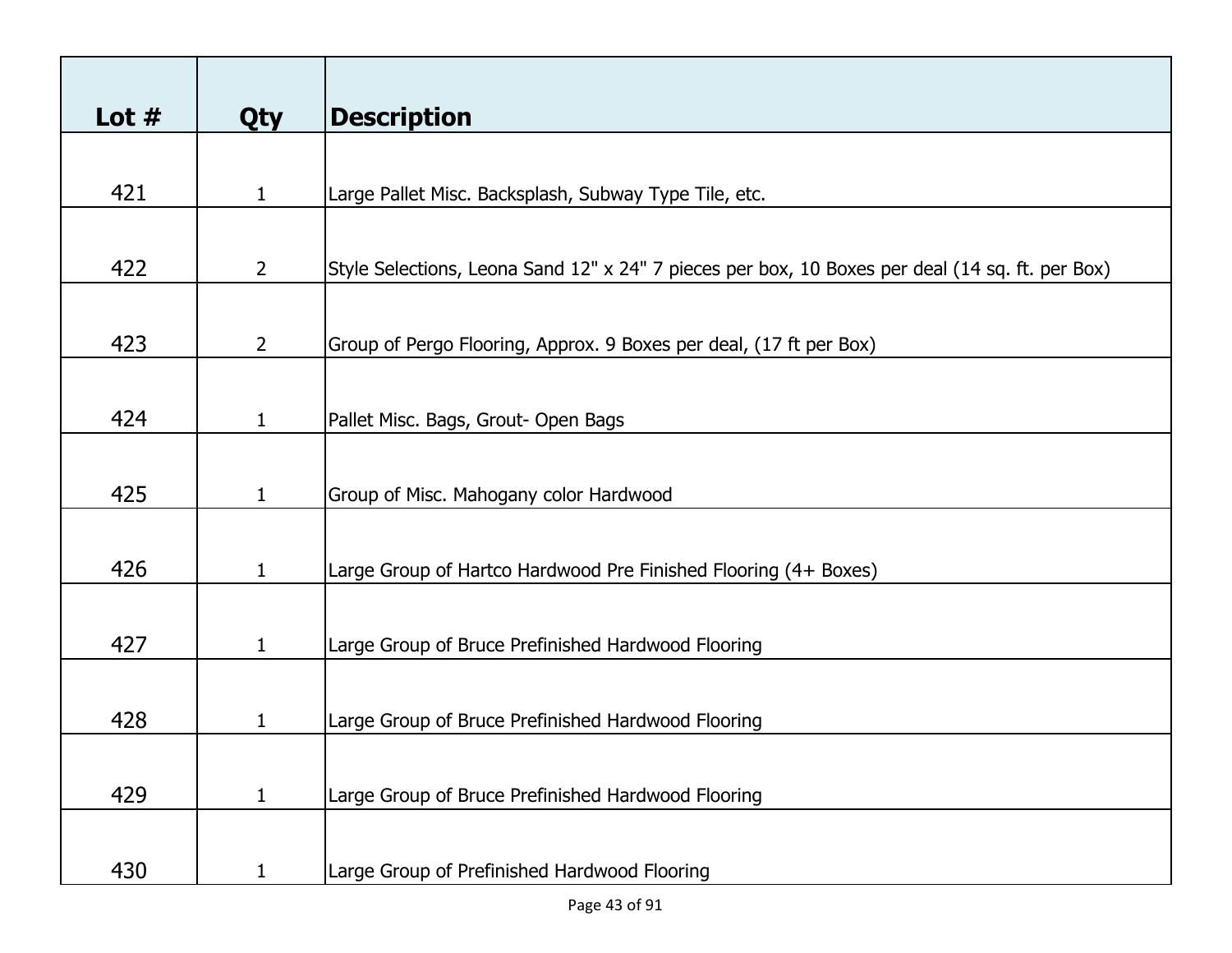| Lot $#$ | <b>Qty</b>     | <b>Description</b>                                                                              |
|---------|----------------|-------------------------------------------------------------------------------------------------|
|         |                |                                                                                                 |
| 421     | $\mathbf{1}$   | Large Pallet Misc. Backsplash, Subway Type Tile, etc.                                           |
|         |                |                                                                                                 |
| 422     | $\overline{2}$ | Style Selections, Leona Sand 12" x 24" 7 pieces per box, 10 Boxes per deal (14 sq. ft. per Box) |
|         |                |                                                                                                 |
| 423     | $2^{\circ}$    | Group of Pergo Flooring, Approx. 9 Boxes per deal, (17 ft per Box)                              |
|         |                |                                                                                                 |
| 424     | $\mathbf{1}$   | Pallet Misc. Bags, Grout- Open Bags                                                             |
|         |                |                                                                                                 |
| 425     | $\mathbf{1}$   | Group of Misc. Mahogany color Hardwood                                                          |
|         |                |                                                                                                 |
| 426     | $\mathbf{1}$   | Large Group of Hartco Hardwood Pre Finished Flooring (4+ Boxes)                                 |
|         |                |                                                                                                 |
| 427     | $\mathbf{1}$   | Large Group of Bruce Prefinished Hardwood Flooring                                              |
|         |                |                                                                                                 |
| 428     | 1              | Large Group of Bruce Prefinished Hardwood Flooring                                              |
|         |                |                                                                                                 |
| 429     | $\mathbf{1}$   | Large Group of Bruce Prefinished Hardwood Flooring                                              |
|         |                |                                                                                                 |
| 430     | $\mathbf{1}$   | Large Group of Prefinished Hardwood Flooring                                                    |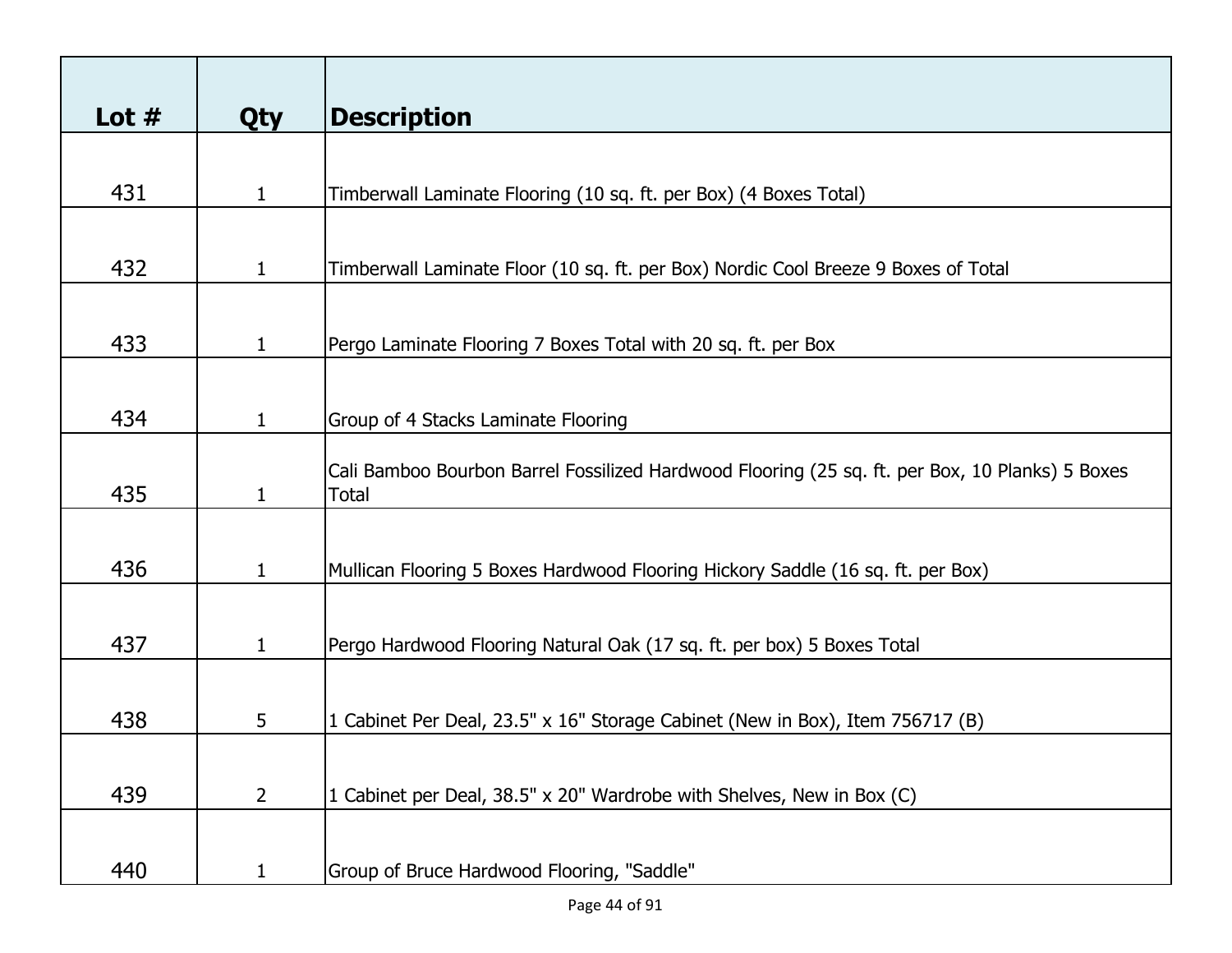| Lot $#$ |              | <b>Description</b>                                                                              |
|---------|--------------|-------------------------------------------------------------------------------------------------|
|         | <b>Qty</b>   |                                                                                                 |
|         |              |                                                                                                 |
| 431     | $\mathbf{1}$ | Timberwall Laminate Flooring (10 sq. ft. per Box) (4 Boxes Total)                               |
|         |              |                                                                                                 |
| 432     | $\mathbf{1}$ | Timberwall Laminate Floor (10 sq. ft. per Box) Nordic Cool Breeze 9 Boxes of Total              |
|         |              |                                                                                                 |
| 433     | $\mathbf{1}$ | Pergo Laminate Flooring 7 Boxes Total with 20 sq. ft. per Box                                   |
|         |              |                                                                                                 |
| 434     | $\mathbf{1}$ | Group of 4 Stacks Laminate Flooring                                                             |
|         |              |                                                                                                 |
|         |              | Cali Bamboo Bourbon Barrel Fossilized Hardwood Flooring (25 sq. ft. per Box, 10 Planks) 5 Boxes |
| 435     | $\mathbf{1}$ | Total                                                                                           |
|         |              |                                                                                                 |
| 436     | $\mathbf{1}$ | Mullican Flooring 5 Boxes Hardwood Flooring Hickory Saddle (16 sq. ft. per Box)                 |
|         |              |                                                                                                 |
|         |              |                                                                                                 |
| 437     | $\mathbf{1}$ | Pergo Hardwood Flooring Natural Oak (17 sq. ft. per box) 5 Boxes Total                          |
|         |              |                                                                                                 |
| 438     | 5            | 1 Cabinet Per Deal, 23.5" x 16" Storage Cabinet (New in Box), Item 756717 (B)                   |
|         |              |                                                                                                 |
| 439     | $2^{\circ}$  | 1 Cabinet per Deal, 38.5" x 20" Wardrobe with Shelves, New in Box (C)                           |
|         |              |                                                                                                 |
|         |              |                                                                                                 |
| 440     | 1            | Group of Bruce Hardwood Flooring, "Saddle"                                                      |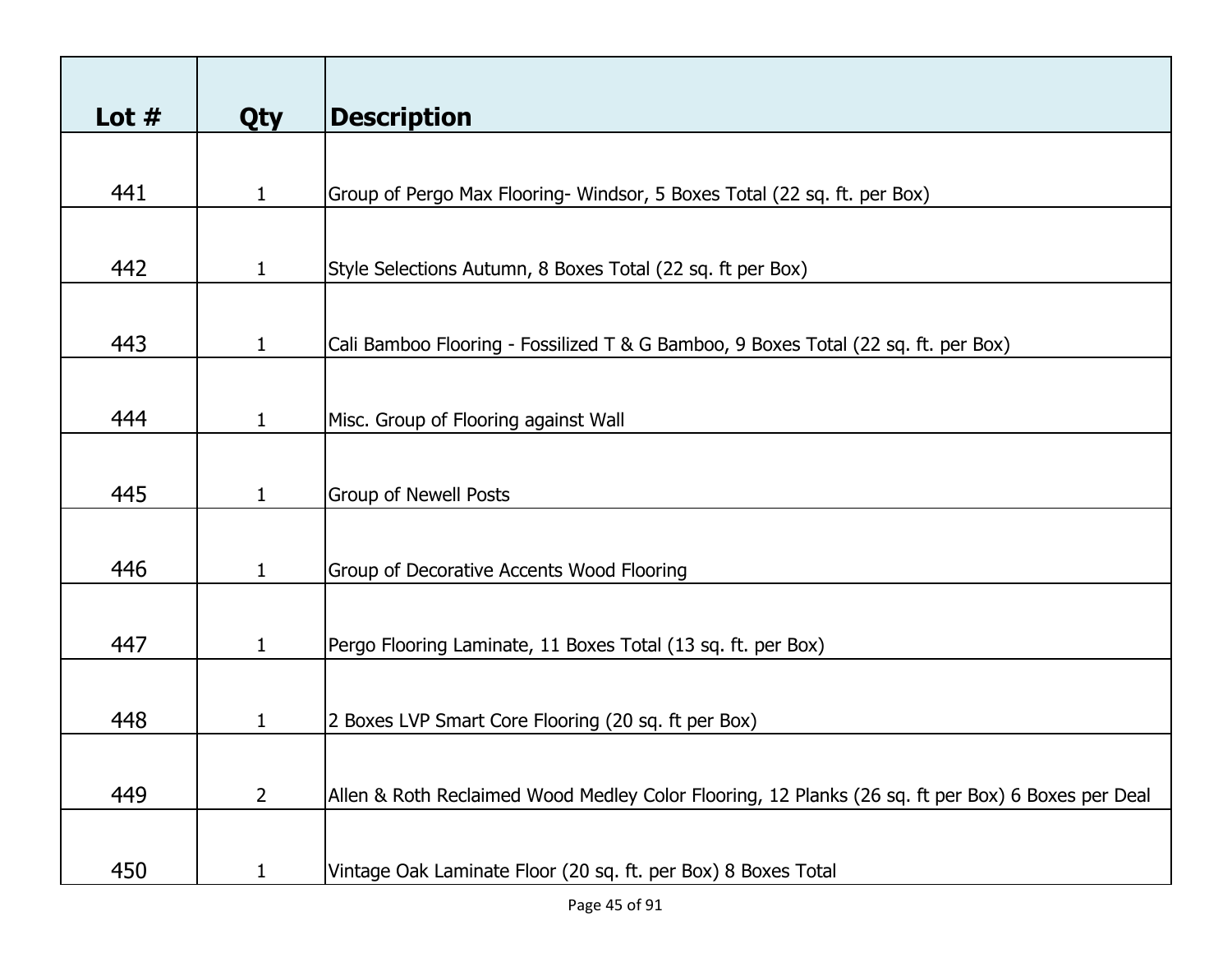| Lot $#$ | <b>Qty</b>   | <b>Description</b>                                                                                |
|---------|--------------|---------------------------------------------------------------------------------------------------|
|         |              |                                                                                                   |
| 441     | $\mathbf{1}$ | Group of Pergo Max Flooring- Windsor, 5 Boxes Total (22 sq. ft. per Box)                          |
|         |              |                                                                                                   |
| 442     | $\mathbf{1}$ | Style Selections Autumn, 8 Boxes Total (22 sq. ft per Box)                                        |
|         |              |                                                                                                   |
| 443     | $\mathbf{1}$ | Cali Bamboo Flooring - Fossilized T & G Bamboo, 9 Boxes Total (22 sq. ft. per Box)                |
|         |              |                                                                                                   |
| 444     | $\mathbf{1}$ | Misc. Group of Flooring against Wall                                                              |
|         |              |                                                                                                   |
| 445     | $\mathbf{1}$ | <b>Group of Newell Posts</b>                                                                      |
|         |              |                                                                                                   |
| 446     | $\mathbf{1}$ | Group of Decorative Accents Wood Flooring                                                         |
|         |              |                                                                                                   |
| 447     | $\mathbf{1}$ | Pergo Flooring Laminate, 11 Boxes Total (13 sq. ft. per Box)                                      |
|         |              |                                                                                                   |
| 448     | 1            | 2 Boxes LVP Smart Core Flooring (20 sq. ft per Box)                                               |
|         |              |                                                                                                   |
| 449     | $2^{\circ}$  | Allen & Roth Reclaimed Wood Medley Color Flooring, 12 Planks (26 sq. ft per Box) 6 Boxes per Deal |
|         |              |                                                                                                   |
| 450     | 1            | Vintage Oak Laminate Floor (20 sq. ft. per Box) 8 Boxes Total                                     |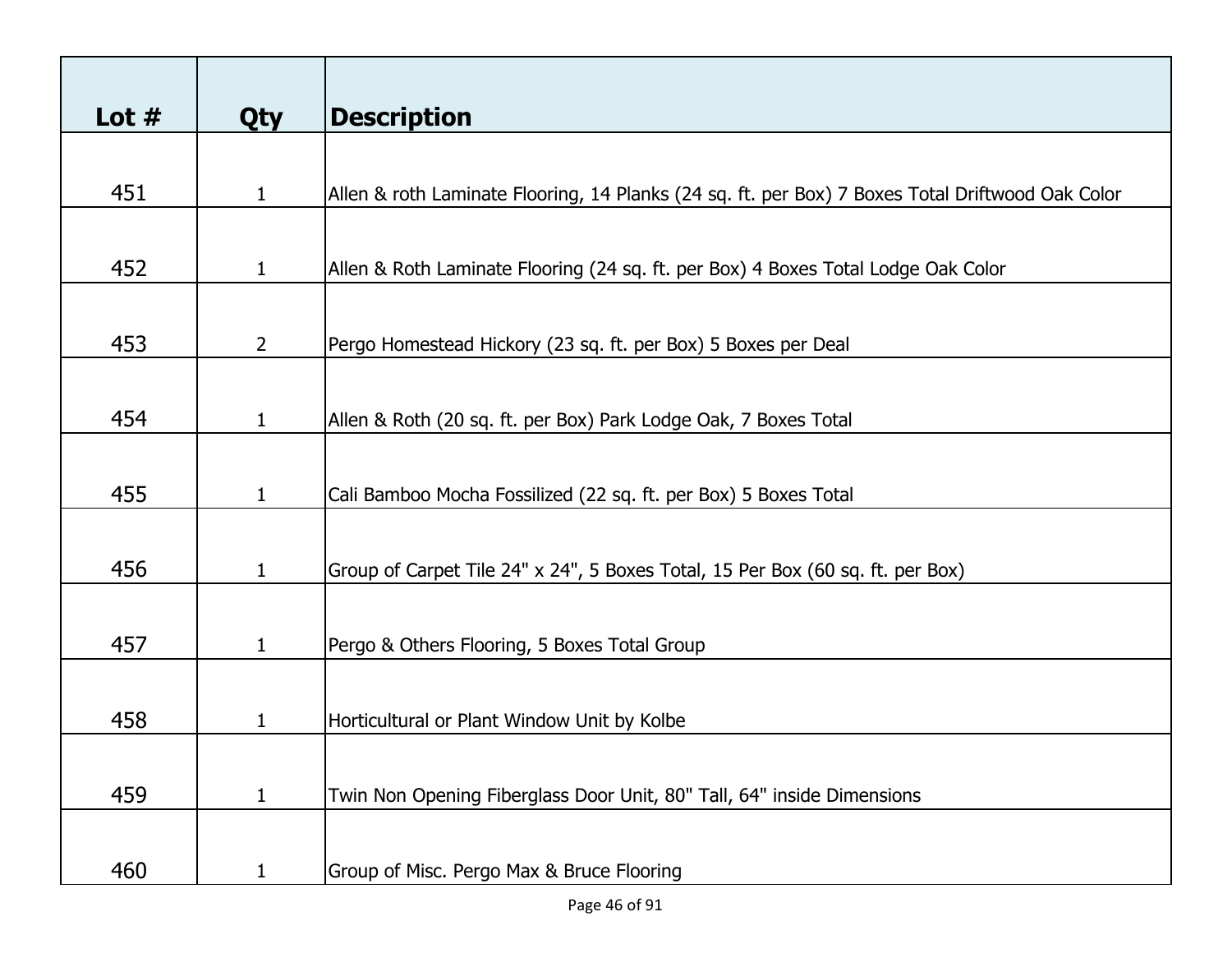| Lot $#$ | <b>Qty</b>     | <b>Description</b>                                                                               |
|---------|----------------|--------------------------------------------------------------------------------------------------|
|         |                |                                                                                                  |
| 451     | $\mathbf{1}$   | Allen & roth Laminate Flooring, 14 Planks (24 sq. ft. per Box) 7 Boxes Total Driftwood Oak Color |
|         |                |                                                                                                  |
|         |                |                                                                                                  |
| 452     | $\mathbf{1}$   | Allen & Roth Laminate Flooring (24 sq. ft. per Box) 4 Boxes Total Lodge Oak Color                |
|         |                |                                                                                                  |
| 453     | $\overline{2}$ | Pergo Homestead Hickory (23 sq. ft. per Box) 5 Boxes per Deal                                    |
|         |                |                                                                                                  |
|         |                |                                                                                                  |
| 454     | $\mathbf 1$    | Allen & Roth (20 sq. ft. per Box) Park Lodge Oak, 7 Boxes Total                                  |
|         |                |                                                                                                  |
| 455     | $\mathbf{1}$   | Cali Bamboo Mocha Fossilized (22 sq. ft. per Box) 5 Boxes Total                                  |
|         |                |                                                                                                  |
|         |                |                                                                                                  |
| 456     | $\mathbf{1}$   | Group of Carpet Tile 24" x 24", 5 Boxes Total, 15 Per Box (60 sq. ft. per Box)                   |
|         |                |                                                                                                  |
| 457     | $\mathbf{1}$   | Pergo & Others Flooring, 5 Boxes Total Group                                                     |
|         |                |                                                                                                  |
|         |                |                                                                                                  |
| 458     | $\mathbf{1}$   | Horticultural or Plant Window Unit by Kolbe                                                      |
|         |                |                                                                                                  |
| 459     | $\mathbf{1}$   | Twin Non Opening Fiberglass Door Unit, 80" Tall, 64" inside Dimensions                           |
|         |                |                                                                                                  |
|         |                |                                                                                                  |
| 460     | $\mathbf{1}$   | Group of Misc. Pergo Max & Bruce Flooring                                                        |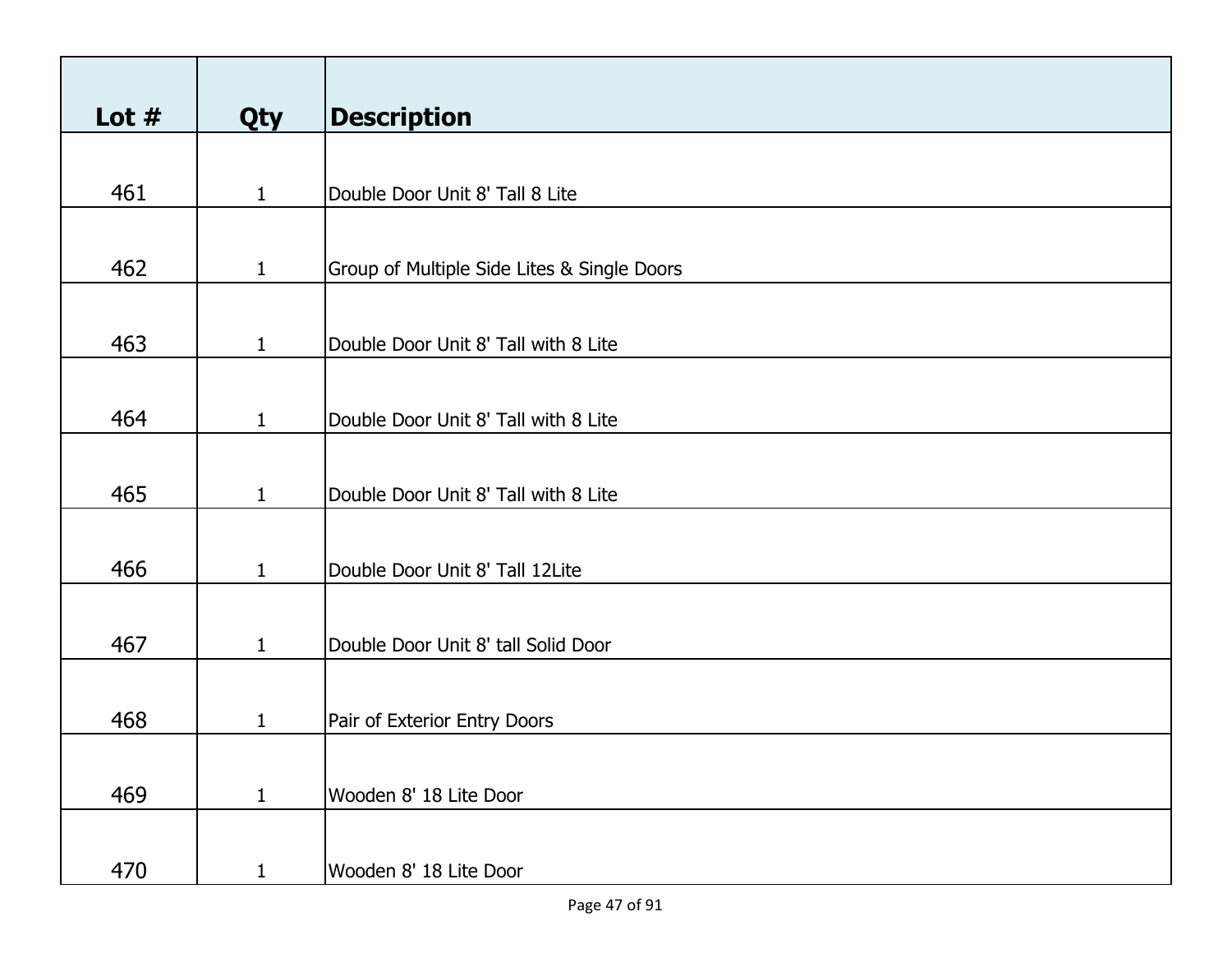| Lot $#$ | Qty          | <b>Description</b>                          |
|---------|--------------|---------------------------------------------|
|         |              |                                             |
| 461     | $\mathbf{1}$ | Double Door Unit 8' Tall 8 Lite             |
|         |              |                                             |
| 462     | $\mathbf{1}$ | Group of Multiple Side Lites & Single Doors |
|         |              |                                             |
| 463     | $\mathbf{1}$ | Double Door Unit 8' Tall with 8 Lite        |
|         |              |                                             |
| 464     | $\mathbf{1}$ | Double Door Unit 8' Tall with 8 Lite        |
|         |              |                                             |
| 465     | $\mathbf{1}$ | Double Door Unit 8' Tall with 8 Lite        |
|         |              |                                             |
| 466     | $\mathbf{1}$ | Double Door Unit 8' Tall 12Lite             |
|         |              |                                             |
| 467     | $\mathbf{1}$ | Double Door Unit 8' tall Solid Door         |
|         |              |                                             |
| 468     | $\mathbf{1}$ | Pair of Exterior Entry Doors                |
|         |              |                                             |
| 469     | $\mathbf{1}$ | Wooden 8' 18 Lite Door                      |
|         |              |                                             |
| 470     | $\mathbf{1}$ | Wooden 8' 18 Lite Door                      |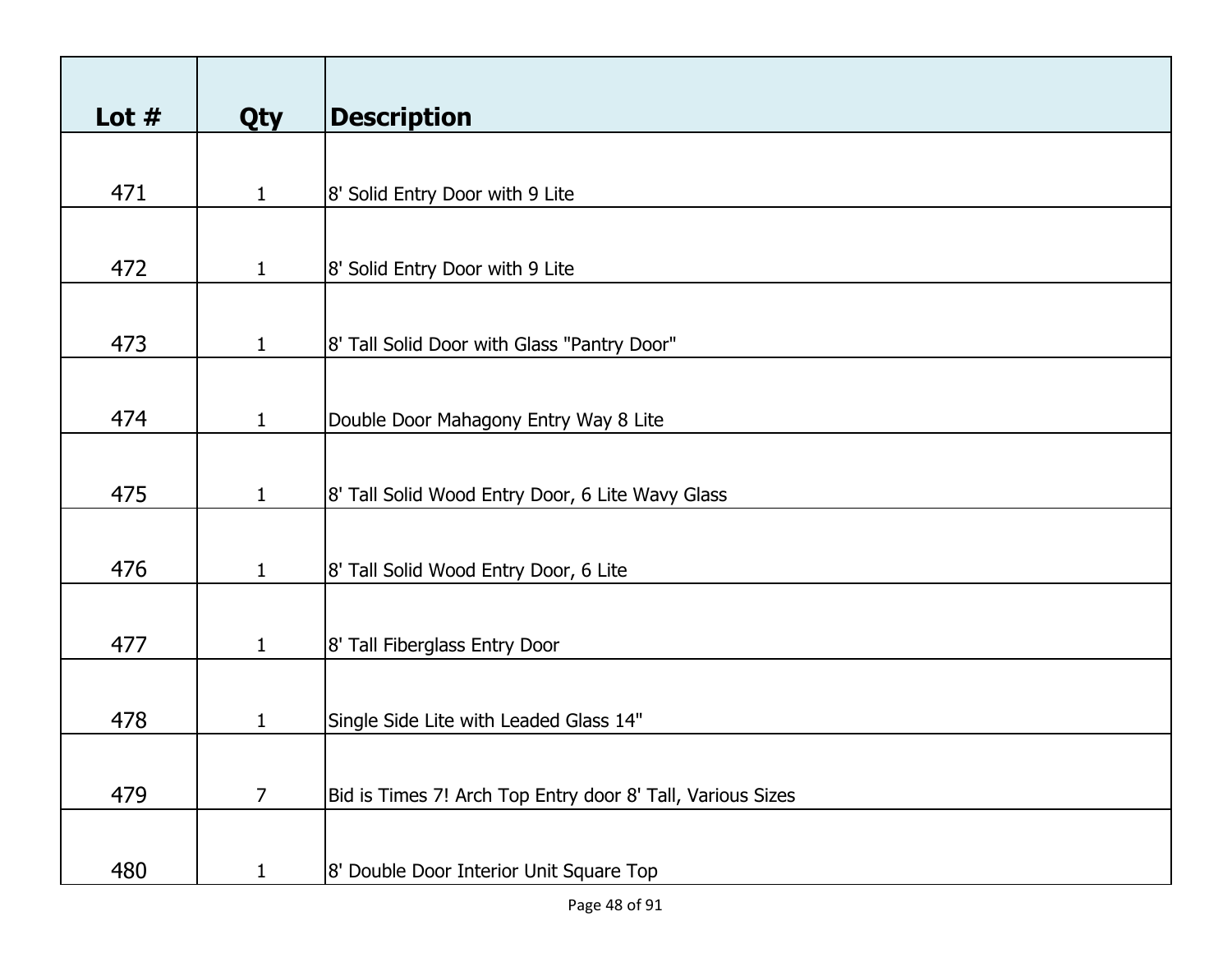| Lot $#$ | Qty            | <b>Description</b>                                         |
|---------|----------------|------------------------------------------------------------|
|         |                |                                                            |
| 471     | $\mathbf{1}$   | 8' Solid Entry Door with 9 Lite                            |
|         |                |                                                            |
|         |                |                                                            |
| 472     | $\mathbf{1}$   | 8' Solid Entry Door with 9 Lite                            |
|         |                |                                                            |
| 473     | $\mathbf{1}$   | 8' Tall Solid Door with Glass "Pantry Door"                |
|         |                |                                                            |
|         |                |                                                            |
| 474     | $\mathbf{1}$   | Double Door Mahagony Entry Way 8 Lite                      |
|         |                |                                                            |
| 475     | $\mathbf{1}$   | 8' Tall Solid Wood Entry Door, 6 Lite Wavy Glass           |
|         |                |                                                            |
| 476     | $\mathbf{1}$   | 8' Tall Solid Wood Entry Door, 6 Lite                      |
|         |                |                                                            |
|         |                |                                                            |
| 477     | $\mathbf{1}$   | 8' Tall Fiberglass Entry Door                              |
|         |                |                                                            |
| 478     | $\mathbf{1}$   | Single Side Lite with Leaded Glass 14"                     |
|         |                |                                                            |
|         |                |                                                            |
| 479     | $\overline{7}$ | Bid is Times 7! Arch Top Entry door 8' Tall, Various Sizes |
|         |                |                                                            |
| 480     | $\mathbf{1}$   | 8' Double Door Interior Unit Square Top                    |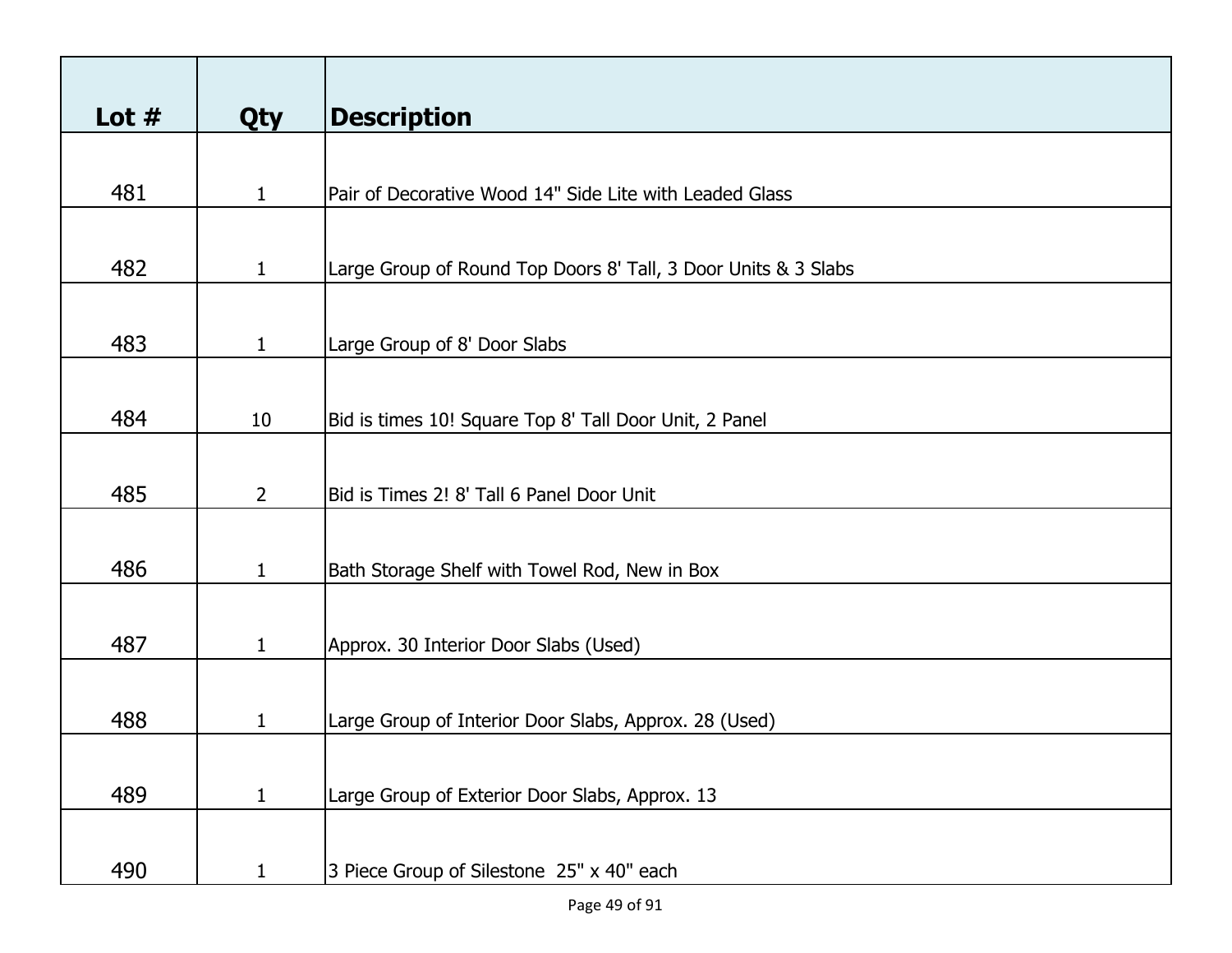| Lot $#$ | <b>Qty</b>   | <b>Description</b>                                             |
|---------|--------------|----------------------------------------------------------------|
|         |              |                                                                |
| 481     | $\mathbf{1}$ | Pair of Decorative Wood 14" Side Lite with Leaded Glass        |
|         |              |                                                                |
|         |              |                                                                |
| 482     | $\mathbf{1}$ | Large Group of Round Top Doors 8' Tall, 3 Door Units & 3 Slabs |
|         |              |                                                                |
| 483     | $\mathbf{1}$ | Large Group of 8' Door Slabs                                   |
|         |              |                                                                |
|         |              |                                                                |
| 484     | 10           | Bid is times 10! Square Top 8' Tall Door Unit, 2 Panel         |
|         |              |                                                                |
| 485     | $2^{\circ}$  | Bid is Times 2! 8' Tall 6 Panel Door Unit                      |
|         |              |                                                                |
| 486     |              |                                                                |
|         | $\mathbf{1}$ | Bath Storage Shelf with Towel Rod, New in Box                  |
|         |              |                                                                |
| 487     | $\mathbf{1}$ | Approx. 30 Interior Door Slabs (Used)                          |
|         |              |                                                                |
| 488     | 1            | Large Group of Interior Door Slabs, Approx. 28 (Used)          |
|         |              |                                                                |
|         |              |                                                                |
| 489     | $\mathbf{1}$ | Large Group of Exterior Door Slabs, Approx. 13                 |
|         |              |                                                                |
| 490     | 1            | 3 Piece Group of Silestone 25" x 40" each                      |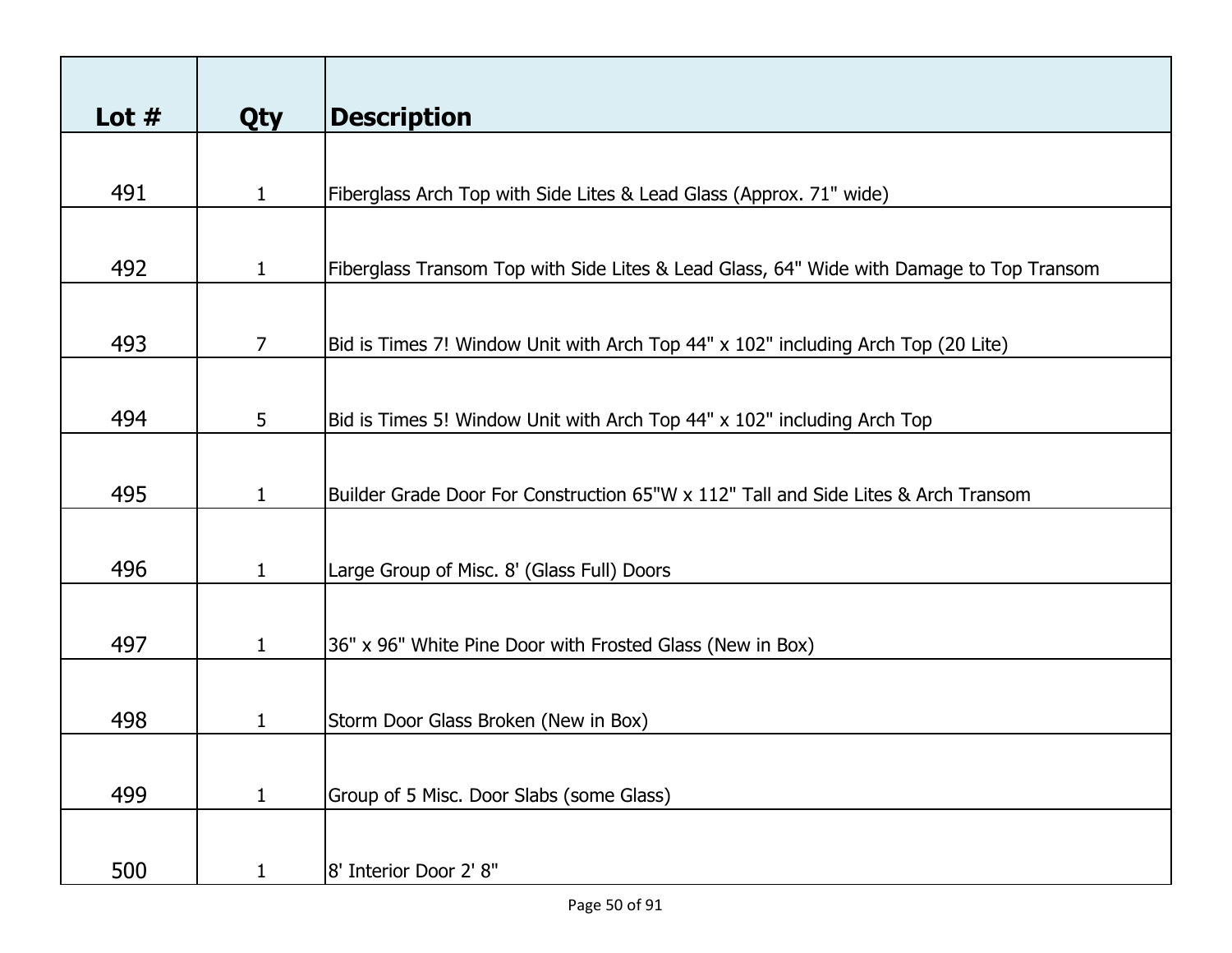| Lot $#$ | <b>Qty</b>     | <b>Description</b>                                                                       |
|---------|----------------|------------------------------------------------------------------------------------------|
|         |                |                                                                                          |
| 491     | $\mathbf{1}$   | Fiberglass Arch Top with Side Lites & Lead Glass (Approx. 71" wide)                      |
|         |                |                                                                                          |
| 492     | $\mathbf{1}$   | Fiberglass Transom Top with Side Lites & Lead Glass, 64" Wide with Damage to Top Transom |
|         |                |                                                                                          |
| 493     | $\overline{7}$ | Bid is Times 7! Window Unit with Arch Top 44" x 102" including Arch Top (20 Lite)        |
|         |                |                                                                                          |
| 494     | 5              | Bid is Times 5! Window Unit with Arch Top 44" x 102" including Arch Top                  |
|         |                |                                                                                          |
| 495     | $\mathbf{1}$   | Builder Grade Door For Construction 65"W x 112" Tall and Side Lites & Arch Transom       |
|         |                |                                                                                          |
| 496     | $\mathbf{1}$   | Large Group of Misc. 8' (Glass Full) Doors                                               |
|         |                |                                                                                          |
| 497     | $\mathbf{1}$   | 36" x 96" White Pine Door with Frosted Glass (New in Box)                                |
|         |                |                                                                                          |
| 498     | 1              | Storm Door Glass Broken (New in Box)                                                     |
|         |                |                                                                                          |
| 499     | $\mathbf{1}$   | Group of 5 Misc. Door Slabs (some Glass)                                                 |
|         |                |                                                                                          |
| 500     | $\mathbf{1}$   | 8' Interior Door 2' 8"                                                                   |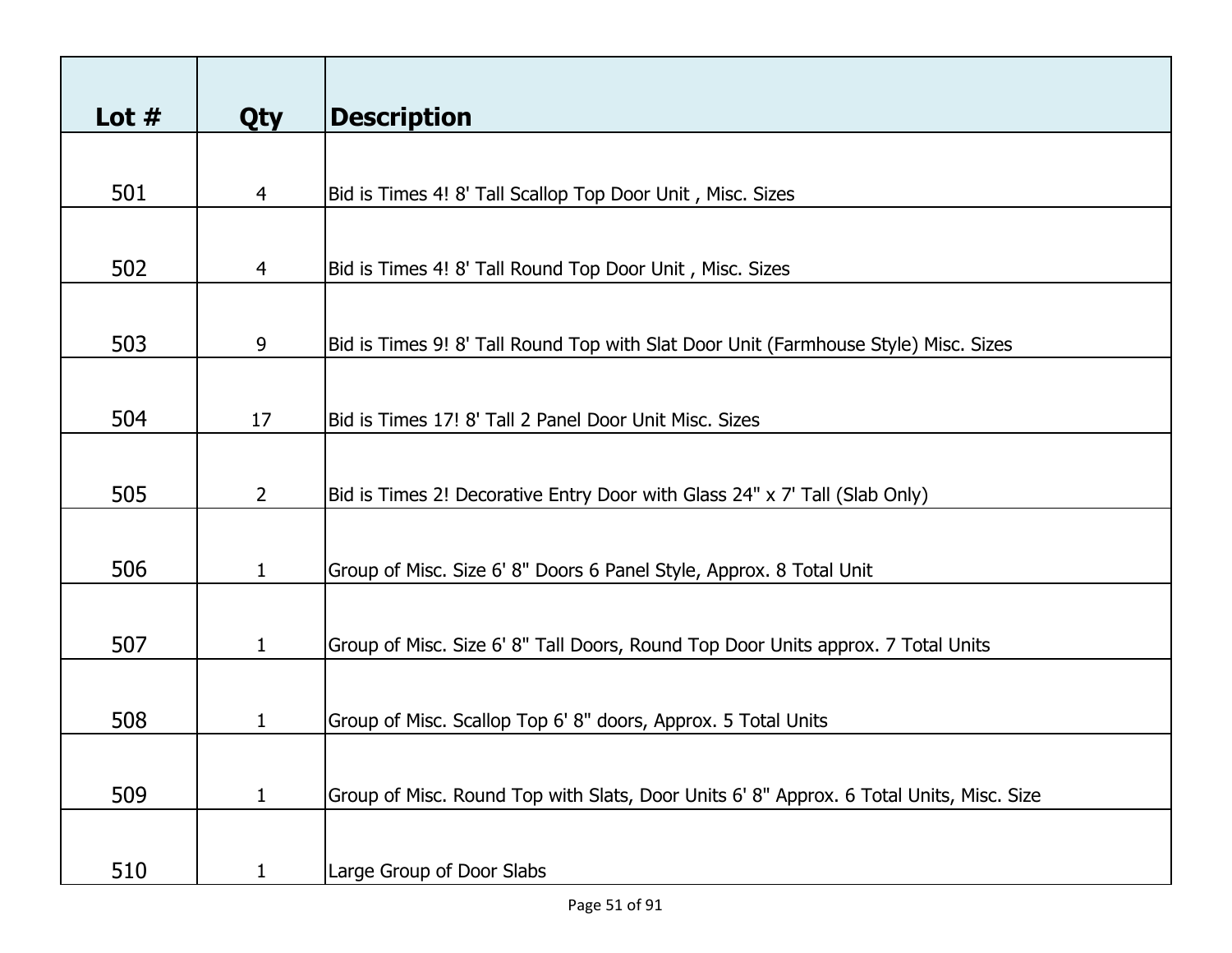| Lot $#$ | <b>Qty</b>     | <b>Description</b>                                                                      |
|---------|----------------|-----------------------------------------------------------------------------------------|
|         |                |                                                                                         |
| 501     | $\overline{4}$ | Bid is Times 4! 8' Tall Scallop Top Door Unit, Misc. Sizes                              |
|         |                |                                                                                         |
| 502     | $\overline{4}$ | Bid is Times 4! 8' Tall Round Top Door Unit, Misc. Sizes                                |
|         |                |                                                                                         |
| 503     | 9              | Bid is Times 9! 8' Tall Round Top with Slat Door Unit (Farmhouse Style) Misc. Sizes     |
|         |                |                                                                                         |
| 504     | 17             | Bid is Times 17! 8' Tall 2 Panel Door Unit Misc. Sizes                                  |
|         |                |                                                                                         |
| 505     | $\overline{2}$ | Bid is Times 2! Decorative Entry Door with Glass 24" x 7' Tall (Slab Only)              |
|         |                |                                                                                         |
| 506     | $\mathbf{1}$   | Group of Misc. Size 6' 8" Doors 6 Panel Style, Approx. 8 Total Unit                     |
|         |                |                                                                                         |
| 507     | $\mathbf{1}$   | Group of Misc. Size 6' 8" Tall Doors, Round Top Door Units approx. 7 Total Units        |
|         |                |                                                                                         |
| 508     | 1              | Group of Misc. Scallop Top 6' 8" doors, Approx. 5 Total Units                           |
|         |                |                                                                                         |
| 509     | $\mathbf{1}$   | Group of Misc. Round Top with Slats, Door Units 6' 8" Approx. 6 Total Units, Misc. Size |
|         |                |                                                                                         |
| 510     | $\mathbf{1}$   | Large Group of Door Slabs                                                               |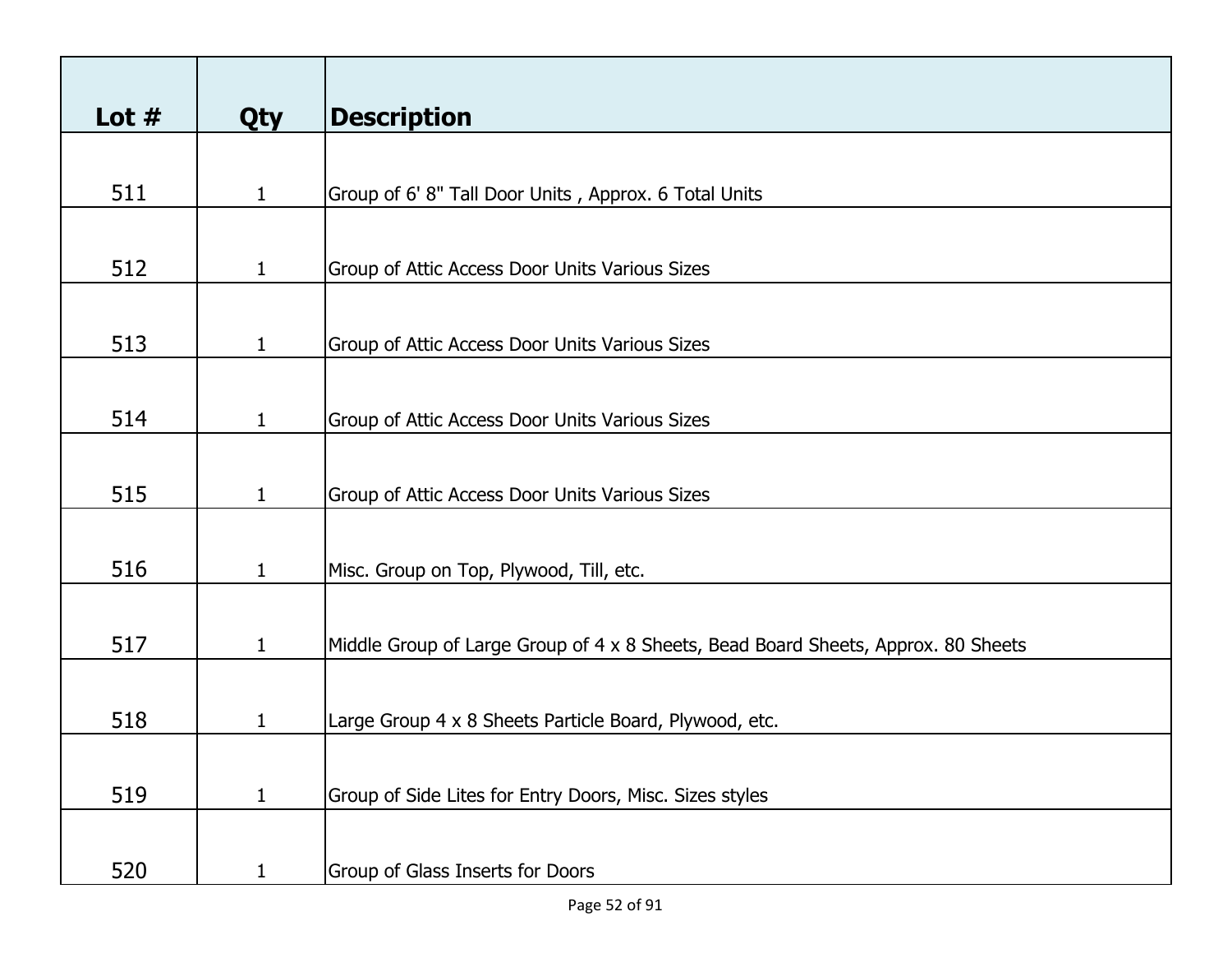| Lot $#$ | <b>Qty</b>   | <b>Description</b>                                                                |
|---------|--------------|-----------------------------------------------------------------------------------|
|         |              |                                                                                   |
| 511     | $\mathbf{1}$ | Group of 6' 8" Tall Door Units, Approx. 6 Total Units                             |
|         |              |                                                                                   |
| 512     | $\mathbf{1}$ | Group of Attic Access Door Units Various Sizes                                    |
|         |              |                                                                                   |
|         |              |                                                                                   |
| 513     | $\mathbf{1}$ | Group of Attic Access Door Units Various Sizes                                    |
|         |              |                                                                                   |
| 514     | $\mathbf{1}$ | Group of Attic Access Door Units Various Sizes                                    |
|         |              |                                                                                   |
| 515     | $\mathbf{1}$ | Group of Attic Access Door Units Various Sizes                                    |
|         |              |                                                                                   |
|         |              |                                                                                   |
| 516     | $\mathbf{1}$ | Misc. Group on Top, Plywood, Till, etc.                                           |
|         |              |                                                                                   |
| 517     | $\mathbf{1}$ | Middle Group of Large Group of 4 x 8 Sheets, Bead Board Sheets, Approx. 80 Sheets |
|         |              |                                                                                   |
| 518     | $\mathbf{1}$ | Large Group 4 x 8 Sheets Particle Board, Plywood, etc.                            |
|         |              |                                                                                   |
|         |              |                                                                                   |
| 519     | $\mathbf{1}$ | Group of Side Lites for Entry Doors, Misc. Sizes styles                           |
|         |              |                                                                                   |
| 520     | $\mathbf{1}$ | Group of Glass Inserts for Doors                                                  |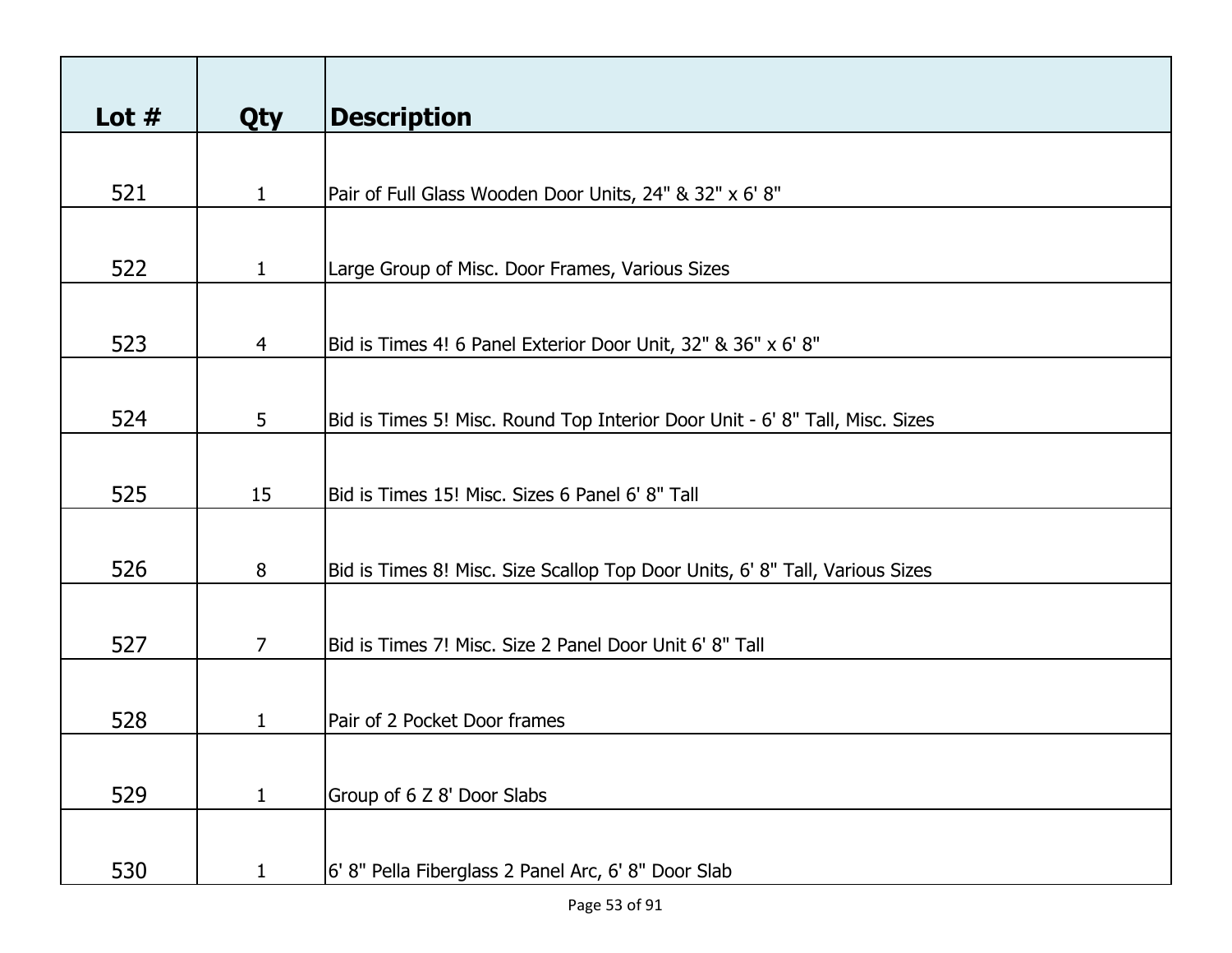| Lot $#$ | <b>Qty</b>     | <b>Description</b>                                                           |
|---------|----------------|------------------------------------------------------------------------------|
|         |                |                                                                              |
| 521     | $\mathbf{1}$   | Pair of Full Glass Wooden Door Units, 24" & 32" x 6' 8"                      |
|         |                |                                                                              |
| 522     | 1              | Large Group of Misc. Door Frames, Various Sizes                              |
|         |                |                                                                              |
| 523     | $\overline{4}$ | Bid is Times 4! 6 Panel Exterior Door Unit, 32" & 36" x 6' 8"                |
|         |                |                                                                              |
| 524     | 5              | Bid is Times 5! Misc. Round Top Interior Door Unit - 6' 8" Tall, Misc. Sizes |
|         |                |                                                                              |
| 525     | 15             | Bid is Times 15! Misc. Sizes 6 Panel 6' 8" Tall                              |
|         |                |                                                                              |
| 526     | 8              | Bid is Times 8! Misc. Size Scallop Top Door Units, 6' 8" Tall, Various Sizes |
|         |                |                                                                              |
| 527     | $\overline{7}$ | Bid is Times 7! Misc. Size 2 Panel Door Unit 6' 8" Tall                      |
|         |                |                                                                              |
| 528     | 1              | Pair of 2 Pocket Door frames                                                 |
|         |                |                                                                              |
| 529     | $\mathbf{1}$   | Group of 6 Z 8' Door Slabs                                                   |
|         |                |                                                                              |
| 530     | 1              | 6' 8" Pella Fiberglass 2 Panel Arc, 6' 8" Door Slab                          |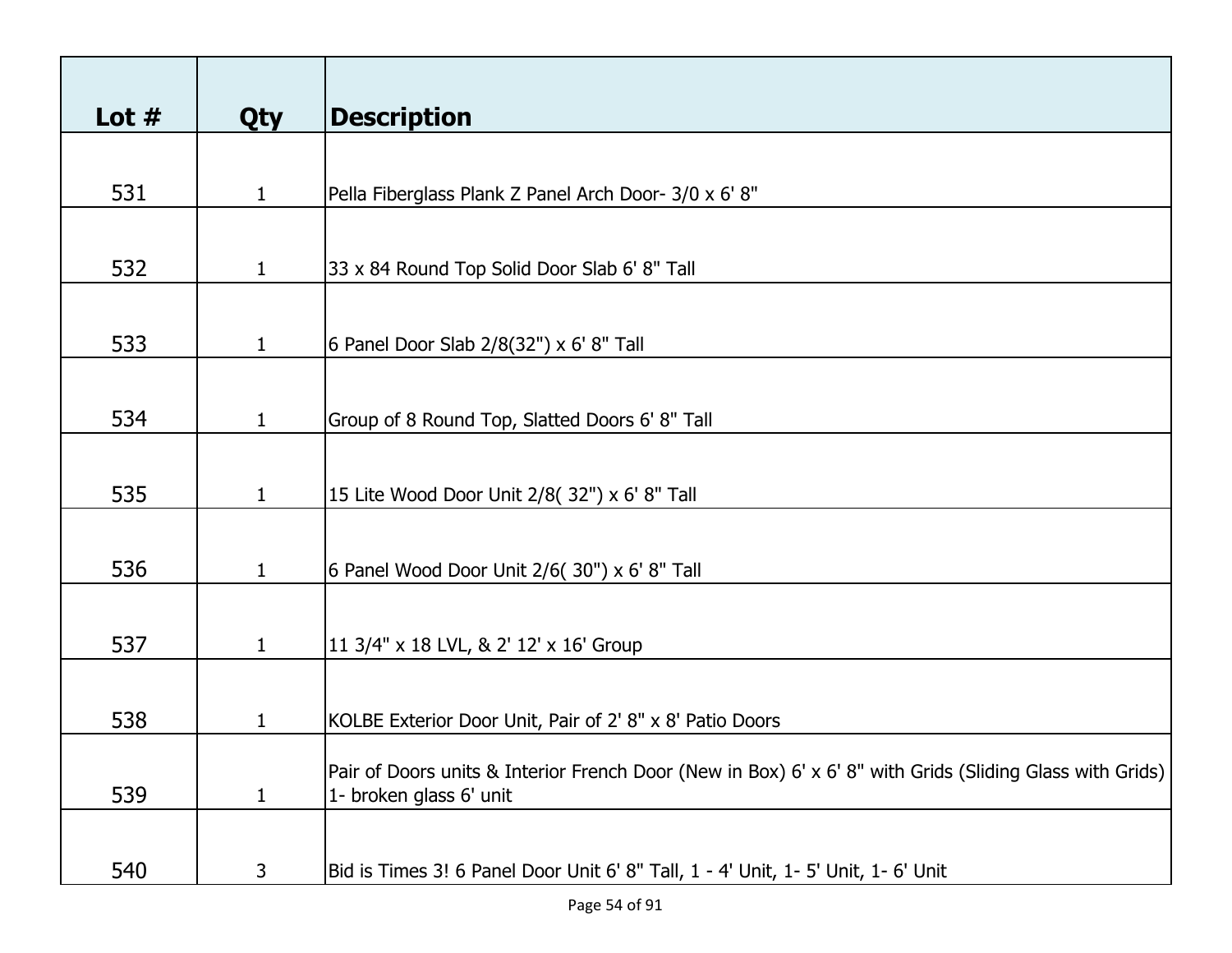| Lot $#$ | <b>Qty</b>   | <b>Description</b>                                                                                       |
|---------|--------------|----------------------------------------------------------------------------------------------------------|
|         |              |                                                                                                          |
| 531     | $\mathbf{1}$ | Pella Fiberglass Plank Z Panel Arch Door- 3/0 x 6' 8"                                                    |
|         |              |                                                                                                          |
| 532     | $\mathbf 1$  | 33 x 84 Round Top Solid Door Slab 6' 8" Tall                                                             |
|         |              |                                                                                                          |
| 533     | $\mathbf{1}$ | 6 Panel Door Slab 2/8(32") x 6' 8" Tall                                                                  |
|         |              |                                                                                                          |
| 534     | $\mathbf{1}$ | Group of 8 Round Top, Slatted Doors 6' 8" Tall                                                           |
|         |              |                                                                                                          |
| 535     | $\mathbf{1}$ | 15 Lite Wood Door Unit 2/8( 32") x 6' 8" Tall                                                            |
|         |              |                                                                                                          |
| 536     | $\mathbf{1}$ | 6 Panel Wood Door Unit 2/6( 30") x 6' 8" Tall                                                            |
|         |              |                                                                                                          |
| 537     | $\mathbf{1}$ | 11 3/4" x 18 LVL, & 2' 12' x 16' Group                                                                   |
|         |              |                                                                                                          |
| 538     | 1            | KOLBE Exterior Door Unit, Pair of 2' 8" x 8' Patio Doors                                                 |
|         |              | Pair of Doors units & Interior French Door (New in Box) 6' x 6' 8" with Grids (Sliding Glass with Grids) |
| 539     | $\mathbf 1$  | 1- broken glass 6' unit                                                                                  |
|         |              |                                                                                                          |
| 540     | $\mathsf{3}$ | Bid is Times 3! 6 Panel Door Unit 6' 8" Tall, 1 - 4' Unit, 1- 5' Unit, 1- 6' Unit                        |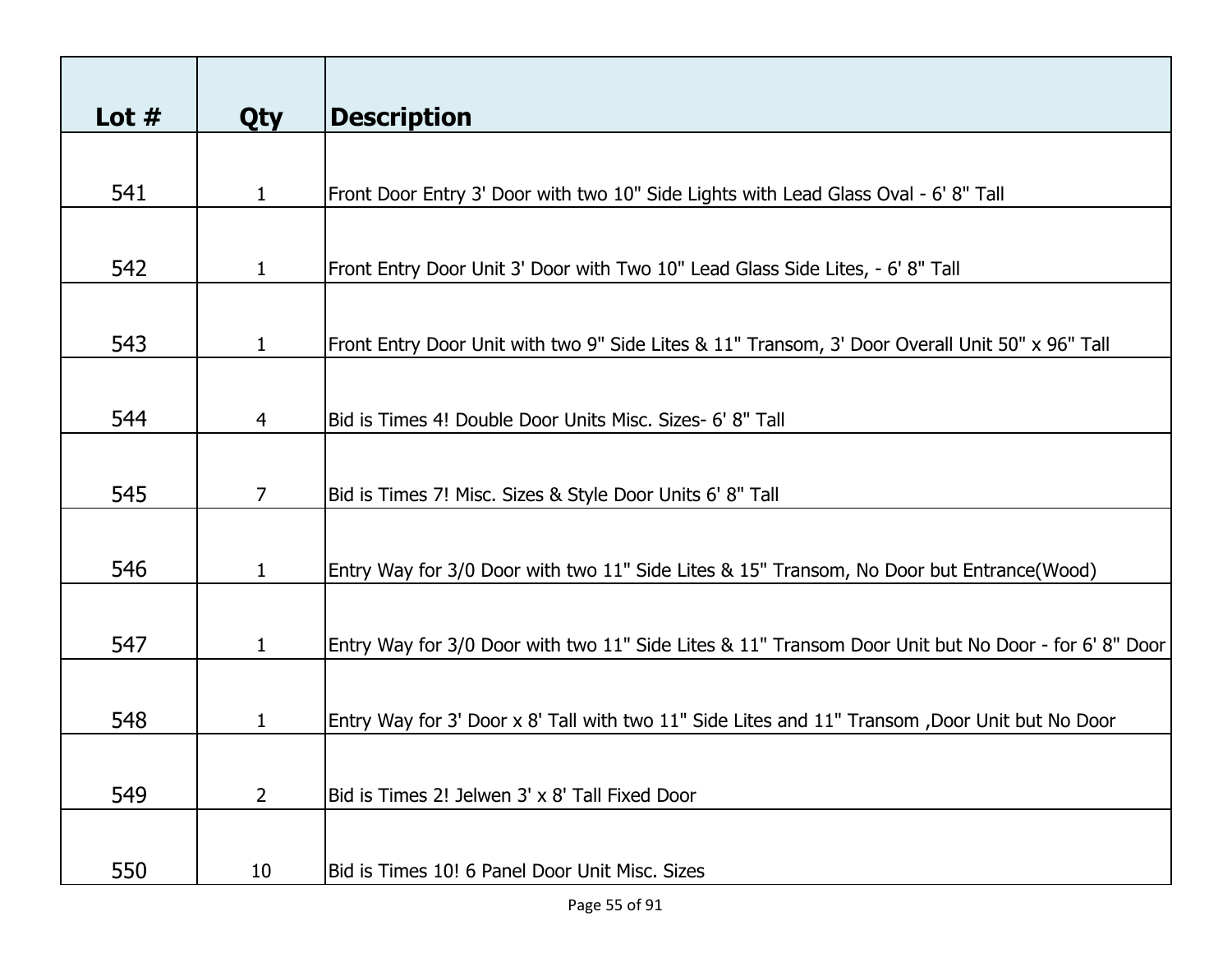|                | <b>Description</b>                                                                                  |
|----------------|-----------------------------------------------------------------------------------------------------|
|                |                                                                                                     |
|                | Front Door Entry 3' Door with two 10" Side Lights with Lead Glass Oval - 6' 8" Tall                 |
|                |                                                                                                     |
|                |                                                                                                     |
| $\mathbf{1}$   | Front Entry Door Unit 3' Door with Two 10" Lead Glass Side Lites, - 6' 8" Tall                      |
|                |                                                                                                     |
| $\mathbf{1}$   | Front Entry Door Unit with two 9" Side Lites & 11" Transom, 3' Door Overall Unit 50" x 96" Tall     |
|                |                                                                                                     |
|                |                                                                                                     |
|                | Bid is Times 4! Double Door Units Misc. Sizes- 6' 8" Tall                                           |
|                |                                                                                                     |
| 7              | Bid is Times 7! Misc. Sizes & Style Door Units 6' 8" Tall                                           |
|                |                                                                                                     |
|                |                                                                                                     |
|                | Entry Way for 3/0 Door with two 11" Side Lites & 15" Transom, No Door but Entrance(Wood)            |
|                |                                                                                                     |
| $\mathbf{1}$   | Entry Way for 3/0 Door with two 11" Side Lites & 11" Transom Door Unit but No Door - for 6' 8" Door |
|                |                                                                                                     |
|                |                                                                                                     |
|                | Entry Way for 3' Door x 8' Tall with two 11" Side Lites and 11" Transom ,Door Unit but No Door      |
|                |                                                                                                     |
| $\overline{2}$ | Bid is Times 2! Jelwen 3' x 8' Tall Fixed Door                                                      |
|                |                                                                                                     |
|                | Bid is Times 10! 6 Panel Door Unit Misc. Sizes                                                      |
|                | <b>Qty</b><br>$\mathbf{1}$<br>$\overline{4}$<br>$\mathbf{1}$<br>$\mathbf 1$<br>10                   |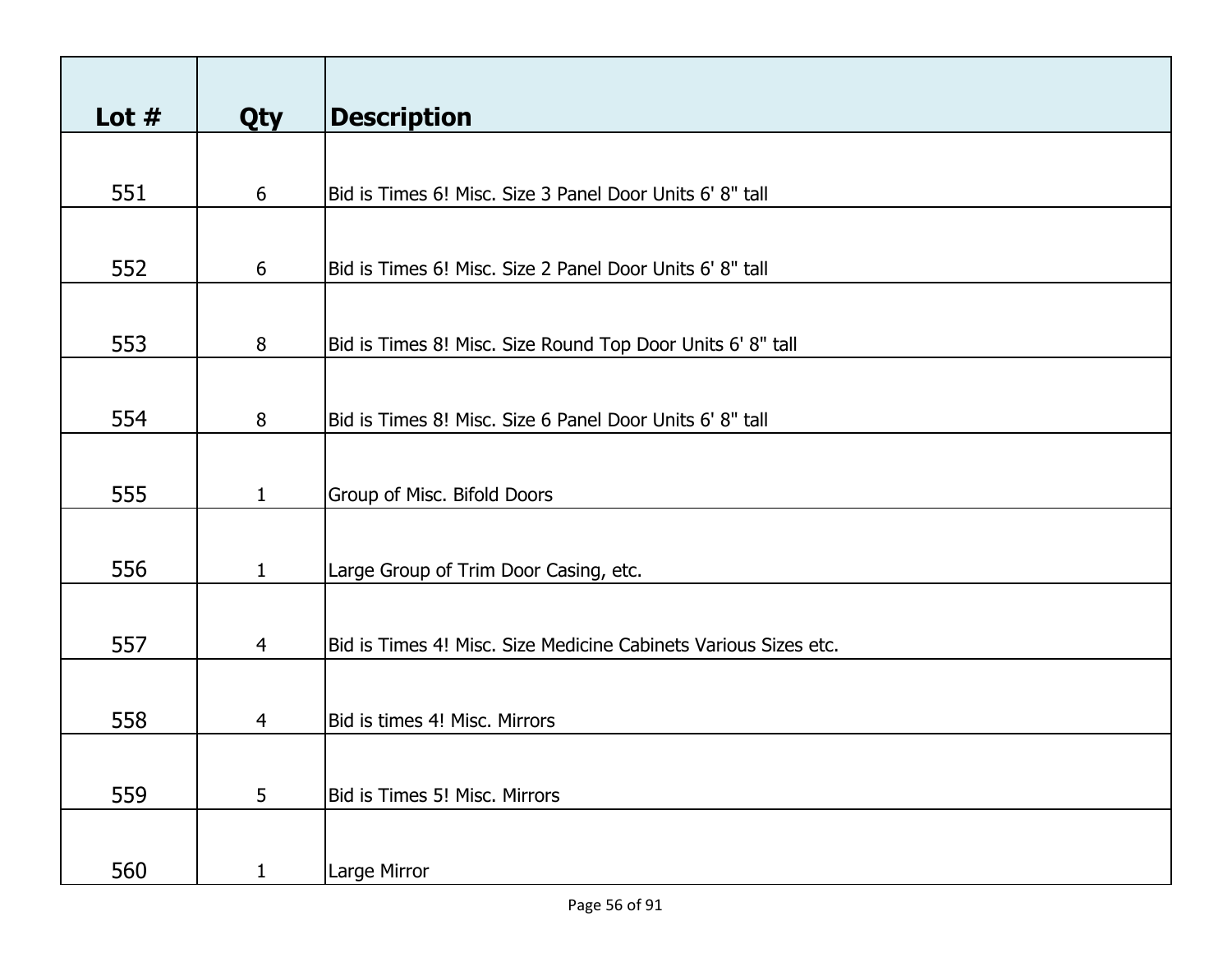| Lot $#$ | <b>Qty</b>     | <b>Description</b>                                              |
|---------|----------------|-----------------------------------------------------------------|
|         |                |                                                                 |
| 551     | 6              | Bid is Times 6! Misc. Size 3 Panel Door Units 6' 8" tall        |
|         |                |                                                                 |
| 552     | 6              | Bid is Times 6! Misc. Size 2 Panel Door Units 6' 8" tall        |
|         |                |                                                                 |
| 553     | 8              | Bid is Times 8! Misc. Size Round Top Door Units 6' 8" tall      |
|         |                |                                                                 |
| 554     | 8              | Bid is Times 8! Misc. Size 6 Panel Door Units 6' 8" tall        |
|         |                |                                                                 |
| 555     | $\mathbf{1}$   | Group of Misc. Bifold Doors                                     |
|         |                |                                                                 |
| 556     | $\mathbf{1}$   | Large Group of Trim Door Casing, etc.                           |
|         |                |                                                                 |
| 557     | $\overline{4}$ | Bid is Times 4! Misc. Size Medicine Cabinets Various Sizes etc. |
|         |                |                                                                 |
| 558     | 4              | Bid is times 4! Misc. Mirrors                                   |
|         |                |                                                                 |
| 559     | 5              | Bid is Times 5! Misc. Mirrors                                   |
|         |                |                                                                 |
| 560     | $\mathbf{1}$   | Large Mirror                                                    |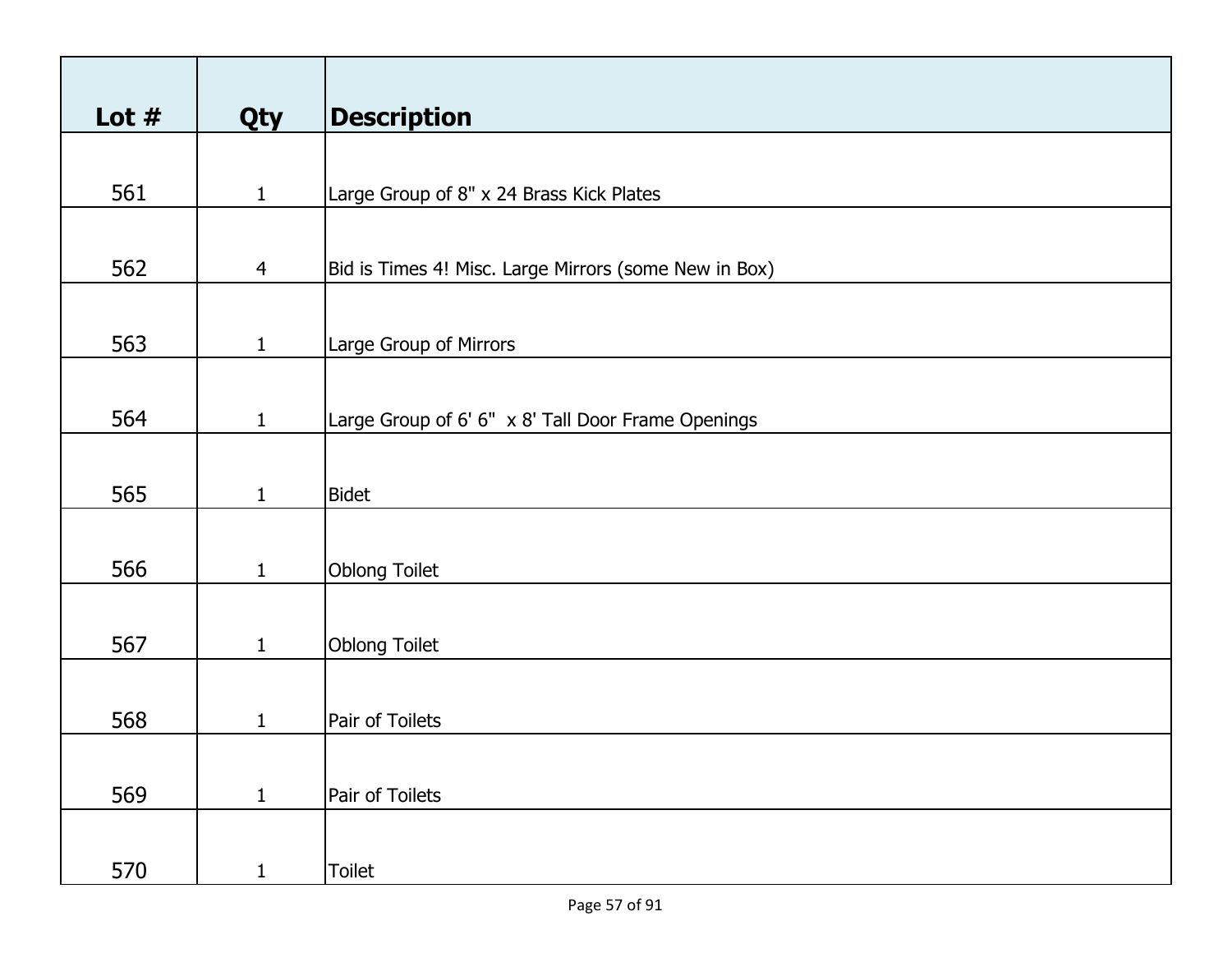| Lot $#$ | <b>Qty</b>     | <b>Description</b>                                    |
|---------|----------------|-------------------------------------------------------|
|         |                |                                                       |
| 561     | $\mathbf{1}$   | Large Group of 8" x 24 Brass Kick Plates              |
|         |                |                                                       |
| 562     | $\overline{4}$ | Bid is Times 4! Misc. Large Mirrors (some New in Box) |
|         |                |                                                       |
| 563     | $\mathbf{1}$   | Large Group of Mirrors                                |
|         |                |                                                       |
|         |                |                                                       |
| 564     | $\mathbf{1}$   | Large Group of 6' 6" x 8' Tall Door Frame Openings    |
|         |                |                                                       |
| 565     | $\mathbf{1}$   | <b>Bidet</b>                                          |
|         |                |                                                       |
| 566     | $\mathbf{1}$   | Oblong Toilet                                         |
|         |                |                                                       |
|         |                |                                                       |
| 567     | $\mathbf{1}$   | Oblong Toilet                                         |
|         |                |                                                       |
| 568     | 1              | Pair of Toilets                                       |
|         |                |                                                       |
| 569     | $\mathbf{1}$   | Pair of Toilets                                       |
|         |                |                                                       |
|         |                |                                                       |
| 570     | $\mathbf{1}$   | Toilet                                                |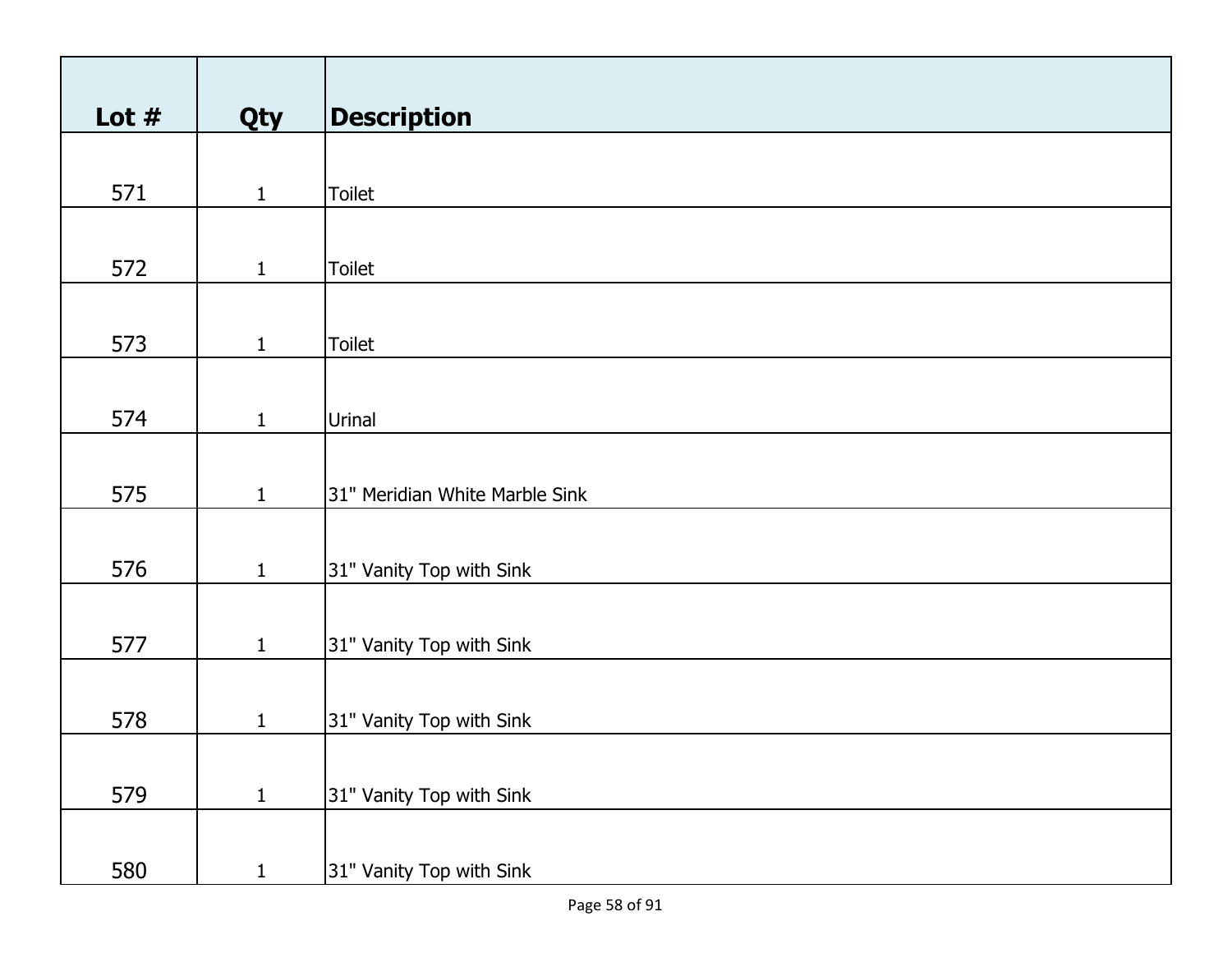| Lot $#$ | Qty          | <b>Description</b>             |
|---------|--------------|--------------------------------|
|         |              |                                |
| 571     | $\mathbf{1}$ | <b>Toilet</b>                  |
|         |              |                                |
|         |              |                                |
| 572     | $\mathbf{1}$ | <b>Toilet</b>                  |
|         |              |                                |
| 573     | $\mathbf{1}$ | Toilet                         |
|         |              |                                |
| 574     |              | Urinal                         |
|         | $\mathbf{1}$ |                                |
|         |              |                                |
| 575     | $\mathbf{1}$ | 31" Meridian White Marble Sink |
|         |              |                                |
| 576     | $\mathbf{1}$ | 31" Vanity Top with Sink       |
|         |              |                                |
|         |              |                                |
| 577     | $\mathbf{1}$ | 31" Vanity Top with Sink       |
|         |              |                                |
| 578     | $\mathbf{1}$ | 31" Vanity Top with Sink       |
|         |              |                                |
|         |              |                                |
| 579     | $\mathbf{1}$ | 31" Vanity Top with Sink       |
|         |              |                                |
| 580     | $\mathbf{1}$ | 31" Vanity Top with Sink       |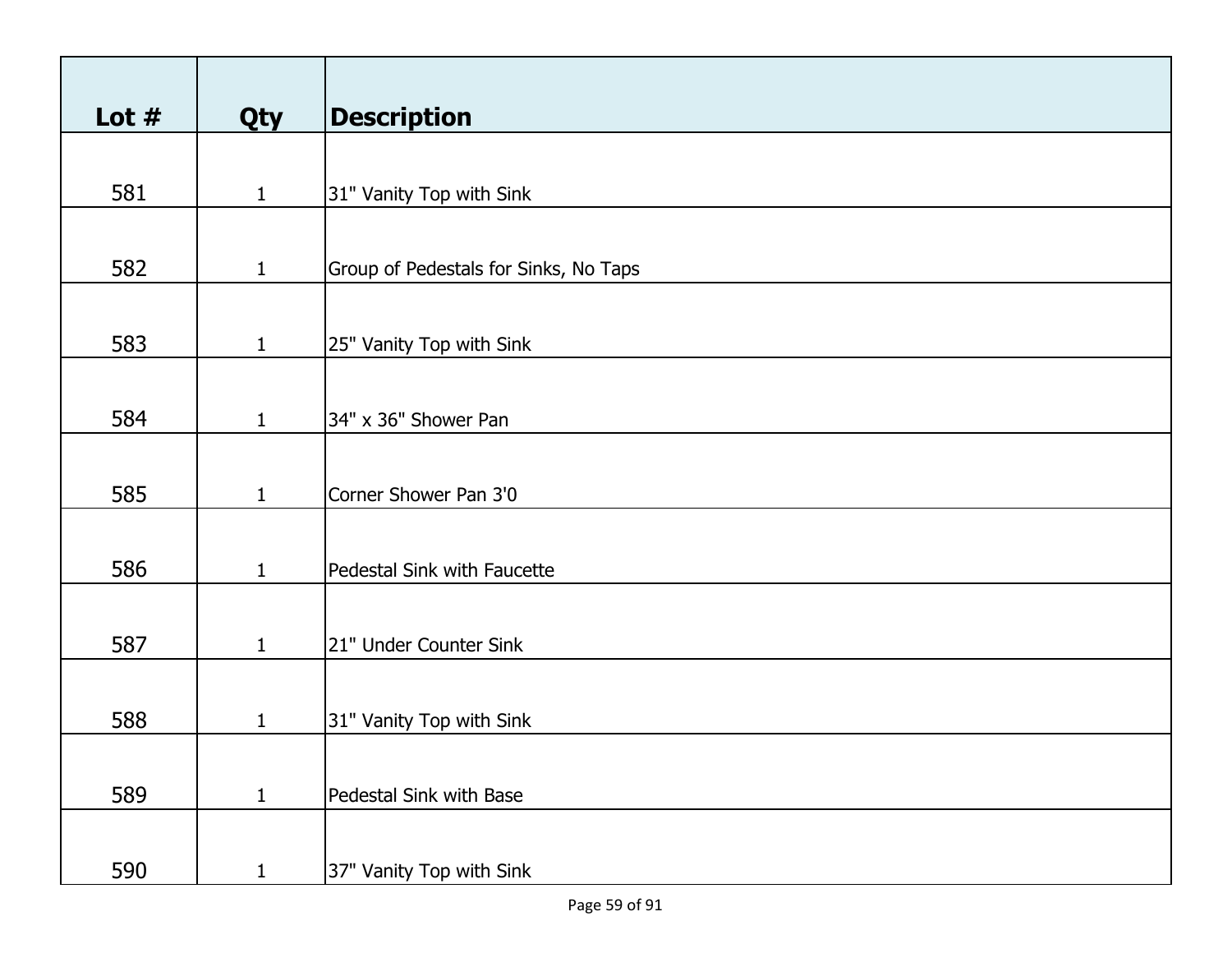| Lot $#$ | Qty          | <b>Description</b>                    |
|---------|--------------|---------------------------------------|
|         |              |                                       |
| 581     | $\mathbf{1}$ | 31" Vanity Top with Sink              |
|         |              |                                       |
| 582     | $\mathbf{1}$ | Group of Pedestals for Sinks, No Taps |
|         |              |                                       |
| 583     | $\mathbf{1}$ | 25" Vanity Top with Sink              |
|         |              |                                       |
| 584     | $\mathbf{1}$ | 34" x 36" Shower Pan                  |
|         |              |                                       |
| 585     | $\mathbf{1}$ | Corner Shower Pan 3'0                 |
|         |              |                                       |
| 586     | $\mathbf{1}$ | Pedestal Sink with Faucette           |
|         |              |                                       |
| 587     | $\mathbf{1}$ | 21" Under Counter Sink                |
|         |              |                                       |
| 588     | $\mathbf{1}$ | 31" Vanity Top with Sink              |
|         |              |                                       |
| 589     | $\mathbf{1}$ | Pedestal Sink with Base               |
|         |              |                                       |
| 590     | $\mathbf{1}$ | 37" Vanity Top with Sink              |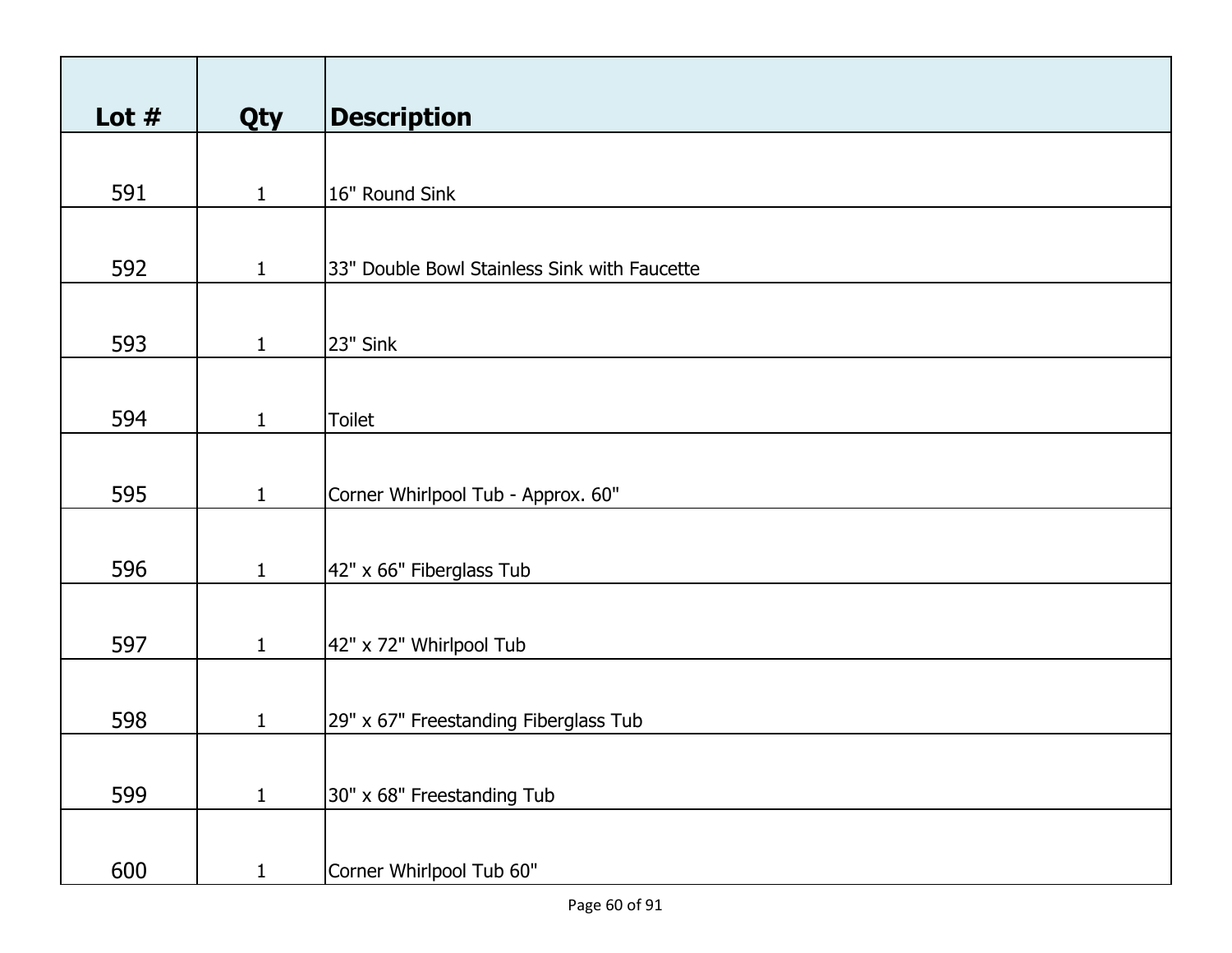| Lot $#$ | Qty          | <b>Description</b>                           |
|---------|--------------|----------------------------------------------|
|         |              |                                              |
| 591     | $\mathbf{1}$ | 16" Round Sink                               |
|         |              |                                              |
| 592     | $\mathbf{1}$ | 33" Double Bowl Stainless Sink with Faucette |
|         |              |                                              |
| 593     | $\mathbf{1}$ | 23" Sink                                     |
|         |              |                                              |
| 594     | $\mathbf{1}$ | Toilet                                       |
|         |              |                                              |
| 595     | $\mathbf{1}$ | Corner Whirlpool Tub - Approx. 60"           |
|         |              |                                              |
| 596     | $\mathbf{1}$ | 42" x 66" Fiberglass Tub                     |
|         |              |                                              |
| 597     | $\mathbf{1}$ | 42" x 72" Whirlpool Tub                      |
|         |              |                                              |
| 598     | $\mathbf{1}$ | 29" x 67" Freestanding Fiberglass Tub        |
|         |              |                                              |
| 599     | $\mathbf{1}$ | 30" x 68" Freestanding Tub                   |
|         |              |                                              |
| 600     | $\mathbf{1}$ | Corner Whirlpool Tub 60"                     |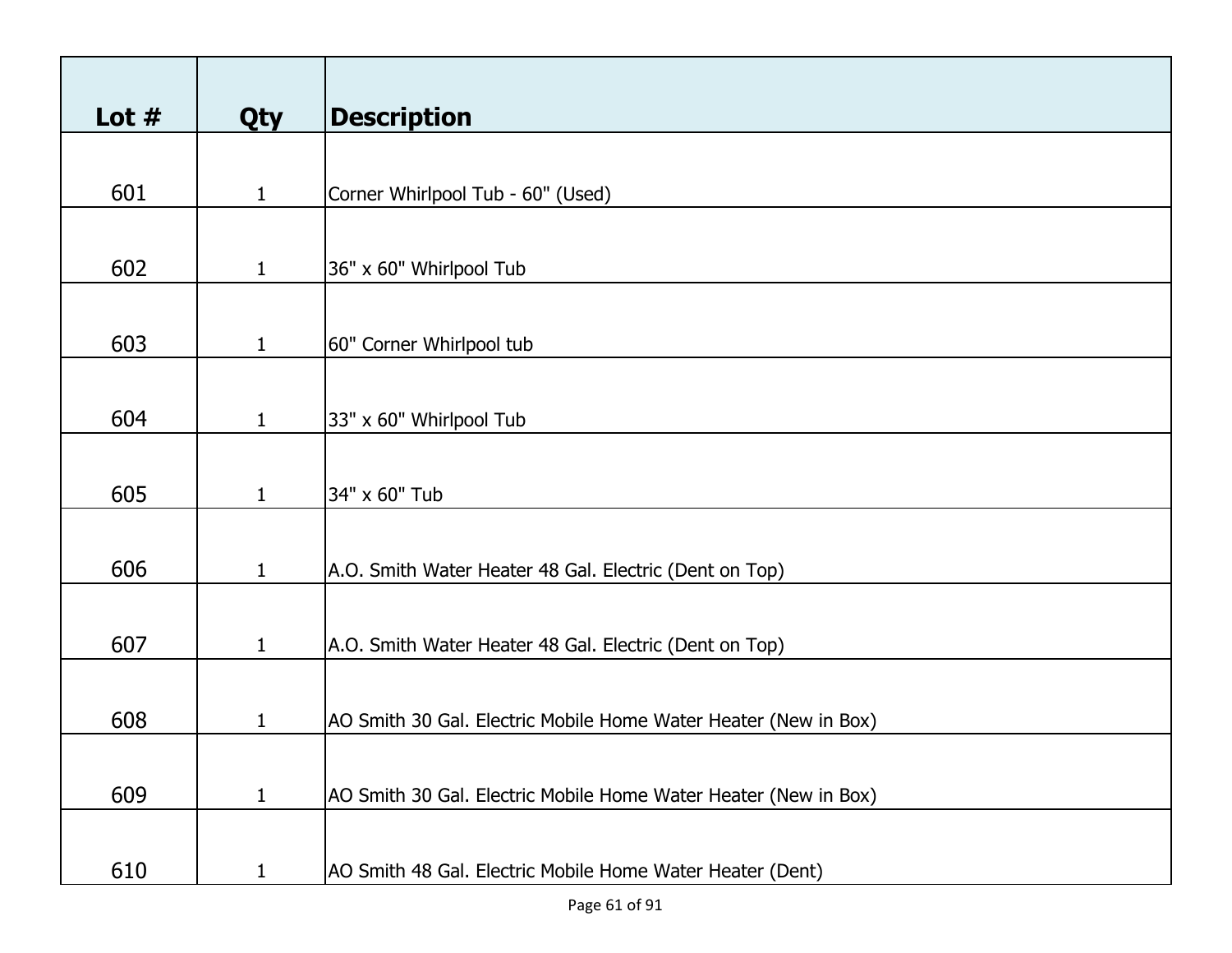| Lot $#$ | <b>Qty</b>   | <b>Description</b>                                              |
|---------|--------------|-----------------------------------------------------------------|
|         |              |                                                                 |
| 601     | $\mathbf{1}$ | Corner Whirlpool Tub - 60" (Used)                               |
|         |              |                                                                 |
| 602     | $\mathbf{1}$ | 36" x 60" Whirlpool Tub                                         |
|         |              |                                                                 |
| 603     | $\mathbf{1}$ | 60" Corner Whirlpool tub                                        |
|         |              |                                                                 |
| 604     | $\mathbf{1}$ | 33" x 60" Whirlpool Tub                                         |
|         |              |                                                                 |
| 605     | $\mathbf{1}$ | 34" x 60" Tub                                                   |
|         |              |                                                                 |
| 606     | $\mathbf{1}$ | A.O. Smith Water Heater 48 Gal. Electric (Dent on Top)          |
|         |              |                                                                 |
| 607     | $\mathbf{1}$ | A.O. Smith Water Heater 48 Gal. Electric (Dent on Top)          |
| 608     | 1            | AO Smith 30 Gal. Electric Mobile Home Water Heater (New in Box) |
|         |              |                                                                 |
| 609     | $\mathbf{1}$ | AO Smith 30 Gal. Electric Mobile Home Water Heater (New in Box) |
|         |              |                                                                 |
| 610     | 1            | AO Smith 48 Gal. Electric Mobile Home Water Heater (Dent)       |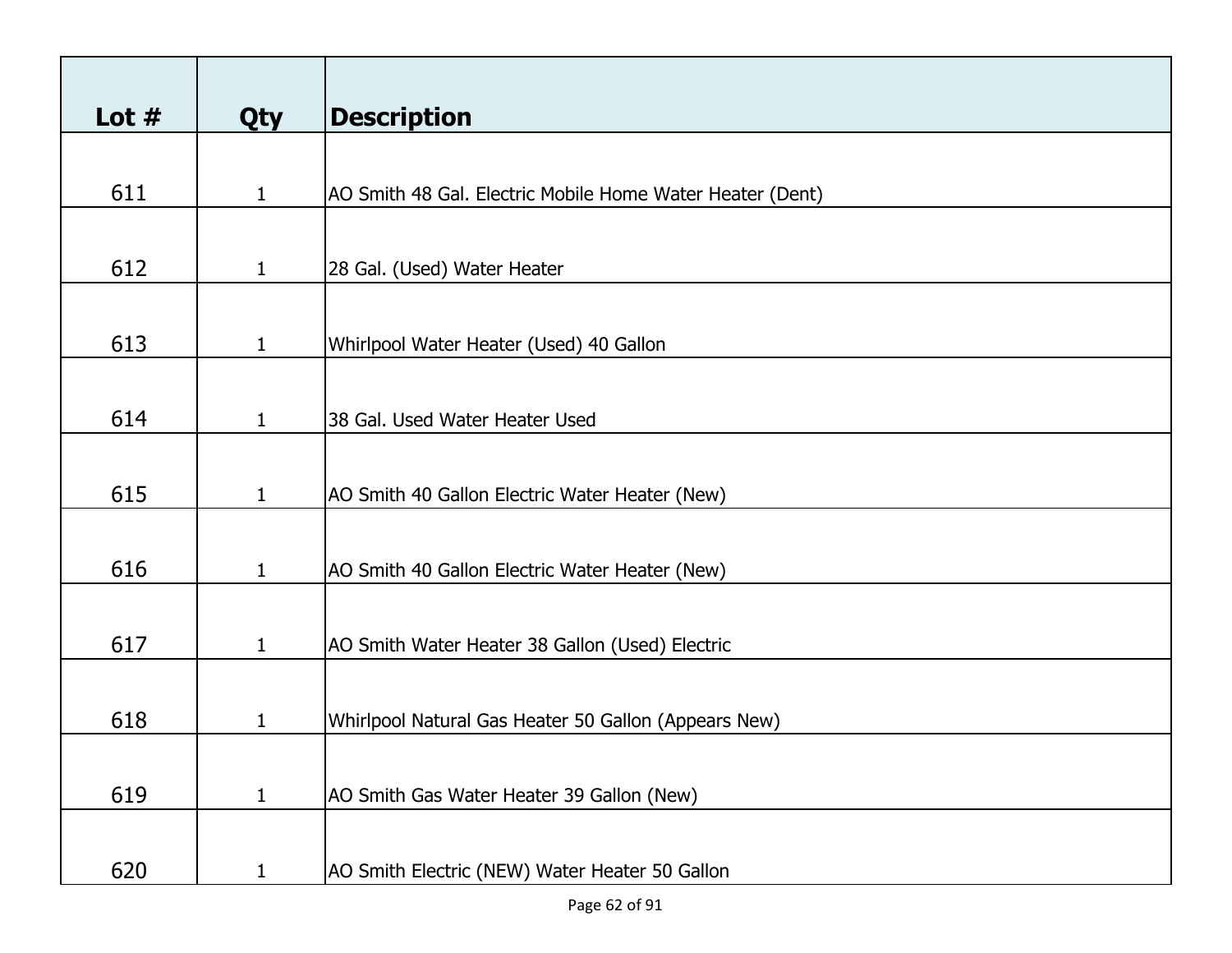| Lot $#$ | <b>Qty</b>   | <b>Description</b>                                        |
|---------|--------------|-----------------------------------------------------------|
|         |              |                                                           |
| 611     | $\mathbf{1}$ | AO Smith 48 Gal. Electric Mobile Home Water Heater (Dent) |
|         |              |                                                           |
| 612     | $\mathbf{1}$ | 28 Gal. (Used) Water Heater                               |
|         |              |                                                           |
| 613     | $\mathbf{1}$ | Whirlpool Water Heater (Used) 40 Gallon                   |
|         |              |                                                           |
| 614     | $\mathbf{1}$ | 38 Gal. Used Water Heater Used                            |
|         |              |                                                           |
| 615     | $\mathbf{1}$ | AO Smith 40 Gallon Electric Water Heater (New)            |
|         |              |                                                           |
| 616     | $\mathbf{1}$ | AO Smith 40 Gallon Electric Water Heater (New)            |
|         |              |                                                           |
| 617     | $\mathbf{1}$ | AO Smith Water Heater 38 Gallon (Used) Electric           |
|         |              |                                                           |
| 618     | 1            | Whirlpool Natural Gas Heater 50 Gallon (Appears New)      |
|         |              |                                                           |
| 619     | $\mathbf{1}$ | AO Smith Gas Water Heater 39 Gallon (New)                 |
| 620     | $\mathbf{1}$ | AO Smith Electric (NEW) Water Heater 50 Gallon            |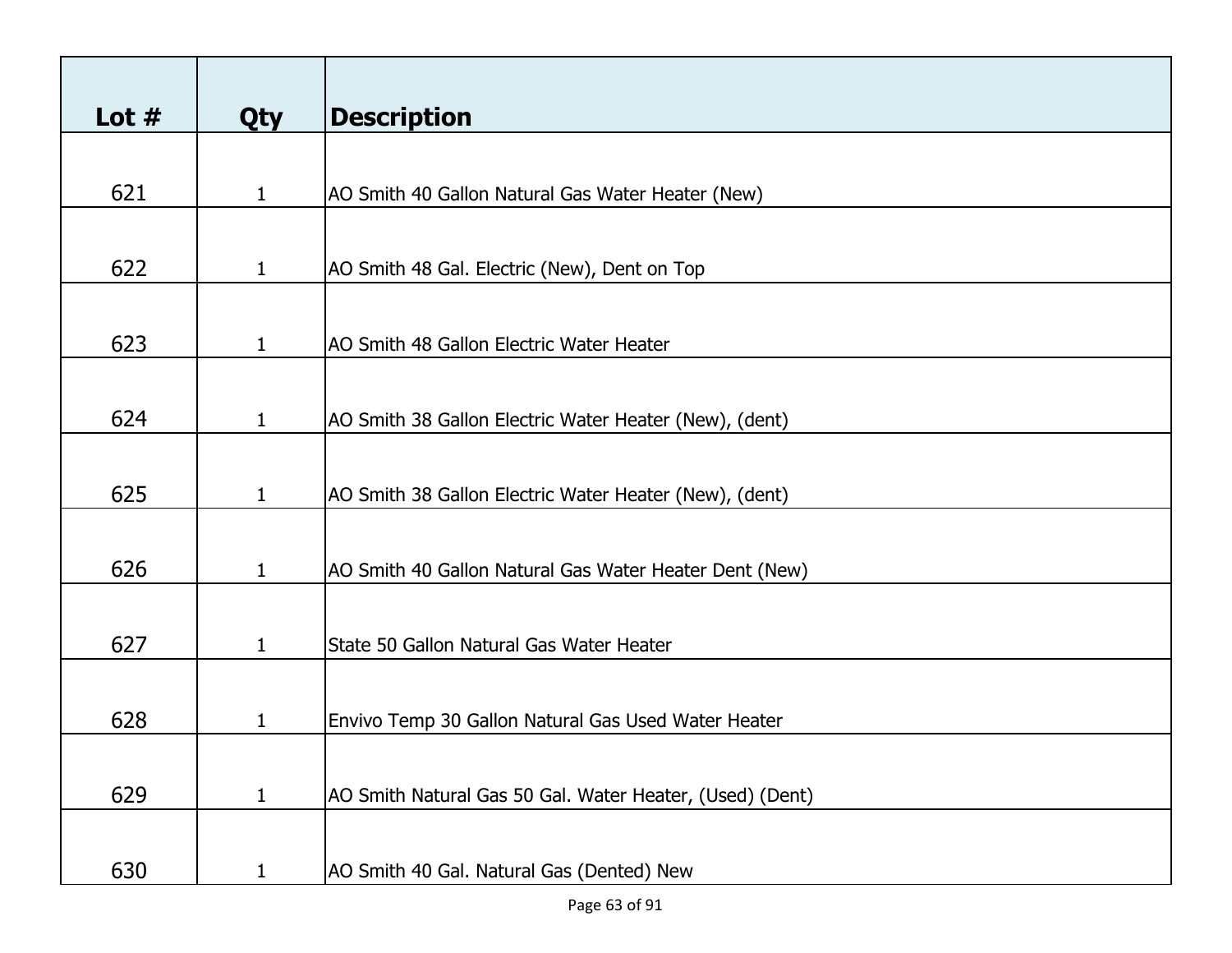|              | <b>Description</b>                                       |
|--------------|----------------------------------------------------------|
|              |                                                          |
| $\mathbf{1}$ | AO Smith 40 Gallon Natural Gas Water Heater (New)        |
|              |                                                          |
| $\mathbf{1}$ | AO Smith 48 Gal. Electric (New), Dent on Top             |
|              |                                                          |
| $\mathbf{1}$ | AO Smith 48 Gallon Electric Water Heater                 |
|              |                                                          |
| $\mathbf{1}$ | AO Smith 38 Gallon Electric Water Heater (New), (dent)   |
|              |                                                          |
| $\mathbf{1}$ | AO Smith 38 Gallon Electric Water Heater (New), (dent)   |
|              |                                                          |
| $\mathbf{1}$ | AO Smith 40 Gallon Natural Gas Water Heater Dent (New)   |
|              |                                                          |
| $\mathbf{1}$ | State 50 Gallon Natural Gas Water Heater                 |
|              |                                                          |
| 1            | Envivo Temp 30 Gallon Natural Gas Used Water Heater      |
|              |                                                          |
|              | AO Smith Natural Gas 50 Gal. Water Heater, (Used) (Dent) |
|              | AO Smith 40 Gal. Natural Gas (Dented) New                |
|              | <b>Qty</b><br>$\mathbf{1}$<br>$\mathbf{1}$               |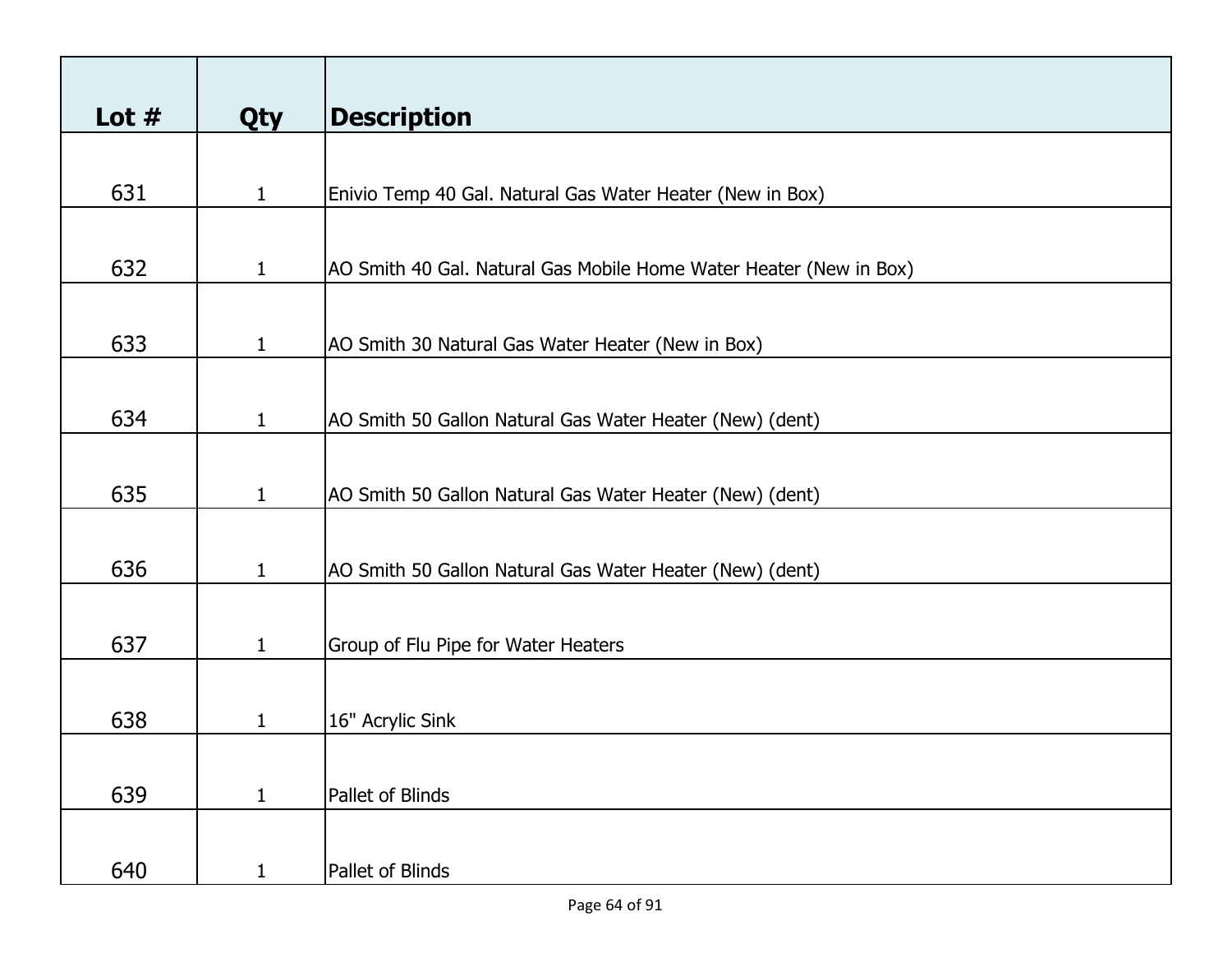| Lot $#$ | <b>Qty</b>   | <b>Description</b>                                                 |
|---------|--------------|--------------------------------------------------------------------|
|         |              |                                                                    |
| 631     | $\mathbf{1}$ | Enivio Temp 40 Gal. Natural Gas Water Heater (New in Box)          |
|         |              |                                                                    |
| 632     | $\mathbf{1}$ | AO Smith 40 Gal. Natural Gas Mobile Home Water Heater (New in Box) |
|         |              |                                                                    |
| 633     | $\mathbf{1}$ | AO Smith 30 Natural Gas Water Heater (New in Box)                  |
|         |              |                                                                    |
| 634     | $\mathbf{1}$ | AO Smith 50 Gallon Natural Gas Water Heater (New) (dent)           |
|         |              |                                                                    |
| 635     | $\mathbf{1}$ | AO Smith 50 Gallon Natural Gas Water Heater (New) (dent)           |
|         |              |                                                                    |
| 636     | $\mathbf{1}$ | AO Smith 50 Gallon Natural Gas Water Heater (New) (dent)           |
|         |              |                                                                    |
| 637     | $\mathbf{1}$ | Group of Flu Pipe for Water Heaters                                |
| 638     | 1            | 16" Acrylic Sink                                                   |
|         |              |                                                                    |
| 639     | $\mathbf{1}$ | Pallet of Blinds                                                   |
|         |              |                                                                    |
| 640     | $\mathbf{1}$ | Pallet of Blinds                                                   |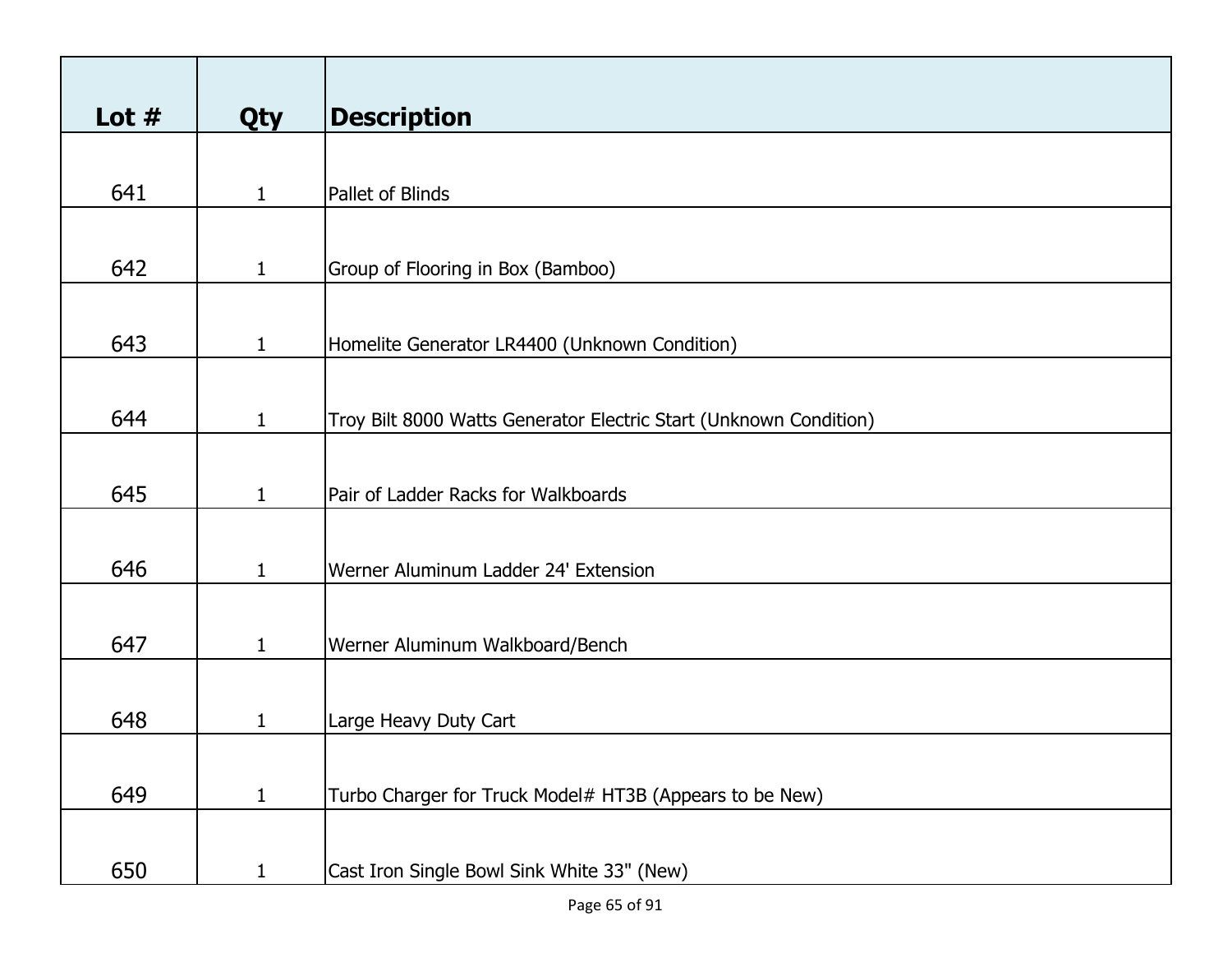| Lot $#$ |              | <b>Description</b>                                                |
|---------|--------------|-------------------------------------------------------------------|
|         | <b>Qty</b>   |                                                                   |
|         |              |                                                                   |
| 641     | $\mathbf{1}$ | Pallet of Blinds                                                  |
|         |              |                                                                   |
| 642     | $\mathbf{1}$ | Group of Flooring in Box (Bamboo)                                 |
|         |              |                                                                   |
| 643     | $\mathbf{1}$ | Homelite Generator LR4400 (Unknown Condition)                     |
|         |              |                                                                   |
|         |              |                                                                   |
| 644     | $\mathbf{1}$ | Troy Bilt 8000 Watts Generator Electric Start (Unknown Condition) |
|         |              |                                                                   |
| 645     | $\mathbf{1}$ | Pair of Ladder Racks for Walkboards                               |
|         |              |                                                                   |
|         |              |                                                                   |
| 646     | $\mathbf{1}$ | Werner Aluminum Ladder 24' Extension                              |
|         |              |                                                                   |
| 647     | $\mathbf{1}$ | Werner Aluminum Walkboard/Bench                                   |
|         |              |                                                                   |
| 648     |              |                                                                   |
|         | 1            | Large Heavy Duty Cart                                             |
|         |              |                                                                   |
| 649     | $\mathbf{1}$ | Turbo Charger for Truck Model# HT3B (Appears to be New)           |
|         |              |                                                                   |
| 650     | $\mathbf{1}$ | Cast Iron Single Bowl Sink White 33" (New)                        |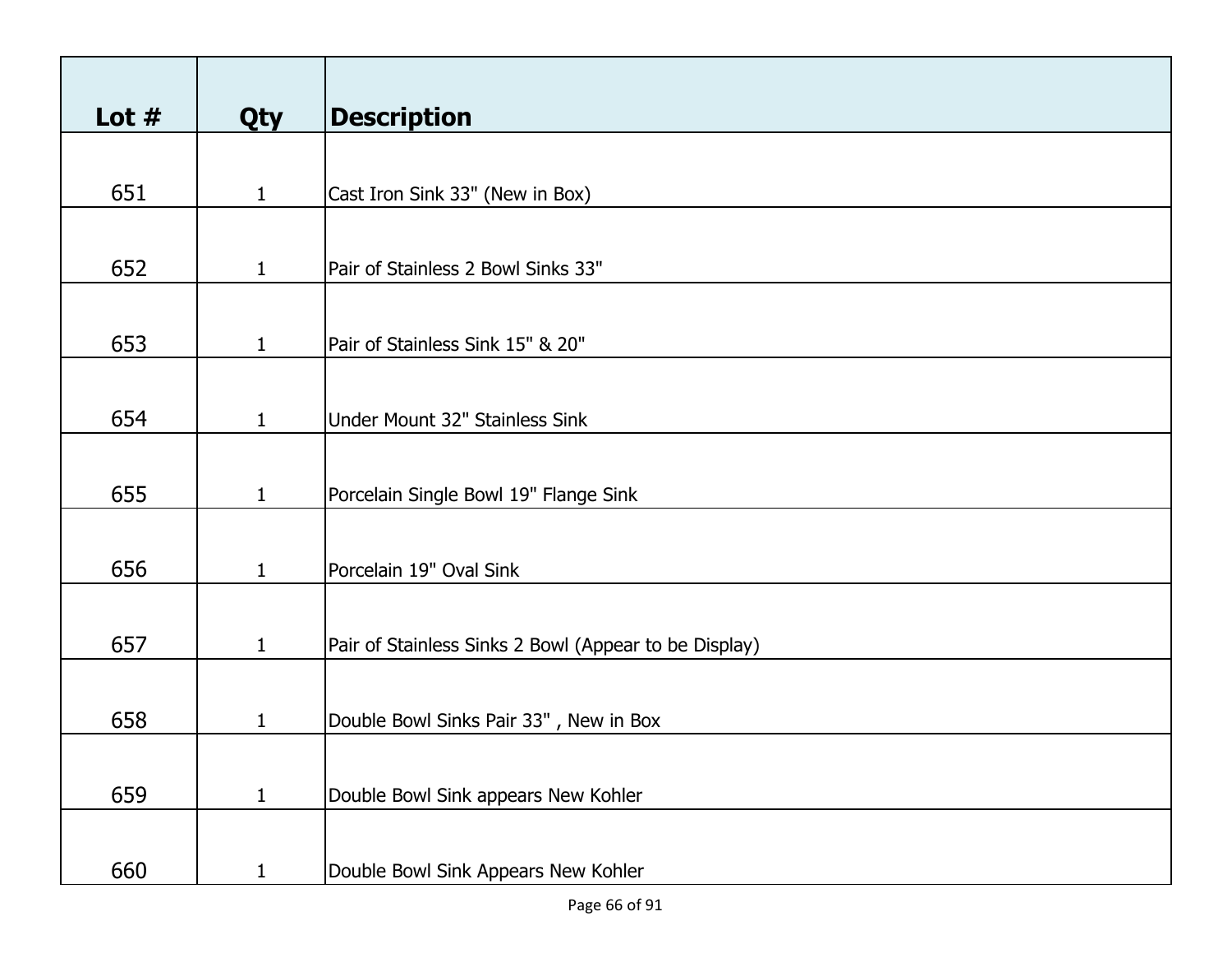| Lot $#$ | <b>Qty</b>   | <b>Description</b>                                    |
|---------|--------------|-------------------------------------------------------|
|         |              |                                                       |
| 651     | $\mathbf{1}$ | Cast Iron Sink 33" (New in Box)                       |
|         |              |                                                       |
| 652     | $\mathbf{1}$ | Pair of Stainless 2 Bowl Sinks 33"                    |
|         |              |                                                       |
| 653     | $\mathbf{1}$ | Pair of Stainless Sink 15" & 20"                      |
|         |              |                                                       |
| 654     | $\mathbf{1}$ | Under Mount 32" Stainless Sink                        |
|         |              |                                                       |
| 655     | $\mathbf{1}$ | Porcelain Single Bowl 19" Flange Sink                 |
|         |              |                                                       |
| 656     | $\mathbf{1}$ | Porcelain 19" Oval Sink                               |
|         |              |                                                       |
| 657     | $\mathbf{1}$ | Pair of Stainless Sinks 2 Bowl (Appear to be Display) |
|         |              |                                                       |
| 658     | $\mathbf{1}$ | Double Bowl Sinks Pair 33", New in Box                |
|         |              |                                                       |
| 659     | $\mathbf{1}$ | Double Bowl Sink appears New Kohler                   |
|         |              |                                                       |
| 660     | $\mathbf{1}$ | Double Bowl Sink Appears New Kohler                   |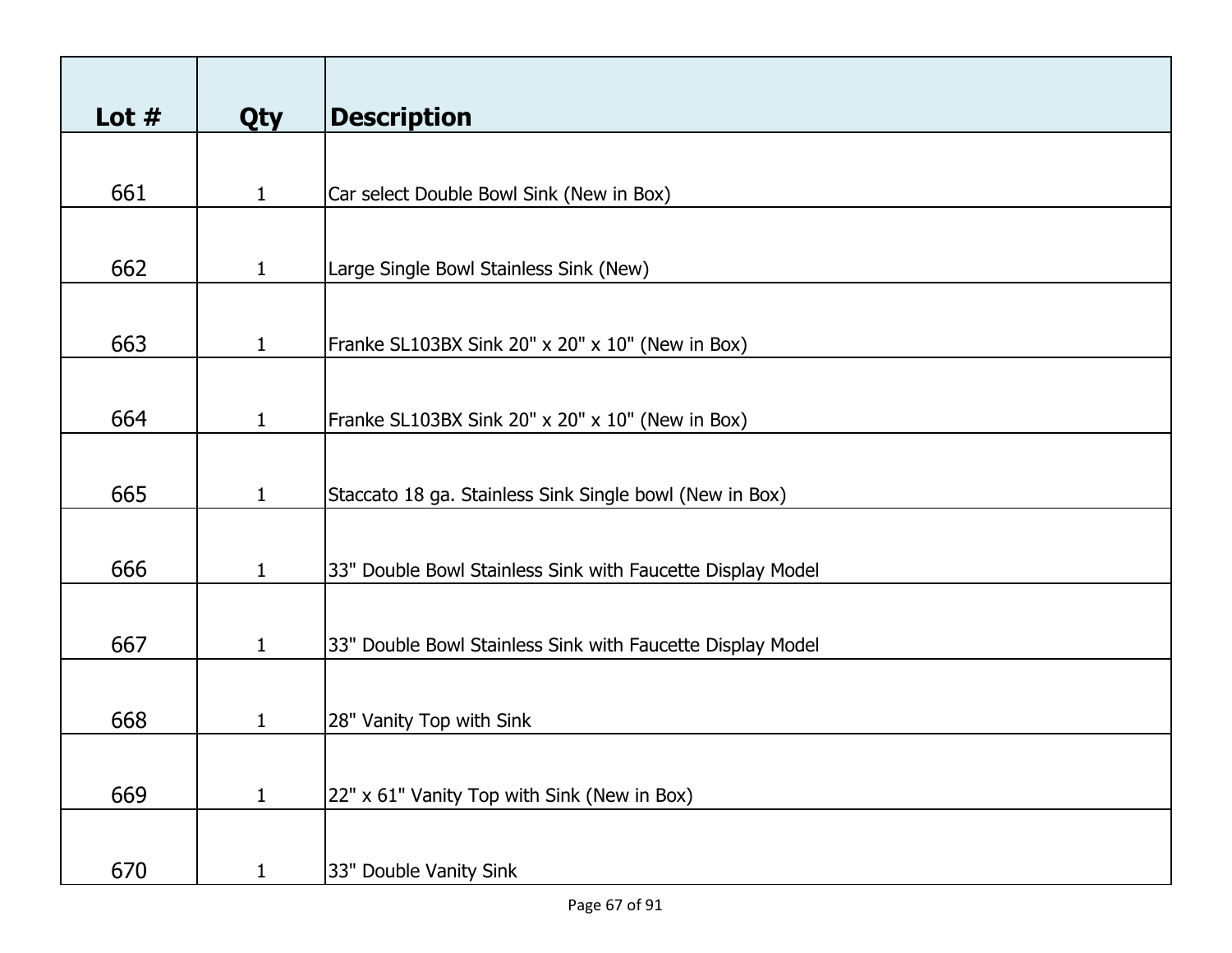| Lot $#$ | <b>Qty</b>   | <b>Description</b>                                         |
|---------|--------------|------------------------------------------------------------|
|         |              |                                                            |
| 661     | $\mathbf{1}$ | Car select Double Bowl Sink (New in Box)                   |
|         |              |                                                            |
| 662     | $\mathbf{1}$ | Large Single Bowl Stainless Sink (New)                     |
|         |              |                                                            |
| 663     | 1            | Franke SL103BX Sink 20" x 20" x 10" (New in Box)           |
|         |              |                                                            |
| 664     | $\mathbf{1}$ | Franke SL103BX Sink 20" x 20" x 10" (New in Box)           |
|         |              |                                                            |
| 665     | $\mathbf{1}$ | Staccato 18 ga. Stainless Sink Single bowl (New in Box)    |
|         |              |                                                            |
| 666     | $\mathbf{1}$ | 33" Double Bowl Stainless Sink with Faucette Display Model |
|         |              |                                                            |
| 667     | $\mathbf{1}$ | 33" Double Bowl Stainless Sink with Faucette Display Model |
|         |              |                                                            |
| 668     | 1            | 28" Vanity Top with Sink                                   |
|         |              |                                                            |
| 669     | $\mathbf{1}$ | 22" x 61" Vanity Top with Sink (New in Box)                |
|         |              |                                                            |
| 670     | $\mathbf{1}$ | 33" Double Vanity Sink                                     |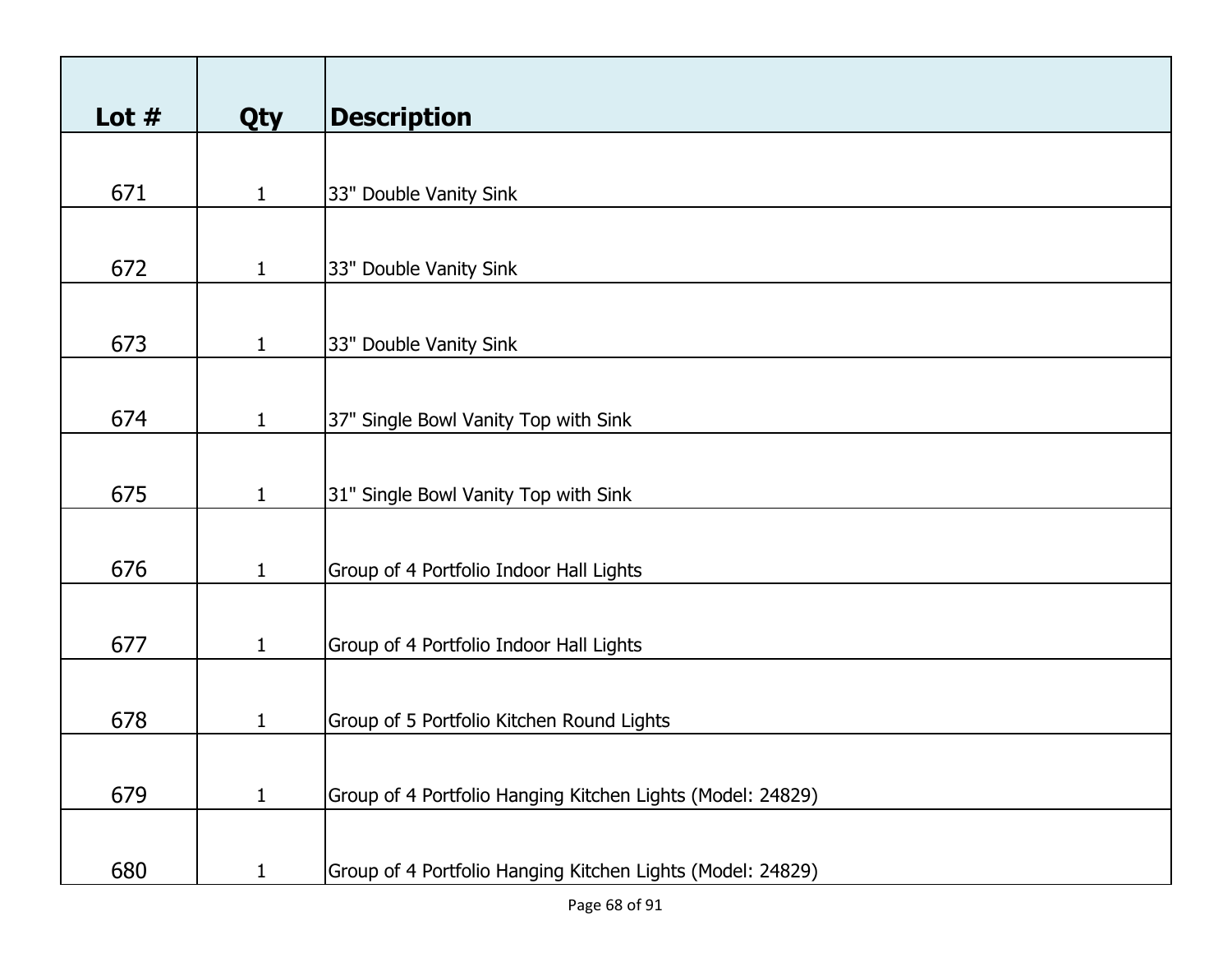| Lot $#$ | Qty          | <b>Description</b>                                         |
|---------|--------------|------------------------------------------------------------|
|         |              |                                                            |
| 671     | $\mathbf{1}$ | 33" Double Vanity Sink                                     |
|         |              |                                                            |
| 672     | $\mathbf{1}$ | 33" Double Vanity Sink                                     |
|         |              |                                                            |
| 673     | $\mathbf{1}$ | 33" Double Vanity Sink                                     |
|         |              |                                                            |
| 674     | $\mathbf{1}$ | 37" Single Bowl Vanity Top with Sink                       |
|         |              |                                                            |
| 675     | $\mathbf{1}$ | 31" Single Bowl Vanity Top with Sink                       |
|         |              |                                                            |
| 676     | $\mathbf{1}$ | Group of 4 Portfolio Indoor Hall Lights                    |
|         |              |                                                            |
| 677     | $\mathbf{1}$ | Group of 4 Portfolio Indoor Hall Lights                    |
|         |              |                                                            |
| 678     | $\mathbf{1}$ | Group of 5 Portfolio Kitchen Round Lights                  |
|         |              |                                                            |
| 679     | $\mathbf{1}$ | Group of 4 Portfolio Hanging Kitchen Lights (Model: 24829) |
|         |              |                                                            |
| 680     | $\mathbf{1}$ | Group of 4 Portfolio Hanging Kitchen Lights (Model: 24829) |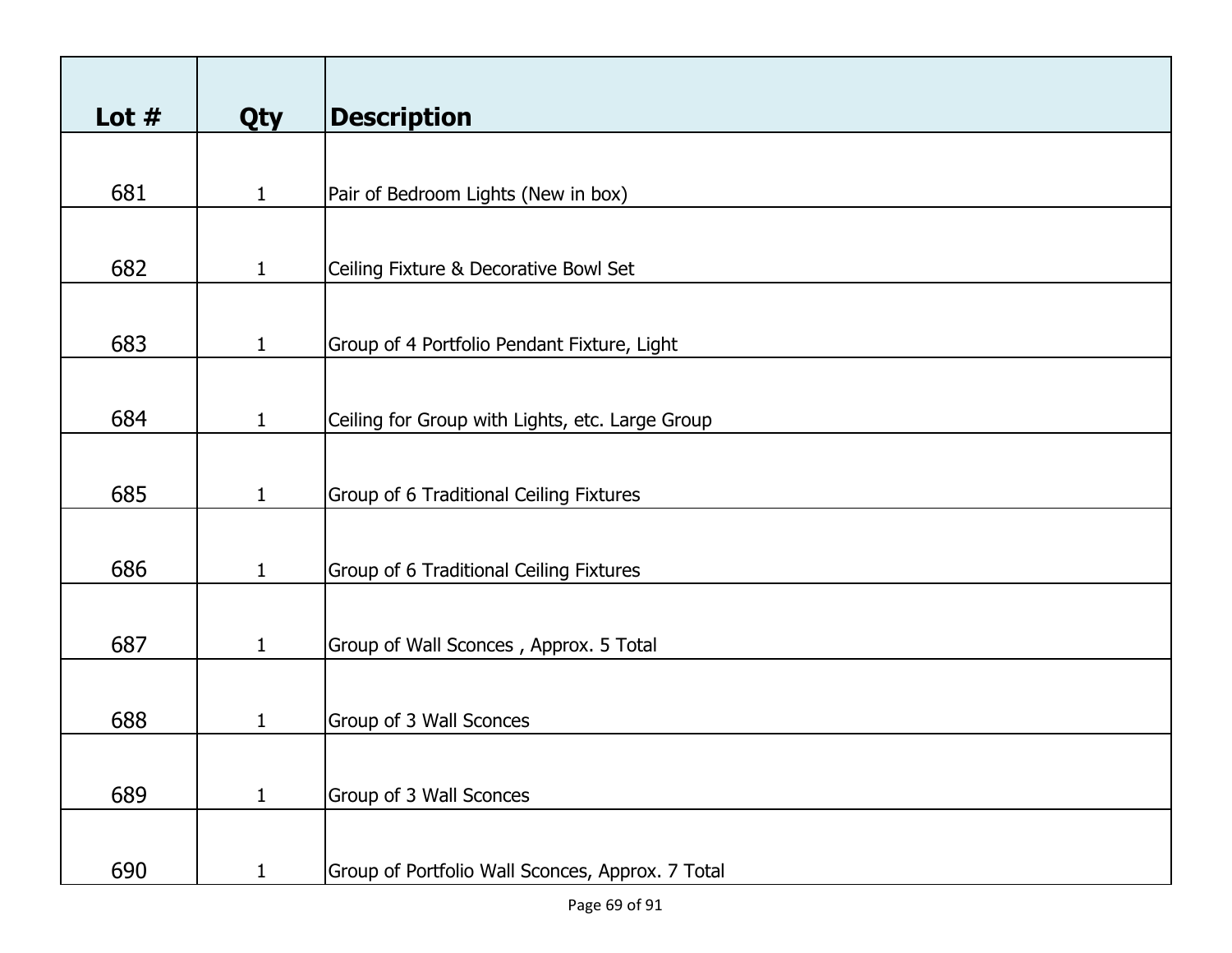| Lot $#$ | <b>Qty</b>   | <b>Description</b>                               |
|---------|--------------|--------------------------------------------------|
|         |              |                                                  |
| 681     | $\mathbf{1}$ | Pair of Bedroom Lights (New in box)              |
|         |              |                                                  |
| 682     | $\mathbf{1}$ | Ceiling Fixture & Decorative Bowl Set            |
|         |              |                                                  |
| 683     | $\mathbf{1}$ | Group of 4 Portfolio Pendant Fixture, Light      |
|         |              |                                                  |
| 684     | $\mathbf{1}$ | Ceiling for Group with Lights, etc. Large Group  |
|         |              |                                                  |
| 685     | $\mathbf{1}$ | Group of 6 Traditional Ceiling Fixtures          |
|         |              |                                                  |
| 686     | $\mathbf{1}$ | Group of 6 Traditional Ceiling Fixtures          |
|         |              |                                                  |
| 687     | $\mathbf{1}$ | Group of Wall Sconces, Approx. 5 Total           |
|         |              |                                                  |
| 688     | 1            | Group of 3 Wall Sconces                          |
|         |              |                                                  |
| 689     | $\mathbf{1}$ | Group of 3 Wall Sconces                          |
|         |              |                                                  |
| 690     | $\mathbf{1}$ | Group of Portfolio Wall Sconces, Approx. 7 Total |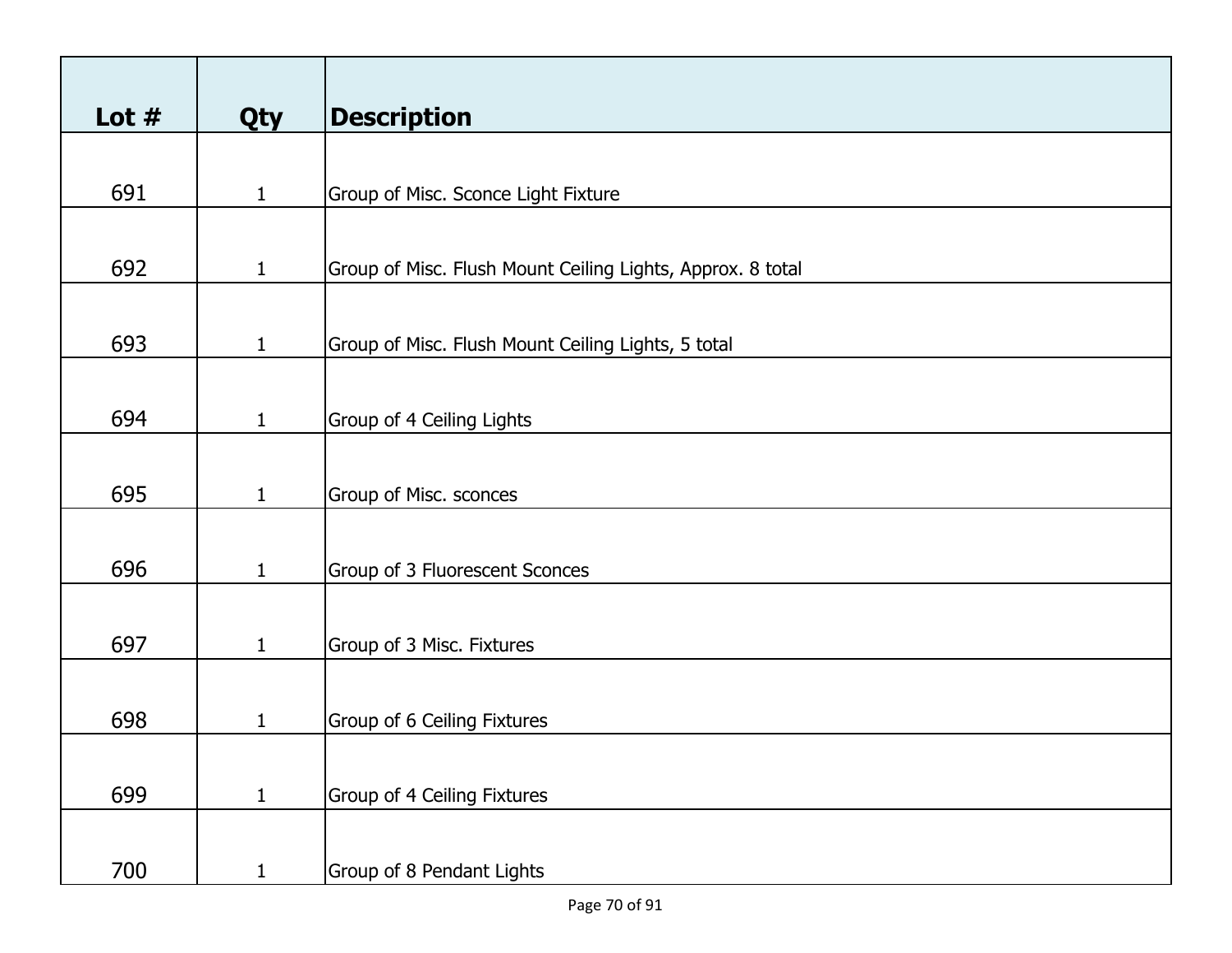| Lot $#$ | <b>Qty</b>   | <b>Description</b>                                         |
|---------|--------------|------------------------------------------------------------|
|         |              |                                                            |
| 691     | $\mathbf{1}$ | Group of Misc. Sconce Light Fixture                        |
|         |              |                                                            |
| 692     | $\mathbf{1}$ | Group of Misc. Flush Mount Ceiling Lights, Approx. 8 total |
|         |              |                                                            |
| 693     | $\mathbf{1}$ | Group of Misc. Flush Mount Ceiling Lights, 5 total         |
|         |              |                                                            |
| 694     | $\mathbf{1}$ | Group of 4 Ceiling Lights                                  |
|         |              |                                                            |
| 695     | $\mathbf{1}$ | Group of Misc. sconces                                     |
|         |              |                                                            |
| 696     | $\mathbf{1}$ | Group of 3 Fluorescent Sconces                             |
|         |              |                                                            |
| 697     | $\mathbf{1}$ | Group of 3 Misc. Fixtures                                  |
|         |              |                                                            |
| 698     | $\mathbf{1}$ | Group of 6 Ceiling Fixtures                                |
|         |              |                                                            |
| 699     | $\mathbf{1}$ | Group of 4 Ceiling Fixtures                                |
|         |              |                                                            |
| 700     | $\mathbf{1}$ | Group of 8 Pendant Lights                                  |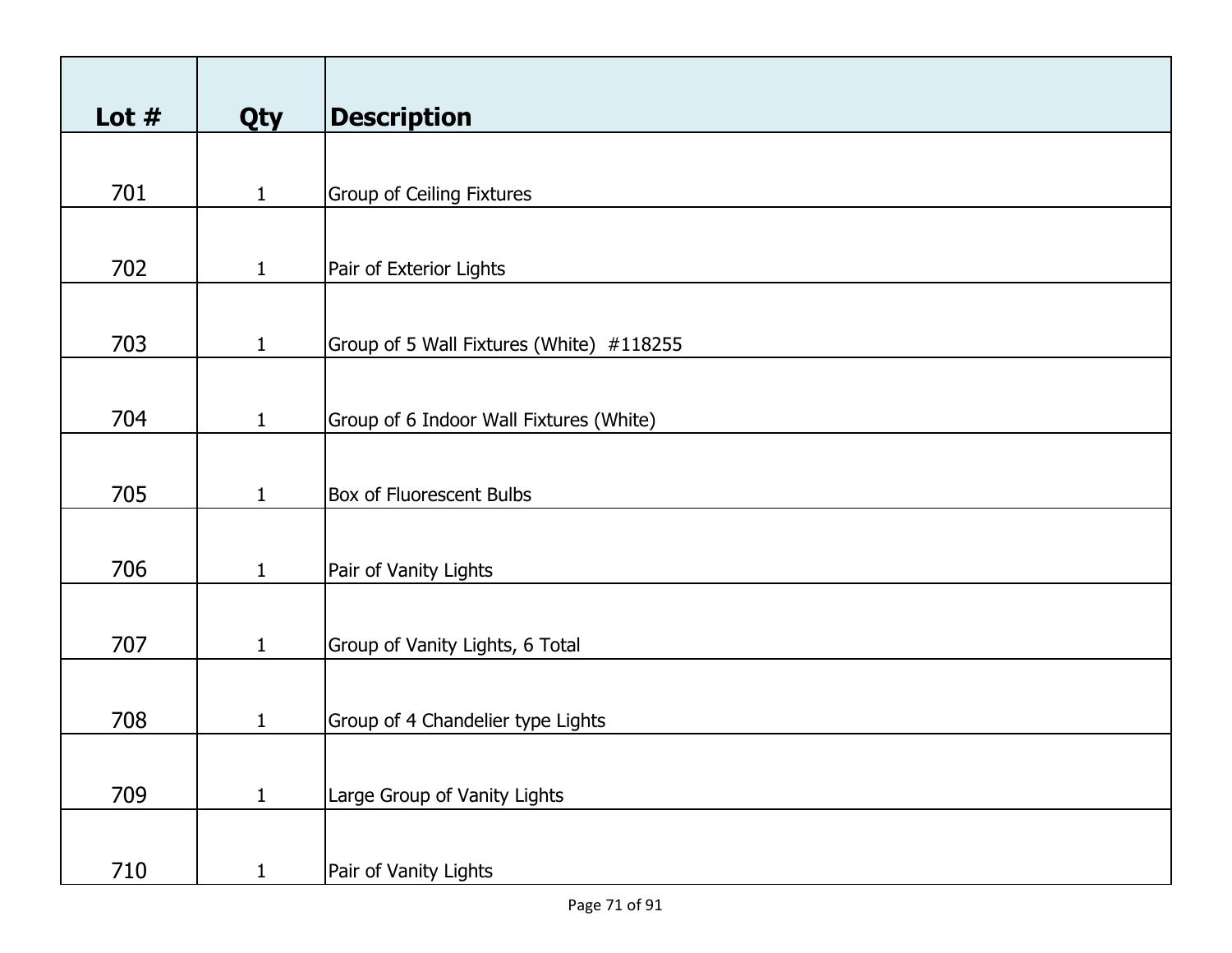| Lot $#$ | <b>Qty</b>   | <b>Description</b>                       |
|---------|--------------|------------------------------------------|
|         |              |                                          |
| 701     | $\mathbf{1}$ | <b>Group of Ceiling Fixtures</b>         |
|         |              |                                          |
| 702     | $\mathbf{1}$ | Pair of Exterior Lights                  |
|         |              |                                          |
| 703     | $\mathbf{1}$ | Group of 5 Wall Fixtures (White) #118255 |
|         |              |                                          |
| 704     | $\mathbf{1}$ | Group of 6 Indoor Wall Fixtures (White)  |
|         |              |                                          |
| 705     | $\mathbf{1}$ | <b>Box of Fluorescent Bulbs</b>          |
|         |              |                                          |
| 706     | $\mathbf{1}$ | Pair of Vanity Lights                    |
|         |              |                                          |
| 707     | $\mathbf{1}$ | Group of Vanity Lights, 6 Total          |
|         |              |                                          |
| 708     | $\mathbf{1}$ | Group of 4 Chandelier type Lights        |
|         |              |                                          |
| 709     | $\mathbf{1}$ | Large Group of Vanity Lights             |
|         |              |                                          |
| 710     | $\mathbf{1}$ | Pair of Vanity Lights                    |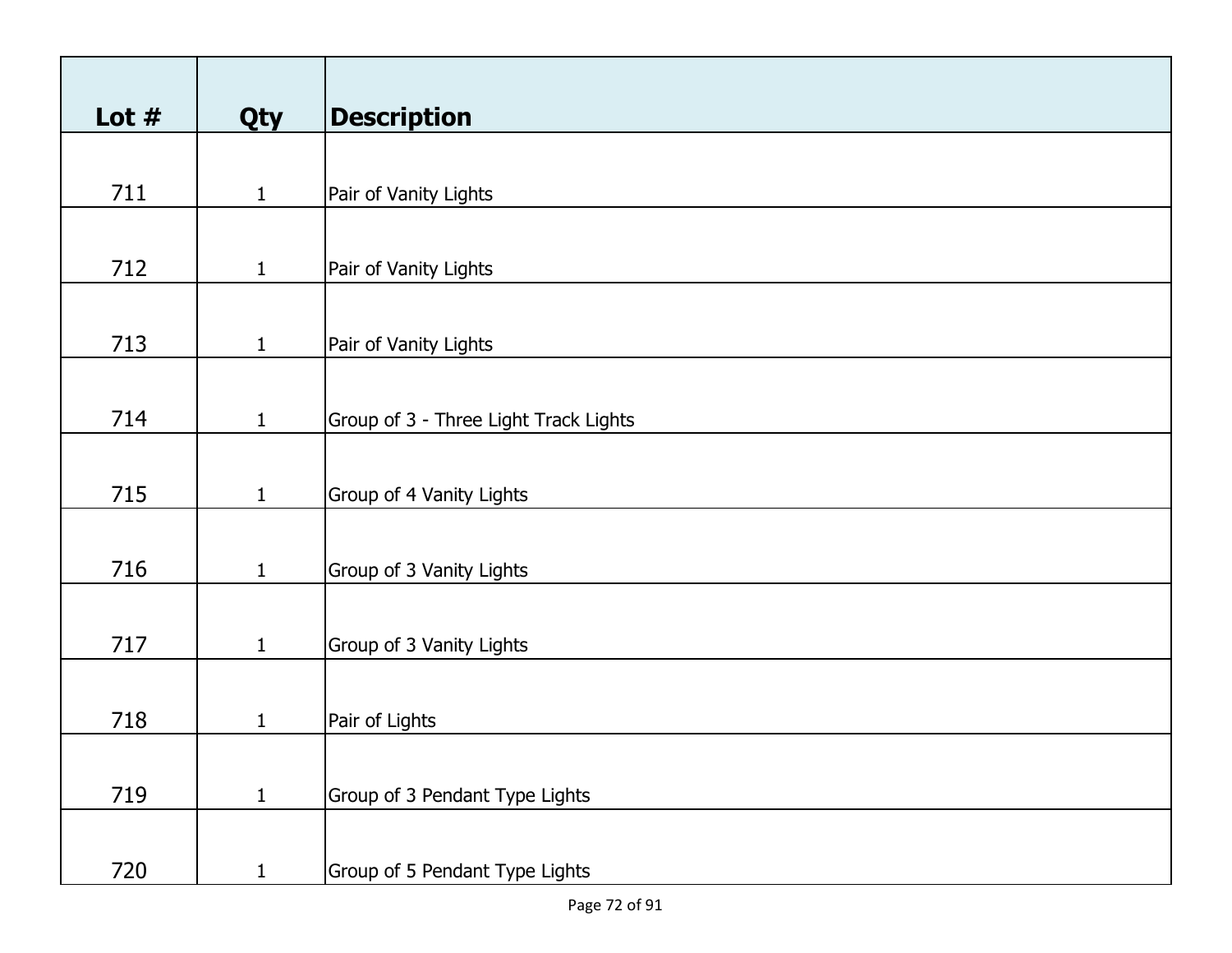| Lot $#$ | Qty          | <b>Description</b>                    |
|---------|--------------|---------------------------------------|
|         |              |                                       |
| 711     | $\mathbf{1}$ | Pair of Vanity Lights                 |
|         |              |                                       |
| 712     | $\mathbf{1}$ | Pair of Vanity Lights                 |
|         |              |                                       |
| 713     | $\mathbf{1}$ | Pair of Vanity Lights                 |
|         |              |                                       |
| 714     | $\mathbf{1}$ | Group of 3 - Three Light Track Lights |
|         |              |                                       |
| 715     | $\mathbf{1}$ | Group of 4 Vanity Lights              |
|         |              |                                       |
| 716     | $\mathbf{1}$ | Group of 3 Vanity Lights              |
|         |              |                                       |
| 717     | $\mathbf{1}$ | Group of 3 Vanity Lights              |
|         |              |                                       |
| 718     | $\mathbf{1}$ | Pair of Lights                        |
|         |              |                                       |
| 719     | $\mathbf{1}$ | Group of 3 Pendant Type Lights        |
|         |              |                                       |
| 720     | $\mathbf{1}$ | Group of 5 Pendant Type Lights        |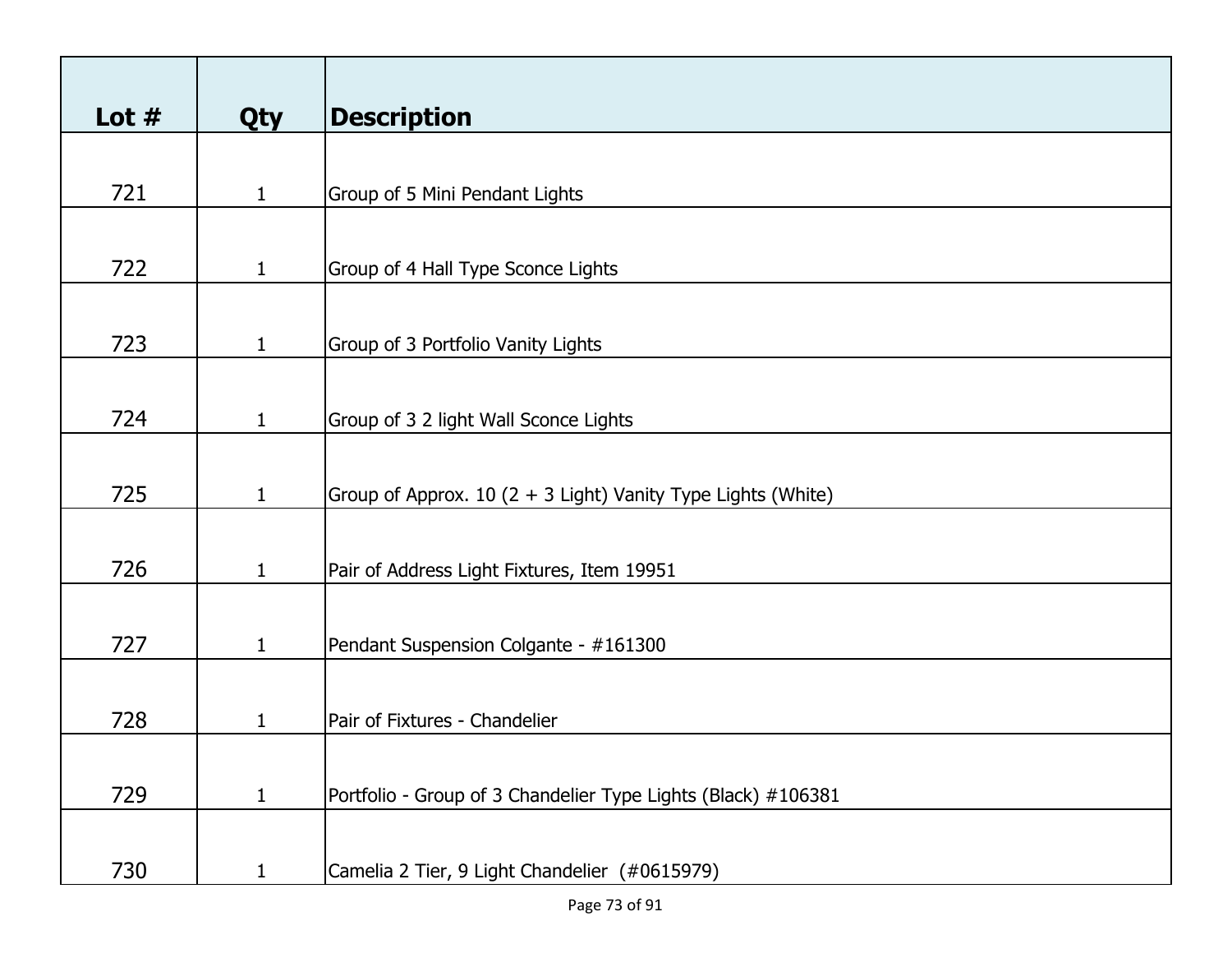| Lot $#$ | <b>Qty</b>   | <b>Description</b>                                            |
|---------|--------------|---------------------------------------------------------------|
|         |              |                                                               |
| 721     | $\mathbf{1}$ | Group of 5 Mini Pendant Lights                                |
|         |              |                                                               |
| 722     | $\mathbf{1}$ | Group of 4 Hall Type Sconce Lights                            |
|         |              |                                                               |
| 723     | $\mathbf{1}$ | Group of 3 Portfolio Vanity Lights                            |
|         |              |                                                               |
| 724     | $\mathbf{1}$ | Group of 3 2 light Wall Sconce Lights                         |
|         |              |                                                               |
| 725     | $\mathbf{1}$ | Group of Approx. 10 (2 + 3 Light) Vanity Type Lights (White)  |
|         |              |                                                               |
| 726     | $\mathbf{1}$ | Pair of Address Light Fixtures, Item 19951                    |
|         |              |                                                               |
| 727     | $\mathbf{1}$ | Pendant Suspension Colgante - #161300                         |
|         |              |                                                               |
| 728     | 1            | Pair of Fixtures - Chandelier                                 |
|         |              |                                                               |
| 729     | $\mathbf{1}$ | Portfolio - Group of 3 Chandelier Type Lights (Black) #106381 |
|         |              |                                                               |
| 730     | $\mathbf{1}$ | Camelia 2 Tier, 9 Light Chandelier (#0615979)                 |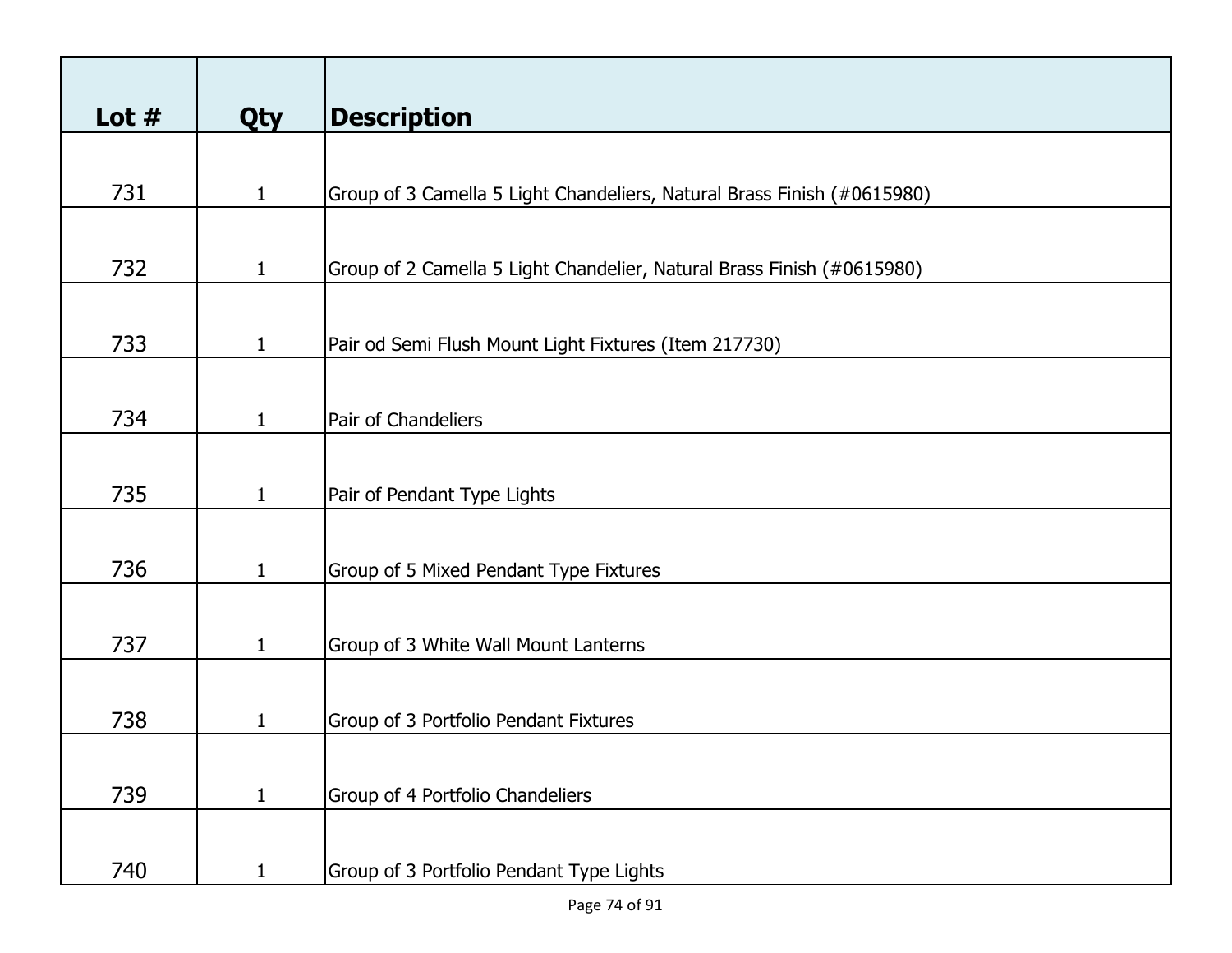| Lot $#$ | <b>Qty</b>   | <b>Description</b>                                                      |
|---------|--------------|-------------------------------------------------------------------------|
|         |              |                                                                         |
| 731     | $\mathbf{1}$ | Group of 3 Camella 5 Light Chandeliers, Natural Brass Finish (#0615980) |
|         |              |                                                                         |
| 732     | $\mathbf{1}$ | Group of 2 Camella 5 Light Chandelier, Natural Brass Finish (#0615980)  |
|         |              |                                                                         |
| 733     | $\mathbf{1}$ | Pair od Semi Flush Mount Light Fixtures (Item 217730)                   |
|         |              |                                                                         |
| 734     | $\mathbf{1}$ | Pair of Chandeliers                                                     |
|         |              |                                                                         |
| 735     | $\mathbf{1}$ | Pair of Pendant Type Lights                                             |
|         |              |                                                                         |
| 736     | $\mathbf{1}$ | Group of 5 Mixed Pendant Type Fixtures                                  |
|         |              |                                                                         |
| 737     | $\mathbf{1}$ | Group of 3 White Wall Mount Lanterns                                    |
|         |              |                                                                         |
| 738     | 1            | Group of 3 Portfolio Pendant Fixtures                                   |
|         |              |                                                                         |
| 739     | $\mathbf{1}$ | Group of 4 Portfolio Chandeliers                                        |
| 740     | $\mathbf{1}$ | Group of 3 Portfolio Pendant Type Lights                                |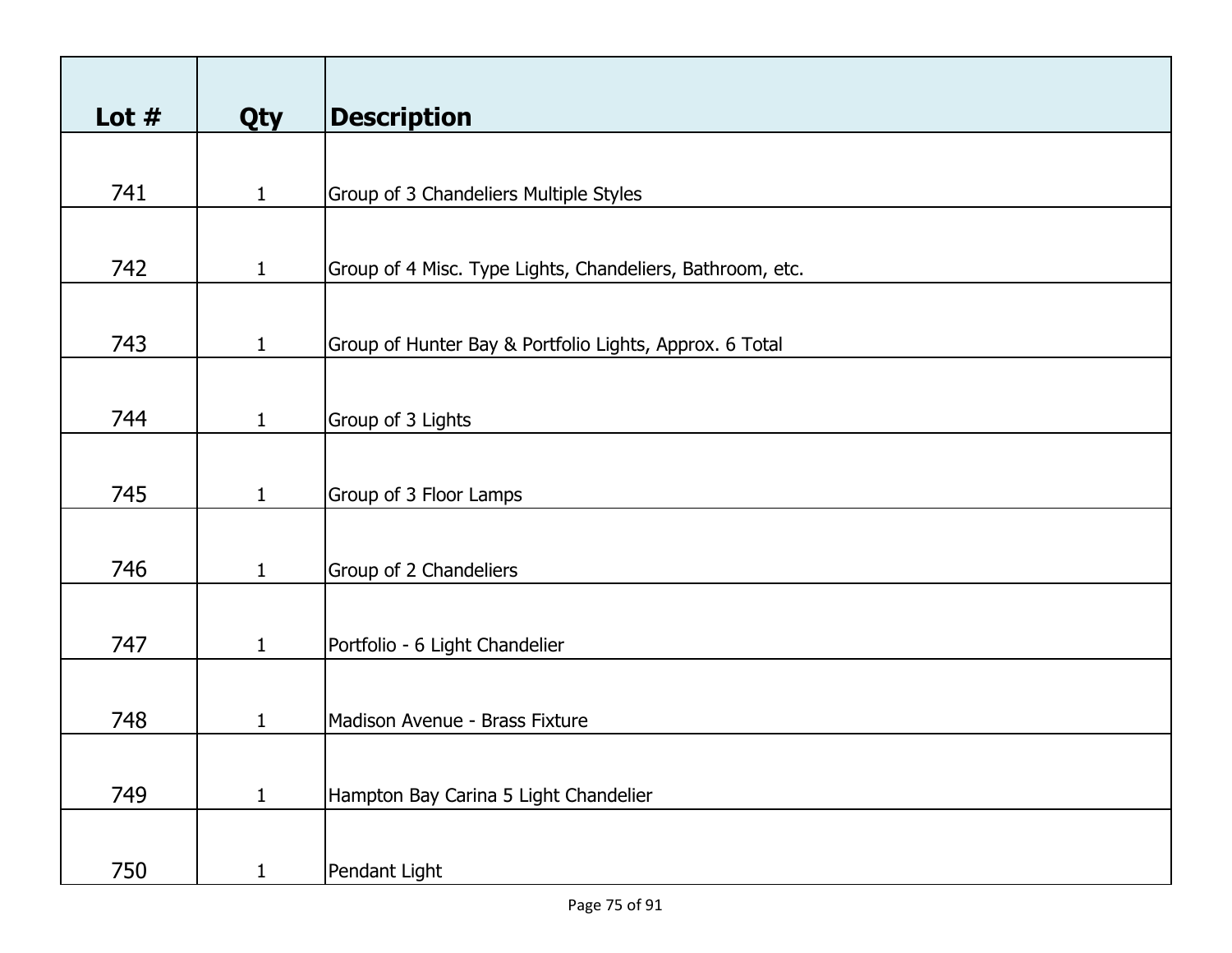| Lot $#$ | <b>Qty</b>   | <b>Description</b>                                        |
|---------|--------------|-----------------------------------------------------------|
|         |              |                                                           |
| 741     | $\mathbf{1}$ | Group of 3 Chandeliers Multiple Styles                    |
|         |              |                                                           |
| 742     | $\mathbf{1}$ | Group of 4 Misc. Type Lights, Chandeliers, Bathroom, etc. |
|         |              |                                                           |
| 743     | $\mathbf{1}$ | Group of Hunter Bay & Portfolio Lights, Approx. 6 Total   |
|         |              |                                                           |
| 744     | $\mathbf{1}$ | Group of 3 Lights                                         |
|         |              |                                                           |
| 745     | $\mathbf{1}$ | Group of 3 Floor Lamps                                    |
|         |              |                                                           |
| 746     | $\mathbf{1}$ | Group of 2 Chandeliers                                    |
|         |              |                                                           |
| 747     | $\mathbf{1}$ | Portfolio - 6 Light Chandelier                            |
|         |              |                                                           |
| 748     | 1            | Madison Avenue - Brass Fixture                            |
|         |              |                                                           |
| 749     | $\mathbf{1}$ | Hampton Bay Carina 5 Light Chandelier                     |
|         |              |                                                           |
| 750     | $\mathbf{1}$ | Pendant Light                                             |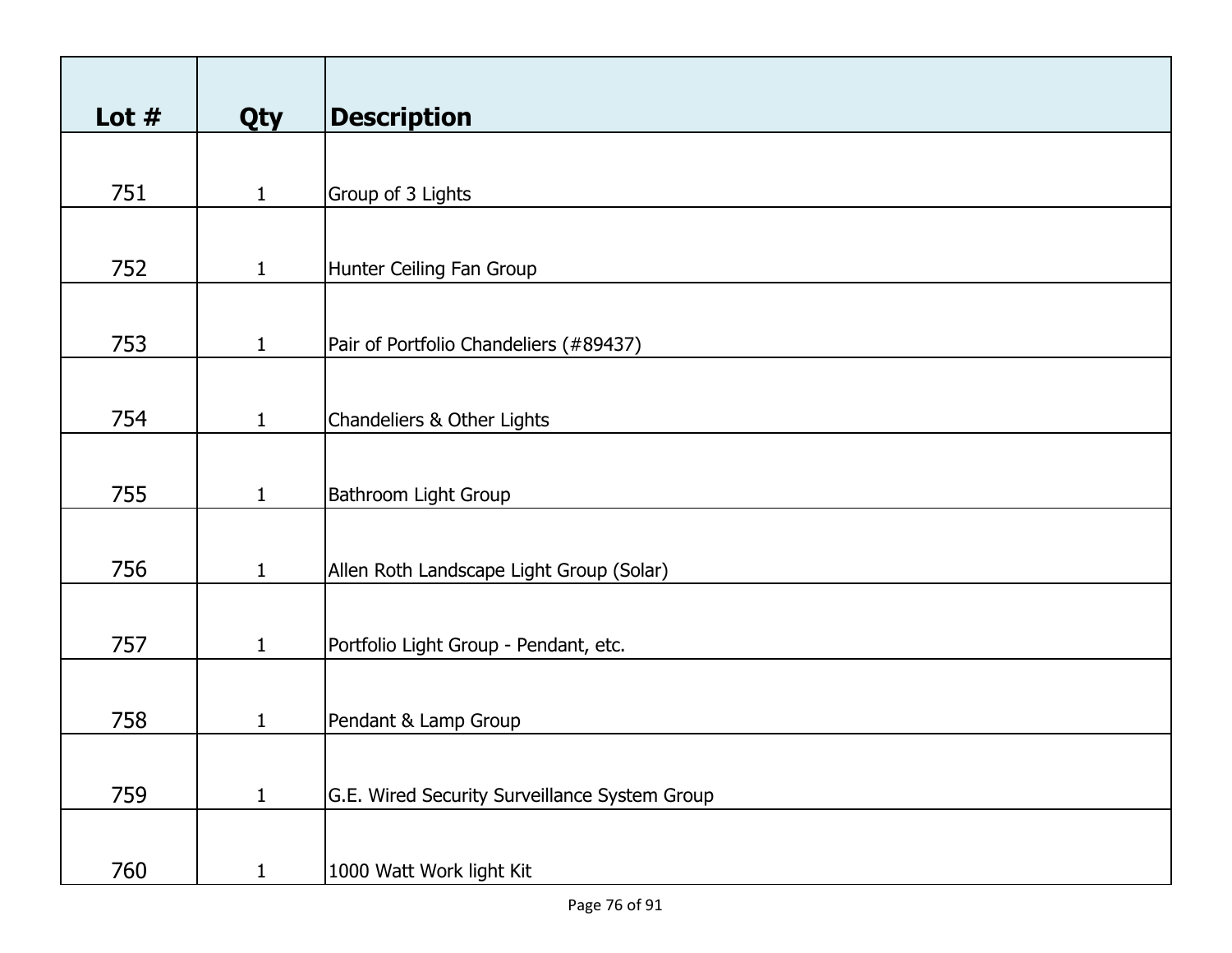| Lot $#$ | <b>Qty</b>   | <b>Description</b>                            |
|---------|--------------|-----------------------------------------------|
|         |              |                                               |
| 751     | $\mathbf{1}$ | Group of 3 Lights                             |
|         |              |                                               |
|         |              |                                               |
| 752     | $\mathbf{1}$ | Hunter Ceiling Fan Group                      |
|         |              |                                               |
| 753     | $\mathbf{1}$ | Pair of Portfolio Chandeliers (#89437)        |
|         |              |                                               |
|         |              |                                               |
| 754     | $\mathbf{1}$ | Chandeliers & Other Lights                    |
|         |              |                                               |
| 755     | $\mathbf{1}$ | <b>Bathroom Light Group</b>                   |
|         |              |                                               |
|         |              |                                               |
| 756     | $\mathbf{1}$ | Allen Roth Landscape Light Group (Solar)      |
|         |              |                                               |
| 757     | $\mathbf{1}$ | Portfolio Light Group - Pendant, etc.         |
|         |              |                                               |
|         |              |                                               |
| 758     | 1            | Pendant & Lamp Group                          |
|         |              |                                               |
| 759     | $\mathbf{1}$ | G.E. Wired Security Surveillance System Group |
|         |              |                                               |
|         |              |                                               |
| 760     | $\mathbf{1}$ | 1000 Watt Work light Kit                      |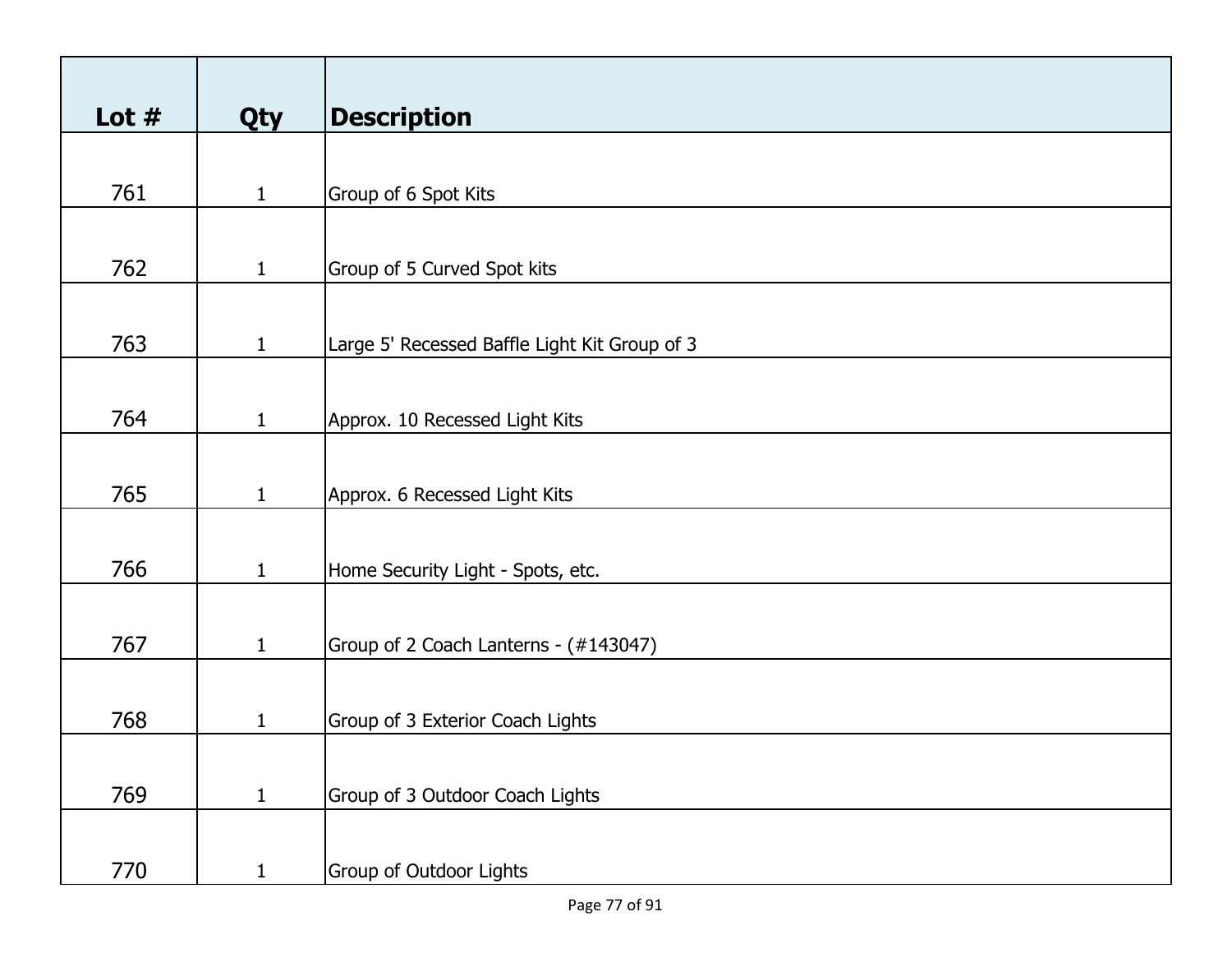| Lot $#$ | <b>Qty</b>   | <b>Description</b>                            |
|---------|--------------|-----------------------------------------------|
|         |              |                                               |
| 761     | $\mathbf{1}$ | Group of 6 Spot Kits                          |
|         |              |                                               |
| 762     | $\mathbf{1}$ | Group of 5 Curved Spot kits                   |
|         |              |                                               |
| 763     | $\mathbf{1}$ | Large 5' Recessed Baffle Light Kit Group of 3 |
|         |              |                                               |
| 764     | $\mathbf{1}$ | Approx. 10 Recessed Light Kits                |
|         |              |                                               |
| 765     | $\mathbf{1}$ | Approx. 6 Recessed Light Kits                 |
|         |              |                                               |
| 766     | $\mathbf{1}$ | Home Security Light - Spots, etc.             |
|         |              |                                               |
| 767     | $\mathbf{1}$ | Group of 2 Coach Lanterns - (#143047)         |
|         |              |                                               |
| 768     | $\mathbf{1}$ | Group of 3 Exterior Coach Lights              |
|         |              |                                               |
| 769     | $\mathbf{1}$ | Group of 3 Outdoor Coach Lights               |
|         |              |                                               |
| 770     | $\mathbf{1}$ | Group of Outdoor Lights                       |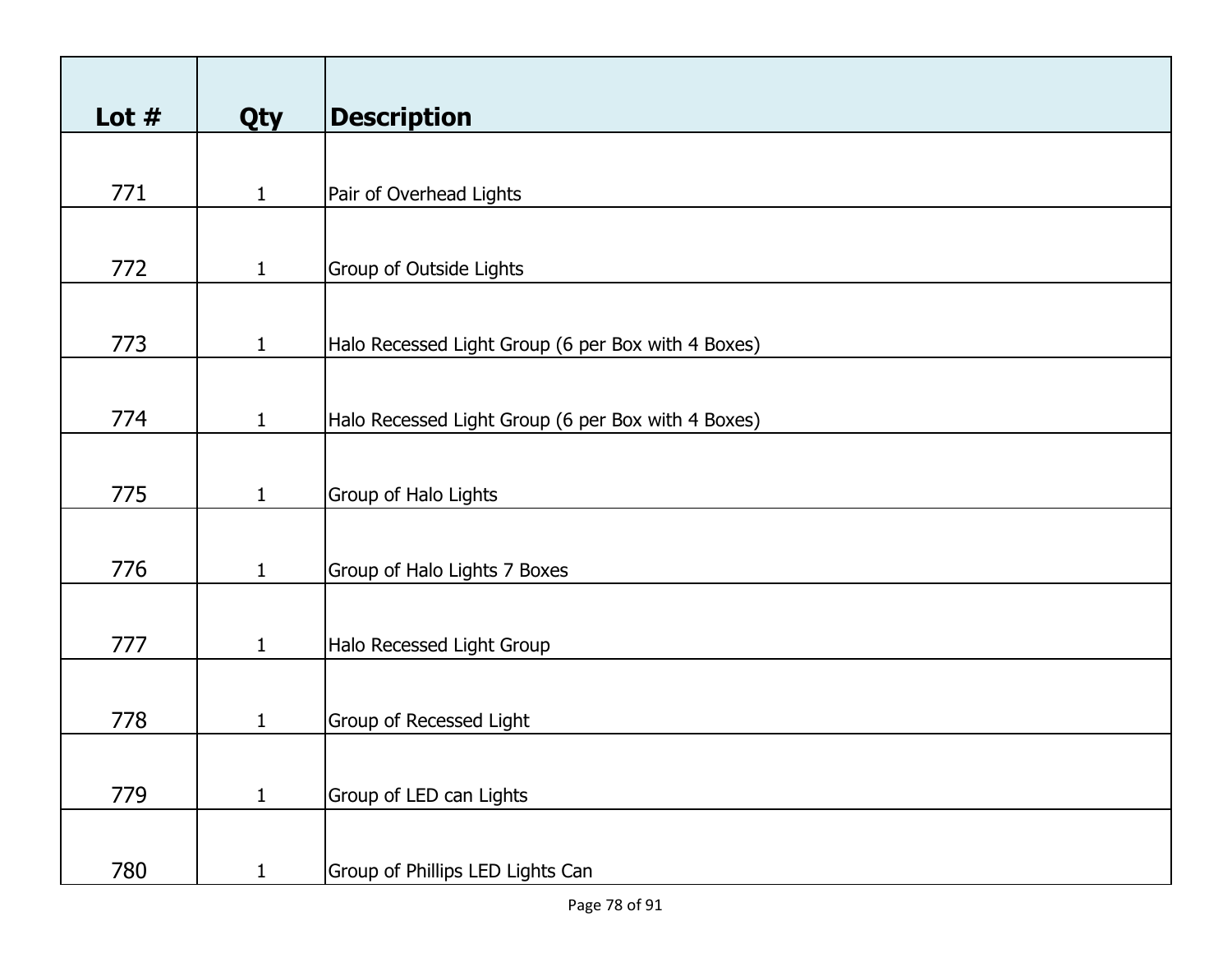| Lot $#$ | <b>Qty</b>   | <b>Description</b>                                 |
|---------|--------------|----------------------------------------------------|
|         |              |                                                    |
| 771     | $\mathbf{1}$ | Pair of Overhead Lights                            |
|         |              |                                                    |
| 772     | $\mathbf{1}$ | <b>Group of Outside Lights</b>                     |
|         |              |                                                    |
| 773     | $\mathbf{1}$ | Halo Recessed Light Group (6 per Box with 4 Boxes) |
|         |              |                                                    |
| 774     | $\mathbf{1}$ | Halo Recessed Light Group (6 per Box with 4 Boxes) |
|         |              |                                                    |
| 775     | $\mathbf{1}$ | Group of Halo Lights                               |
|         |              |                                                    |
| 776     | $\mathbf{1}$ | Group of Halo Lights 7 Boxes                       |
|         |              |                                                    |
| 777     | $\mathbf{1}$ | Halo Recessed Light Group                          |
|         |              |                                                    |
| 778     | 1            | Group of Recessed Light                            |
|         |              |                                                    |
| 779     | $\mathbf{1}$ | Group of LED can Lights                            |
|         |              |                                                    |
| 780     | $\mathbf{1}$ | Group of Phillips LED Lights Can                   |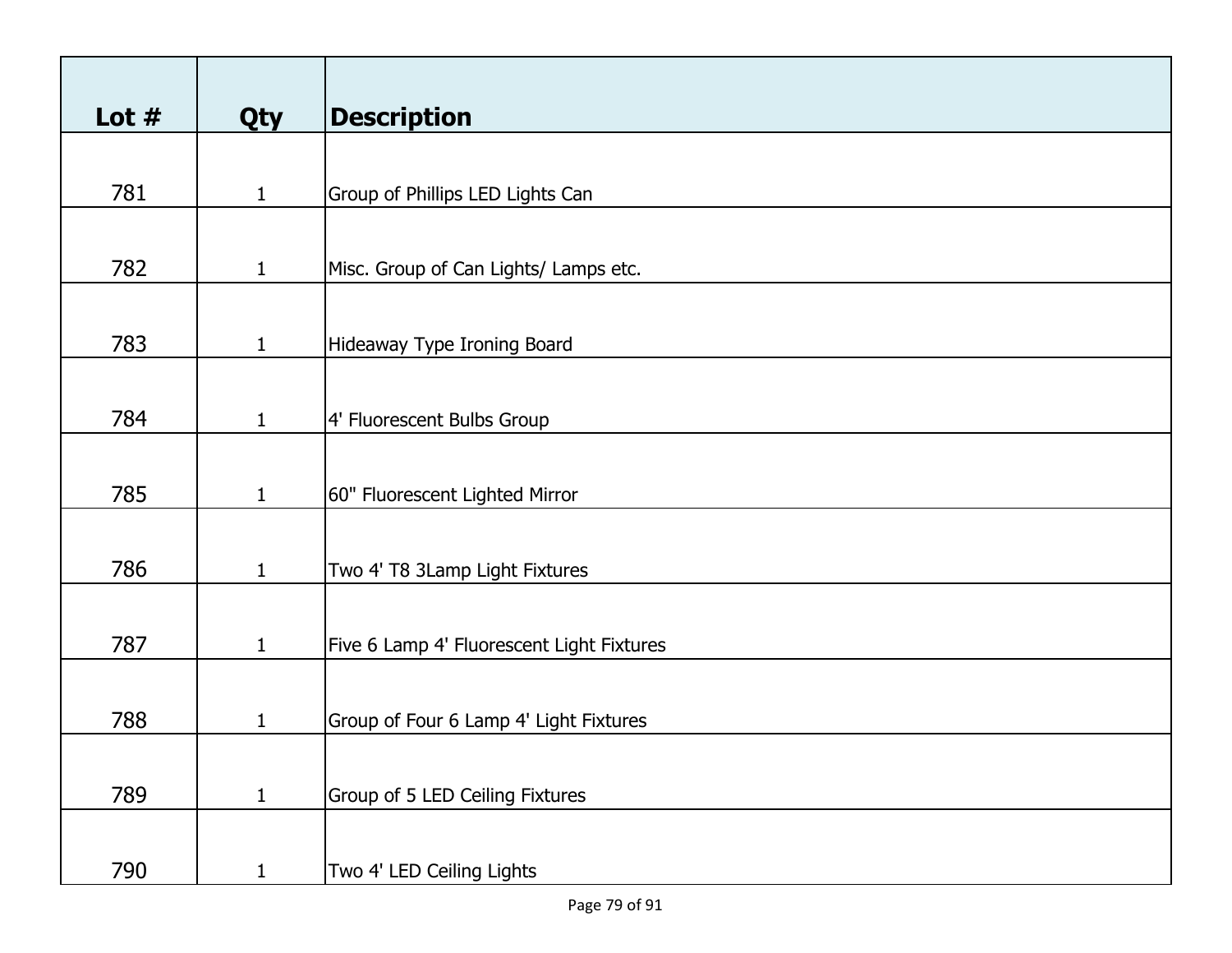| Lot $#$ | Qty          | <b>Description</b>                        |
|---------|--------------|-------------------------------------------|
|         |              |                                           |
| 781     | $\mathbf{1}$ | Group of Phillips LED Lights Can          |
|         |              |                                           |
| 782     | $\mathbf{1}$ | Misc. Group of Can Lights/ Lamps etc.     |
|         |              |                                           |
| 783     | $\mathbf{1}$ | Hideaway Type Ironing Board               |
|         |              |                                           |
| 784     | $\mathbf{1}$ | 4' Fluorescent Bulbs Group                |
|         |              |                                           |
| 785     | $\mathbf{1}$ | 60" Fluorescent Lighted Mirror            |
|         |              |                                           |
|         |              |                                           |
| 786     | $\mathbf{1}$ | Two 4' T8 3Lamp Light Fixtures            |
|         |              |                                           |
| 787     | $\mathbf{1}$ | Five 6 Lamp 4' Fluorescent Light Fixtures |
|         |              |                                           |
| 788     | 1            | Group of Four 6 Lamp 4' Light Fixtures    |
|         |              |                                           |
|         |              |                                           |
| 789     | $\mathbf{1}$ | Group of 5 LED Ceiling Fixtures           |
|         |              |                                           |
| 790     | $\mathbf{1}$ | Two 4' LED Ceiling Lights                 |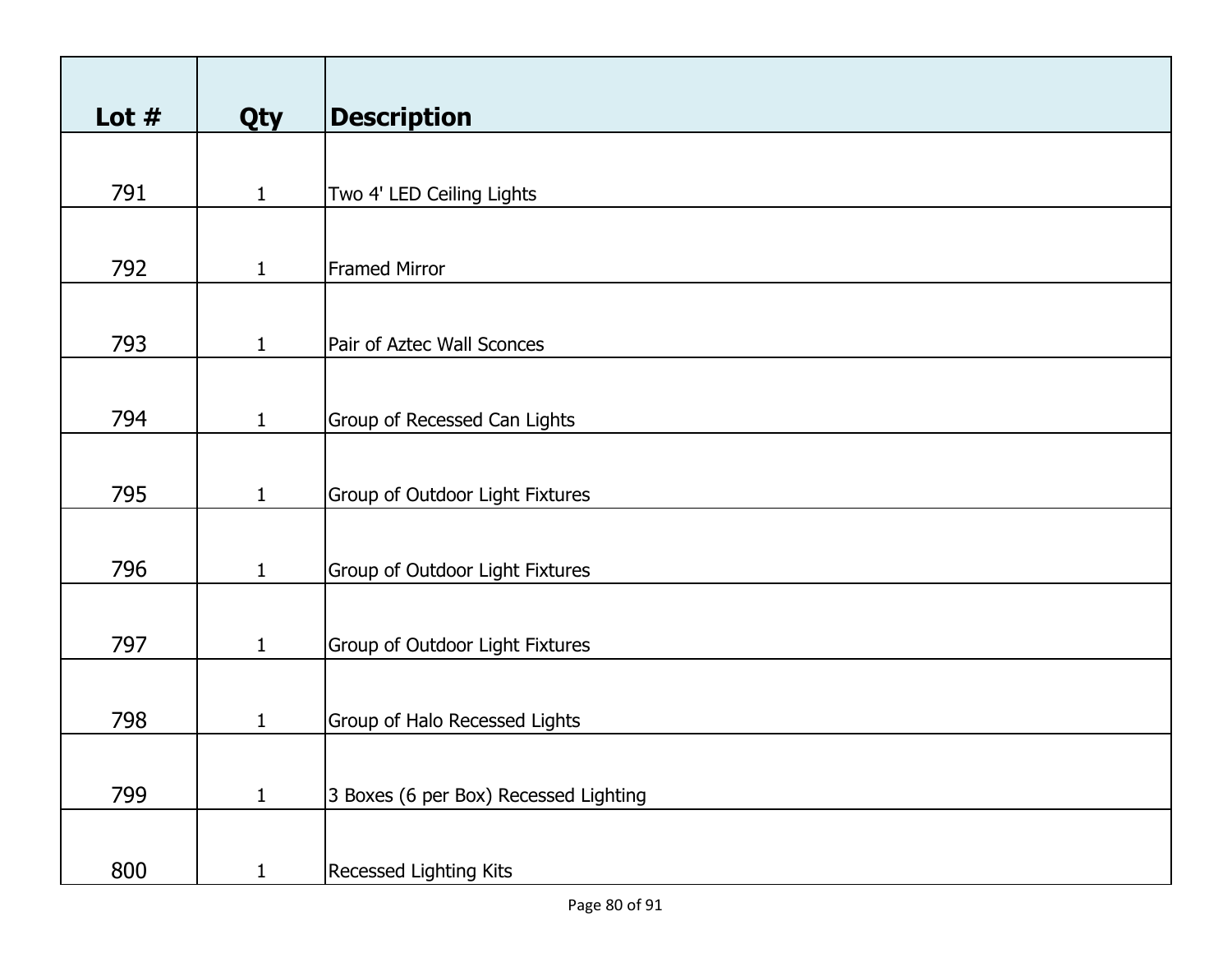| Lot $#$ |              | <b>Description</b>                     |
|---------|--------------|----------------------------------------|
|         | <b>Qty</b>   |                                        |
|         |              |                                        |
| 791     | $\mathbf{1}$ | Two 4' LED Ceiling Lights              |
|         |              |                                        |
| 792     | $\mathbf{1}$ | <b>Framed Mirror</b>                   |
|         |              |                                        |
| 793     |              |                                        |
|         | $\mathbf{1}$ | Pair of Aztec Wall Sconces             |
|         |              |                                        |
| 794     | $\mathbf{1}$ | Group of Recessed Can Lights           |
|         |              |                                        |
| 795     | $\mathbf{1}$ | <b>Group of Outdoor Light Fixtures</b> |
|         |              |                                        |
|         |              |                                        |
| 796     | $\mathbf{1}$ | Group of Outdoor Light Fixtures        |
|         |              |                                        |
| 797     | $\mathbf{1}$ | Group of Outdoor Light Fixtures        |
|         |              |                                        |
| 798     | $\mathbf{1}$ | Group of Halo Recessed Lights          |
|         |              |                                        |
|         |              |                                        |
| 799     | $\mathbf{1}$ | 3 Boxes (6 per Box) Recessed Lighting  |
|         |              |                                        |
| 800     | $\mathbf{1}$ | <b>Recessed Lighting Kits</b>          |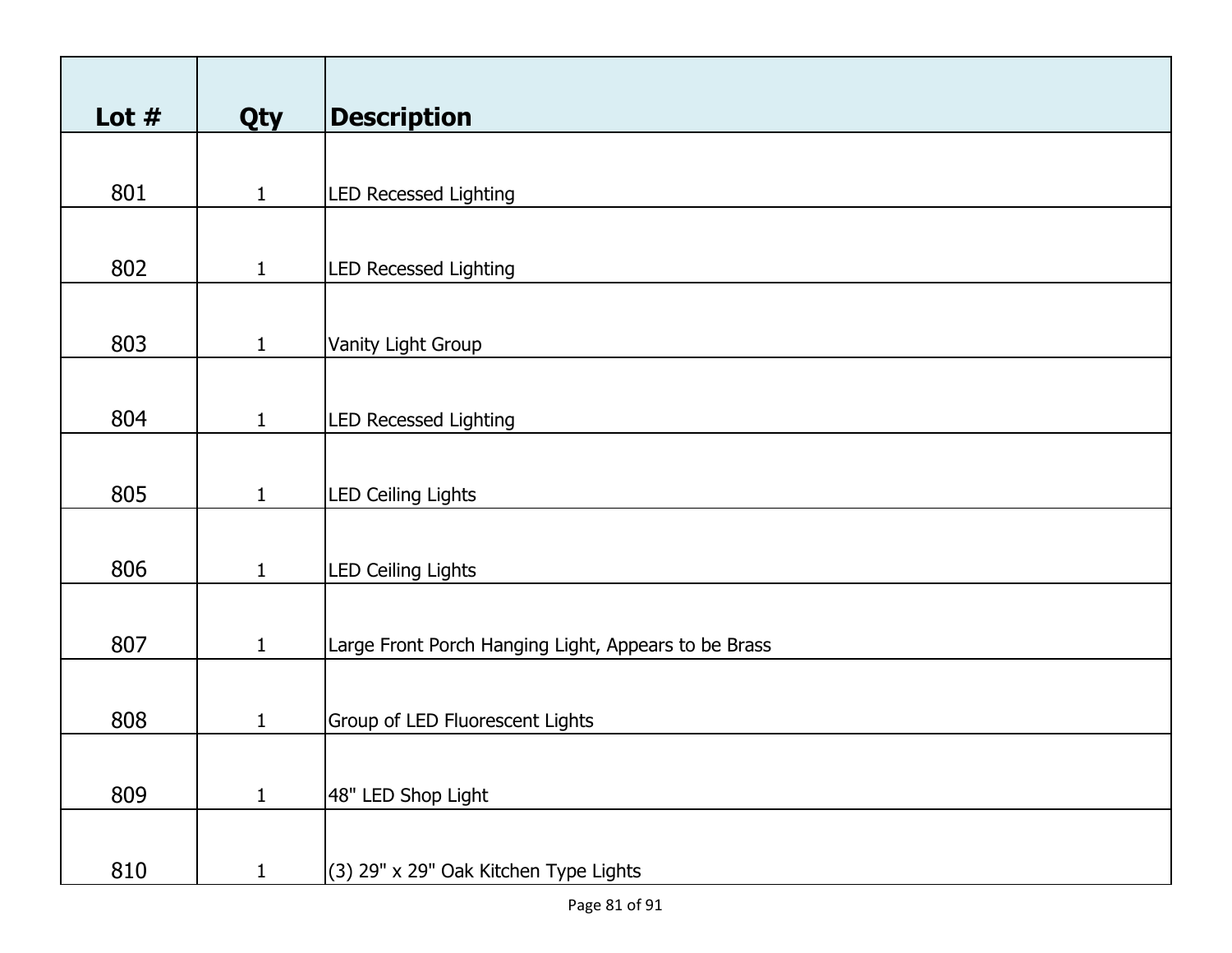| Lot $#$ | Qty          | <b>Description</b>                                   |
|---------|--------------|------------------------------------------------------|
|         |              |                                                      |
| 801     | $\mathbf{1}$ | <b>LED Recessed Lighting</b>                         |
|         |              |                                                      |
|         |              |                                                      |
| 802     | $\mathbf{1}$ | <b>LED Recessed Lighting</b>                         |
|         |              |                                                      |
| 803     | $\mathbf{1}$ | Vanity Light Group                                   |
|         |              |                                                      |
|         |              |                                                      |
| 804     | $\mathbf{1}$ | <b>LED Recessed Lighting</b>                         |
|         |              |                                                      |
| 805     | $\mathbf{1}$ | <b>LED Ceiling Lights</b>                            |
|         |              |                                                      |
|         |              |                                                      |
| 806     | $\mathbf{1}$ | <b>LED Ceiling Lights</b>                            |
|         |              |                                                      |
| 807     | $\mathbf{1}$ | Large Front Porch Hanging Light, Appears to be Brass |
|         |              |                                                      |
|         |              |                                                      |
| 808     | $\mathbf{1}$ | Group of LED Fluorescent Lights                      |
|         |              |                                                      |
| 809     | $\mathbf{1}$ | 48" LED Shop Light                                   |
|         |              |                                                      |
|         |              |                                                      |
| 810     | $\mathbf{1}$ | (3) 29" x 29" Oak Kitchen Type Lights                |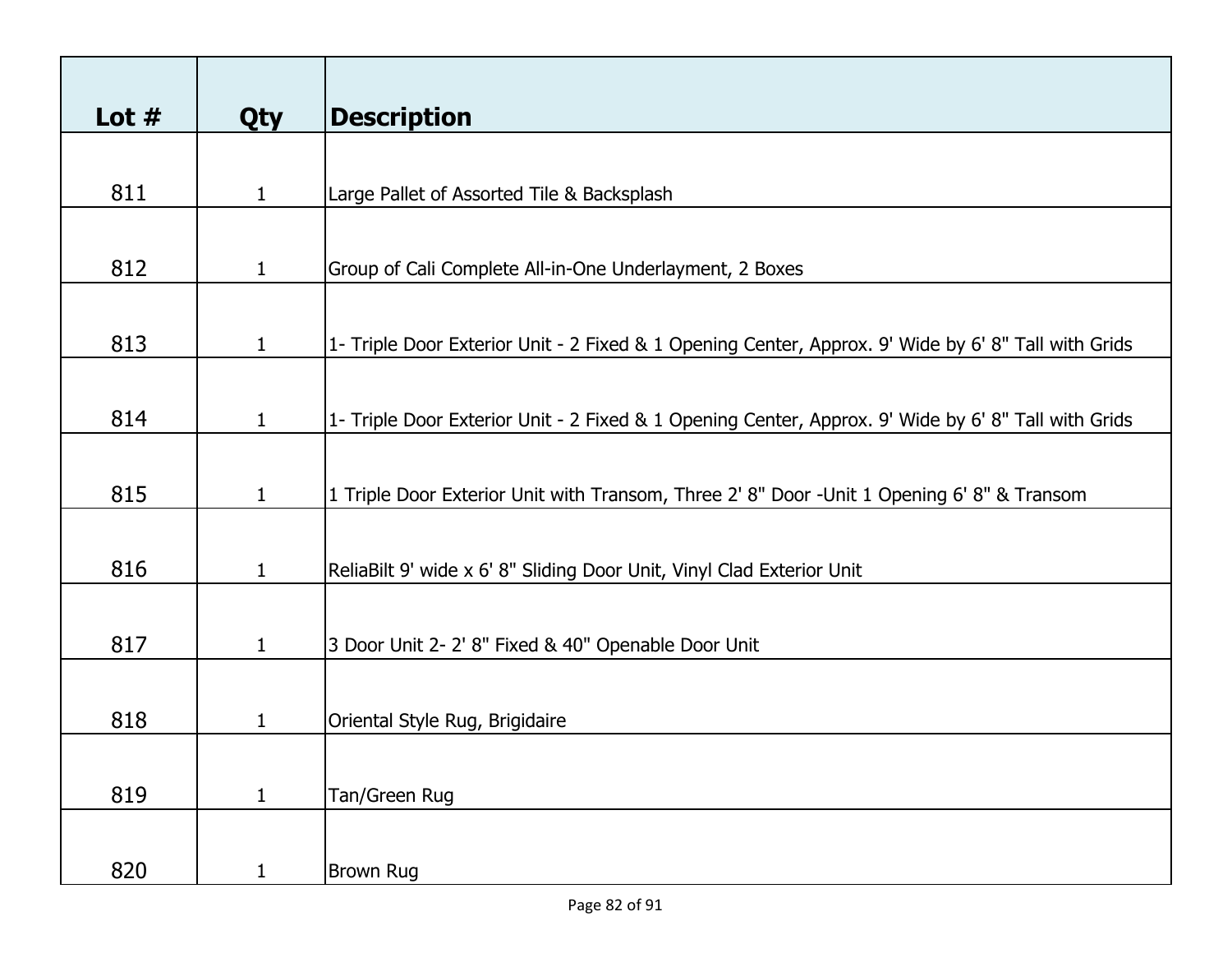| Lot $#$ | <b>Qty</b>   | <b>Description</b>                                                                                  |
|---------|--------------|-----------------------------------------------------------------------------------------------------|
|         |              |                                                                                                     |
| 811     | $\mathbf{1}$ | Large Pallet of Assorted Tile & Backsplash                                                          |
| 812     | $\mathbf{1}$ | Group of Cali Complete All-in-One Underlayment, 2 Boxes                                             |
| 813     | $\mathbf{1}$ | 1- Triple Door Exterior Unit - 2 Fixed & 1 Opening Center, Approx. 9' Wide by 6' 8" Tall with Grids |
| 814     | $\mathbf{1}$ | 1- Triple Door Exterior Unit - 2 Fixed & 1 Opening Center, Approx. 9' Wide by 6' 8" Tall with Grids |
| 815     | $\mathbf{1}$ | 1 Triple Door Exterior Unit with Transom, Three 2' 8" Door -Unit 1 Opening 6' 8" & Transom          |
| 816     | $\mathbf{1}$ | ReliaBilt 9' wide x 6' 8" Sliding Door Unit, Vinyl Clad Exterior Unit                               |
| 817     | $\mathbf{1}$ | 3 Door Unit 2- 2' 8" Fixed & 40" Openable Door Unit                                                 |
| 818     | 1            | Oriental Style Rug, Brigidaire                                                                      |
|         |              |                                                                                                     |
| 819     | $\mathbf{1}$ | Tan/Green Rug                                                                                       |
| 820     | $\mathbf{1}$ | <b>Brown Rug</b>                                                                                    |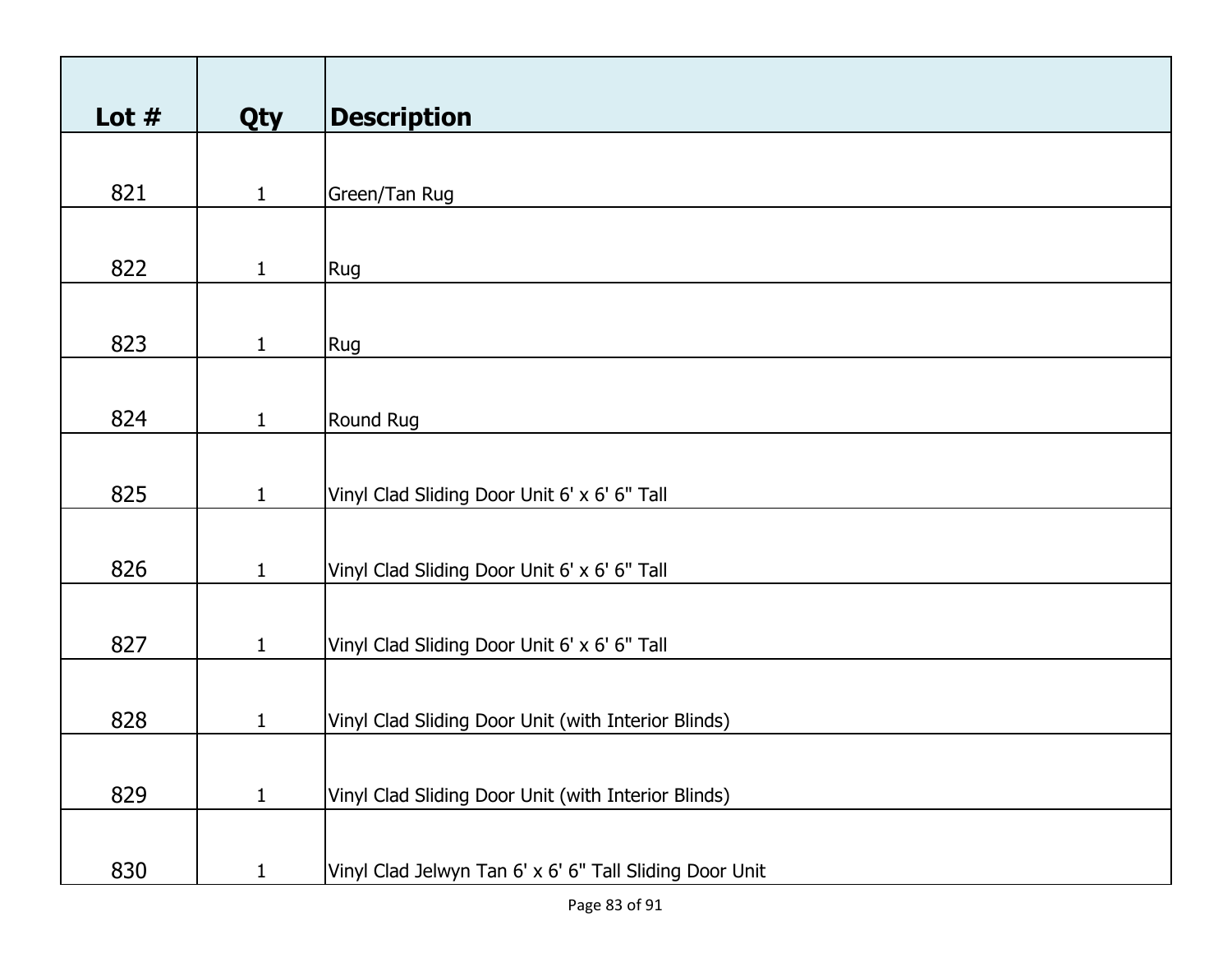| Lot $#$ | Qty          | <b>Description</b>                                      |
|---------|--------------|---------------------------------------------------------|
|         |              |                                                         |
| 821     | $\mathbf{1}$ | Green/Tan Rug                                           |
|         |              |                                                         |
| 822     | $\mathbf{1}$ | Rug                                                     |
|         |              |                                                         |
| 823     | $\mathbf{1}$ | Rug                                                     |
|         |              |                                                         |
| 824     | $\mathbf{1}$ | Round Rug                                               |
|         |              |                                                         |
| 825     | $\mathbf{1}$ | Vinyl Clad Sliding Door Unit 6' x 6' 6" Tall            |
|         |              |                                                         |
| 826     | $\mathbf{1}$ | Vinyl Clad Sliding Door Unit 6' x 6' 6" Tall            |
|         |              |                                                         |
| 827     | $\mathbf{1}$ | Vinyl Clad Sliding Door Unit 6' x 6' 6" Tall            |
|         |              |                                                         |
| 828     | $\mathbf{1}$ | Vinyl Clad Sliding Door Unit (with Interior Blinds)     |
|         |              |                                                         |
| 829     | $\mathbf{1}$ | Vinyl Clad Sliding Door Unit (with Interior Blinds)     |
|         |              |                                                         |
| 830     | $\mathbf{1}$ | Vinyl Clad Jelwyn Tan 6' x 6' 6" Tall Sliding Door Unit |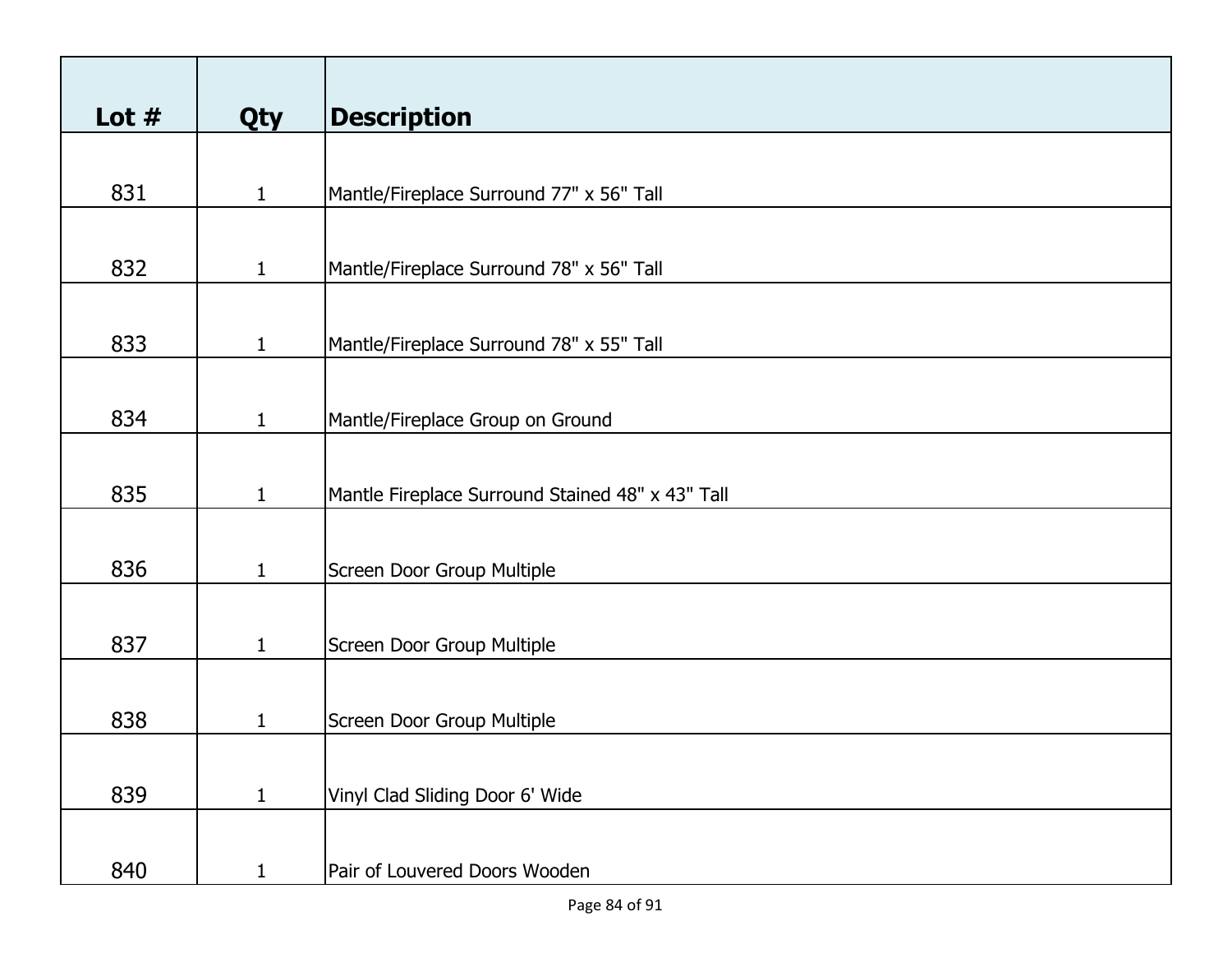| Lot $#$ | <b>Qty</b>   | <b>Description</b>                               |
|---------|--------------|--------------------------------------------------|
|         |              |                                                  |
| 831     | $\mathbf{1}$ | Mantle/Fireplace Surround 77" x 56" Tall         |
|         |              |                                                  |
| 832     | $\mathbf{1}$ | Mantle/Fireplace Surround 78" x 56" Tall         |
|         |              |                                                  |
| 833     | $\mathbf{1}$ | Mantle/Fireplace Surround 78" x 55" Tall         |
|         |              |                                                  |
| 834     | $\mathbf{1}$ | Mantle/Fireplace Group on Ground                 |
|         |              |                                                  |
| 835     | $\mathbf{1}$ | Mantle Fireplace Surround Stained 48" x 43" Tall |
|         |              |                                                  |
| 836     | $\mathbf{1}$ | Screen Door Group Multiple                       |
|         |              |                                                  |
| 837     | $\mathbf{1}$ | Screen Door Group Multiple                       |
|         |              |                                                  |
| 838     | 1            | Screen Door Group Multiple                       |
|         |              |                                                  |
| 839     | $\mathbf{1}$ | Vinyl Clad Sliding Door 6' Wide                  |
|         |              |                                                  |
| 840     | $\mathbf{1}$ | Pair of Louvered Doors Wooden                    |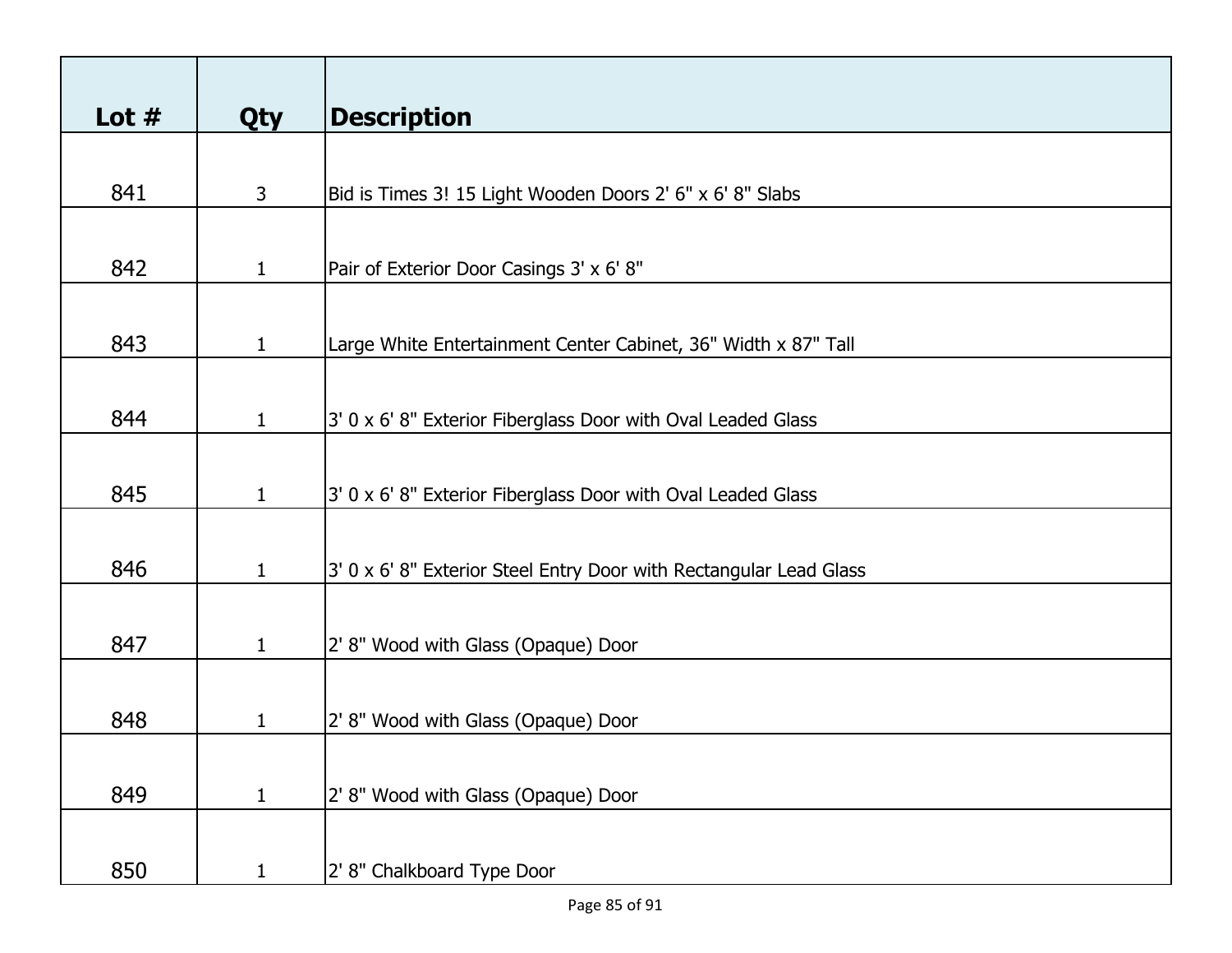| Lot $#$ | <b>Qty</b>   | <b>Description</b>                                                 |
|---------|--------------|--------------------------------------------------------------------|
|         |              |                                                                    |
| 841     | 3            | Bid is Times 3! 15 Light Wooden Doors 2' 6" x 6' 8" Slabs          |
|         |              |                                                                    |
| 842     | $\mathbf{1}$ | Pair of Exterior Door Casings 3' x 6' 8"                           |
|         |              |                                                                    |
| 843     | $\mathbf{1}$ | Large White Entertainment Center Cabinet, 36" Width x 87" Tall     |
|         |              |                                                                    |
| 844     | $\mathbf{1}$ | 3' 0 x 6' 8" Exterior Fiberglass Door with Oval Leaded Glass       |
|         |              |                                                                    |
| 845     | $\mathbf{1}$ | 3' 0 x 6' 8" Exterior Fiberglass Door with Oval Leaded Glass       |
|         |              |                                                                    |
| 846     | $\mathbf{1}$ | 3' 0 x 6' 8" Exterior Steel Entry Door with Rectangular Lead Glass |
|         |              |                                                                    |
| 847     | $\mathbf{1}$ | 2' 8" Wood with Glass (Opaque) Door                                |
|         |              |                                                                    |
| 848     | 1            | 2' 8" Wood with Glass (Opaque) Door                                |
|         |              |                                                                    |
| 849     | $\mathbf{1}$ | 2' 8" Wood with Glass (Opaque) Door                                |
|         |              |                                                                    |
| 850     | 1            | 2' 8" Chalkboard Type Door                                         |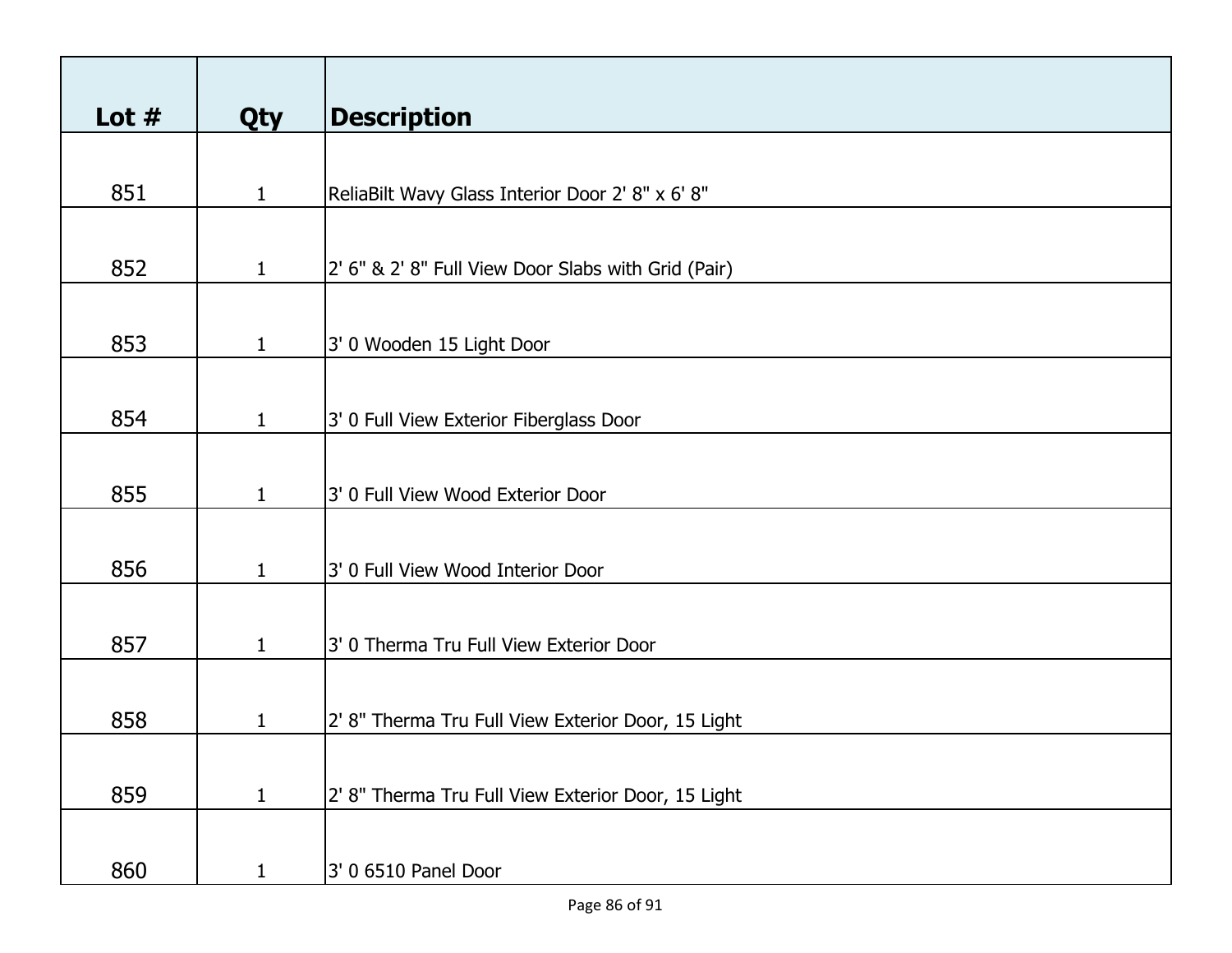| Lot $#$ | <b>Qty</b>   | <b>Description</b>                                  |
|---------|--------------|-----------------------------------------------------|
|         |              |                                                     |
| 851     | $\mathbf{1}$ | ReliaBilt Wavy Glass Interior Door 2' 8" x 6' 8"    |
|         |              |                                                     |
| 852     | $\mathbf{1}$ | 2' 6" & 2' 8" Full View Door Slabs with Grid (Pair) |
|         |              |                                                     |
| 853     | $\mathbf{1}$ | 3' 0 Wooden 15 Light Door                           |
|         |              |                                                     |
| 854     | $\mathbf{1}$ | 3' 0 Full View Exterior Fiberglass Door             |
|         |              |                                                     |
| 855     | $\mathbf{1}$ | 3' 0 Full View Wood Exterior Door                   |
|         |              |                                                     |
| 856     | $\mathbf{1}$ | 3' 0 Full View Wood Interior Door                   |
|         |              |                                                     |
| 857     | $\mathbf{1}$ | 3' 0 Therma Tru Full View Exterior Door             |
|         |              |                                                     |
| 858     | 1            | 2' 8" Therma Tru Full View Exterior Door, 15 Light  |
|         |              |                                                     |
| 859     | $\mathbf{1}$ | 2' 8" Therma Tru Full View Exterior Door, 15 Light  |
|         |              |                                                     |
| 860     | $\mathbf{1}$ | 3' 0 6510 Panel Door                                |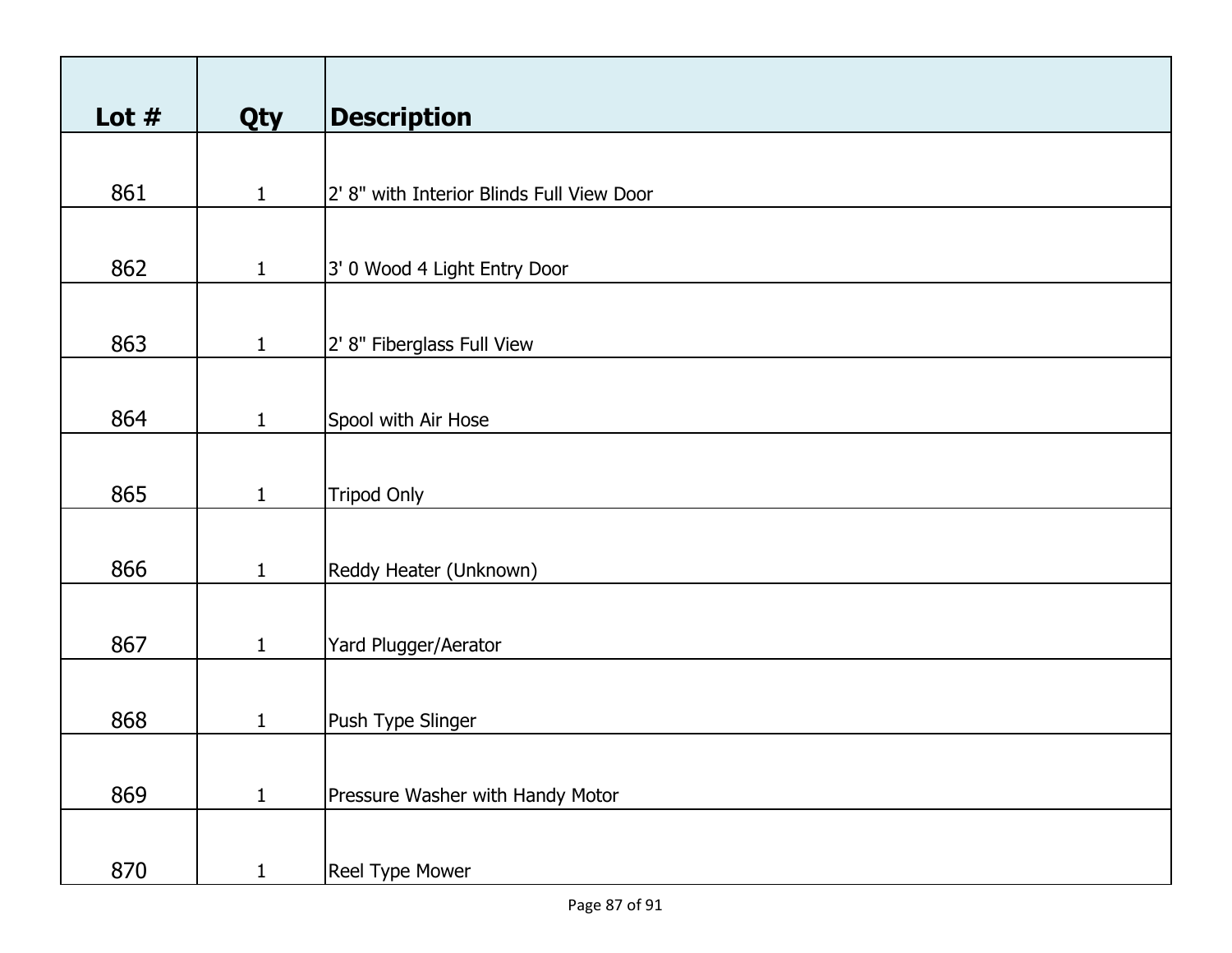| Lot $#$ | Qty          | <b>Description</b>                        |
|---------|--------------|-------------------------------------------|
|         |              |                                           |
| 861     | $\mathbf{1}$ | 2' 8" with Interior Blinds Full View Door |
|         |              |                                           |
| 862     | $\mathbf{1}$ | 3' 0 Wood 4 Light Entry Door              |
|         |              |                                           |
| 863     | $\mathbf{1}$ | 2' 8" Fiberglass Full View                |
|         |              |                                           |
| 864     | $\mathbf{1}$ | Spool with Air Hose                       |
|         |              |                                           |
| 865     | $\mathbf{1}$ | <b>Tripod Only</b>                        |
|         |              |                                           |
| 866     | $\mathbf{1}$ | Reddy Heater (Unknown)                    |
|         |              |                                           |
| 867     | $\mathbf{1}$ | Yard Plugger/Aerator                      |
|         |              |                                           |
| 868     | $\mathbf{1}$ | Push Type Slinger                         |
|         |              |                                           |
| 869     | $\mathbf{1}$ | Pressure Washer with Handy Motor          |
|         |              |                                           |
| 870     | $\mathbf{1}$ | Reel Type Mower                           |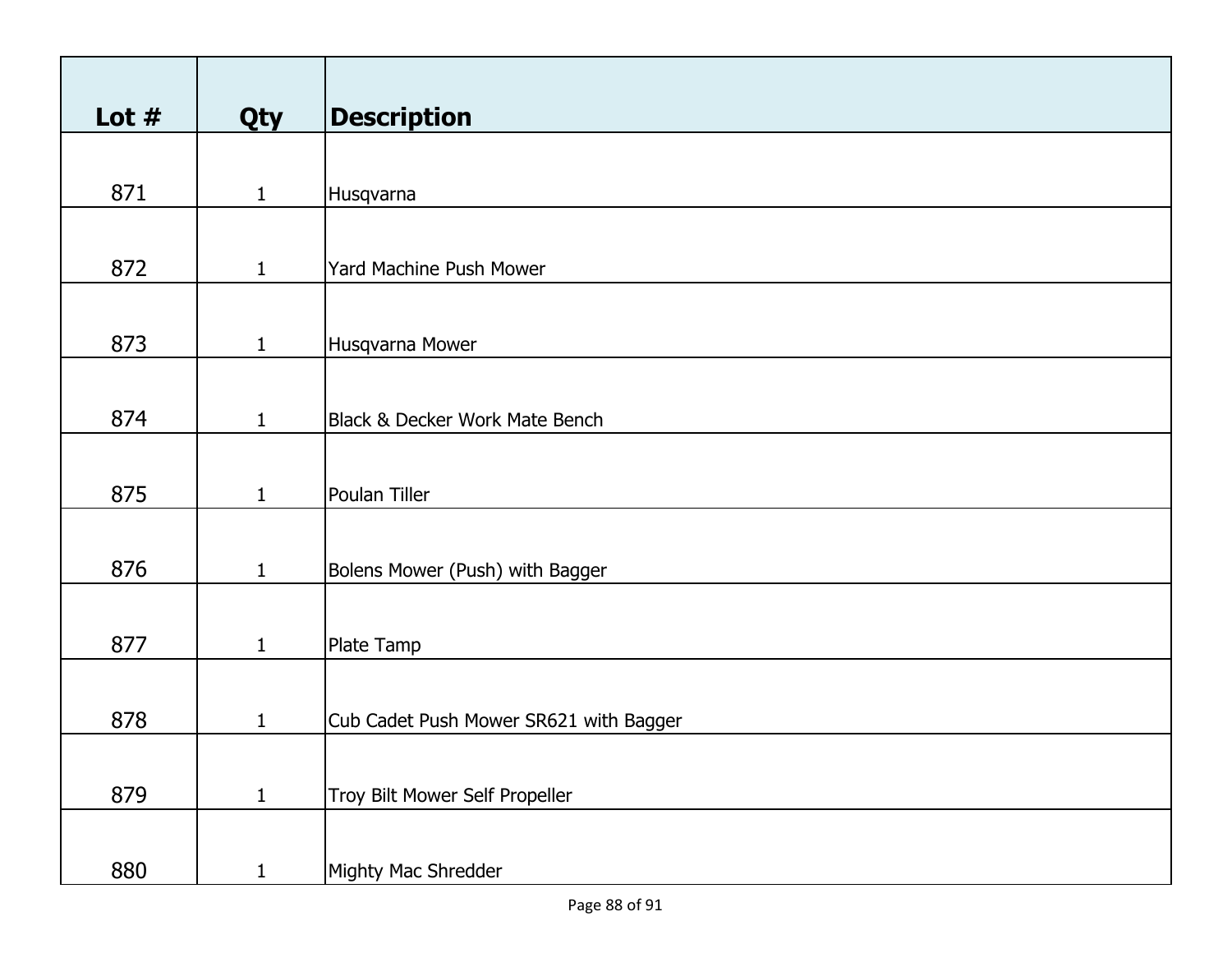| Lot $#$ | Qty          | <b>Description</b>                     |
|---------|--------------|----------------------------------------|
|         |              |                                        |
| 871     | $\mathbf{1}$ | Husqvarna                              |
|         |              |                                        |
| 872     | $\mathbf{1}$ | Yard Machine Push Mower                |
|         |              |                                        |
| 873     | $\mathbf{1}$ | Husqvarna Mower                        |
|         |              |                                        |
| 874     | $\mathbf{1}$ | Black & Decker Work Mate Bench         |
|         |              |                                        |
| 875     | $\mathbf{1}$ | Poulan Tiller                          |
|         |              |                                        |
| 876     | $\mathbf{1}$ | Bolens Mower (Push) with Bagger        |
|         |              |                                        |
| 877     | $\mathbf{1}$ | Plate Tamp                             |
|         |              |                                        |
| 878     | $\mathbf{1}$ | Cub Cadet Push Mower SR621 with Bagger |
|         |              |                                        |
| 879     | $\mathbf{1}$ | Troy Bilt Mower Self Propeller         |
|         |              |                                        |
| 880     | $\mathbf{1}$ | Mighty Mac Shredder                    |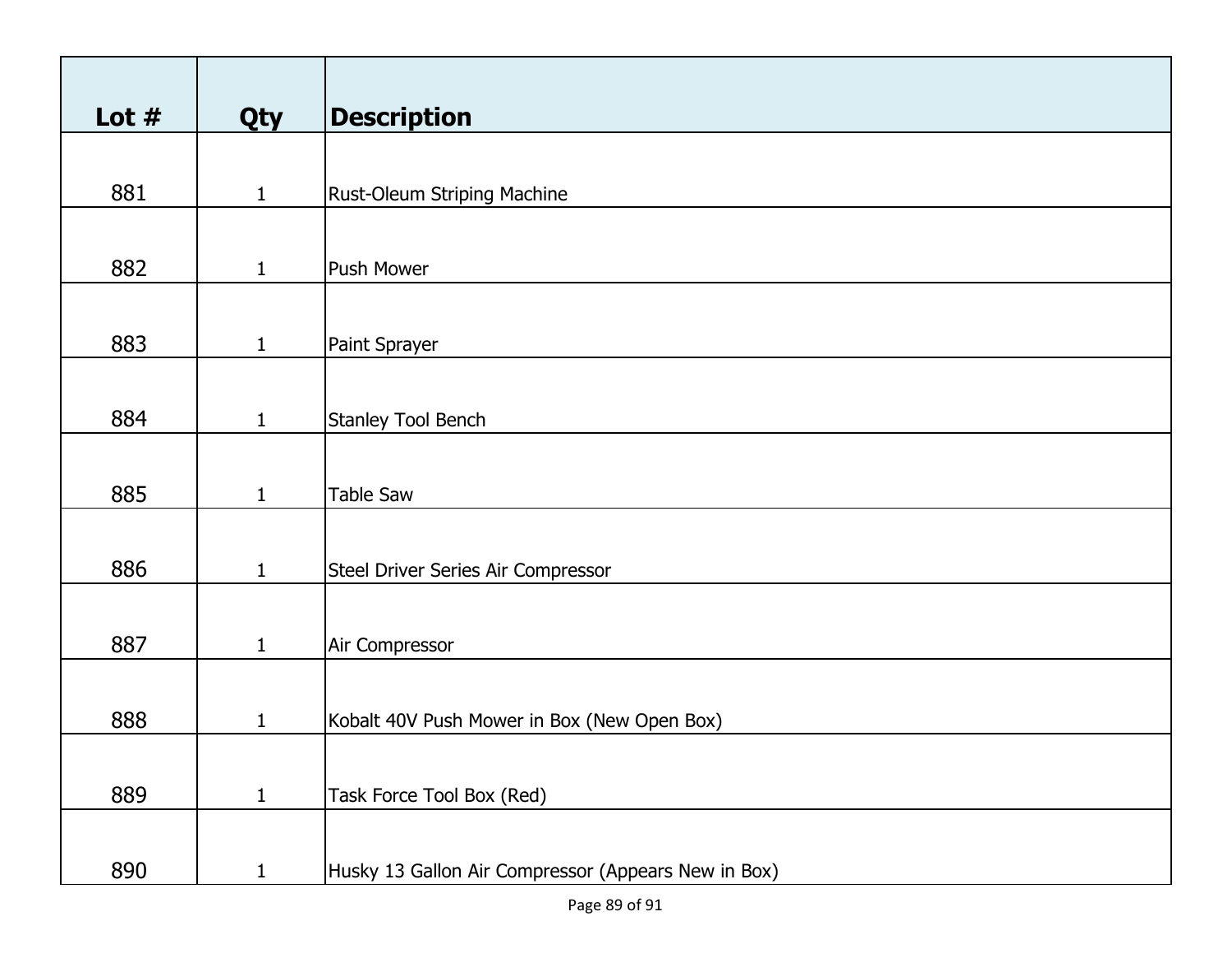| Lot $#$ | Qty          | <b>Description</b>                                  |
|---------|--------------|-----------------------------------------------------|
|         |              |                                                     |
| 881     | $\mathbf{1}$ | Rust-Oleum Striping Machine                         |
|         |              |                                                     |
| 882     | $\mathbf{1}$ | Push Mower                                          |
|         |              |                                                     |
|         |              |                                                     |
| 883     | $\mathbf{1}$ | Paint Sprayer                                       |
|         |              |                                                     |
| 884     | $\mathbf{1}$ | Stanley Tool Bench                                  |
|         |              |                                                     |
| 885     | $\mathbf{1}$ | Table Saw                                           |
|         |              |                                                     |
|         |              |                                                     |
| 886     | $\mathbf{1}$ | Steel Driver Series Air Compressor                  |
|         |              |                                                     |
| 887     | $\mathbf{1}$ | Air Compressor                                      |
|         |              |                                                     |
| 888     | $\mathbf{1}$ | Kobalt 40V Push Mower in Box (New Open Box)         |
|         |              |                                                     |
|         |              |                                                     |
| 889     | $\mathbf{1}$ | Task Force Tool Box (Red)                           |
|         |              |                                                     |
| 890     | $\mathbf{1}$ | Husky 13 Gallon Air Compressor (Appears New in Box) |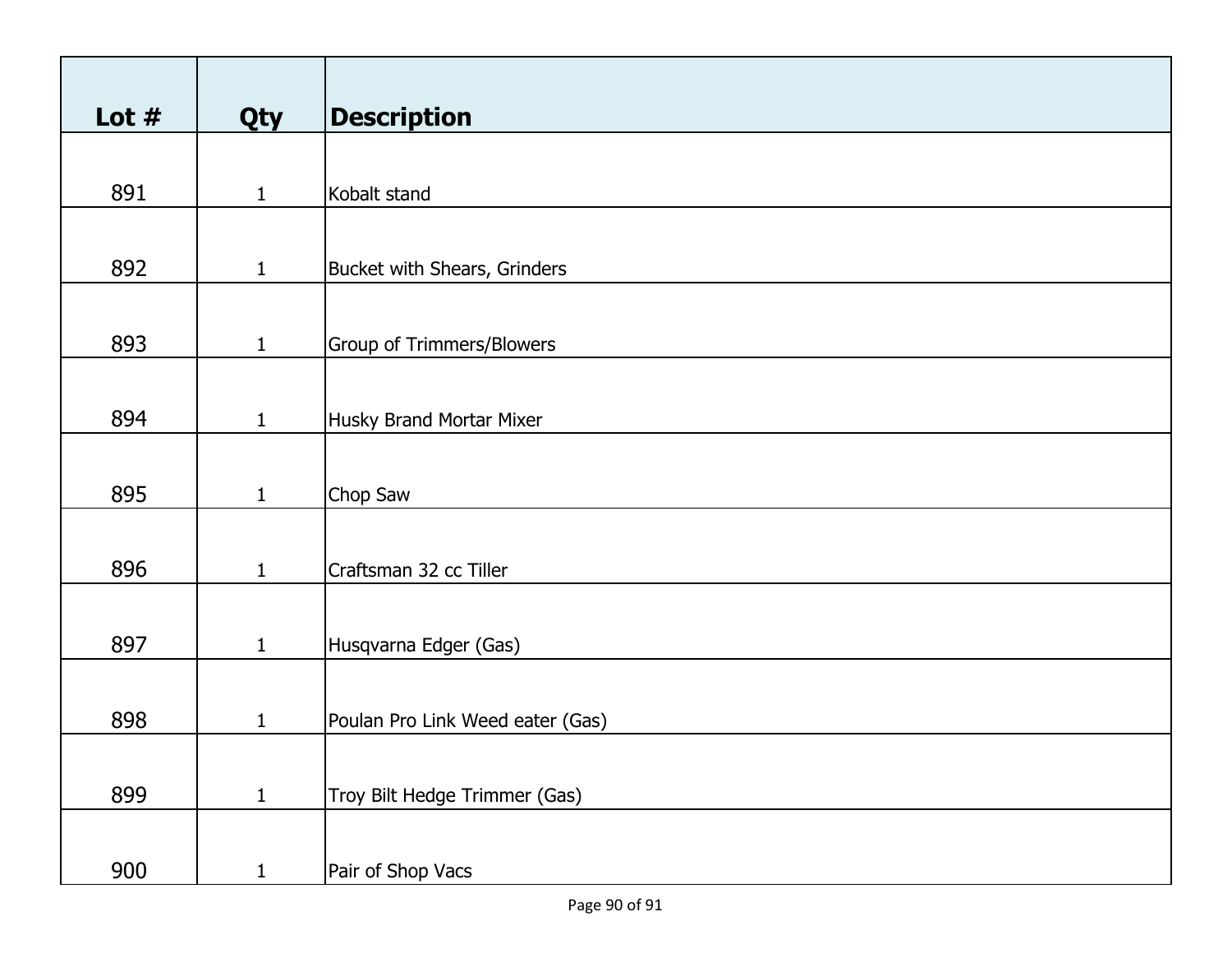| Lot $#$ | Qty          | <b>Description</b>               |
|---------|--------------|----------------------------------|
|         |              |                                  |
| 891     | $\mathbf{1}$ | Kobalt stand                     |
|         |              |                                  |
| 892     | $\mathbf{1}$ | Bucket with Shears, Grinders     |
|         |              |                                  |
|         |              |                                  |
| 893     | $\mathbf{1}$ | <b>Group of Trimmers/Blowers</b> |
|         |              |                                  |
| 894     | $\mathbf{1}$ | Husky Brand Mortar Mixer         |
|         |              |                                  |
|         |              |                                  |
| 895     | $\mathbf{1}$ | Chop Saw                         |
|         |              |                                  |
| 896     | $\mathbf{1}$ | Craftsman 32 cc Tiller           |
|         |              |                                  |
| 897     | $\mathbf{1}$ | Husqvarna Edger (Gas)            |
|         |              |                                  |
|         |              |                                  |
| 898     | $\mathbf{1}$ | Poulan Pro Link Weed eater (Gas) |
|         |              |                                  |
| 899     | $\mathbf{1}$ | Troy Bilt Hedge Trimmer (Gas)    |
|         |              |                                  |
|         |              |                                  |
| 900     | $\mathbf{1}$ | Pair of Shop Vacs                |